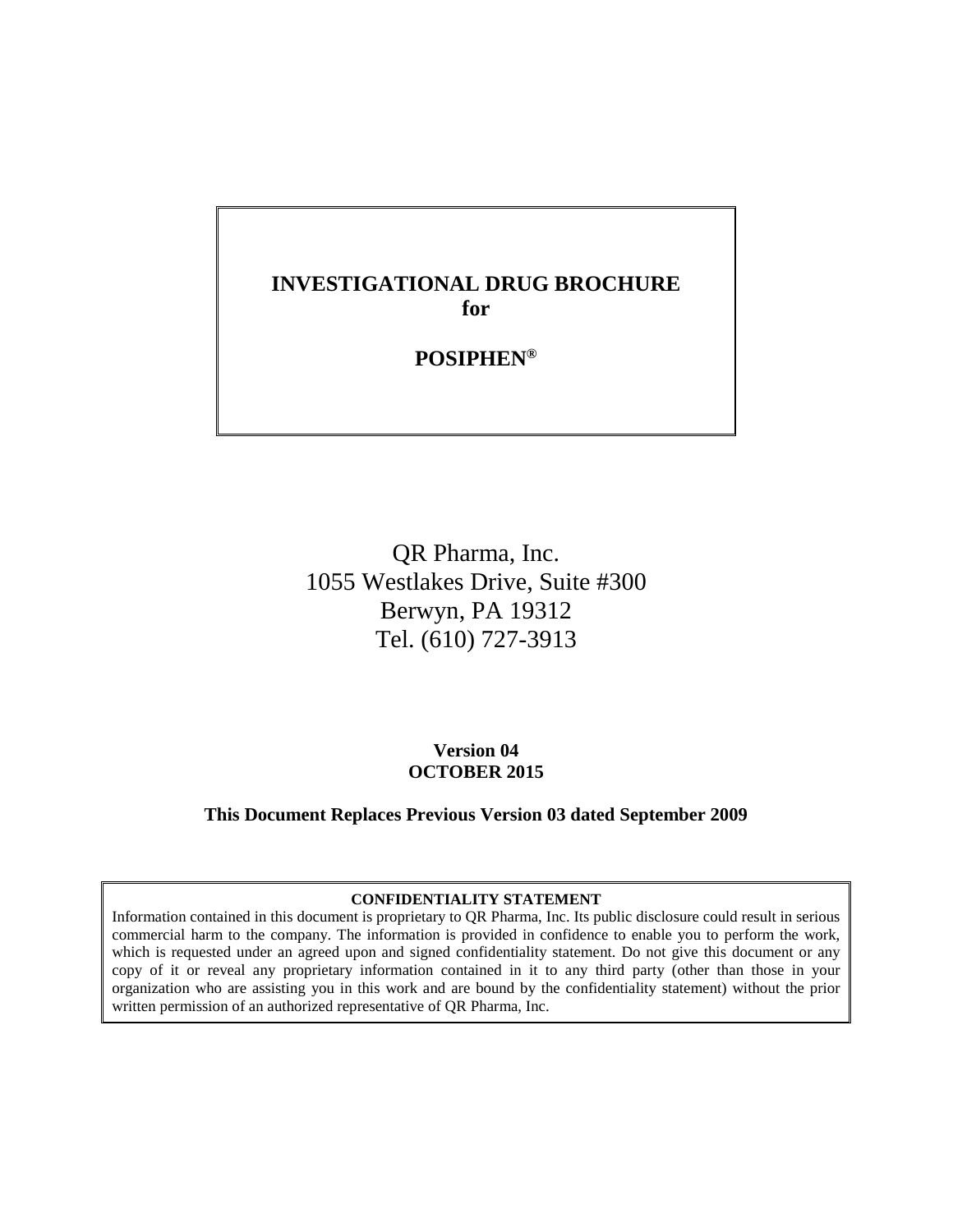## **INVESTIGATIONAL DRUG BROCHURE for**

## **POSIPHEN®**

QR Pharma, Inc. 1055 Westlakes Drive, Suite #300 Berwyn, PA 19312 Tel. (610) 727-3913

> **Version 04 OCTOBER 2015**

**This Document Replaces Previous Version 03 dated September 2009**

#### **CONFIDENTIALITY STATEMENT**

Information contained in this document is proprietary to QR Pharma, Inc. Its public disclosure could result in serious commercial harm to the company. The information is provided in confidence to enable you to perform the work, which is requested under an agreed upon and signed confidentiality statement. Do not give this document or any copy of it or reveal any proprietary information contained in it to any third party (other than those in your organization who are assisting you in this work and are bound by the confidentiality statement) without the prior written permission of an authorized representative of QR Pharma, Inc.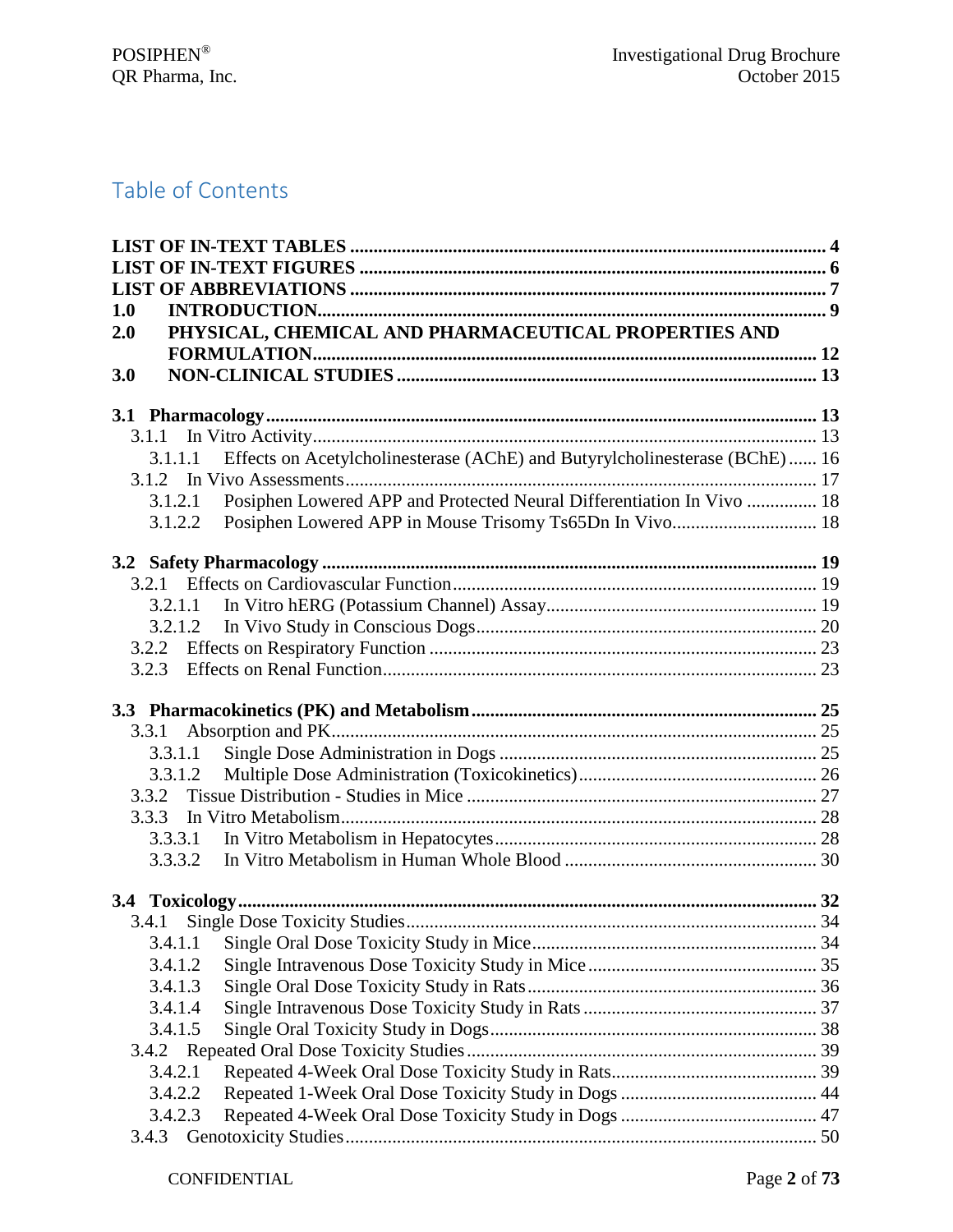# Table of Contents

| 1.0     |                                                                             |  |
|---------|-----------------------------------------------------------------------------|--|
| 2.0     | PHYSICAL, CHEMICAL AND PHARMACEUTICAL PROPERTIES AND                        |  |
|         |                                                                             |  |
| 3.0     |                                                                             |  |
|         |                                                                             |  |
|         |                                                                             |  |
| 3.1.1.1 | Effects on Acetylcholinesterase (AChE) and Butyrylcholinesterase (BChE)  16 |  |
|         |                                                                             |  |
| 3.1.2.1 | Posiphen Lowered APP and Protected Neural Differentiation In Vivo  18       |  |
| 3.1.2.2 |                                                                             |  |
|         |                                                                             |  |
|         |                                                                             |  |
|         |                                                                             |  |
| 3.2.1.2 |                                                                             |  |
|         |                                                                             |  |
| 3.2.3   |                                                                             |  |
|         |                                                                             |  |
| 3.3.1   |                                                                             |  |
| 3.3.1.1 |                                                                             |  |
| 3.3.1.2 |                                                                             |  |
| 3.3.2   |                                                                             |  |
| 3.3.3   |                                                                             |  |
| 3.3.3.1 |                                                                             |  |
| 3.3.3.2 |                                                                             |  |
|         |                                                                             |  |
|         |                                                                             |  |
| 3.4.1.1 |                                                                             |  |
| 3.4.1.2 |                                                                             |  |
| 3.4.1.3 |                                                                             |  |
| 3.4.1.4 |                                                                             |  |
| 3.4.1.5 |                                                                             |  |
|         |                                                                             |  |
| 3.4.2.1 |                                                                             |  |
| 3.4.2.2 |                                                                             |  |
| 3.4.2.3 |                                                                             |  |
| 3.4.3   |                                                                             |  |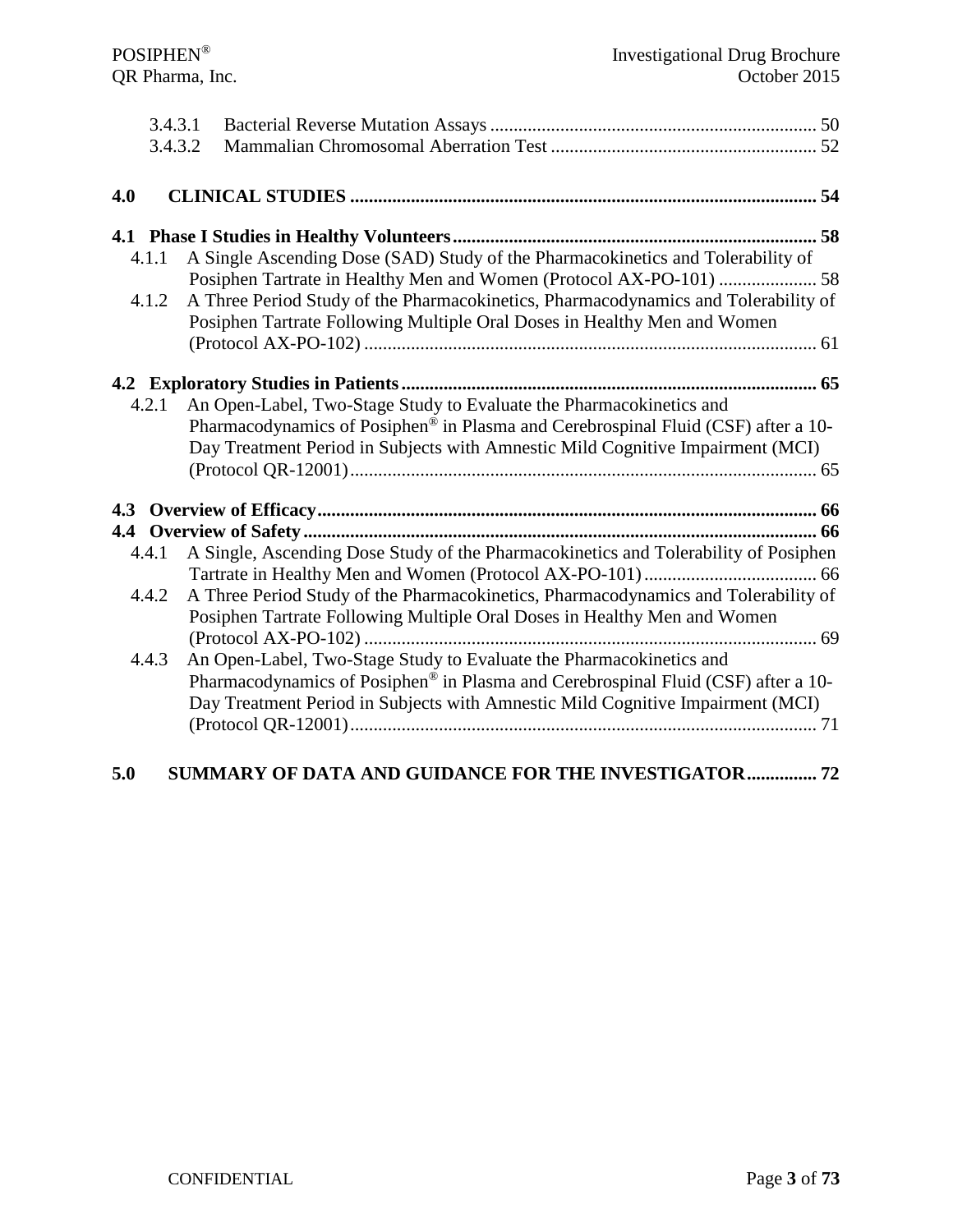|       | 3.4.3.1                                                                                                                                                              |  |
|-------|----------------------------------------------------------------------------------------------------------------------------------------------------------------------|--|
|       | 3.4.3.2                                                                                                                                                              |  |
|       |                                                                                                                                                                      |  |
| 4.0   |                                                                                                                                                                      |  |
|       |                                                                                                                                                                      |  |
| 4.1.1 | A Single Ascending Dose (SAD) Study of the Pharmacokinetics and Tolerability of                                                                                      |  |
|       | Posiphen Tartrate in Healthy Men and Women (Protocol AX-PO-101)  58                                                                                                  |  |
| 4.1.2 | A Three Period Study of the Pharmacokinetics, Pharmacodynamics and Tolerability of<br>Posiphen Tartrate Following Multiple Oral Doses in Healthy Men and Women       |  |
|       |                                                                                                                                                                      |  |
|       |                                                                                                                                                                      |  |
| 4.2.1 |                                                                                                                                                                      |  |
|       | An Open-Label, Two-Stage Study to Evaluate the Pharmacokinetics and<br>Pharmacodynamics of Posiphen <sup>®</sup> in Plasma and Cerebrospinal Fluid (CSF) after a 10- |  |
|       |                                                                                                                                                                      |  |
|       | Day Treatment Period in Subjects with Amnestic Mild Cognitive Impairment (MCI)                                                                                       |  |
|       |                                                                                                                                                                      |  |
|       |                                                                                                                                                                      |  |
| 4.4.1 | A Single, Ascending Dose Study of the Pharmacokinetics and Tolerability of Posiphen                                                                                  |  |
|       |                                                                                                                                                                      |  |
| 4.4.2 | A Three Period Study of the Pharmacokinetics, Pharmacodynamics and Tolerability of                                                                                   |  |
|       | Posiphen Tartrate Following Multiple Oral Doses in Healthy Men and Women                                                                                             |  |
|       |                                                                                                                                                                      |  |
| 4.4.3 | An Open-Label, Two-Stage Study to Evaluate the Pharmacokinetics and                                                                                                  |  |
|       | Pharmacodynamics of Posiphen <sup>®</sup> in Plasma and Cerebrospinal Fluid (CSF) after a 10-                                                                        |  |
|       | Day Treatment Period in Subjects with Amnestic Mild Cognitive Impairment (MCI)                                                                                       |  |
|       |                                                                                                                                                                      |  |
|       |                                                                                                                                                                      |  |

## **[5.0 SUMMARY OF DATA AND GUIDANCE FOR THE INVESTIGATOR...............](#page-71-0) 72**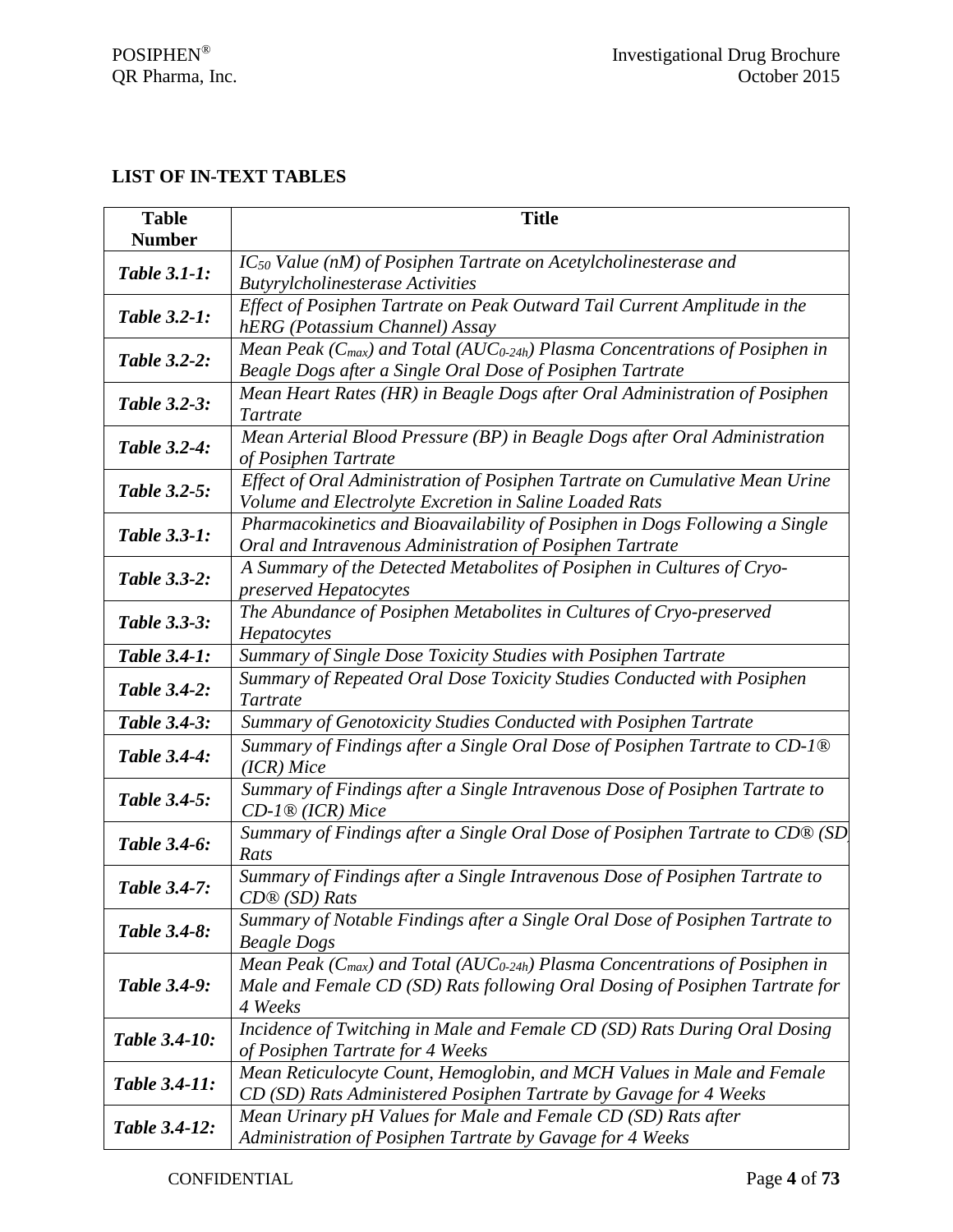## <span id="page-3-0"></span>**LIST OF IN-TEXT TABLES**

| <b>Table</b><br><b>Number</b> | <b>Title</b>                                                                                                                                                                             |  |  |  |  |
|-------------------------------|------------------------------------------------------------------------------------------------------------------------------------------------------------------------------------------|--|--|--|--|
| <b>Table 3.1-1:</b>           | IC <sub>50</sub> Value (nM) of Posiphen Tartrate on Acetylcholinesterase and<br><b>Butyrylcholinesterase Activities</b>                                                                  |  |  |  |  |
| <b>Table 3.2-1:</b>           | Effect of Posiphen Tartrate on Peak Outward Tail Current Amplitude in the<br>hERG (Potassium Channel) Assay                                                                              |  |  |  |  |
| <b>Table 3.2-2:</b>           | Mean Peak ( $C_{max}$ ) and Total (AUC <sub>0-24h</sub> ) Plasma Concentrations of Posiphen in<br>Beagle Dogs after a Single Oral Dose of Posiphen Tartrate                              |  |  |  |  |
| Table 3.2-3:                  | Mean Heart Rates (HR) in Beagle Dogs after Oral Administration of Posiphen<br>Tartrate                                                                                                   |  |  |  |  |
| <b>Table 3.2-4:</b>           | Mean Arterial Blood Pressure (BP) in Beagle Dogs after Oral Administration<br>of Posiphen Tartrate                                                                                       |  |  |  |  |
| <b>Table 3.2-5:</b>           | Effect of Oral Administration of Posiphen Tartrate on Cumulative Mean Urine<br>Volume and Electrolyte Excretion in Saline Loaded Rats                                                    |  |  |  |  |
| <b>Table 3.3-1:</b>           | Pharmacokinetics and Bioavailability of Posiphen in Dogs Following a Single<br>Oral and Intravenous Administration of Posiphen Tartrate                                                  |  |  |  |  |
| Table 3.3-2:                  | A Summary of the Detected Metabolites of Posiphen in Cultures of Cryo-<br>preserved Hepatocytes                                                                                          |  |  |  |  |
| Table 3.3-3:                  | The Abundance of Posiphen Metabolites in Cultures of Cryo-preserved<br>Hepatocytes                                                                                                       |  |  |  |  |
| Table 3.4-1:                  | Summary of Single Dose Toxicity Studies with Posiphen Tartrate                                                                                                                           |  |  |  |  |
| Table 3.4-2:                  | Summary of Repeated Oral Dose Toxicity Studies Conducted with Posiphen<br>Tartrate                                                                                                       |  |  |  |  |
| Table 3.4-3:                  | Summary of Genotoxicity Studies Conducted with Posiphen Tartrate                                                                                                                         |  |  |  |  |
| <b>Table 3.4-4:</b>           | Summary of Findings after a Single Oral Dose of Posiphen Tartrate to CD-1 <sup>®</sup><br>$(ICR)$ Mice                                                                                   |  |  |  |  |
| Table 3.4-5:                  | Summary of Findings after a Single Intravenous Dose of Posiphen Tartrate to<br>$CD$ -1 <sup>®</sup> (ICR) Mice                                                                           |  |  |  |  |
| Table 3.4-6:                  | Summary of Findings after a Single Oral Dose of Posiphen Tartrate to CD® (SD<br>Rats                                                                                                     |  |  |  |  |
| Table 3.4-7:                  | Summary of Findings after a Single Intravenous Dose of Posiphen Tartrate to<br>$CD@(SD)$ Rats                                                                                            |  |  |  |  |
| Table 3.4-8:                  | Summary of Notable Findings after a Single Oral Dose of Posiphen Tartrate to<br><b>Beagle Dogs</b>                                                                                       |  |  |  |  |
| Table 3.4-9:                  | Mean Peak ( $C_{max}$ ) and Total (AUC <sub>0-24h</sub> ) Plasma Concentrations of Posiphen in<br>Male and Female CD (SD) Rats following Oral Dosing of Posiphen Tartrate for<br>4 Weeks |  |  |  |  |
| Table 3.4-10:                 | Incidence of Twitching in Male and Female CD (SD) Rats During Oral Dosing<br>of Posiphen Tartrate for 4 Weeks                                                                            |  |  |  |  |
| Table 3.4-11:                 | Mean Reticulocyte Count, Hemoglobin, and MCH Values in Male and Female<br>CD (SD) Rats Administered Posiphen Tartrate by Gavage for 4 Weeks                                              |  |  |  |  |
| Table 3.4-12:                 | Mean Urinary pH Values for Male and Female CD (SD) Rats after<br>Administration of Posiphen Tartrate by Gavage for 4 Weeks                                                               |  |  |  |  |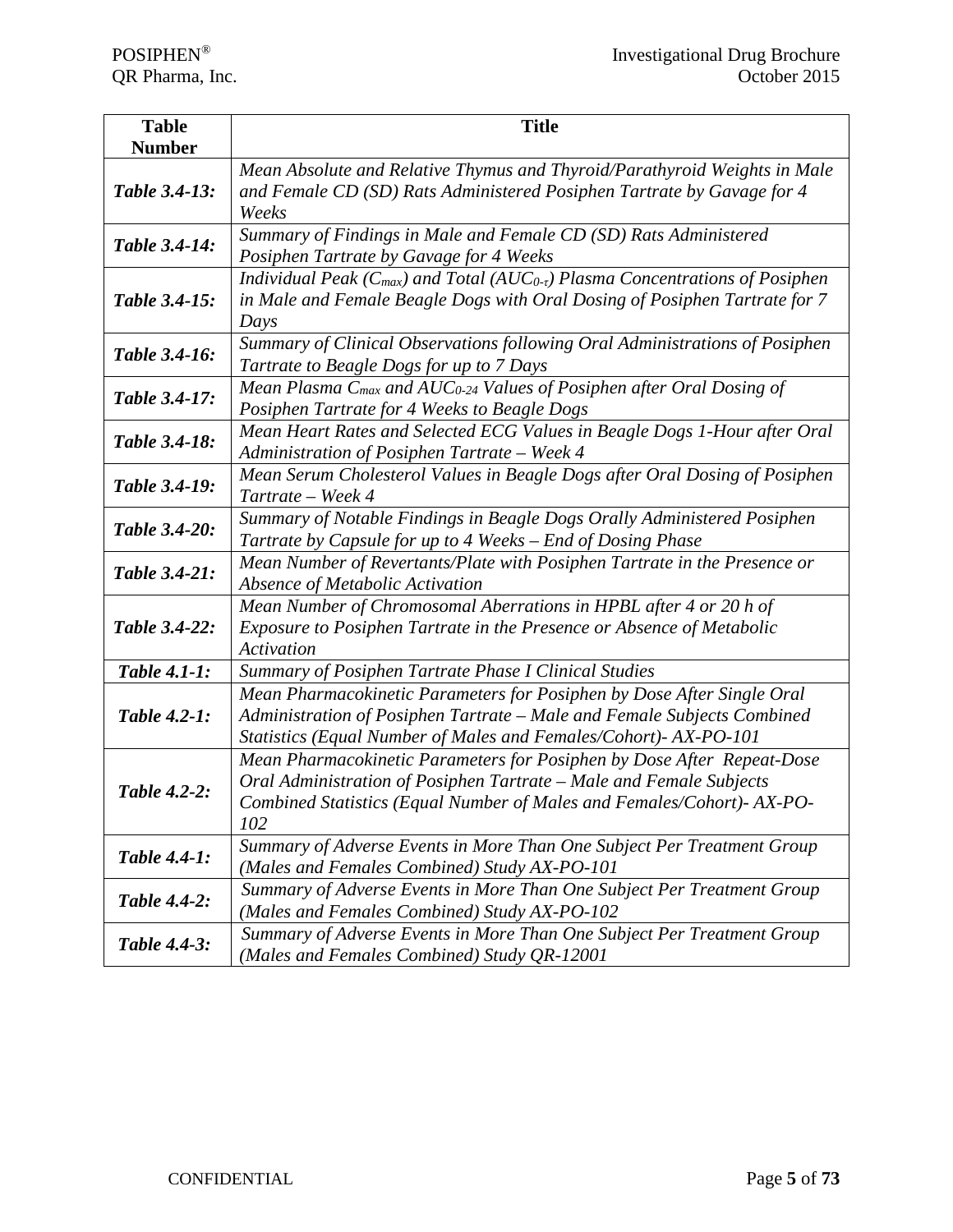| <b>Table</b>                                                                                                                                 | <b>Title</b>                                                                                                                                                                                                                   |  |  |  |  |  |
|----------------------------------------------------------------------------------------------------------------------------------------------|--------------------------------------------------------------------------------------------------------------------------------------------------------------------------------------------------------------------------------|--|--|--|--|--|
| <b>Number</b><br>Table 3.4-13:                                                                                                               | Mean Absolute and Relative Thymus and Thyroid/Parathyroid Weights in Male<br>and Female CD (SD) Rats Administered Posiphen Tartrate by Gavage for 4<br>Weeks                                                                   |  |  |  |  |  |
| Table 3.4-14:                                                                                                                                | Summary of Findings in Male and Female CD (SD) Rats Administered<br>Posiphen Tartrate by Gavage for 4 Weeks                                                                                                                    |  |  |  |  |  |
| Table 3.4-15:                                                                                                                                | Individual Peak ( $C_{max}$ ) and Total (AU $C_{0-t}$ ) Plasma Concentrations of Posiphen<br>in Male and Female Beagle Dogs with Oral Dosing of Posiphen Tartrate for 7<br>Days                                                |  |  |  |  |  |
| Table 3.4-16:                                                                                                                                | Summary of Clinical Observations following Oral Administrations of Posiphen<br>Tartrate to Beagle Dogs for up to 7 Days                                                                                                        |  |  |  |  |  |
| Table 3.4-17:                                                                                                                                | Mean Plasma C <sub>max</sub> and AUC <sub>0-24</sub> Values of Posiphen after Oral Dosing of<br>Posiphen Tartrate for 4 Weeks to Beagle Dogs                                                                                   |  |  |  |  |  |
| Table 3.4-18:                                                                                                                                | Mean Heart Rates and Selected ECG Values in Beagle Dogs 1-Hour after Oral<br>Administration of Posiphen Tartrate - Week 4                                                                                                      |  |  |  |  |  |
| Table 3.4-19:                                                                                                                                | Mean Serum Cholesterol Values in Beagle Dogs after Oral Dosing of Posiphen<br>Tartrate – Week 4                                                                                                                                |  |  |  |  |  |
| Table 3.4-20:                                                                                                                                | Summary of Notable Findings in Beagle Dogs Orally Administered Posiphen<br>Tartrate by Capsule for up to 4 Weeks - End of Dosing Phase                                                                                         |  |  |  |  |  |
| Mean Number of Revertants/Plate with Posiphen Tartrate in the Presence or<br>Table 3.4-21:<br>Absence of Metabolic Activation                |                                                                                                                                                                                                                                |  |  |  |  |  |
| Table 3.4-22:                                                                                                                                | Mean Number of Chromosomal Aberrations in HPBL after 4 or 20 h of<br>Exposure to Posiphen Tartrate in the Presence or Absence of Metabolic<br>Activation                                                                       |  |  |  |  |  |
| <b>Table 4.1-1:</b>                                                                                                                          | Summary of Posiphen Tartrate Phase I Clinical Studies                                                                                                                                                                          |  |  |  |  |  |
| <b>Table 4.2-1:</b>                                                                                                                          | Mean Pharmacokinetic Parameters for Posiphen by Dose After Single Oral<br>Administration of Posiphen Tartrate - Male and Female Subjects Combined<br>Statistics (Equal Number of Males and Females/Cohort)- AX-PO-101          |  |  |  |  |  |
| <b>Table 4.2-2:</b>                                                                                                                          | Mean Pharmacokinetic Parameters for Posiphen by Dose After Repeat-Dose<br>Oral Administration of Posiphen Tartrate - Male and Female Subjects<br>Combined Statistics (Equal Number of Males and Females/Cohort)- AX-PO-<br>102 |  |  |  |  |  |
| Table 4.4-1:                                                                                                                                 | Summary of Adverse Events in More Than One Subject Per Treatment Group<br>(Males and Females Combined) Study AX-PO-101                                                                                                         |  |  |  |  |  |
| <b>Table 4.4-2:</b>                                                                                                                          | Summary of Adverse Events in More Than One Subject Per Treatment Group<br>(Males and Females Combined) Study AX-PO-102                                                                                                         |  |  |  |  |  |
| Summary of Adverse Events in More Than One Subject Per Treatment Group<br><b>Table 4.4-3:</b><br>(Males and Females Combined) Study QR-12001 |                                                                                                                                                                                                                                |  |  |  |  |  |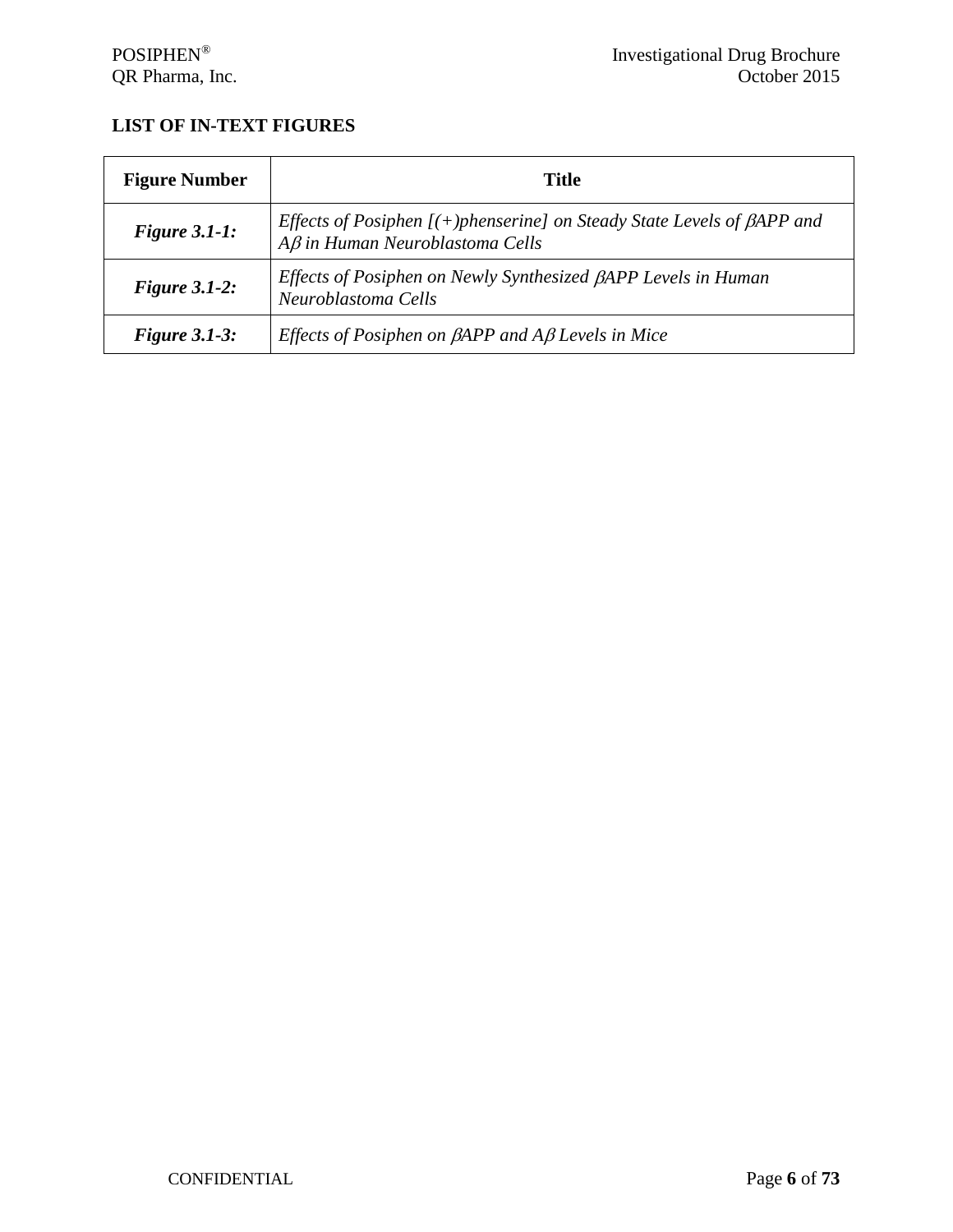## <span id="page-5-0"></span>**LIST OF IN-TEXT FIGURES**

| <b>Figure Number</b> | Title                                                                                                                      |  |
|----------------------|----------------------------------------------------------------------------------------------------------------------------|--|
| Figure $3.1-1$ :     | Effects of Posiphen $[ (+)$ phenserine] on Steady State Levels of $\beta$ APP and<br>$A\beta$ in Human Neuroblastoma Cells |  |
| Figure $3.1-2$ :     | Effects of Posiphen on Newly Synthesized BAPP Levels in Human<br>Neuroblastoma Cells                                       |  |
| Figure $3.1-3$ :     | <i>Effects of Posiphen on <math>\beta</math>APP and A<math>\beta</math> Levels in Mice</i>                                 |  |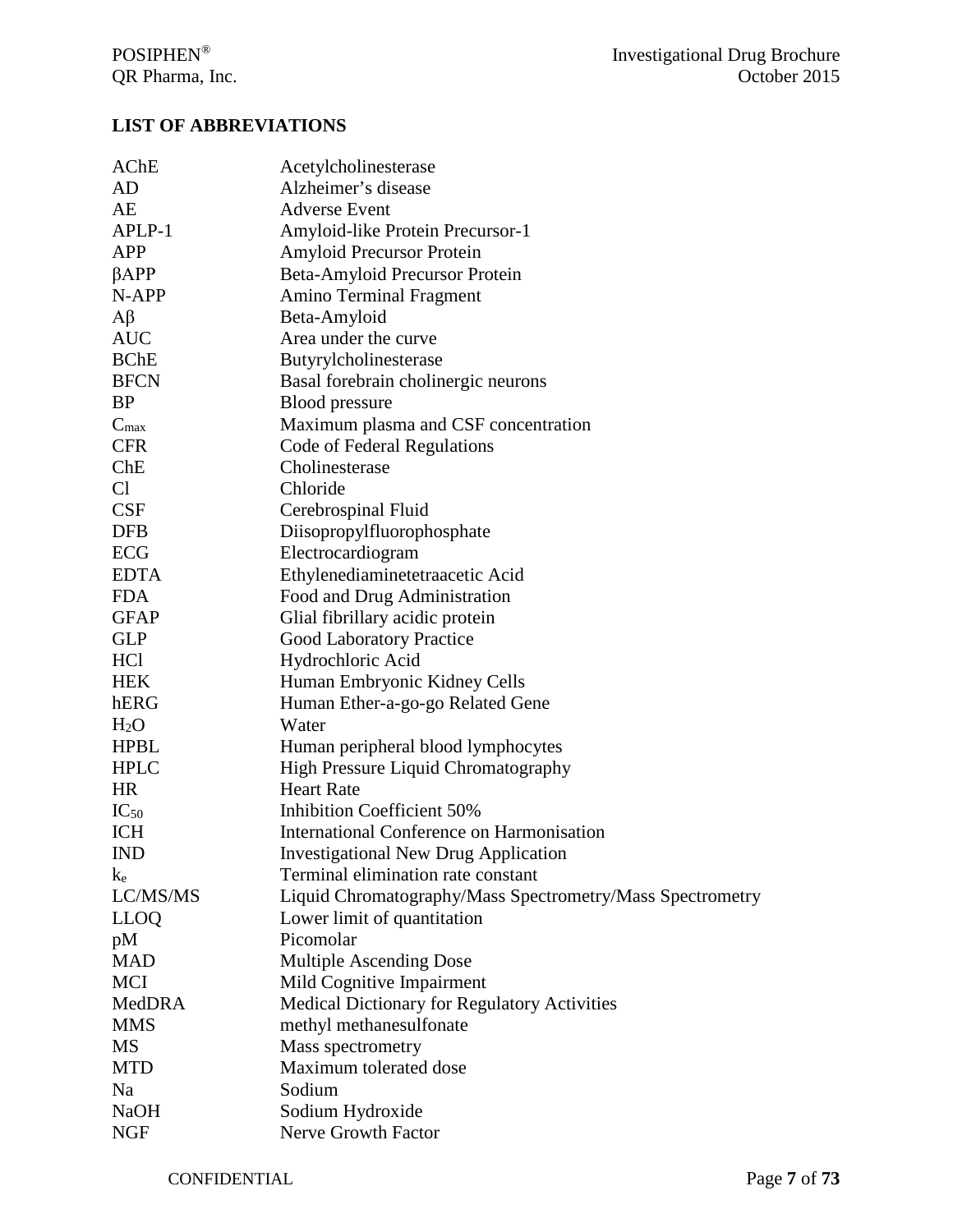## <span id="page-6-0"></span>**LIST OF ABBREVIATIONS**

| AChE             | Acetylcholinesterase                                      |  |  |  |
|------------------|-----------------------------------------------------------|--|--|--|
| AD               | Alzheimer's disease                                       |  |  |  |
| AE               | <b>Adverse Event</b>                                      |  |  |  |
| APLP-1           | Amyloid-like Protein Precursor-1                          |  |  |  |
| <b>APP</b>       | Amyloid Precursor Protein                                 |  |  |  |
| $\beta$ APP      | Beta-Amyloid Precursor Protein                            |  |  |  |
| N-APP            | <b>Amino Terminal Fragment</b>                            |  |  |  |
| $A\beta$         | Beta-Amyloid                                              |  |  |  |
| <b>AUC</b>       | Area under the curve                                      |  |  |  |
| <b>BChE</b>      | Butyrylcholinesterase                                     |  |  |  |
| <b>BFCN</b>      | Basal forebrain cholinergic neurons                       |  |  |  |
| <b>BP</b>        | <b>Blood</b> pressure                                     |  |  |  |
| $C_{\text{max}}$ | Maximum plasma and CSF concentration                      |  |  |  |
| <b>CFR</b>       | Code of Federal Regulations                               |  |  |  |
| ChE              | Cholinesterase                                            |  |  |  |
| C <sub>1</sub>   | Chloride                                                  |  |  |  |
| <b>CSF</b>       | Cerebrospinal Fluid                                       |  |  |  |
| <b>DFB</b>       | Diisopropylfluorophosphate                                |  |  |  |
| <b>ECG</b>       | Electrocardiogram                                         |  |  |  |
| <b>EDTA</b>      | Ethylenediaminetetraacetic Acid                           |  |  |  |
| <b>FDA</b>       | Food and Drug Administration                              |  |  |  |
| <b>GFAP</b>      | Glial fibrillary acidic protein                           |  |  |  |
| <b>GLP</b>       | <b>Good Laboratory Practice</b>                           |  |  |  |
| <b>HCl</b>       | Hydrochloric Acid                                         |  |  |  |
| <b>HEK</b>       | Human Embryonic Kidney Cells                              |  |  |  |
| hERG             | Human Ether-a-go-go Related Gene                          |  |  |  |
| H <sub>2</sub> O | Water                                                     |  |  |  |
| <b>HPBL</b>      | Human peripheral blood lymphocytes                        |  |  |  |
| <b>HPLC</b>      | High Pressure Liquid Chromatography                       |  |  |  |
| <b>HR</b>        | <b>Heart Rate</b>                                         |  |  |  |
| $IC_{50}$        | <b>Inhibition Coefficient 50%</b>                         |  |  |  |
| <b>ICH</b>       | International Conference on Harmonisation                 |  |  |  |
| <b>IND</b>       | <b>Investigational New Drug Application</b>               |  |  |  |
| $k_{e}$          | Terminal elimination rate constant                        |  |  |  |
| LC/MS/MS         | Liquid Chromatography/Mass Spectrometry/Mass Spectrometry |  |  |  |
| <b>LLOQ</b>      | Lower limit of quantitation                               |  |  |  |
| pM               | Picomolar                                                 |  |  |  |
| <b>MAD</b>       | Multiple Ascending Dose                                   |  |  |  |
| <b>MCI</b>       | Mild Cognitive Impairment                                 |  |  |  |
| MedDRA           | Medical Dictionary for Regulatory Activities              |  |  |  |
| <b>MMS</b>       | methyl methanesulfonate                                   |  |  |  |
| MS               | Mass spectrometry                                         |  |  |  |
| <b>MTD</b>       | Maximum tolerated dose                                    |  |  |  |
| Na               | Sodium                                                    |  |  |  |
| <b>NaOH</b>      | Sodium Hydroxide                                          |  |  |  |
| <b>NGF</b>       | Nerve Growth Factor                                       |  |  |  |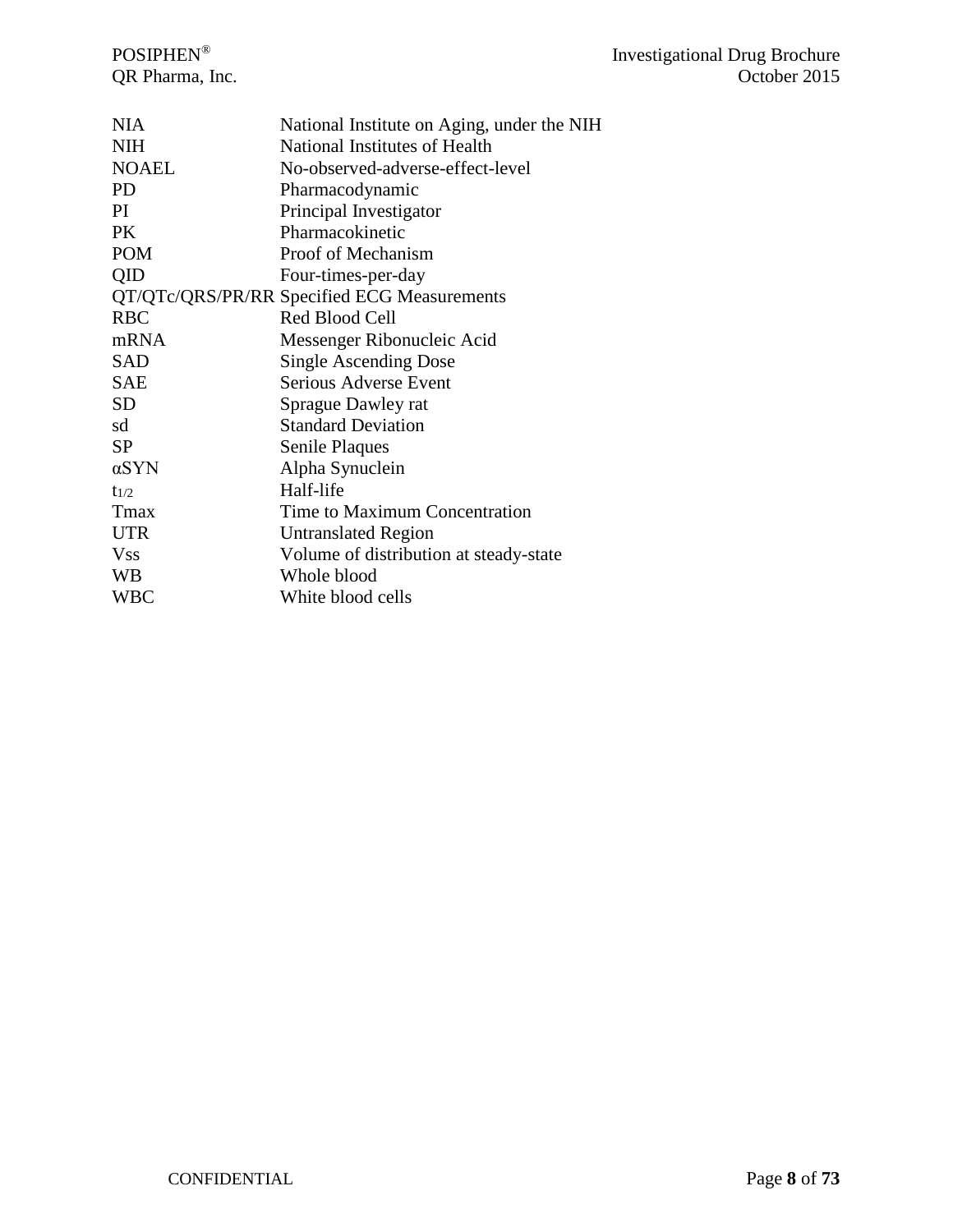| <b>NIA</b>   | National Institute on Aging, under the NIH  |
|--------------|---------------------------------------------|
| <b>NIH</b>   | National Institutes of Health               |
| <b>NOAEL</b> | No-observed-adverse-effect-level            |
| PD.          | Pharmacodynamic                             |
| PI           | Principal Investigator                      |
| <b>PK</b>    | Pharmacokinetic                             |
| <b>POM</b>   | Proof of Mechanism                          |
| QID          | Four-times-per-day                          |
|              | QT/QTc/QRS/PR/RR Specified ECG Measurements |
| <b>RBC</b>   | Red Blood Cell                              |
| mRNA         | Messenger Ribonucleic Acid                  |
| <b>SAD</b>   | <b>Single Ascending Dose</b>                |
| <b>SAE</b>   | Serious Adverse Event                       |
| <b>SD</b>    | Sprague Dawley rat                          |
| sd           | <b>Standard Deviation</b>                   |
| <b>SP</b>    | Senile Plaques                              |
| αSYN         | Alpha Synuclein                             |
| $t_{1/2}$    | Half-life                                   |
| Tmax         | Time to Maximum Concentration               |
| <b>UTR</b>   | Untranslated Region                         |
| <b>Vss</b>   | Volume of distribution at steady-state      |
| WB           | Whole blood                                 |
| WBC          | White blood cells                           |
|              |                                             |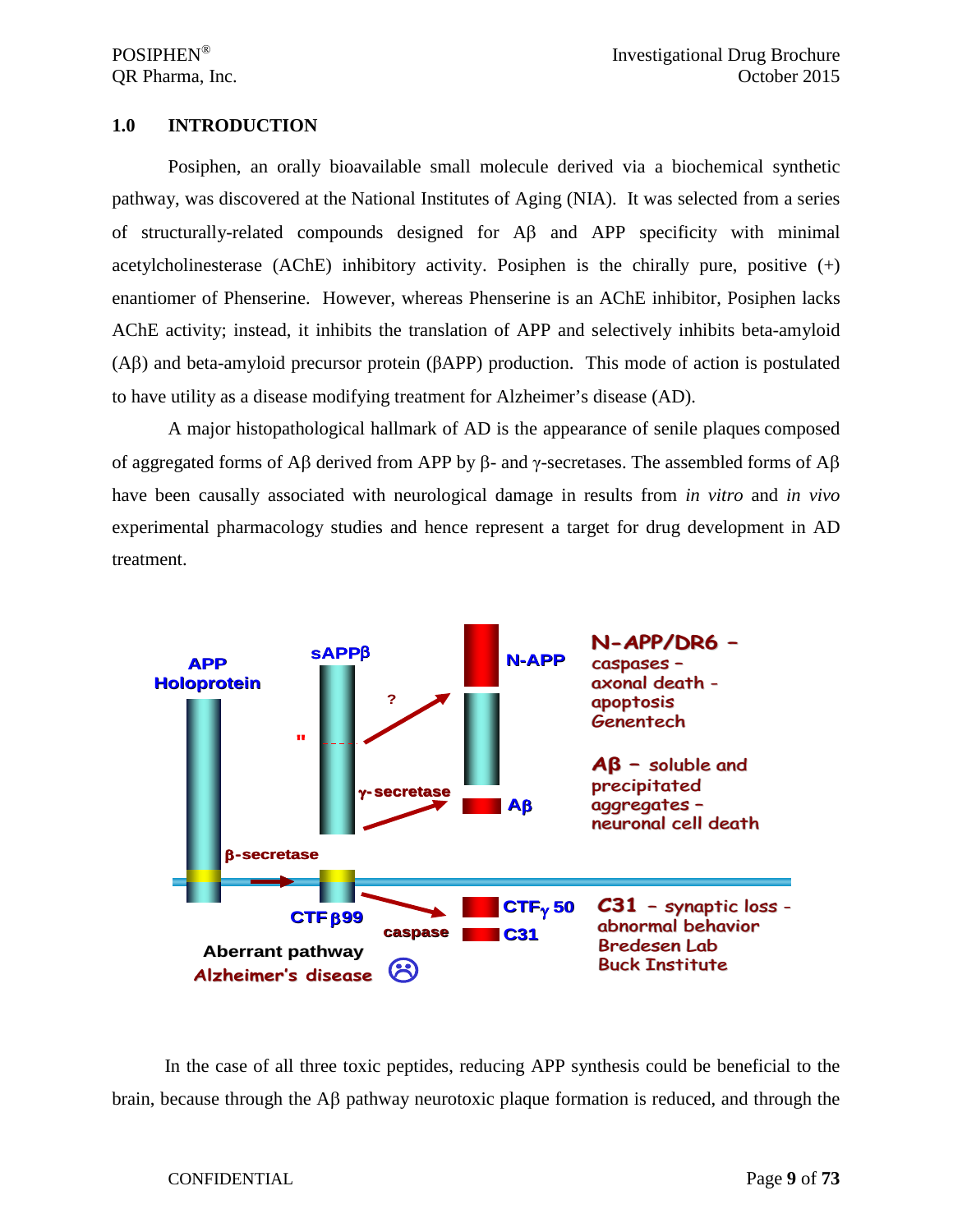#### <span id="page-8-0"></span>**1.0 INTRODUCTION**

Posiphen, an orally bioavailable small molecule derived via a biochemical synthetic pathway, was discovered at the National Institutes of Aging (NIA). It was selected from a series of structurally-related compounds designed for Aβ and APP specificity with minimal acetylcholinesterase (AChE) inhibitory activity. Posiphen is the chirally pure, positive  $(+)$ enantiomer of Phenserine. However, whereas Phenserine is an AChE inhibitor, Posiphen lacks AChE activity; instead, it inhibits the translation of APP and selectively inhibits beta-amyloid (Aβ) and beta-amyloid precursor protein (βAPP) production. This mode of action is postulated to have utility as a disease modifying treatment for Alzheimer's disease (AD).

A major histopathological hallmark of AD is the appearance of senile plaques composed of aggregated forms of Aβ derived from APP by β- and γ-secretases. The assembled forms of Aβ have been causally associated with neurological damage in results from *in vitro* and *in vivo* experimental pharmacology studies and hence represent a target for drug development in AD treatment.



In the case of all three toxic peptides, reducing APP synthesis could be beneficial to the brain, because through the Aβ pathway neurotoxic plaque formation is reduced, and through the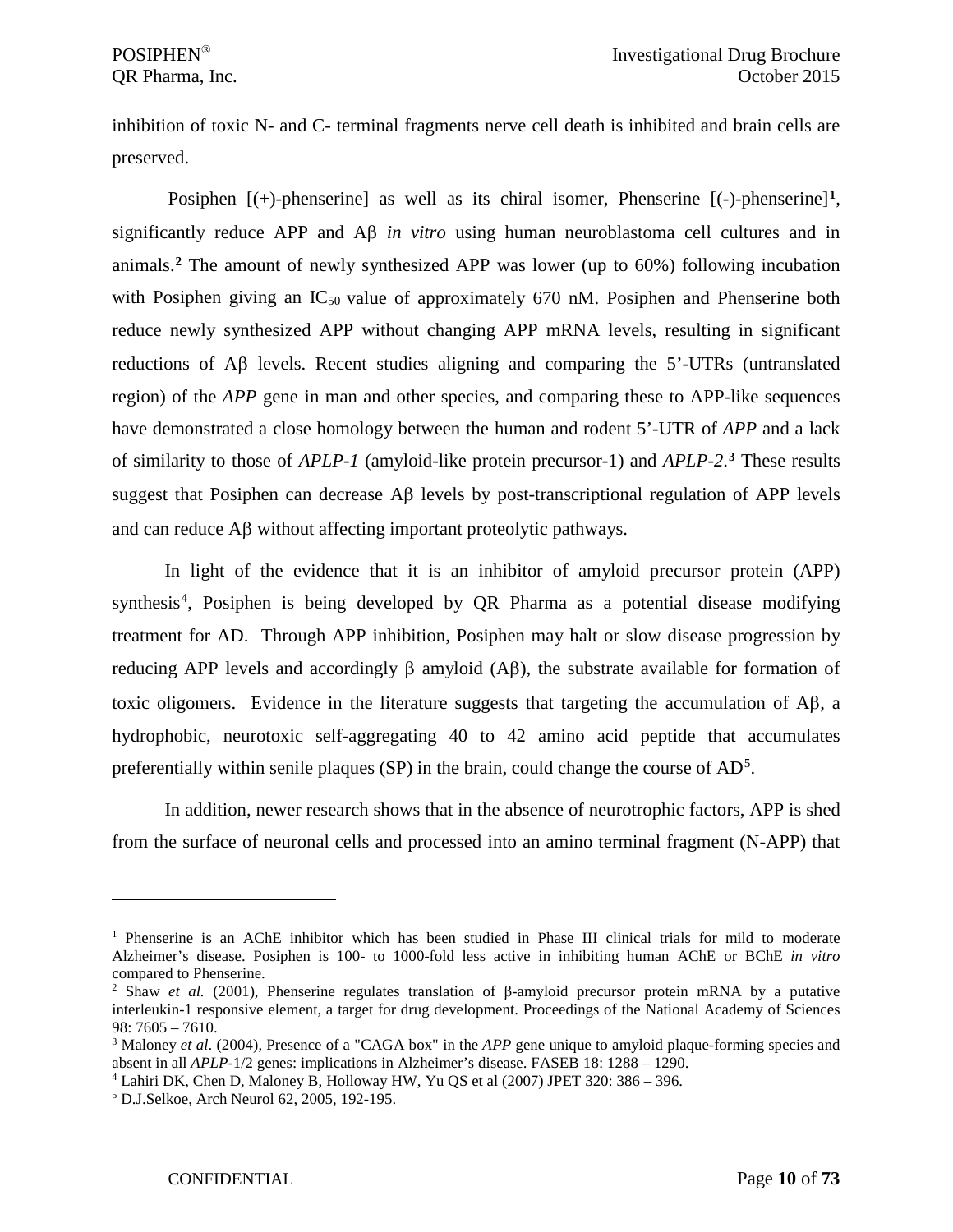inhibition of toxic N- and C- terminal fragments nerve cell death is inhibited and brain cells are preserved.

Posiphen  $[(+)$ -phenserine] as well as its chiral isomer, Phenserine  $[(-)$ -phenserine]<sup>[1](#page-9-0)</sup>, significantly reduce APP and Aβ *in vitro* using human neuroblastoma cell cultures and in animals.**[2](#page-9-1)** The amount of newly synthesized APP was lower (up to 60%) following incubation with Posiphen giving an  $IC_{50}$  value of approximately 670 nM. Posiphen and Phenserine both reduce newly synthesized APP without changing APP mRNA levels, resulting in significant reductions of Aβ levels. Recent studies aligning and comparing the 5'-UTRs (untranslated region) of the *APP* gene in man and other species, and comparing these to *APP-like* sequences have demonstrated a close homology between the human and rodent 5'-UTR of *APP* and a lack of similarity to those of *APLP-1* (amyloid-like protein precursor-1) and *APLP-2*. **[3](#page-9-2)** These results suggest that Posiphen can decrease Aβ levels by post-transcriptional regulation of APP levels and can reduce Aβ without affecting important proteolytic pathways.

In light of the evidence that it is an inhibitor of amyloid precursor protein (APP) synthesis<sup>[4](#page-9-3)</sup>, Posiphen is being developed by QR Pharma as a potential disease modifying treatment for AD. Through APP inhibition, Posiphen may halt or slow disease progression by reducing APP levels and accordingly β amyloid (Aβ), the substrate available for formation of toxic oligomers. Evidence in the literature suggests that targeting the accumulation of Aβ, a hydrophobic, neurotoxic self-aggregating 40 to 42 amino acid peptide that accumulates preferentially within senile plaques (SP) in the brain, could change the course of  $AD^5$  $AD^5$ .

In addition, newer research shows that in the absence of neurotrophic factors, APP is shed from the surface of neuronal cells and processed into an amino terminal fragment (N-APP) that

<span id="page-9-0"></span><sup>&</sup>lt;sup>1</sup> Phenserine is an AChE inhibitor which has been studied in Phase III clinical trials for mild to moderate Alzheimer's disease. Posiphen is 100- to 1000-fold less active in inhibiting human AChE or BChE *in vitro*  compared to Phenserine.

<span id="page-9-1"></span><sup>2</sup> Shaw *et al.* (2001), Phenserine regulates translation of β-amyloid precursor protein mRNA by a putative interleukin-1 responsive element, a target for drug development. Proceedings of the National Academy of Sciences 98: 7605 – 7610.

<span id="page-9-2"></span><sup>&</sup>lt;sup>3</sup> Maloney *et al.* (2004), Presence of a "CAGA box" in the *APP* gene unique to amyloid plaque-forming species and absent in all *APLP*-1/2 genes: implications in Alzheimer's disease. FASEB 18: 1288 – 1290.

<span id="page-9-3"></span><sup>4</sup> Lahiri DK, Chen D, Maloney B, Holloway HW, Yu QS et al (2007) JPET 320: 386 – 396.

<span id="page-9-4"></span><sup>5</sup> D.J.Selkoe, Arch Neurol 62, 2005, 192-195.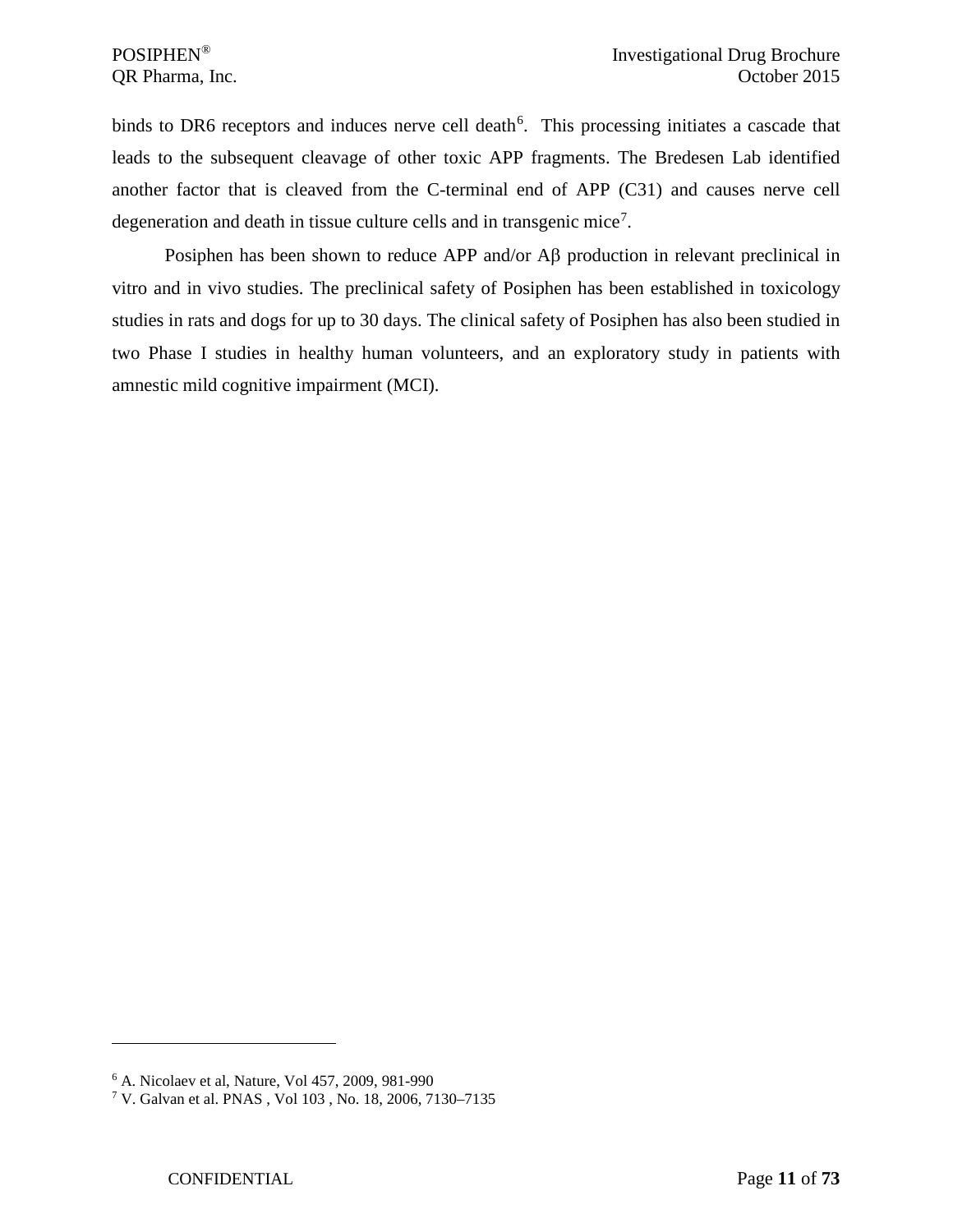binds to DR[6](#page-10-0) receptors and induces nerve cell death<sup>6</sup>. This processing initiates a cascade that leads to the subsequent cleavage of other toxic APP fragments. The Bredesen Lab identified another factor that is cleaved from the C-terminal end of APP (C31) and causes nerve cell degeneration and death in tissue culture cells and in transgenic mice<sup>[7](#page-10-1)</sup>.

Posiphen has been shown to reduce APP and/or Aβ production in relevant preclinical in vitro and in vivo studies. The preclinical safety of Posiphen has been established in toxicology studies in rats and dogs for up to 30 days. The clinical safety of Posiphen has also been studied in two Phase I studies in healthy human volunteers, and an exploratory study in patients with amnestic mild cognitive impairment (MCI).

<span id="page-10-0"></span><sup>6</sup> A. Nicolaev et al, Nature, Vol 457, 2009, 981-990

<span id="page-10-1"></span><sup>7</sup> V. Galvan et al. PNAS , Vol 103 , No. 18, 2006, 7130–7135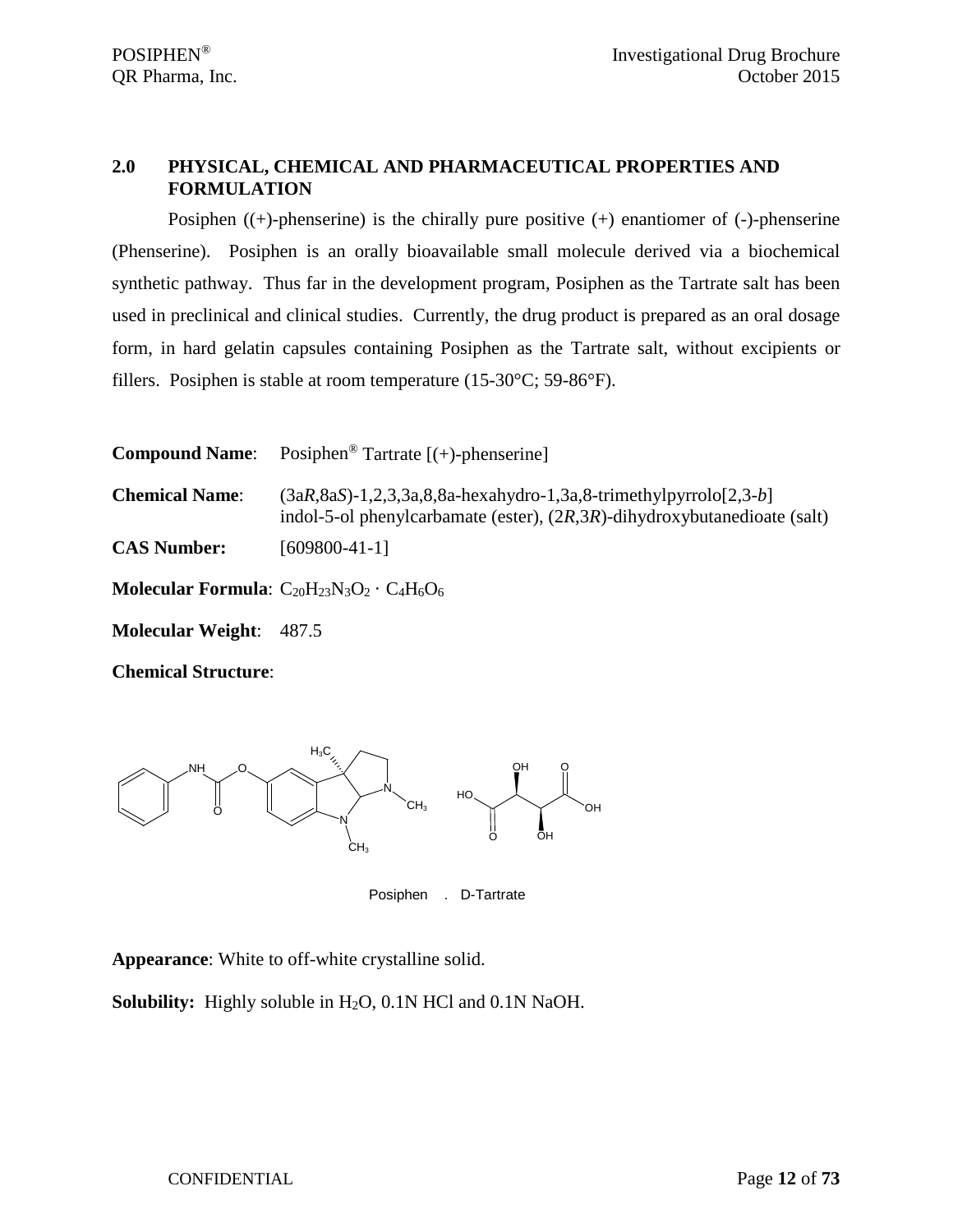## <span id="page-11-0"></span>**2.0 PHYSICAL, CHEMICAL AND PHARMACEUTICAL PROPERTIES AND FORMULATION**

Posiphen  $((+)$ -phenserine) is the chirally pure positive  $(+)$  enantiomer of  $(-)$ -phenserine (Phenserine). Posiphen is an orally bioavailable small molecule derived via a biochemical synthetic pathway. Thus far in the development program, Posiphen as the Tartrate salt has been used in preclinical and clinical studies. Currently, the drug product is prepared as an oral dosage form, in hard gelatin capsules containing Posiphen as the Tartrate salt, without excipients or fillers. Posiphen is stable at room temperature (15-30°C; 59-86°F).

| <b>Compound Name:</b>          | Posiphen <sup>®</sup> Tartrate $[ (+)$ -phenserine]                                                                                                           |
|--------------------------------|---------------------------------------------------------------------------------------------------------------------------------------------------------------|
| <b>Chemical Name:</b>          | $(3aR, 8aS) - 1, 2, 3, 3a, 8, 8a$ -hexahydro-1,3a,8-trimethylpyrrolo $[2,3-b]$<br>indol-5-ol phenylcarbamate (ester), $(2R,3R)$ -dihydroxybutanedioate (salt) |
| <b>CAS Number:</b>             | $[609800-41-1]$                                                                                                                                               |
|                                | <b>Molecular Formula:</b> $C_{20}H_{23}N_3O_2 \cdot C_4H_6O_6$                                                                                                |
| <b>Molecular Weight: 487.5</b> |                                                                                                                                                               |
| <b>Chemical Structure:</b>     |                                                                                                                                                               |



Posiphen . D-Tartrate

**Appearance**: White to off-white crystalline solid.

**Solubility:** Highly soluble in H<sub>2</sub>O, 0.1N HCl and 0.1N NaOH.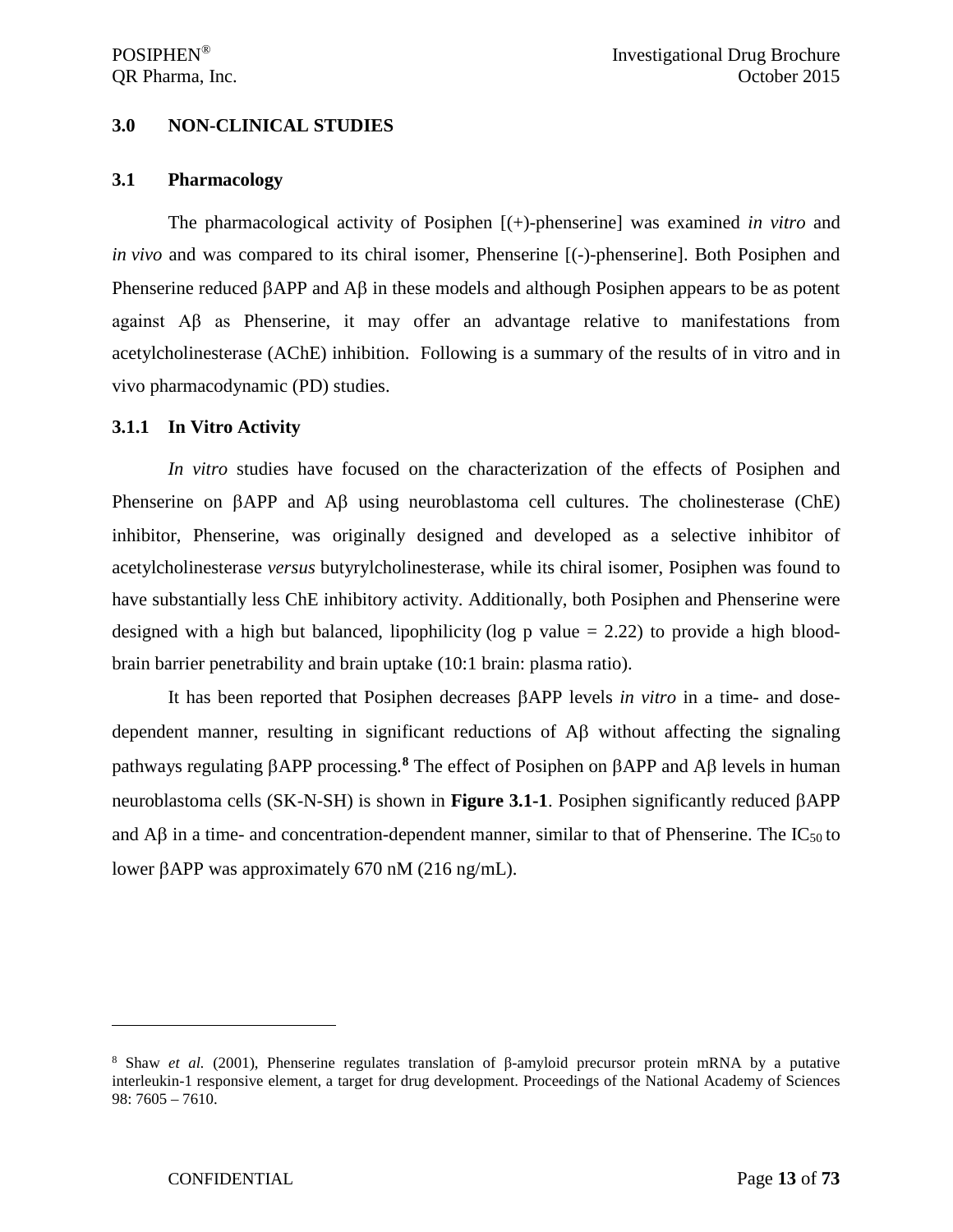#### <span id="page-12-0"></span>**3.0 NON-CLINICAL STUDIES**

#### <span id="page-12-1"></span>**3.1 Pharmacology**

The pharmacological activity of Posiphen [(+)-phenserine] was examined *in vitro* and *in vivo* and was compared to its chiral isomer, Phenserine [(-)-phenserine]. Both Posiphen and Phenserine reduced βAPP and Aβ in these models and although Posiphen appears to be as potent against Aβ as Phenserine, it may offer an advantage relative to manifestations from acetylcholinesterase (AChE) inhibition. Following is a summary of the results of in vitro and in vivo pharmacodynamic (PD) studies.

#### <span id="page-12-2"></span>**3.1.1 In Vitro Activity**

*In vitro* studies have focused on the characterization of the effects of Posiphen and Phenserine on βAPP and Aβ using neuroblastoma cell cultures. The cholinesterase (ChE) inhibitor, Phenserine, was originally designed and developed as a selective inhibitor of acetylcholinesterase *versus* butyrylcholinesterase, while its chiral isomer, Posiphen was found to have substantially less ChE inhibitory activity. Additionally, both Posiphen and Phenserine were designed with a high but balanced, lipophilicity (log p value  $= 2.22$ ) to provide a high bloodbrain barrier penetrability and brain uptake (10:1 brain: plasma ratio).

It has been reported that Posiphen decreases βAPP levels *in vitro* in a time- and dosedependent manner, resulting in significant reductions of Aβ without affecting the signaling pathways regulating βAPP processing.**[8](#page-12-3)** The effect of Posiphen on βAPP and Aβ levels in human neuroblastoma cells (SK-N-SH) is shown in **Figure 3.1-1**. Posiphen significantly reduced βAPP and  $\overrightarrow{AB}$  in a time- and concentration-dependent manner, similar to that of Phenserine. The IC<sub>50</sub> to lower βAPP was approximately 670 nM (216 ng/mL).

<span id="page-12-3"></span><sup>8</sup> Shaw *et al.* (2001), Phenserine regulates translation of β-amyloid precursor protein mRNA by a putative interleukin-1 responsive element, a target for drug development. Proceedings of the National Academy of Sciences 98: 7605 – 7610.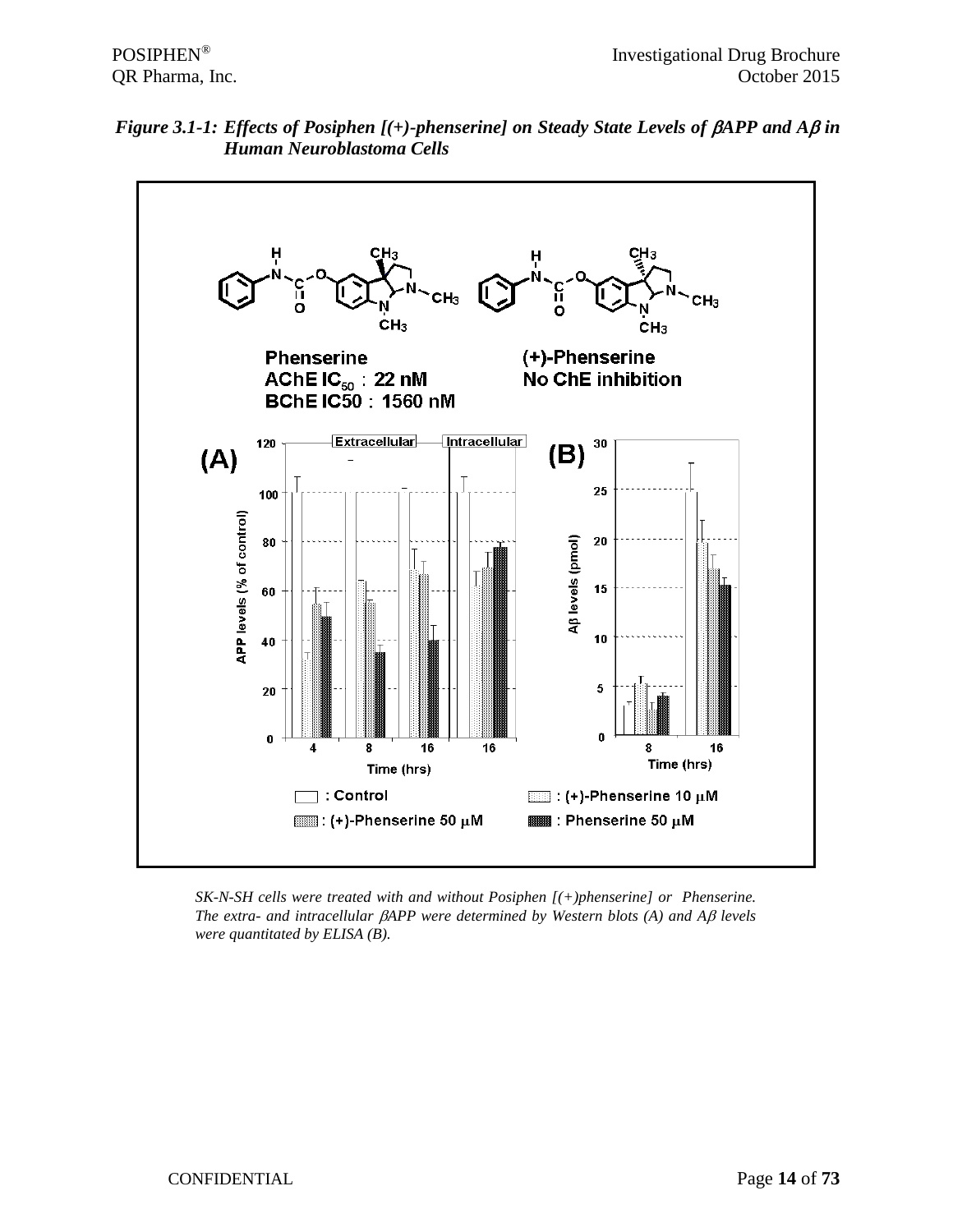



*SK-N-SH cells were treated with and without Posiphen [(+)phenserine] or Phenserine. The extra- and intracellular* β*APP were determined by Western blots (A) and A*β *levels were quantitated by ELISA (B).*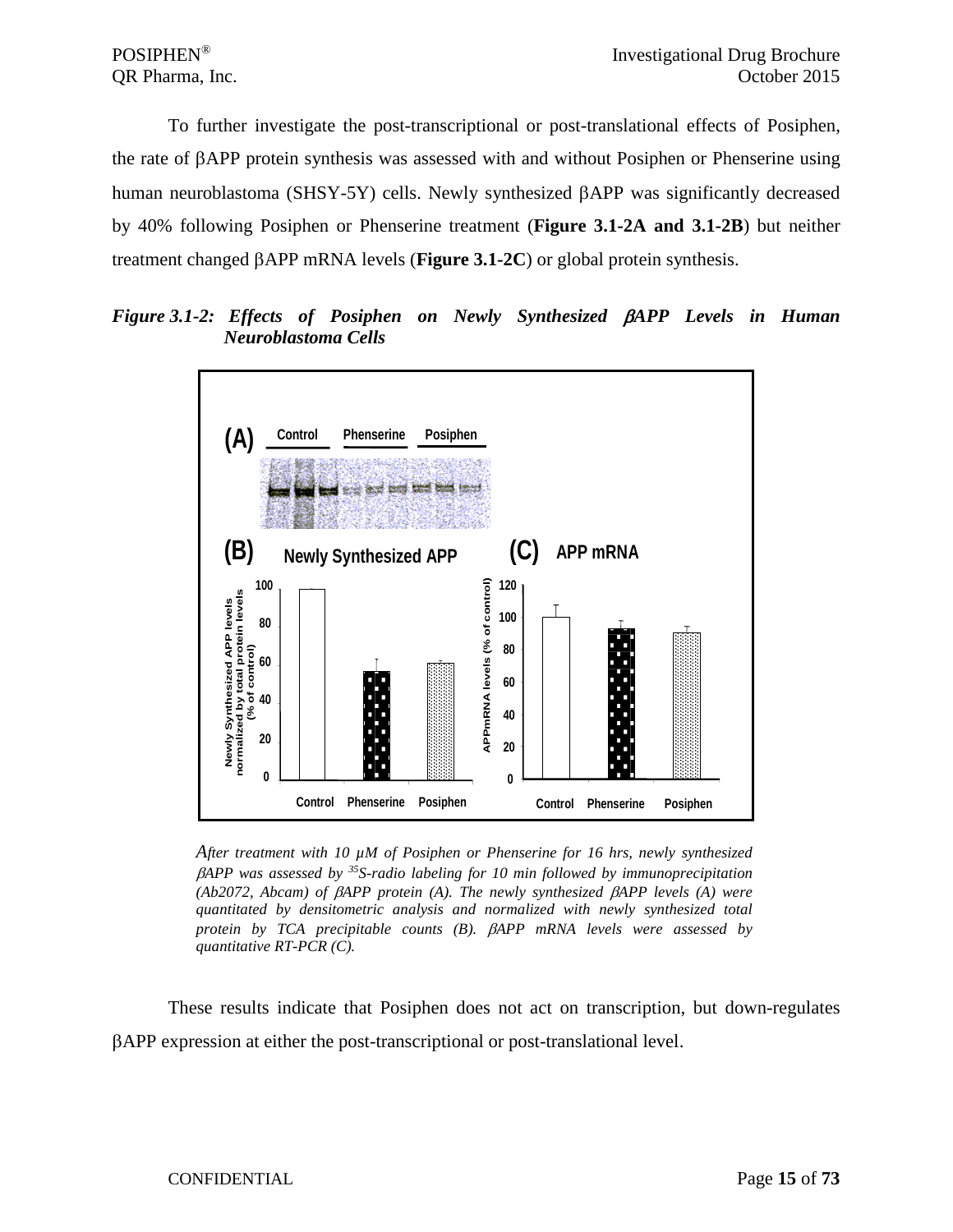To further investigate the post-transcriptional or post-translational effects of Posiphen, the rate of βAPP protein synthesis was assessed with and without Posiphen or Phenserine using human neuroblastoma (SHSY-5Y) cells. Newly synthesized βAPP was significantly decreased by 40% following Posiphen or Phenserine treatment (**Figure 3.1-2A and 3.1-2B**) but neither treatment changed βAPP mRNA levels (**Figure 3.1-2C**) or global protein synthesis.

*Figure 3.1-2: Effects of Posiphen on Newly Synthesized* β*APP Levels in Human Neuroblastoma Cells*



*After treatment with 10 µM of Posiphen or Phenserine for 16 hrs, newly synthesized*  β*APP was assessed by 35S-radio labeling for 10 min followed by immunoprecipitation (Ab2072, Abcam) of* β*APP protein (A). The newly synthesized* β*APP levels (A) were quantitated by densitometric analysis and normalized with newly synthesized total protein by TCA precipitable counts (B).* β*APP mRNA levels were assessed by quantitative RT-PCR (C).*

These results indicate that Posiphen does not act on transcription, but down-regulates βAPP expression at either the post-transcriptional or post-translational level.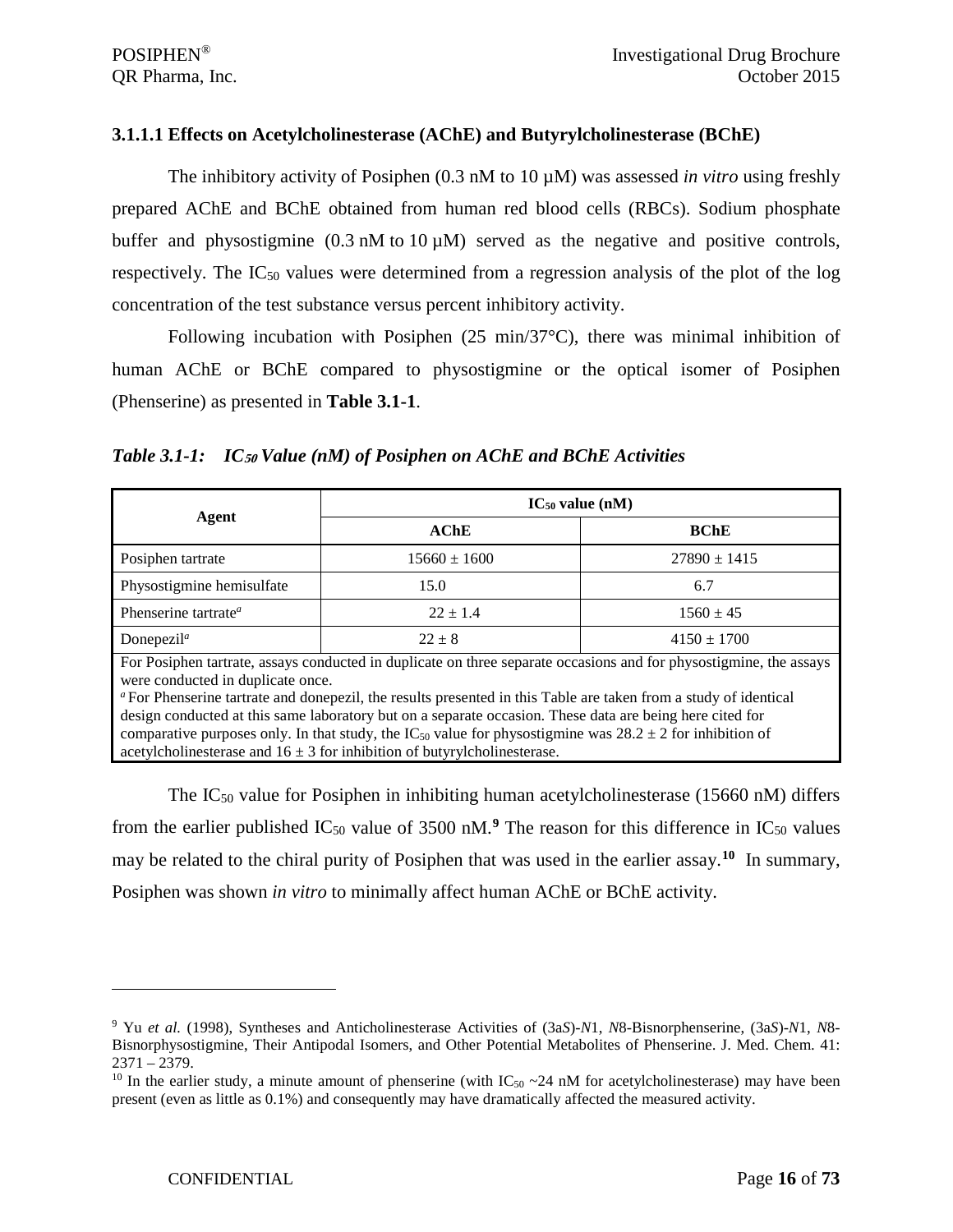#### <span id="page-15-0"></span>**3.1.1.1 Effects on Acetylcholinesterase (AChE) and Butyrylcholinesterase (BChE)**

The inhibitory activity of Posiphen (0.3 nM to 10 µM) was assessed *in vitro* using freshly prepared AChE and BChE obtained from human red blood cells (RBCs). Sodium phosphate buffer and physostigmine  $(0.3 \text{ nM to } 10 \mu \text{M})$  served as the negative and positive controls, respectively. The  $IC_{50}$  values were determined from a regression analysis of the plot of the log concentration of the test substance versus percent inhibitory activity.

Following incubation with Posiphen  $(25 \text{ min}/37^{\circ}\text{C})$ , there was minimal inhibition of human AChE or BChE compared to physostigmine or the optical isomer of Posiphen (Phenserine) as presented in **Table 3.1-1**.

|  | Table 3.1-1: IC <sub>50</sub> Value (nM) of Posiphen on AChE and BChE Activities |  |  |  |
|--|----------------------------------------------------------------------------------|--|--|--|
|--|----------------------------------------------------------------------------------|--|--|--|

|                                                                                                                                                                                                                                                                                                                                                                                                                                                                                                                                                                                                       | $IC_{50}$ value (nM) |                  |  |  |
|-------------------------------------------------------------------------------------------------------------------------------------------------------------------------------------------------------------------------------------------------------------------------------------------------------------------------------------------------------------------------------------------------------------------------------------------------------------------------------------------------------------------------------------------------------------------------------------------------------|----------------------|------------------|--|--|
| Agent                                                                                                                                                                                                                                                                                                                                                                                                                                                                                                                                                                                                 | AChE                 | <b>BChE</b>      |  |  |
| Posiphen tartrate                                                                                                                                                                                                                                                                                                                                                                                                                                                                                                                                                                                     | $15660 \pm 1600$     | $27890 \pm 1415$ |  |  |
| Physostigmine hemisulfate                                                                                                                                                                                                                                                                                                                                                                                                                                                                                                                                                                             | 15.0                 | 6.7              |  |  |
| Phenserine tartrate <sup>a</sup>                                                                                                                                                                                                                                                                                                                                                                                                                                                                                                                                                                      | $22 \pm 1.4$         | $1560 \pm 45$    |  |  |
| Donepezil <sup><math>a</math></sup>                                                                                                                                                                                                                                                                                                                                                                                                                                                                                                                                                                   | $22 + 8$             | $4150 \pm 1700$  |  |  |
| For Posiphen tartrate, assays conducted in duplicate on three separate occasions and for physostigmine, the assays<br>were conducted in duplicate once.<br>" For Phenserine tartrate and done pezil, the results presented in this Table are taken from a study of identical<br>design conducted at this same laboratory but on a separate occasion. These data are being here cited for<br>comparative purposes only. In that study, the IC <sub>50</sub> value for physostigmine was $28.2 \pm 2$ for inhibition of<br>acetylcholinesterase and $16 \pm 3$ for inhibition of butyrylcholinesterase. |                      |                  |  |  |

The  $IC_{50}$  value for Posiphen in inhibiting human acetylcholinesterase (15660 nM) differs from the earlier published  $IC_{50}$  value of 3500 nM.<sup>[9](#page-15-1)</sup> The reason for this difference in  $IC_{50}$  values may be related to the chiral purity of Posiphen that was used in the earlier assay.**[10](#page-15-2)** In summary, Posiphen was shown *in vitro* to minimally affect human AChE or BChE activity.

<span id="page-15-1"></span><sup>9</sup> Yu *et al.* (1998), Syntheses and Anticholinesterase Activities of (3a*S*)-*N*1, *N*8-Bisnorphenserine, (3a*S*)-*N*1, *N*8- Bisnorphysostigmine, Their Antipodal Isomers, and Other Potential Metabolites of Phenserine. J. Med. Chem. 41: 2371 – 2379.

<span id="page-15-2"></span><sup>&</sup>lt;sup>10</sup> In the earlier study, a minute amount of phenserine (with  $IC_{50} \sim 24$  nM for acetylcholinesterase) may have been present (even as little as 0.1%) and consequently may have dramatically affected the measured activity.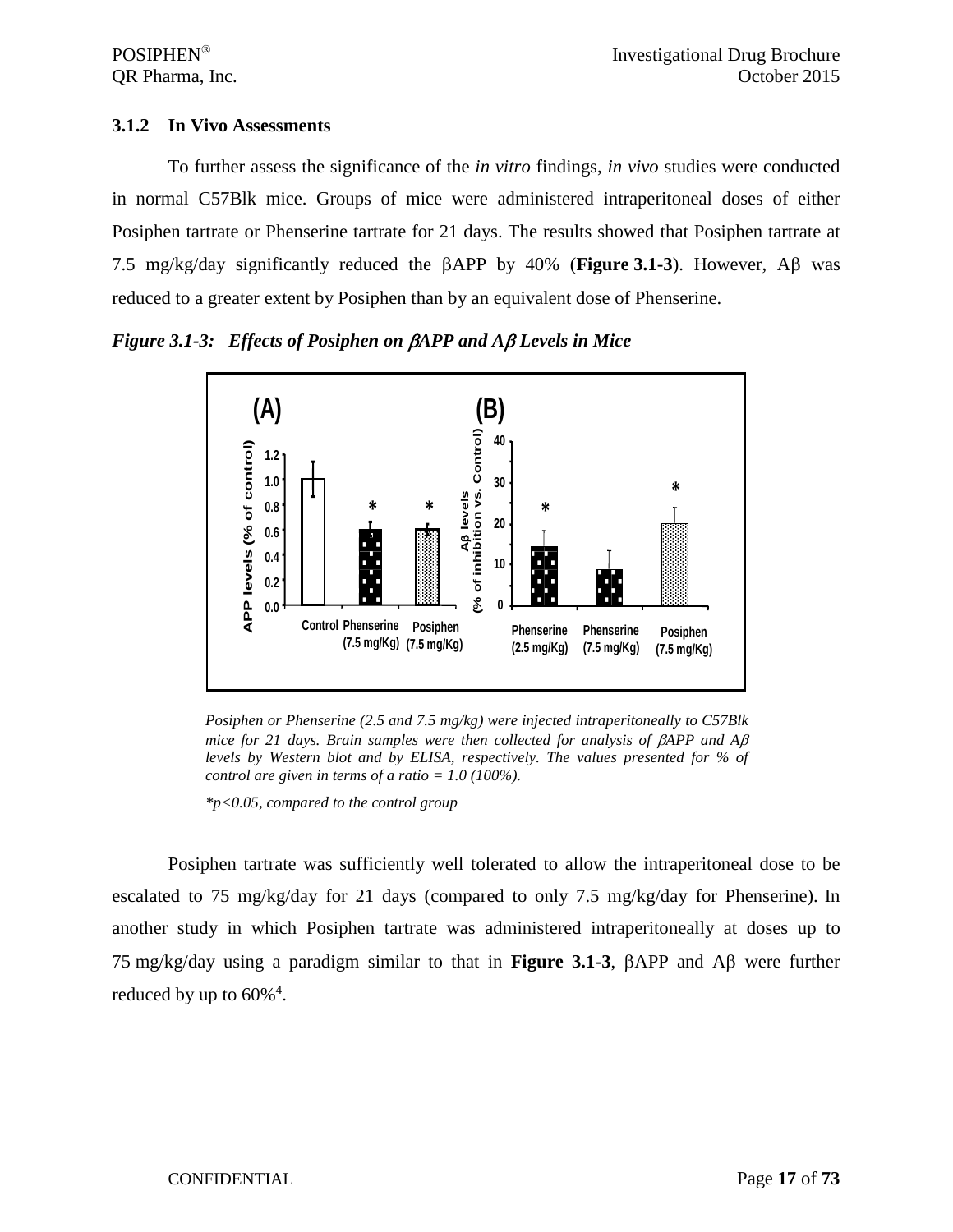#### <span id="page-16-0"></span>**3.1.2 In Vivo Assessments**

To further assess the significance of the *in vitro* findings, *in vivo* studies were conducted in normal C57Blk mice. Groups of mice were administered intraperitoneal doses of either Posiphen tartrate or Phenserine tartrate for 21 days. The results showed that Posiphen tartrate at 7.5 mg/kg/day significantly reduced the βAPP by 40% (**Figure 3.1-3**). However, Aβ was reduced to a greater extent by Posiphen than by an equivalent dose of Phenserine.

*Figure 3.1-3: Effects of Posiphen on* β*APP and A*β *Levels in Mice*



*Posiphen or Phenserine (2.5 and 7.5 mg/kg) were injected intraperitoneally to C57Blk mice for 21 days. Brain samples were then collected for analysis of*  $\beta$ *APP and A* $\beta$ *levels by Western blot and by ELISA, respectively. The values presented for % of control are given in terms of a ratio = 1.0 (100%).*

*\*p<0.05, compared to the control group*

Posiphen tartrate was sufficiently well tolerated to allow the intraperitoneal dose to be escalated to 75 mg/kg/day for 21 days (compared to only 7.5 mg/kg/day for Phenserine). In another study in which Posiphen tartrate was administered intraperitoneally at doses up to 75 mg/kg/day using a paradigm similar to that in **Figure 3.1-3**, βAPP and Aβ were further reduced by up to  $60\%$ <sup>4</sup>.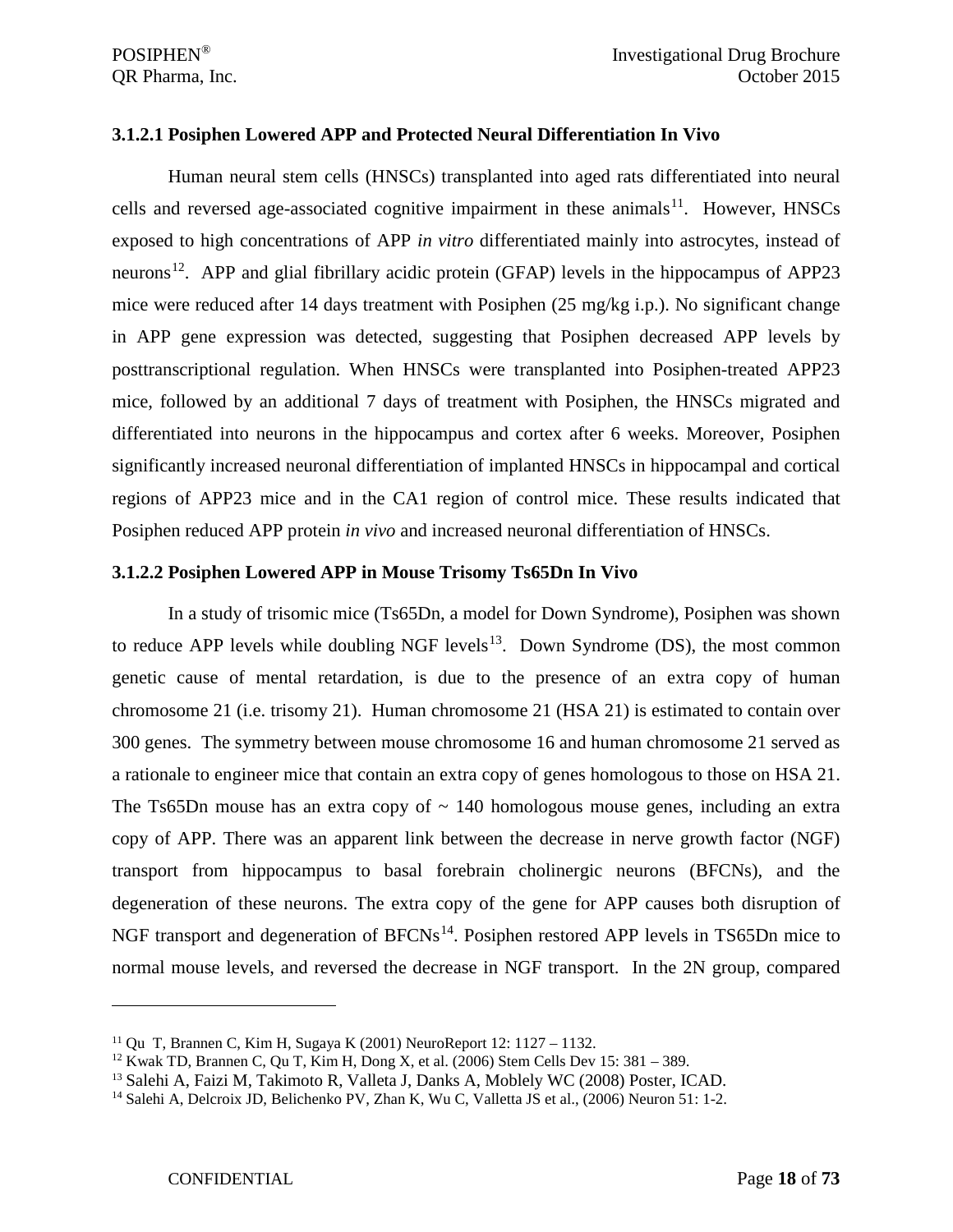#### <span id="page-17-0"></span>**3.1.2.1 Posiphen Lowered APP and Protected Neural Differentiation In Vivo**

Human neural stem cells (HNSCs) transplanted into aged rats differentiated into neural cells and reversed age-associated cognitive impairment in these animals<sup>[11](#page-17-2)</sup>. However, HNSCs exposed to high concentrations of APP *in vitro* differentiated mainly into astrocytes, instead of neurons<sup>12</sup>. APP and glial fibrillary acidic protein (GFAP) levels in the hippocampus of APP23 mice were reduced after 14 days treatment with Posiphen (25 mg/kg i.p.). No significant change in APP gene expression was detected, suggesting that Posiphen decreased APP levels by posttranscriptional regulation. When HNSCs were transplanted into Posiphen-treated APP23 mice, followed by an additional 7 days of treatment with Posiphen, the HNSCs migrated and differentiated into neurons in the hippocampus and cortex after 6 weeks. Moreover, Posiphen significantly increased neuronal differentiation of implanted HNSCs in hippocampal and cortical regions of APP23 mice and in the CA1 region of control mice. These results indicated that Posiphen reduced APP protein *in vivo* and increased neuronal differentiation of HNSCs.

#### <span id="page-17-1"></span>**3.1.2.2 Posiphen Lowered APP in Mouse Trisomy Ts65Dn In Vivo**

In a study of trisomic mice (Ts65Dn, a model for Down Syndrome), Posiphen was shown to reduce APP levels while doubling NGF levels<sup>13</sup>. Down Syndrome (DS), the most common genetic cause of mental retardation, is due to the presence of an extra copy of human chromosome 21 (i.e. trisomy 21). Human chromosome 21 (HSA 21) is estimated to contain over 300 genes. The symmetry between mouse chromosome 16 and human chromosome 21 served as a rationale to engineer mice that contain an extra copy of genes homologous to those on HSA 21. The Ts65Dn mouse has an extra copy of  $\sim$  140 homologous mouse genes, including an extra copy of APP. There was an apparent link between the decrease in nerve growth factor (NGF) transport from hippocampus to basal forebrain cholinergic neurons (BFCNs), and the degeneration of these neurons. The extra copy of the gene for APP causes both disruption of NGF transport and degeneration of BFCNs<sup>[14](#page-17-5)</sup>. Posiphen restored APP levels in TS65Dn mice to normal mouse levels, and reversed the decrease in NGF transport. In the 2N group, compared

<span id="page-17-2"></span><sup>11</sup> Qu T, Brannen C, Kim H, Sugaya K (2001) NeuroReport 12: 1127 – 1132.

<span id="page-17-3"></span><sup>&</sup>lt;sup>12</sup> Kwak TD, Brannen C, Qu T, Kim H, Dong X, et al. (2006) Stem Cells Dev 15: 381 – 389.

<span id="page-17-4"></span><sup>13</sup> Salehi A, Faizi M, Takimoto R, Valleta J, Danks A, Moblely WC (2008) Poster, ICAD.

<span id="page-17-5"></span><sup>&</sup>lt;sup>14</sup> Salehi A, Delcroix JD, Belichenko PV, Zhan K, Wu C, Valletta JS et al., (2006) Neuron 51: 1-2.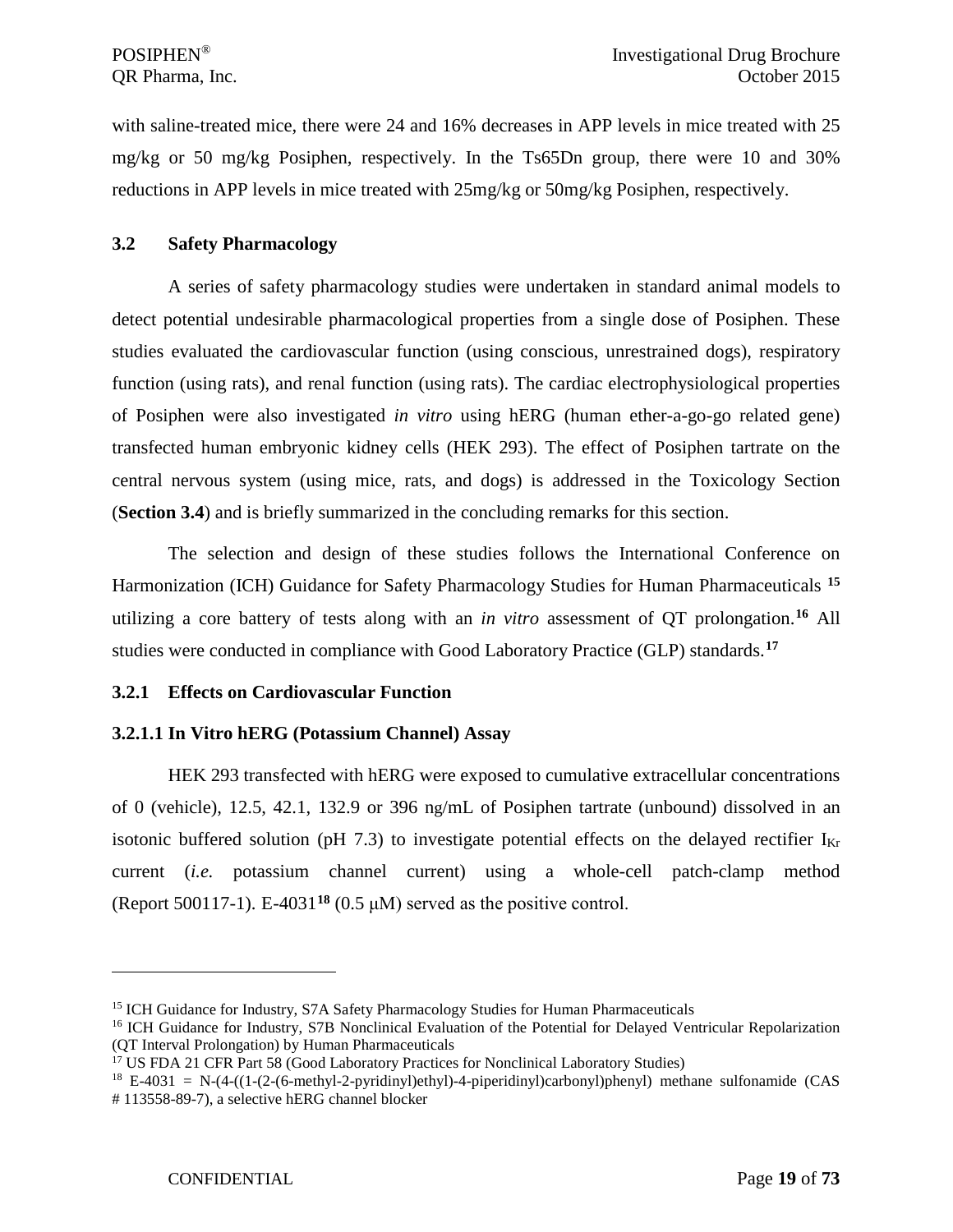with saline-treated mice, there were 24 and 16% decreases in APP levels in mice treated with 25 mg/kg or 50 mg/kg Posiphen, respectively. In the Ts65Dn group, there were 10 and 30% reductions in APP levels in mice treated with 25mg/kg or 50mg/kg Posiphen, respectively.

#### <span id="page-18-0"></span>**3.2 Safety Pharmacology**

A series of safety pharmacology studies were undertaken in standard animal models to detect potential undesirable pharmacological properties from a single dose of Posiphen. These studies evaluated the cardiovascular function (using conscious, unrestrained dogs), respiratory function (using rats), and renal function (using rats). The cardiac electrophysiological properties of Posiphen were also investigated *in vitro* using hERG (human ether-a-go-go related gene) transfected human embryonic kidney cells (HEK 293). The effect of Posiphen tartrate on the central nervous system (using mice, rats, and dogs) is addressed in the Toxicology Section (**Section 3.4**) and is briefly summarized in the concluding remarks for this section.

The selection and design of these studies follows the International Conference on Harmonization (ICH) Guidance for Safety Pharmacology Studies for Human Pharmaceuticals **[15](#page-18-3)** utilizing a core battery of tests along with an *in vitro* assessment of QT prolongation.**[16](#page-18-4)** All studies were conducted in compliance with Good Laboratory Practice (GLP) standards.**[17](#page-18-5)**

## <span id="page-18-1"></span>**3.2.1 Effects on Cardiovascular Function**

## <span id="page-18-2"></span>**3.2.1.1 In Vitro hERG (Potassium Channel) Assay**

HEK 293 transfected with hERG were exposed to cumulative extracellular concentrations of 0 (vehicle), 12.5, 42.1, 132.9 or 396 ng/mL of Posiphen tartrate (unbound) dissolved in an isotonic buffered solution (pH 7.3) to investigate potential effects on the delayed rectifier  $I_{Kr}$ current (*i.e.* potassium channel current) using a whole-cell patch-clamp method (Report 500117-1). E-4031**[18](#page-18-6)** (0.5 μM) served as the positive control.

<span id="page-18-4"></span><span id="page-18-3"></span><sup>&</sup>lt;sup>15</sup> ICH Guidance for Industry, S7A Safety Pharmacology Studies for Human Pharmaceuticals<br><sup>16</sup> ICH Guidance for Industry, S7B Nonclinical Evaluation of the Potential for Delayed Ventricular Repolarization (QT Interval Prolongation) by Human Pharmaceuticals

<span id="page-18-5"></span><sup>&</sup>lt;sup>17</sup> US FDA 21 CFR Part 58 (Good Laboratory Practices for Nonclinical Laboratory Studies)

<span id="page-18-6"></span> $18$  E-4031 = N-(4-((1-(2-(6-methyl-2-pyridinyl)ethyl)-4-piperidinyl)carbonyl)phenyl) methane sulfonamide (CAS # 113558-89-7), a selective hERG channel blocker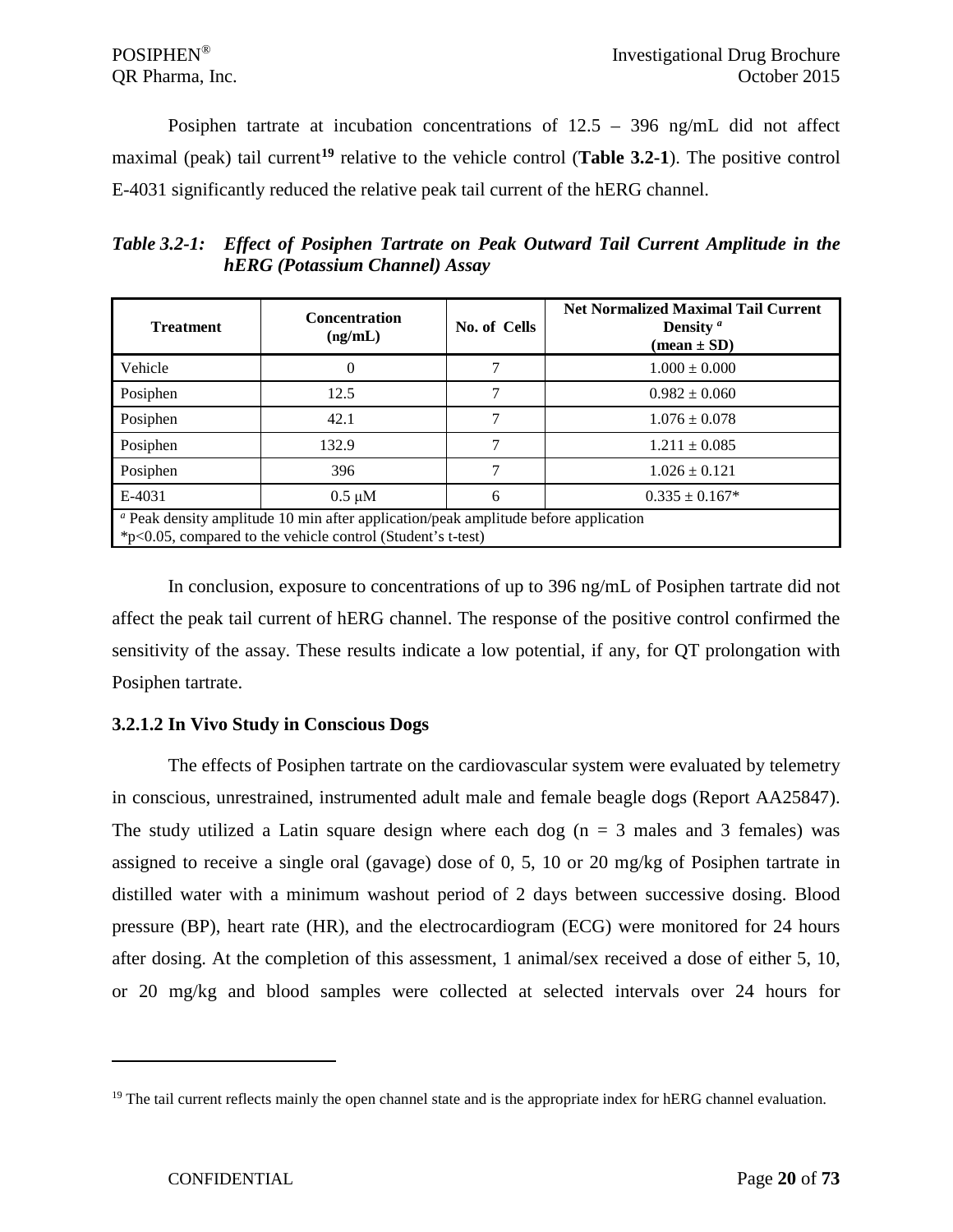Posiphen tartrate at incubation concentrations of 12.5 – 396 ng/mL did not affect maximal (peak) tail current**[19](#page-19-1)** relative to the vehicle control (**Table 3.2-1**). The positive control E-4031 significantly reduced the relative peak tail current of the hERG channel.

*Table 3.2-1: Effect of Posiphen Tartrate on Peak Outward Tail Current Amplitude in the hERG (Potassium Channel) Assay*

| <b>Treatment</b>                                                                                                                                              | <b>Concentration</b><br>(ng/mL) | No. of Cells | <b>Net Normalized Maximal Tail Current</b><br>Density $a$<br>$(\text{mean} \pm \text{SD})$ |
|---------------------------------------------------------------------------------------------------------------------------------------------------------------|---------------------------------|--------------|--------------------------------------------------------------------------------------------|
| Vehicle                                                                                                                                                       | $\theta$                        |              | $1.000 \pm 0.000$                                                                          |
| Posiphen                                                                                                                                                      | 12.5                            |              | $0.982 \pm 0.060$                                                                          |
| Posiphen                                                                                                                                                      | 42.1                            |              | $1.076 \pm 0.078$                                                                          |
| Posiphen                                                                                                                                                      | 132.9                           |              | $1.211 \pm 0.085$                                                                          |
| Posiphen                                                                                                                                                      | 396                             |              | $1.026 \pm 0.121$                                                                          |
| E-4031                                                                                                                                                        | $0.5 \mu M$                     | 6            | $0.335 \pm 0.167*$                                                                         |
| <sup>a</sup> Peak density amplitude 10 min after application/peak amplitude before application<br>*p<0.05, compared to the vehicle control (Student's t-test) |                                 |              |                                                                                            |

In conclusion, exposure to concentrations of up to 396 ng/mL of Posiphen tartrate did not affect the peak tail current of hERG channel. The response of the positive control confirmed the sensitivity of the assay. These results indicate a low potential, if any, for QT prolongation with Posiphen tartrate.

## <span id="page-19-0"></span>**3.2.1.2 In Vivo Study in Conscious Dogs**

The effects of Posiphen tartrate on the cardiovascular system were evaluated by telemetry in conscious, unrestrained, instrumented adult male and female beagle dogs (Report AA25847). The study utilized a Latin square design where each dog ( $n = 3$  males and 3 females) was assigned to receive a single oral (gavage) dose of 0, 5, 10 or 20 mg/kg of Posiphen tartrate in distilled water with a minimum washout period of 2 days between successive dosing. Blood pressure (BP), heart rate (HR), and the electrocardiogram (ECG) were monitored for 24 hours after dosing. At the completion of this assessment, 1 animal/sex received a dose of either 5, 10, or 20 mg/kg and blood samples were collected at selected intervals over 24 hours for

<span id="page-19-1"></span><sup>&</sup>lt;sup>19</sup> The tail current reflects mainly the open channel state and is the appropriate index for hERG channel evaluation.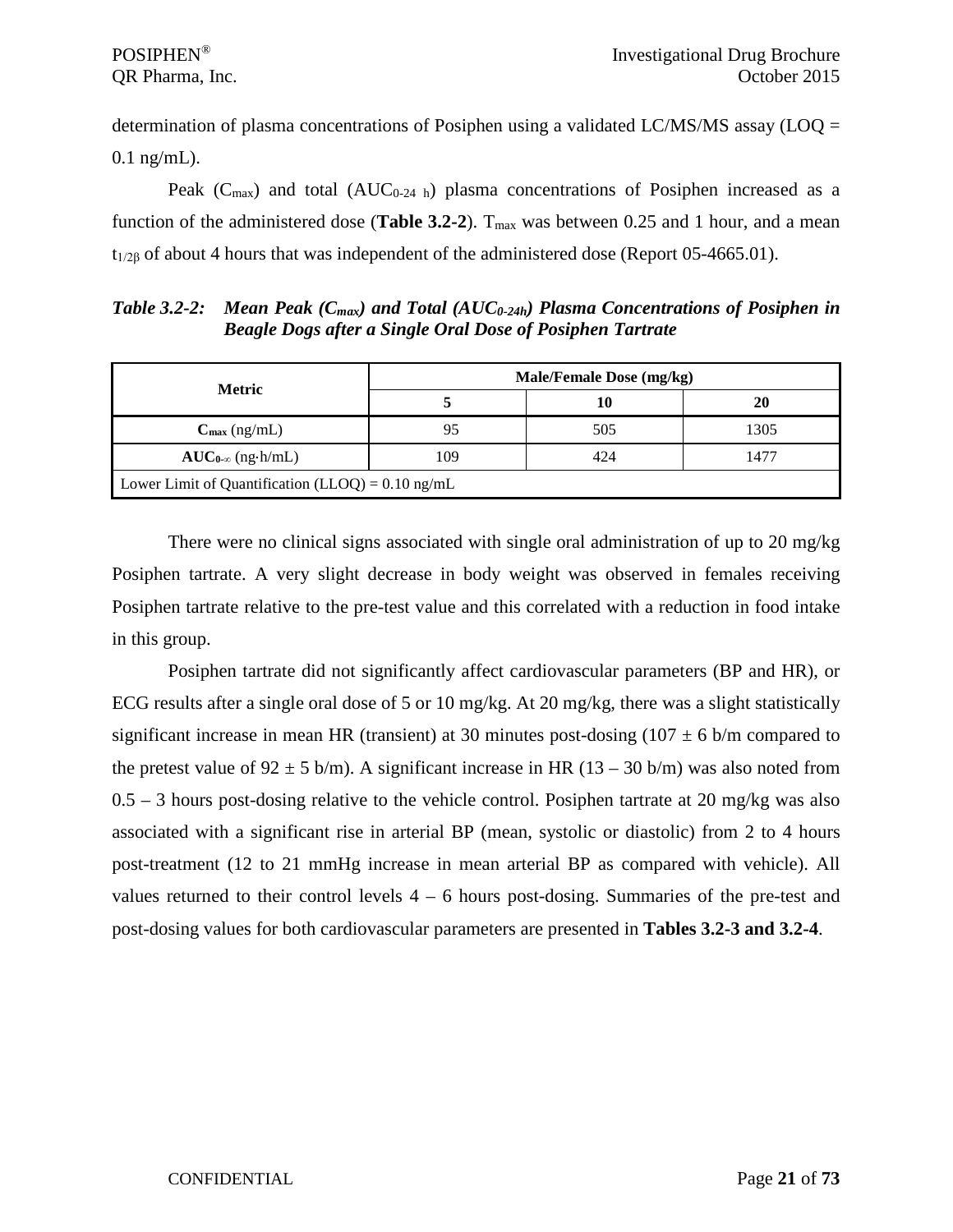determination of plasma concentrations of Posiphen using a validated LC/MS/MS assay (LOQ = 0.1 ng/mL).

Peak ( $C_{\text{max}}$ ) and total ( $AUC_{0.24 \text{ h}}$ ) plasma concentrations of Posiphen increased as a function of the administered dose (**Table 3.2-2**).  $T_{\text{max}}$  was between 0.25 and 1 hour, and a mean  $t_{1/26}$  of about 4 hours that was independent of the administered dose (Report 05-4665.01).

*Table 3.2-2: Mean Peak (Cmax) and Total (AUC0-24h) Plasma Concentrations of Posiphen in Beagle Dogs after a Single Oral Dose of Posiphen Tartrate*

| <b>Metric</b>                                               | Male/Female Dose (mg/kg) |     |      |  |
|-------------------------------------------------------------|--------------------------|-----|------|--|
|                                                             |                          | 10  | 20   |  |
| $C_{\text{max}}$ (ng/mL)                                    | 95                       | 505 | 1305 |  |
| $AUC_{0-\infty}$ (ng·h/mL)                                  | 109                      | 424 | 1477 |  |
| Lower Limit of Quantification (LLOQ) = $0.10 \text{ ng/mL}$ |                          |     |      |  |

There were no clinical signs associated with single oral administration of up to 20 mg/kg Posiphen tartrate. A very slight decrease in body weight was observed in females receiving Posiphen tartrate relative to the pre-test value and this correlated with a reduction in food intake in this group.

Posiphen tartrate did not significantly affect cardiovascular parameters (BP and HR), or ECG results after a single oral dose of 5 or 10 mg/kg. At 20 mg/kg, there was a slight statistically significant increase in mean HR (transient) at 30 minutes post-dosing  $(107 \pm 6 \text{ b/m}$  compared to the pretest value of  $92 \pm 5$  b/m). A significant increase in HR (13 – 30 b/m) was also noted from 0.5 – 3 hours post-dosing relative to the vehicle control. Posiphen tartrate at 20 mg/kg was also associated with a significant rise in arterial BP (mean, systolic or diastolic) from 2 to 4 hours post-treatment (12 to 21 mmHg increase in mean arterial BP as compared with vehicle). All values returned to their control levels  $4 - 6$  hours post-dosing. Summaries of the pre-test and post-dosing values for both cardiovascular parameters are presented in **Tables 3.2-3 and 3.2-4**.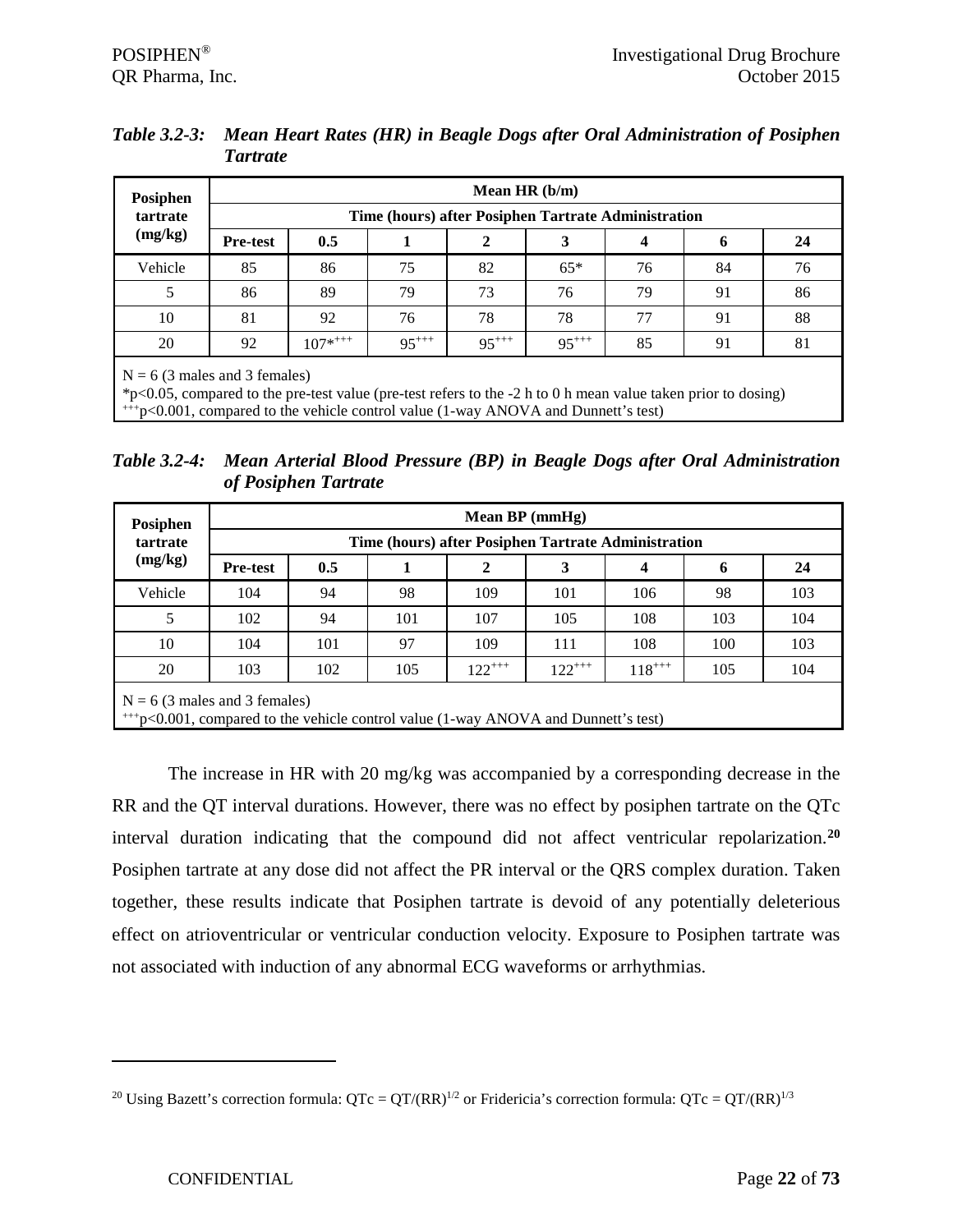| Table 3.2-3: Mean Heart Rates (HR) in Beagle Dogs after Oral Administration of Posiphen |
|-----------------------------------------------------------------------------------------|
| Tartrate                                                                                |

| Posiphen            |                 | Mean HR $(b/m)$                                                                                                                                  |            |            |            |    |    |    |  |  |  |
|---------------------|-----------------|--------------------------------------------------------------------------------------------------------------------------------------------------|------------|------------|------------|----|----|----|--|--|--|
| tartrate<br>(mg/kg) |                 | Time (hours) after Posiphen Tartrate Administration                                                                                              |            |            |            |    |    |    |  |  |  |
|                     | <b>Pre-test</b> | 0.5                                                                                                                                              |            | 2          | 3          | 4  | 6  | 24 |  |  |  |
| Vehicle             | 85              | 86                                                                                                                                               | 75         | 82         | $65*$      | 76 | 84 | 76 |  |  |  |
| 5                   | 86              | 89                                                                                                                                               | 79         | 73         | 76         | 79 | 91 | 86 |  |  |  |
| 10                  | 81              | 92                                                                                                                                               | 76         | 78         | 78         | 77 | 91 | 88 |  |  |  |
| 20                  | 92              | $107^{*+++}$                                                                                                                                     | $95^{+++}$ | $95^{+++}$ | $95^{+++}$ | 85 | 91 | 81 |  |  |  |
|                     |                 | $N = 6$ (3 males and 3 females)<br>*p<0.05, compared to the pre-test value (pre-test refers to the -2 h to 0 h mean value taken prior to dosing) |            |            |            |    |    |    |  |  |  |

+++p<0.001, compared to the vehicle control value (1-way ANOVA and Dunnett's test)

*Table 3.2-4: Mean Arterial Blood Pressure (BP) in Beagle Dogs after Oral Administration of Posiphen Tartrate*

| Posiphen |                                                                                                                             |     |     | Mean $BP$ (mmHg) |             |            |     |     |  |  |
|----------|-----------------------------------------------------------------------------------------------------------------------------|-----|-----|------------------|-------------|------------|-----|-----|--|--|
| tartrate | Time (hours) after Posiphen Tartrate Administration                                                                         |     |     |                  |             |            |     |     |  |  |
| (mg/kg)  | <b>Pre-test</b>                                                                                                             | 0.5 |     |                  | 3           | 4          | 6   | 24  |  |  |
| Vehicle  | 104                                                                                                                         | 94  | 98  | 109              | 101         | 106        | 98  | 103 |  |  |
| 5        | 102                                                                                                                         | 94  | 101 | 107              | 105         | 108        | 103 | 104 |  |  |
| 10       | 104                                                                                                                         | 101 | 97  | 109              | 111         | 108        | 100 | 103 |  |  |
| 20       | 103                                                                                                                         | 102 | 105 | $122^{+++}$      | $122^{+++}$ | $118^{++}$ | 105 | 104 |  |  |
|          | $N = 6$ (3 males and 3 females)<br>$^{+++}$ p<0.001, compared to the vehicle control value (1-way ANOVA and Dunnett's test) |     |     |                  |             |            |     |     |  |  |

The increase in HR with 20 mg/kg was accompanied by a corresponding decrease in the RR and the QT interval durations. However, there was no effect by posiphen tartrate on the QTc interval duration indicating that the compound did not affect ventricular repolarization.**[20](#page-21-0)** Posiphen tartrate at any dose did not affect the PR interval or the QRS complex duration. Taken together, these results indicate that Posiphen tartrate is devoid of any potentially deleterious effect on atrioventricular or ventricular conduction velocity. Exposure to Posiphen tartrate was not associated with induction of any abnormal ECG waveforms or arrhythmias.

<span id="page-21-0"></span><sup>&</sup>lt;sup>20</sup> Using Bazett's correction formula:  $QTc = QT/(RR)^{1/2}$  or Fridericia's correction formula:  $QTc = QT/(RR)^{1/3}$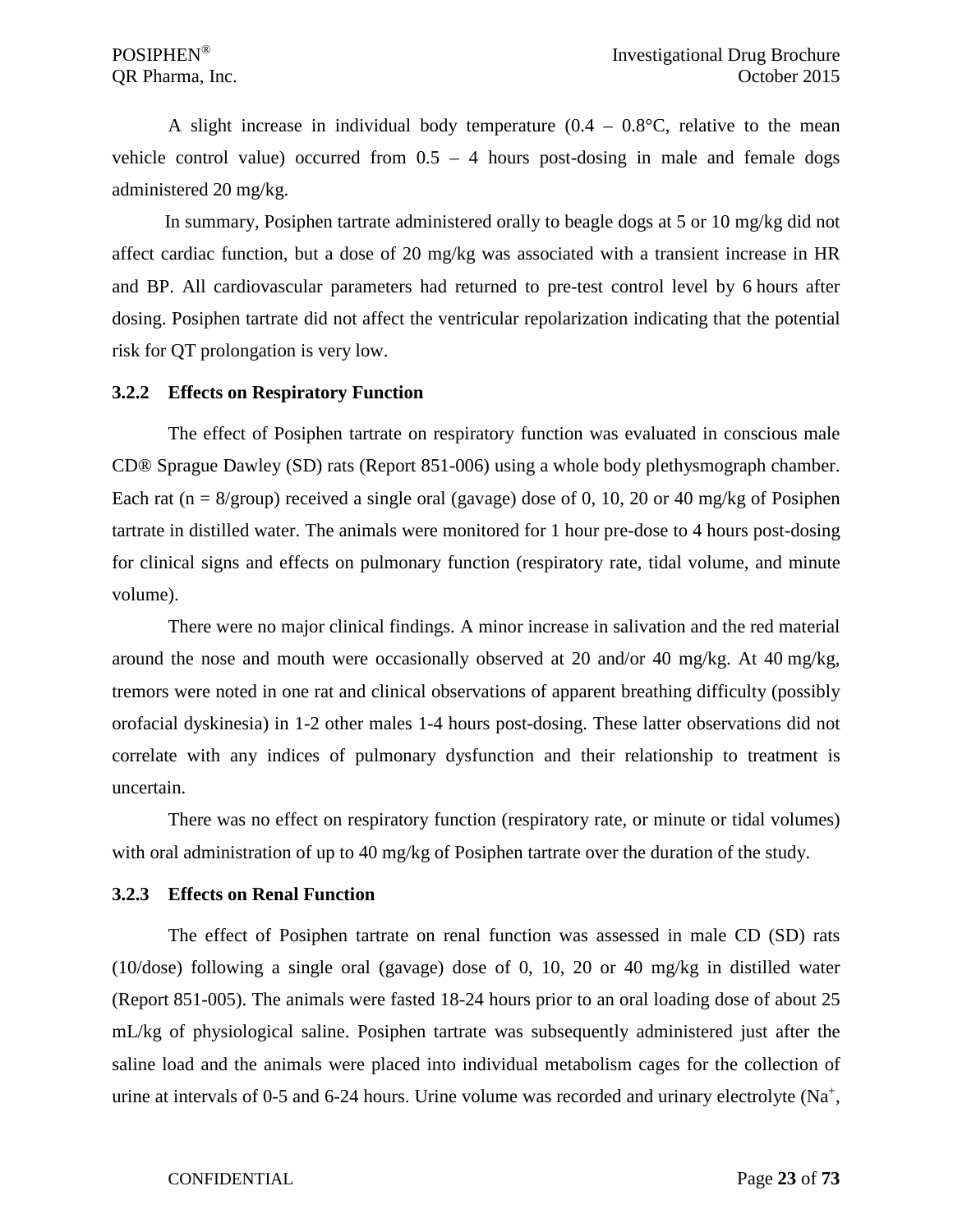A slight increase in individual body temperature  $(0.4 - 0.8\degree C,$  relative to the mean vehicle control value) occurred from  $0.5 - 4$  hours post-dosing in male and female dogs administered 20 mg/kg.

In summary, Posiphen tartrate administered orally to beagle dogs at 5 or 10 mg/kg did not affect cardiac function, but a dose of 20 mg/kg was associated with a transient increase in HR and BP. All cardiovascular parameters had returned to pre-test control level by 6 hours after dosing. Posiphen tartrate did not affect the ventricular repolarization indicating that the potential risk for QT prolongation is very low.

#### <span id="page-22-0"></span>**3.2.2 Effects on Respiratory Function**

The effect of Posiphen tartrate on respiratory function was evaluated in conscious male CD® Sprague Dawley (SD) rats (Report 851-006) using a whole body plethysmograph chamber. Each rat (n =  $8/$ group) received a single oral (gavage) dose of 0, 10, 20 or 40 mg/kg of Posiphen tartrate in distilled water. The animals were monitored for 1 hour pre-dose to 4 hours post-dosing for clinical signs and effects on pulmonary function (respiratory rate, tidal volume, and minute volume).

There were no major clinical findings. A minor increase in salivation and the red material around the nose and mouth were occasionally observed at 20 and/or 40 mg/kg. At 40 mg/kg, tremors were noted in one rat and clinical observations of apparent breathing difficulty (possibly orofacial dyskinesia) in 1-2 other males 1-4 hours post-dosing. These latter observations did not correlate with any indices of pulmonary dysfunction and their relationship to treatment is uncertain.

There was no effect on respiratory function (respiratory rate, or minute or tidal volumes) with oral administration of up to 40 mg/kg of Posiphen tartrate over the duration of the study.

#### <span id="page-22-1"></span>**3.2.3 Effects on Renal Function**

The effect of Posiphen tartrate on renal function was assessed in male CD (SD) rats (10/dose) following a single oral (gavage) dose of 0, 10, 20 or 40 mg/kg in distilled water (Report 851-005). The animals were fasted 18-24 hours prior to an oral loading dose of about 25 mL/kg of physiological saline. Posiphen tartrate was subsequently administered just after the saline load and the animals were placed into individual metabolism cages for the collection of urine at intervals of 0-5 and 6-24 hours. Urine volume was recorded and urinary electrolyte  $(Na^+,$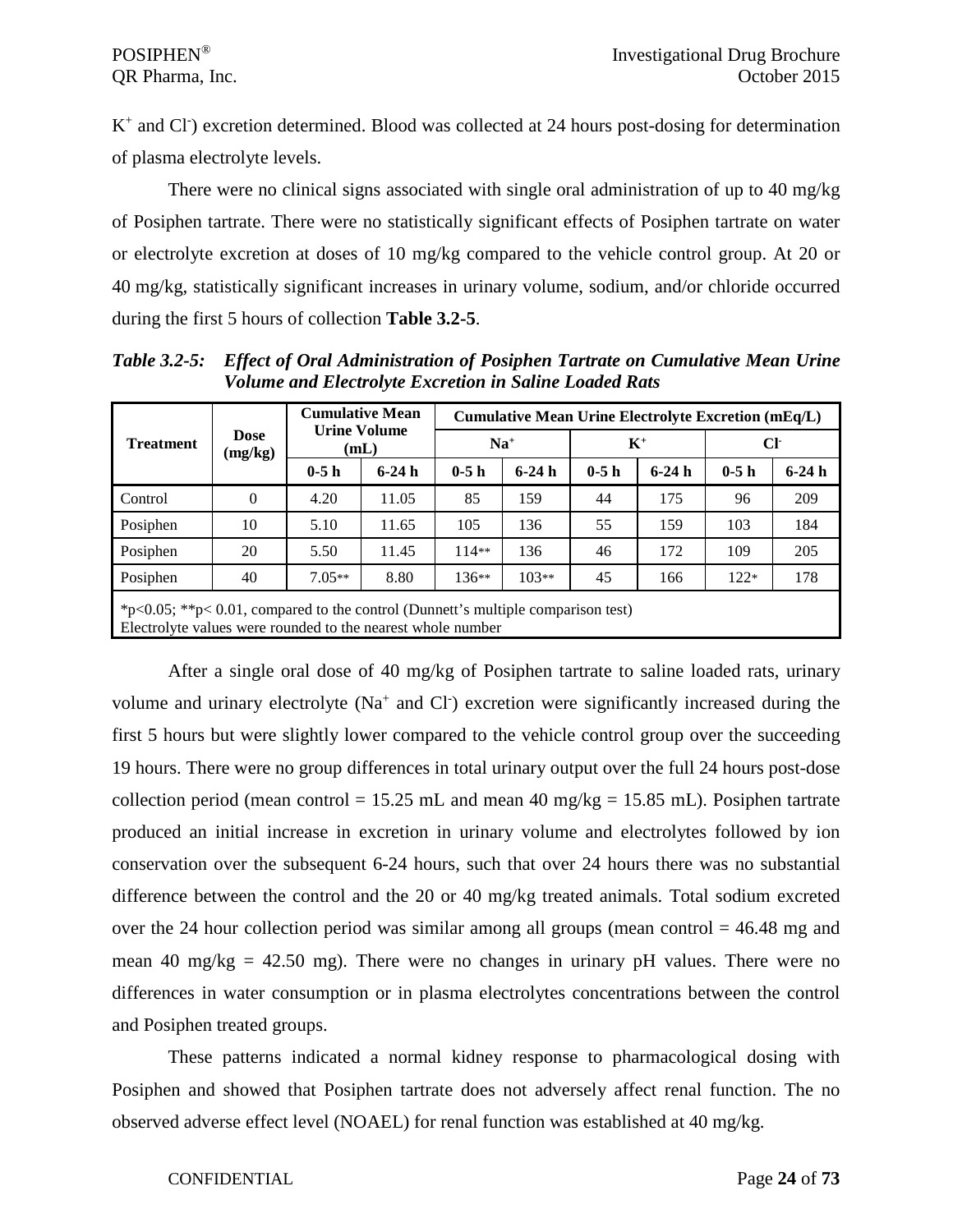K<sup>+</sup> and Cl<sup>-</sup>) excretion determined. Blood was collected at 24 hours post-dosing for determination of plasma electrolyte levels.

There were no clinical signs associated with single oral administration of up to 40 mg/kg of Posiphen tartrate. There were no statistically significant effects of Posiphen tartrate on water or electrolyte excretion at doses of 10 mg/kg compared to the vehicle control group. At 20 or 40 mg/kg, statistically significant increases in urinary volume, sodium, and/or chloride occurred during the first 5 hours of collection **Table 3.2-5**.

|                                                                                                                                                        |                                                                            |                             | <b>Cumulative Mean</b> |         | Cumulative Mean Urine Electrolyte Excretion (mEq/L) |        |         |        |         |  |  |  |
|--------------------------------------------------------------------------------------------------------------------------------------------------------|----------------------------------------------------------------------------|-----------------------------|------------------------|---------|-----------------------------------------------------|--------|---------|--------|---------|--|--|--|
| <b>Treatment</b>                                                                                                                                       | <b>Dose</b><br>(mg/kg)                                                     | <b>Urine Volume</b><br>(mL) |                        |         | $Na+$                                               |        | $K^+$   |        | CF      |  |  |  |
|                                                                                                                                                        |                                                                            | $0-5h$                      | $6-24h$                | $0-5h$  | $6-24h$                                             | $0-5h$ | $6-24h$ | $0-5h$ | $6-24h$ |  |  |  |
| Control                                                                                                                                                | $\Omega$                                                                   | 4.20                        | 11.05                  | 85      | 159                                                 | 44     | 175     | 96     | 209     |  |  |  |
| Posiphen                                                                                                                                               | 10                                                                         | 5.10                        | 11.65                  | 105     | 136                                                 | 55     | 159     | 103    | 184     |  |  |  |
| Posiphen                                                                                                                                               | 20                                                                         | 5.50                        | 11.45                  | $114**$ | 136                                                 | 46     | 172     | 109    | 205     |  |  |  |
| Posiphen                                                                                                                                               | $7.05**$<br>$103**$<br>178<br>8.80<br>$136**$<br>40<br>45<br>166<br>$122*$ |                             |                        |         |                                                     |        |         |        |         |  |  |  |
| * $p<0.05$ ; ** $p<0.01$ , compared to the control (Dunnett's multiple comparison test)<br>Electrolyte values were rounded to the nearest whole number |                                                                            |                             |                        |         |                                                     |        |         |        |         |  |  |  |

*Table 3.2-5: Effect of Oral Administration of Posiphen Tartrate on Cumulative Mean Urine Volume and Electrolyte Excretion in Saline Loaded Rats*

After a single oral dose of 40 mg/kg of Posiphen tartrate to saline loaded rats, urinary volume and urinary electrolyte ( $Na<sup>+</sup>$  and Cl ) excretion were significantly increased during the first 5 hours but were slightly lower compared to the vehicle control group over the succeeding 19 hours. There were no group differences in total urinary output over the full 24 hours post-dose collection period (mean control = 15.25 mL and mean 40 mg/kg = 15.85 mL). Posiphen tartrate produced an initial increase in excretion in urinary volume and electrolytes followed by ion conservation over the subsequent 6-24 hours, such that over 24 hours there was no substantial difference between the control and the 20 or 40 mg/kg treated animals. Total sodium excreted over the 24 hour collection period was similar among all groups (mean control  $= 46.48$  mg and mean 40 mg/kg  $=$  42.50 mg). There were no changes in urinary pH values. There were no differences in water consumption or in plasma electrolytes concentrations between the control and Posiphen treated groups.

These patterns indicated a normal kidney response to pharmacological dosing with Posiphen and showed that Posiphen tartrate does not adversely affect renal function. The no observed adverse effect level (NOAEL) for renal function was established at 40 mg/kg.

#### CONFIDENTIAL Page **24** of **73**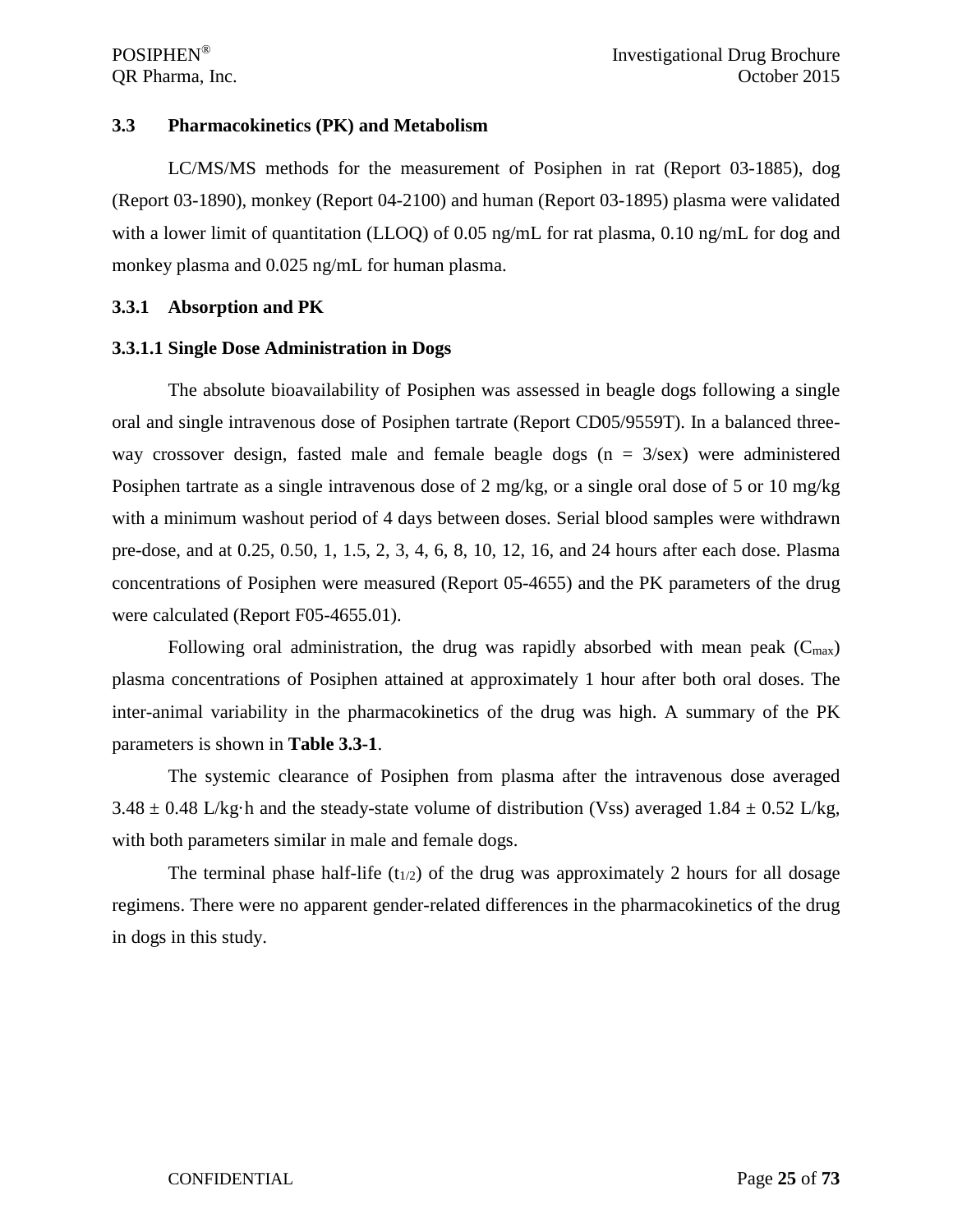#### <span id="page-24-0"></span>**3.3 Pharmacokinetics (PK) and Metabolism**

LC/MS/MS methods for the measurement of Posiphen in rat (Report 03-1885), dog (Report 03-1890), monkey (Report 04-2100) and human (Report 03-1895) plasma were validated with a lower limit of quantitation (LLOQ) of 0.05 ng/mL for rat plasma, 0.10 ng/mL for dog and monkey plasma and 0.025 ng/mL for human plasma.

#### <span id="page-24-1"></span>**3.3.1 Absorption and PK**

#### <span id="page-24-2"></span>**3.3.1.1 Single Dose Administration in Dogs**

The absolute bioavailability of Posiphen was assessed in beagle dogs following a single oral and single intravenous dose of Posiphen tartrate (Report CD05/9559T). In a balanced threeway crossover design, fasted male and female beagle dogs ( $n = 3$ /sex) were administered Posiphen tartrate as a single intravenous dose of 2 mg/kg, or a single oral dose of 5 or 10 mg/kg with a minimum washout period of 4 days between doses. Serial blood samples were withdrawn pre-dose, and at 0.25, 0.50, 1, 1.5, 2, 3, 4, 6, 8, 10, 12, 16, and 24 hours after each dose. Plasma concentrations of Posiphen were measured (Report 05-4655) and the PK parameters of the drug were calculated (Report F05-4655.01).

Following oral administration, the drug was rapidly absorbed with mean peak  $(C_{max})$ plasma concentrations of Posiphen attained at approximately 1 hour after both oral doses. The inter-animal variability in the pharmacokinetics of the drug was high. A summary of the PK parameters is shown in **Table 3.3-1**.

The systemic clearance of Posiphen from plasma after the intravenous dose averaged  $3.48 \pm 0.48$  L/kg·h and the steady-state volume of distribution (Vss) averaged 1.84  $\pm$  0.52 L/kg, with both parameters similar in male and female dogs.

The terminal phase half-life  $(t_{1/2})$  of the drug was approximately 2 hours for all dosage regimens. There were no apparent gender-related differences in the pharmacokinetics of the drug in dogs in this study.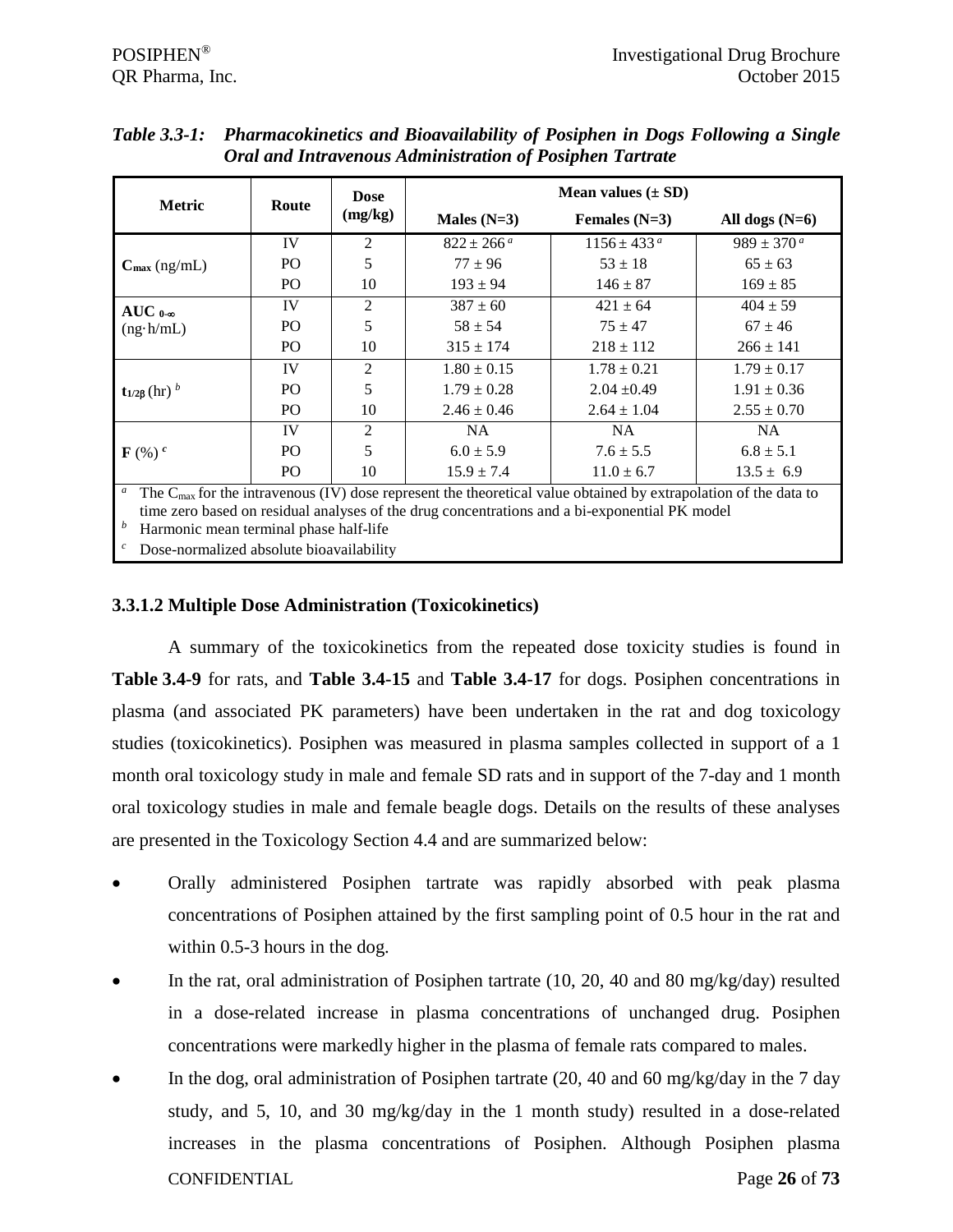|                                     |                | <b>Dose</b>    |                                                                                                                              | Mean values $(\pm SD)$ |                     |
|-------------------------------------|----------------|----------------|------------------------------------------------------------------------------------------------------------------------------|------------------------|---------------------|
| <b>Metric</b>                       | Route          | (mg/kg)        | Males $(N=3)$                                                                                                                | Females $(N=3)$        | All dogs $(N=6)$    |
|                                     | IV             | 2              | $822 \pm 266^{\,a}$                                                                                                          | $1156 \pm 433^{\,a}$   | $989 \pm 370^{\,a}$ |
| $C_{\text{max}}$ (ng/mL)            | P <sub>O</sub> | 5              | $77 \pm 96$                                                                                                                  | $53 \pm 18$            | $65 \pm 63$         |
|                                     | P <sub>O</sub> | 10             | $193 \pm 94$                                                                                                                 | $146 \pm 87$           | $169 \pm 85$        |
| AUC $0-\infty$<br>$(ng \cdot h/mL)$ | IV             | $\overline{2}$ | $387 \pm 60$                                                                                                                 | $421 \pm 64$           | $404 \pm 59$        |
|                                     | P <sub>O</sub> | 5              | $58 \pm 54$                                                                                                                  | $75 + 47$              | $67 \pm 46$         |
|                                     | P <sub>O</sub> | 10             | $315 \pm 174$                                                                                                                | $218 \pm 112$          | $266 \pm 141$       |
|                                     | <b>IV</b>      | 2              | $1.80 \pm 0.15$                                                                                                              | $1.78 \pm 0.21$        | $1.79 \pm 0.17$     |
| $t_{1/2\beta}$ (hr) $^b$            | PO.            | 5              | $1.79 \pm 0.28$                                                                                                              | $2.04 \pm 0.49$        | $1.91 \pm 0.36$     |
|                                     | P <sub>O</sub> | 10             | $2.46 \pm 0.46$                                                                                                              | $2.64 \pm 1.04$        | $2.55 \pm 0.70$     |
|                                     | IV             | 2              | NA.                                                                                                                          | <b>NA</b>              | NA                  |
| $\mathbf{F}$ (%) $^c$               | P <sub>O</sub> | 5              | $6.0 \pm 5.9$                                                                                                                | $7.6 \pm 5.5$          | $6.8 \pm 5.1$       |
|                                     | P <sub>O</sub> | 10             | $15.9 \pm 7.4$                                                                                                               | $11.0 \pm 6.7$         | $13.5 \pm 6.9$      |
| $\boldsymbol{a}$                    |                |                | The C <sub>reav</sub> for the intravenous (IV) dose represent the theoretical value obtained by extrapolation of the data to |                        |                     |

*Table 3.3-1: Pharmacokinetics and Bioavailability of Posiphen in Dogs Following a Single Oral and Intravenous Administration of Posiphen Tartrate*

<sup>a</sup> The C<sub>max</sub> for the intravenous (IV) dose represent the theoretical value obtained by extrapolation of the data to time zero based on residual analyses of the drug concentrations and a bi-exponential PK model

*<sup>b</sup>* Harmonic mean terminal phase half-life

Dose-normalized absolute bioavailability

## <span id="page-25-0"></span>**3.3.1.2 Multiple Dose Administration (Toxicokinetics)**

A summary of the toxicokinetics from the repeated dose toxicity studies is found in **Table 3.4-9** for rats, and **Table 3.4-15** and **Table 3.4-17** for dogs. Posiphen concentrations in plasma (and associated PK parameters) have been undertaken in the rat and dog toxicology studies (toxicokinetics). Posiphen was measured in plasma samples collected in support of a 1 month oral toxicology study in male and female SD rats and in support of the 7-day and 1 month oral toxicology studies in male and female beagle dogs. Details on the results of these analyses are presented in the Toxicology Section 4.4 and are summarized below:

- Orally administered Posiphen tartrate was rapidly absorbed with peak plasma concentrations of Posiphen attained by the first sampling point of 0.5 hour in the rat and within 0.5-3 hours in the dog.
- In the rat, oral administration of Posiphen tartrate  $(10, 20, 40, 40, 80, \text{mg/kg/day})$  resulted in a dose-related increase in plasma concentrations of unchanged drug. Posiphen concentrations were markedly higher in the plasma of female rats compared to males.
- CONFIDENTIAL Page **26** of **73** • In the dog, oral administration of Posiphen tartrate (20, 40 and 60 mg/kg/day in the 7 day study, and 5, 10, and 30 mg/kg/day in the 1 month study) resulted in a dose-related increases in the plasma concentrations of Posiphen. Although Posiphen plasma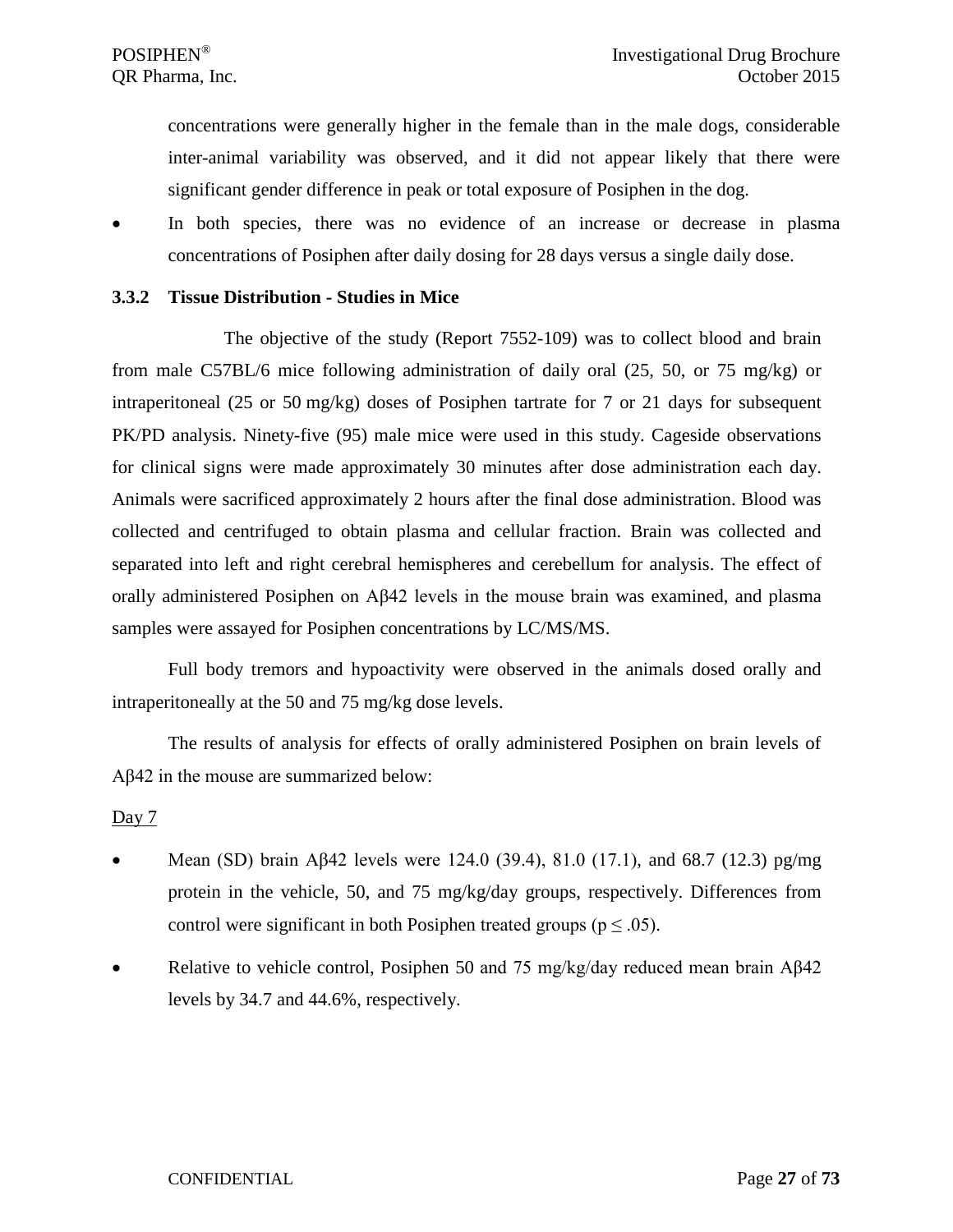concentrations were generally higher in the female than in the male dogs, considerable inter-animal variability was observed, and it did not appear likely that there were significant gender difference in peak or total exposure of Posiphen in the dog.

• In both species, there was no evidence of an increase or decrease in plasma concentrations of Posiphen after daily dosing for 28 days versus a single daily dose.

#### <span id="page-26-0"></span>**3.3.2 Tissue Distribution - Studies in Mice**

The objective of the study (Report 7552-109) was to collect blood and brain from male C57BL/6 mice following administration of daily oral (25, 50, or 75 mg/kg) or intraperitoneal (25 or 50 mg/kg) doses of Posiphen tartrate for 7 or 21 days for subsequent PK/PD analysis. Ninety-five (95) male mice were used in this study. Cageside observations for clinical signs were made approximately 30 minutes after dose administration each day. Animals were sacrificed approximately 2 hours after the final dose administration. Blood was collected and centrifuged to obtain plasma and cellular fraction. Brain was collected and separated into left and right cerebral hemispheres and cerebellum for analysis. The effect of orally administered Posiphen on Aβ42 levels in the mouse brain was examined, and plasma samples were assayed for Posiphen concentrations by LC/MS/MS.

Full body tremors and hypoactivity were observed in the animals dosed orally and intraperitoneally at the 50 and 75 mg/kg dose levels.

The results of analysis for effects of orally administered Posiphen on brain levels of Aβ42 in the mouse are summarized below:

#### Day  $7$

- Mean (SD) brain Aβ42 levels were 124.0 (39.4), 81.0 (17.1), and 68.7 (12.3) pg/mg protein in the vehicle, 50, and 75 mg/kg/day groups, respectively. Differences from control were significant in both Posiphen treated groups ( $p \leq .05$ ).
- Relative to vehicle control, Posiphen 50 and 75 mg/kg/day reduced mean brain Aβ42 levels by 34.7 and 44.6%, respectively.

#### CONFIDENTIAL Page **27** of **73**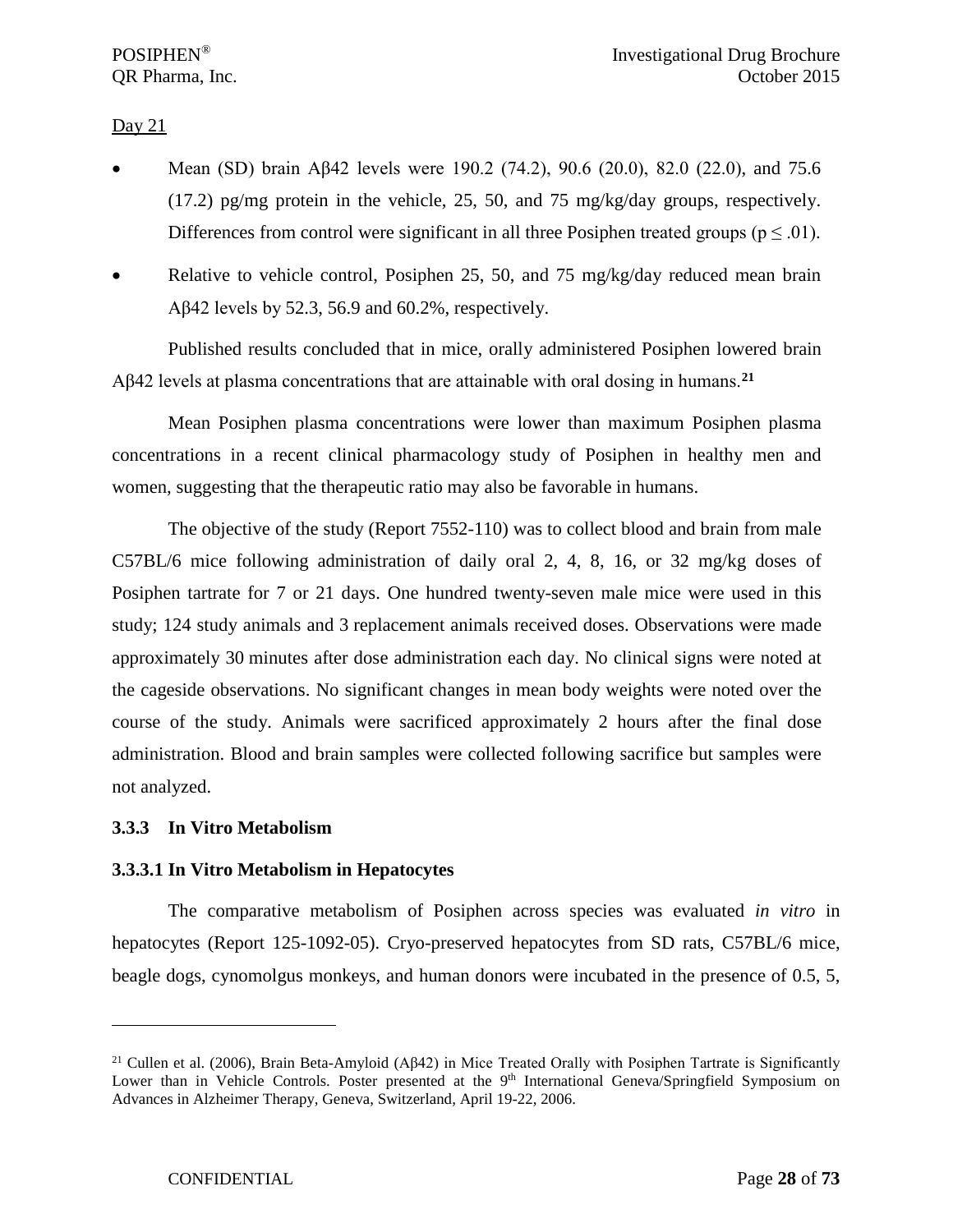Day  $21$ 

- Mean (SD) brain Aβ42 levels were 190.2 (74.2), 90.6 (20.0), 82.0 (22.0), and 75.6  $(17.2)$  pg/mg protein in the vehicle, 25, 50, and 75 mg/kg/day groups, respectively. Differences from control were significant in all three Posiphen treated groups ( $p \leq .01$ ).
- Relative to vehicle control, Posiphen 25, 50, and 75 mg/kg/day reduced mean brain Aβ42 levels by 52.3, 56.9 and 60.2%, respectively.

Published results concluded that in mice, orally administered Posiphen lowered brain Aβ42 levels at plasma concentrations that are attainable with oral dosing in humans.**[21](#page-27-2)**

Mean Posiphen plasma concentrations were lower than maximum Posiphen plasma concentrations in a recent clinical pharmacology study of Posiphen in healthy men and women, suggesting that the therapeutic ratio may also be favorable in humans.

The objective of the study (Report 7552-110) was to collect blood and brain from male C57BL/6 mice following administration of daily oral 2, 4, 8, 16, or 32 mg/kg doses of Posiphen tartrate for 7 or 21 days. One hundred twenty-seven male mice were used in this study; 124 study animals and 3 replacement animals received doses. Observations were made approximately 30 minutes after dose administration each day. No clinical signs were noted at the cageside observations. No significant changes in mean body weights were noted over the course of the study. Animals were sacrificed approximately 2 hours after the final dose administration. Blood and brain samples were collected following sacrifice but samples were not analyzed.

## <span id="page-27-0"></span>**3.3.3 In Vitro Metabolism**

 $\overline{a}$ 

## <span id="page-27-1"></span>**3.3.3.1 In Vitro Metabolism in Hepatocytes**

The comparative metabolism of Posiphen across species was evaluated *in vitro* in hepatocytes (Report 125-1092-05). Cryo-preserved hepatocytes from SD rats, C57BL/6 mice, beagle dogs, cynomolgus monkeys, and human donors were incubated in the presence of 0.5, 5,

<span id="page-27-2"></span><sup>&</sup>lt;sup>21</sup> Cullen et al. (2006), Brain Beta-Amyloid (A $\beta$ 42) in Mice Treated Orally with Posiphen Tartrate is Significantly Lower than in Vehicle Controls. Poster presented at the 9<sup>th</sup> International Geneva/Springfield Symposium on Advances in Alzheimer Therapy, Geneva, Switzerland, April 19-22, 2006.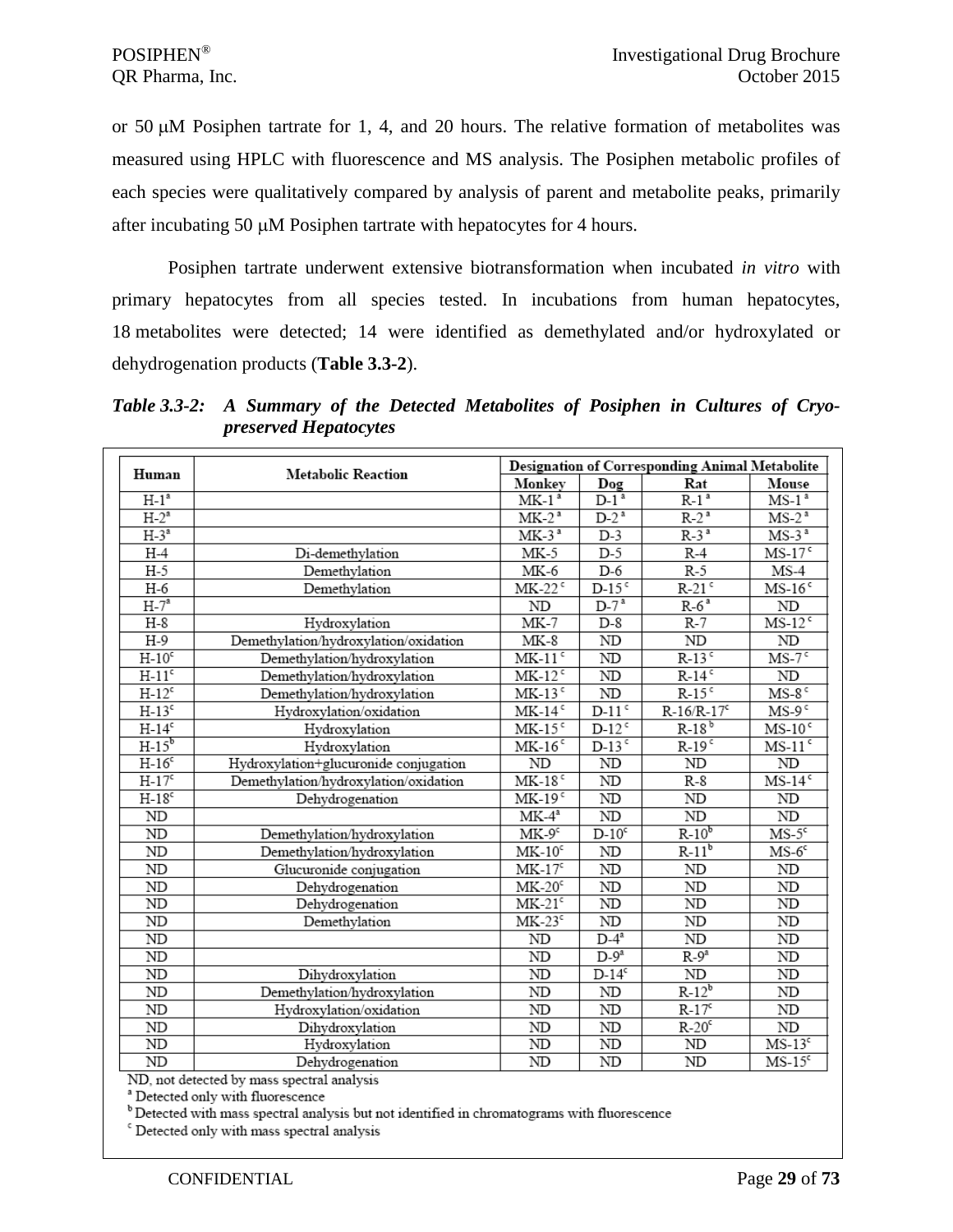or 50 µM Posiphen tartrate for 1, 4, and 20 hours. The relative formation of metabolites was measured using HPLC with fluorescence and MS analysis. The Posiphen metabolic profiles of each species were qualitatively compared by analysis of parent and metabolite peaks, primarily after incubating 50 µM Posiphen tartrate with hepatocytes for 4 hours.

Posiphen tartrate underwent extensive biotransformation when incubated *in vitro* with primary hepatocytes from all species tested. In incubations from human hepatocytes, 18 metabolites were detected; 14 were identified as demethylated and/or hydroxylated or dehydrogenation products (**Table 3.3-2**).

*Table 3.3-2: A Summary of the Detected Metabolites of Posiphen in Cultures of Cryopreserved Hepatocytes* 

| Human    | <b>Metabolic Reaction</b>                  |                          |                          | Designation of Corresponding Animal Metabolite |                                      |
|----------|--------------------------------------------|--------------------------|--------------------------|------------------------------------------------|--------------------------------------|
|          |                                            | Monkey                   | Dog                      | Rat                                            | Mouse                                |
| $H-1^a$  |                                            | $MK-1a$                  | $D-1^a$                  | $R-1a$                                         | $\overline{\text{MS-1}}^{\,a}$       |
| $H-2^a$  |                                            | $MK-2a$                  | $D-2^a$                  | $R-2^a$                                        | $MS-2^a$                             |
| $H-3^a$  |                                            | $MK-3a$                  | $D-3$                    | $R-3^a$                                        | $\overline{\text{MS-3}}^{\text{a}}$  |
| $H-4$    | Di-demethylation                           | $MK-5$                   | $D-5$                    | $R-4$                                          | $MS-17c$                             |
| $H-5$    | Demethylation                              | $MK-6$                   | $D-6$                    | $R-5$                                          | MS-4                                 |
| $H-6$    | Demethylation                              | $MK-22$ <sup>c</sup>     | $D-15$ <sup>c</sup>      | $R-21$ <sup>c</sup>                            | $MS-16c$                             |
| $H-7^a$  |                                            | $\rm ND$                 | $D-7^3$                  | $R-6^a$                                        | ND                                   |
| $H-8$    | Hydroxylation                              | MK-7                     | $D-8$                    | R-7                                            | $MS-12^c$                            |
| $H-9$    | Demethylation/hydroxylation/oxidation      | $MK-8$                   | ND                       | ND                                             | ND                                   |
| $H-10c$  | Demethylation/hydroxylation                | $MK-11$ <sup>c</sup>     | ND                       | $R-13$ <sup>c</sup>                            | $MS-7c$                              |
| $H-11c$  | Demethylation/hydroxylation                | $MK-12$ <sup>c</sup>     | ${\rm ND}$               | $R-14$ <sup>c</sup>                            | ND                                   |
| $H-12c$  | Demethylation/hydroxylation                | $MK-13c$                 | $\rm ND$                 | $R-15$ <sup>c</sup>                            | $MS-8c$                              |
| $H-13c$  | Hydroxylation/oxidation                    | $MK-14c$                 | $D-11$ <sup>c</sup>      | $R-16/R-17c$                                   | $MS-9c$                              |
| $H-14c$  | Hydroxylation                              | $MK-15c$                 | $D-12$ <sup>c</sup>      | $R-18^b$                                       | $MS-10c$                             |
| $H-15^b$ | Hydroxylation                              | $MK-16$ <sup>c</sup>     | $D-13$ <sup>c</sup>      | $R-19$ <sup>c</sup>                            | $MS-11c$                             |
| $H-16c$  | Hydroxylation+glucuronide conjugation      | ND                       | $\rm ND$                 | ND                                             | $\rm ND$                             |
| $H-17c$  | Demethylation/hydroxylation/oxidation      | $MK-18c$                 | ND                       | R-8                                            | $\overline{\text{MS-14}^{\text{c}}}$ |
| $H-18c$  | Dehydrogenation                            | $MK-19c$                 | ND                       | ND                                             | ND                                   |
| ND       |                                            | $MK-4a$                  | ND                       | ND                                             | ND                                   |
| ND       | Demethylation/hydroxylation                | $MK-9c$                  | $D-10^c$                 | $R-10^b$                                       | $MS-5c$                              |
| ND       | Demethylation/hydroxylation                | $MK-10c$                 | ND                       | $R-11b$                                        | $MS-6c$                              |
| ND       | Glucuronide conjugation                    | $MK-17c$                 | ND                       | $\rm ND$                                       | $\rm ND$                             |
| ND       | Dehydrogenation                            | $MK-20c$                 | ND                       | $\rm ND$                                       | ND                                   |
| ND       | Dehydrogenation                            | $MK-21c$                 | $\overline{\mathrm{ND}}$ | ND                                             | ND                                   |
| ND       | Demethylation                              | $MK-23c$                 | $\overline{\text{ND}}$   | ND                                             | ND                                   |
| ND       |                                            | ND                       | $D-4^a$                  | ND                                             | $\rm ND$                             |
| ND       |                                            | $\overline{\mathrm{ND}}$ | $D-9^a$                  | $R-9^a$                                        | $\rm ND$                             |
| ND       | Dihydroxylation                            | ND                       | $D-14^c$                 | ND                                             | ND                                   |
| ND       | Demethylation/hydroxylation                | ND                       | ND                       | $R-12^b$                                       | ND                                   |
| ND       | Hydroxylation/oxidation                    | ND                       | $\rm ND$                 | $R-17c$                                        | ND                                   |
| ND       | Dihydroxylation                            | ND                       | ND                       | $R-20c$                                        | $\rm ND$                             |
| $\rm ND$ | Hydroxylation                              | ND                       | $\overline{ND}$          | ND                                             | $MS-13c$                             |
| ND       | Dehydrogenation                            | ND                       | ND                       | ND                                             | $MS-15c$                             |
|          | ND, not detected by mass spectral analysis |                          |                          |                                                |                                      |

<sup>a</sup> Detected only with fluorescence

<sup>b</sup> Detected with mass spectral analysis but not identified in chromatograms with fluorescence

<sup>c</sup> Detected only with mass spectral analysis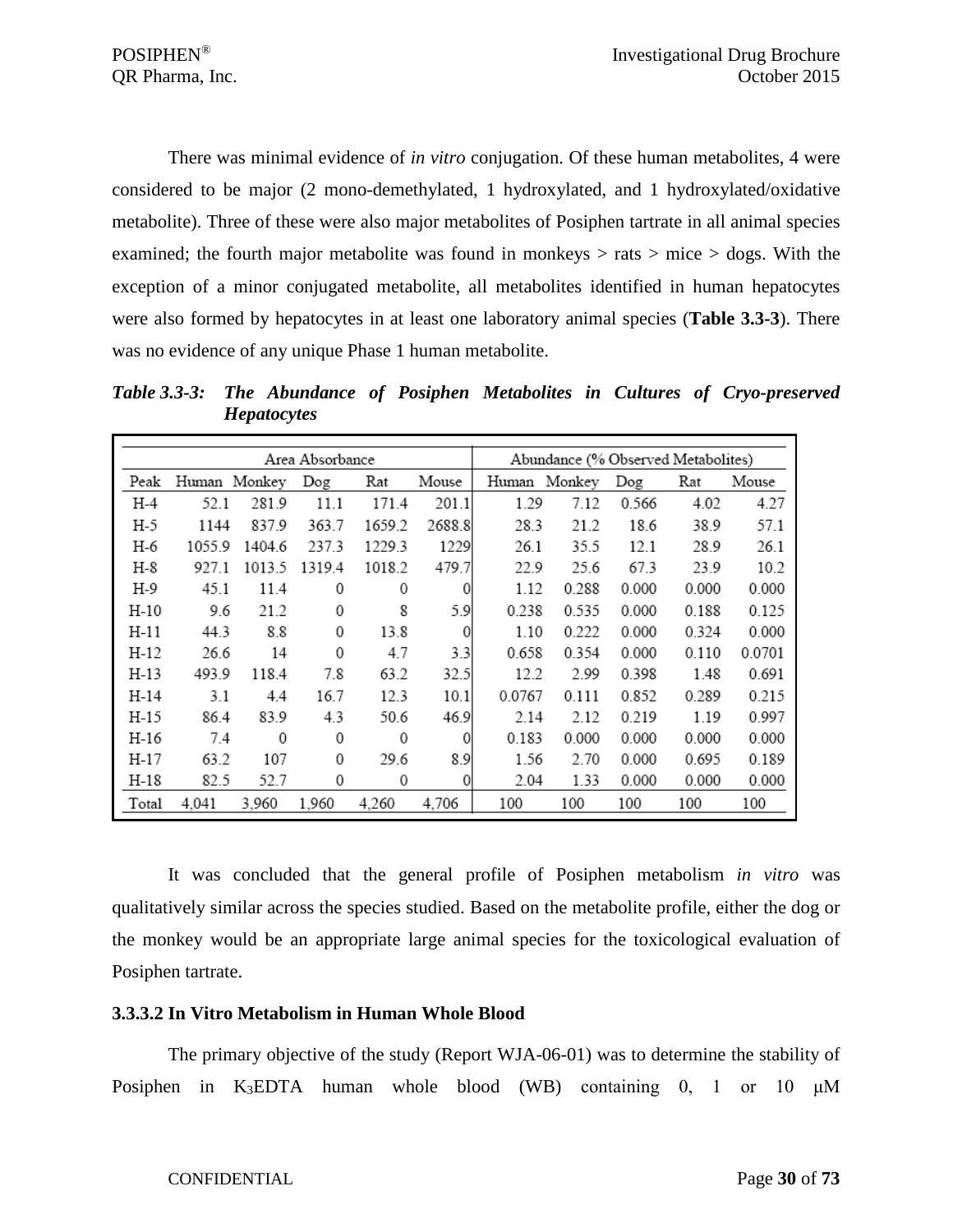There was minimal evidence of *in vitro* conjugation. Of these human metabolites, 4 were considered to be major (2 mono-demethylated, 1 hydroxylated, and 1 hydroxylated/oxidative metabolite). Three of these were also major metabolites of Posiphen tartrate in all animal species examined; the fourth major metabolite was found in monkeys  $>$  rats  $>$  mice  $>$  dogs. With the exception of a minor conjugated metabolite, all metabolites identified in human hepatocytes were also formed by hepatocytes in at least one laboratory animal species (**Table 3.3-3**). There was no evidence of any unique Phase 1 human metabolite.

*Table 3.3-3: The Abundance of Posiphen Metabolites in Cultures of Cryo-preserved Hepatocytes*

|       |        |        | Area Absorbance |        |          |        | Abundance (% Observed Metabolites) |       |       |        |
|-------|--------|--------|-----------------|--------|----------|--------|------------------------------------|-------|-------|--------|
| Peak  | Human  | Monkey | Dog             | Rat    | Mouse    | Human  | Monkey                             | Dog   | Rat   | Mouse  |
| H-4   | 52.1   | 281.9  | 11.1            | 171.4  | 201.1    | 1.29   | 7.12                               | 0.566 | 4.02  | 4.27   |
| H-5   | 1144   | 837.9  | 363.7           | 1659.2 | 2688.8   | 28.3   | 21.2                               | 18.6  | 38.9  | 57.1   |
| H-6   | 1055.9 | 1404.6 | 237.3           | 1229.3 | 1229     | 26.1   | 35.5                               | 12.1  | 28.9  | 26.1   |
| H-8   | 927.1  | 1013.5 | 1319.4          | 1018.2 | 479.7    | 22.9   | 25.6                               | 67.3  | 23.9  | 10.2   |
| H-9   | 45.1   | 11.4   | 0               | 0      | 0        | 1.12   | 0.288                              | 0.000 | 0.000 | 0.000  |
| H-10  | 9.6    | 21.2   | $\mathbf{0}$    | 8      | 5.9      | 0.238  | 0.535                              | 0.000 | 0.188 | 0.125  |
| H-11  | 44.3   | 8.8    | 0               | 13.8   | 0        | 1.10   | 0.222                              | 0.000 | 0.324 | 0.000  |
| H-12  | 26.6   | 14     | $\mathbf{0}$    | 4.7    | 3.3      | 0.658  | 0.354                              | 0.000 | 0.110 | 0.0701 |
| H-13  | 493.9  | 118.4  | 7.8             | 63.2   | 32.5     | 12.2   | 2.99                               | 0.398 | 1.48  | 0.691  |
| H-14  | 3.1    | 4.4    | 16.7            | 12.3   | 10.1     | 0.0767 | 0.111                              | 0.852 | 0.289 | 0.215  |
| H-15  | 86.4   | 83.9   | 4.3             | 50.6   | 46.9     | 2.14   | 2.12                               | 0.219 | 1.19  | 0.997  |
| H-16  | 7.4    | 0      | $\mathbf 0$     | 0      | 0        | 0.183  | 0.000                              | 0.000 | 0.000 | 0.000  |
| H-17  | 63.2   | 107    | 0               | 29.6   | 8.9      | 1.56   | 2.70                               | 0.000 | 0.695 | 0.189  |
| H-18  | 82.5   | 52.7   | 0               | 0      | $\Omega$ | 2.04   | 1.33                               | 0.000 | 0.000 | 0.000  |
| Total | 4,041  | 3.960  | 1,960           | 4,260  | 4.706    | 100    | 100                                | 100   | 100   | 100    |

It was concluded that the general profile of Posiphen metabolism *in vitro* was qualitatively similar across the species studied. Based on the metabolite profile, either the dog or the monkey would be an appropriate large animal species for the toxicological evaluation of Posiphen tartrate.

#### <span id="page-29-0"></span>**3.3.3.2 In Vitro Metabolism in Human Whole Blood**

The primary objective of the study (Report WJA-06-01) was to determine the stability of Posiphen in K3EDTA human whole blood (WB) containing 0, 1 or 10 μM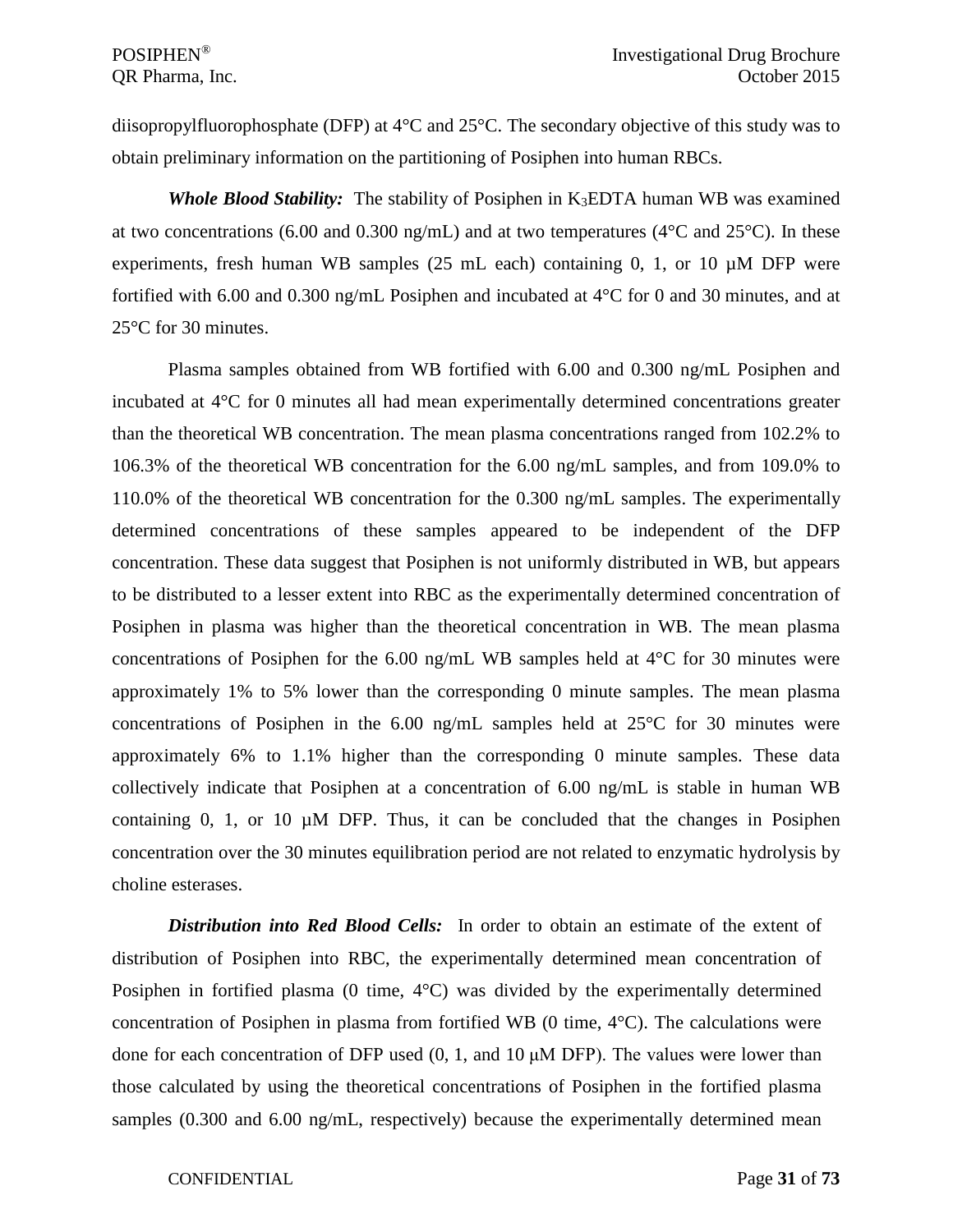diisopropylfluorophosphate (DFP) at 4°C and 25°C. The secondary objective of this study was to obtain preliminary information on the partitioning of Posiphen into human RBCs.

*Whole Blood Stability:*The stability of Posiphen in K3EDTA human WB was examined at two concentrations (6.00 and 0.300 ng/mL) and at two temperatures (4 $\rm ^{\circ}C$  and 25 $\rm ^{\circ}C$ ). In these experiments, fresh human WB samples  $(25 \text{ mL each})$  containing 0, 1, or 10  $\mu$ M DFP were fortified with 6.00 and 0.300 ng/mL Posiphen and incubated at 4°C for 0 and 30 minutes, and at 25°C for 30 minutes.

Plasma samples obtained from WB fortified with 6.00 and 0.300 ng/mL Posiphen and incubated at 4°C for 0 minutes all had mean experimentally determined concentrations greater than the theoretical WB concentration. The mean plasma concentrations ranged from 102.2% to 106.3% of the theoretical WB concentration for the 6.00 ng/mL samples, and from 109.0% to 110.0% of the theoretical WB concentration for the 0.300 ng/mL samples. The experimentally determined concentrations of these samples appeared to be independent of the DFP concentration. These data suggest that Posiphen is not uniformly distributed in WB, but appears to be distributed to a lesser extent into RBC as the experimentally determined concentration of Posiphen in plasma was higher than the theoretical concentration in WB. The mean plasma concentrations of Posiphen for the 6.00 ng/mL WB samples held at 4°C for 30 minutes were approximately 1% to 5% lower than the corresponding 0 minute samples. The mean plasma concentrations of Posiphen in the 6.00 ng/mL samples held at 25°C for 30 minutes were approximately 6% to 1.1% higher than the corresponding 0 minute samples. These data collectively indicate that Posiphen at a concentration of 6.00 ng/mL is stable in human WB containing  $0$ ,  $1$ , or  $10 \mu M$  DFP. Thus, it can be concluded that the changes in Posiphen concentration over the 30 minutes equilibration period are not related to enzymatic hydrolysis by choline esterases.

*Distribution into Red Blood Cells:*In order to obtain an estimate of the extent of distribution of Posiphen into RBC, the experimentally determined mean concentration of Posiphen in fortified plasma (0 time,  $4^{\circ}$ C) was divided by the experimentally determined concentration of Posiphen in plasma from fortified WB  $(0 \text{ time}, 4^{\circ}C)$ . The calculations were done for each concentration of DFP used (0, 1, and 10 μM DFP). The values were lower than those calculated by using the theoretical concentrations of Posiphen in the fortified plasma samples (0.300 and 6.00 ng/mL, respectively) because the experimentally determined mean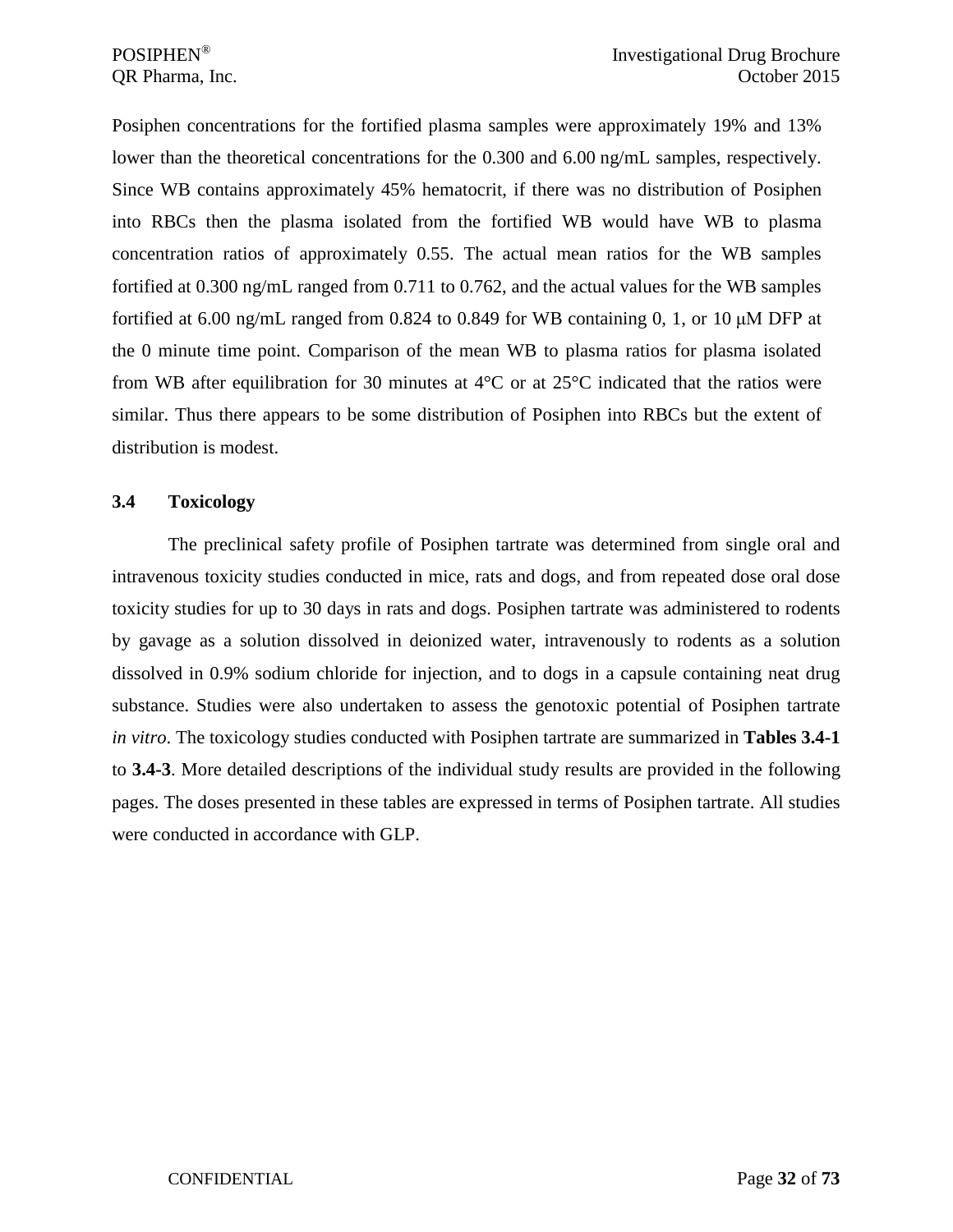Posiphen concentrations for the fortified plasma samples were approximately 19% and 13% lower than the theoretical concentrations for the 0.300 and 6.00 ng/mL samples, respectively. Since WB contains approximately 45% hematocrit, if there was no distribution of Posiphen into RBCs then the plasma isolated from the fortified WB would have WB to plasma concentration ratios of approximately 0.55. The actual mean ratios for the WB samples fortified at 0.300 ng/mL ranged from 0.711 to 0.762, and the actual values for the WB samples fortified at 6.00 ng/mL ranged from 0.824 to 0.849 for WB containing 0, 1, or 10  $\mu$ M DFP at the 0 minute time point. Comparison of the mean WB to plasma ratios for plasma isolated from WB after equilibration for 30 minutes at 4°C or at 25°C indicated that the ratios were similar. Thus there appears to be some distribution of Posiphen into RBCs but the extent of distribution is modest.

### <span id="page-31-0"></span>**3.4 Toxicology**

The preclinical safety profile of Posiphen tartrate was determined from single oral and intravenous toxicity studies conducted in mice, rats and dogs, and from repeated dose oral dose toxicity studies for up to 30 days in rats and dogs. Posiphen tartrate was administered to rodents by gavage as a solution dissolved in deionized water, intravenously to rodents as a solution dissolved in 0.9% sodium chloride for injection, and to dogs in a capsule containing neat drug substance. Studies were also undertaken to assess the genotoxic potential of Posiphen tartrate *in vitro*. The toxicology studies conducted with Posiphen tartrate are summarized in **Tables 3.4-1** to **3.4-3**. More detailed descriptions of the individual study results are provided in the following pages. The doses presented in these tables are expressed in terms of Posiphen tartrate. All studies were conducted in accordance with GLP.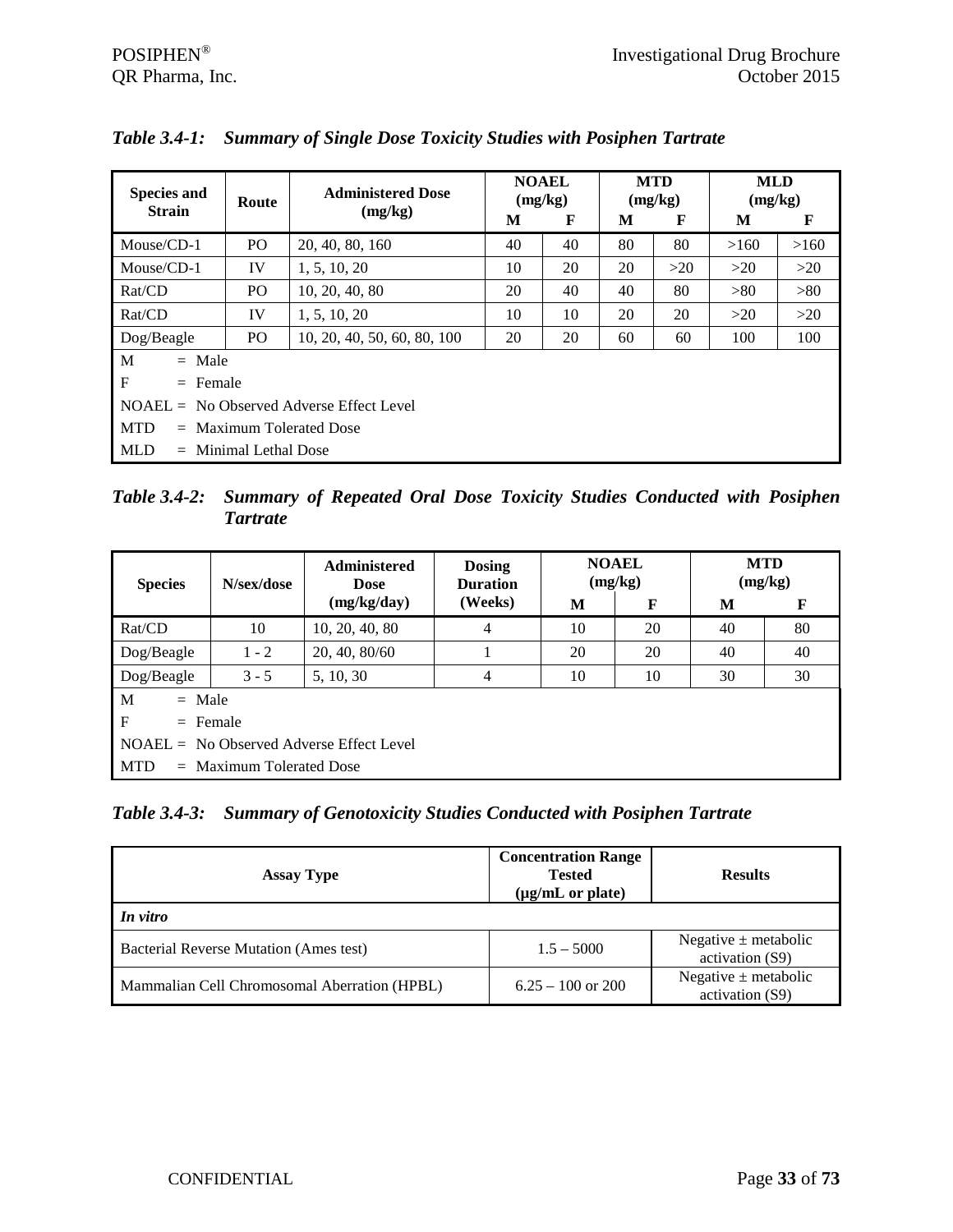| <b>Species and</b><br><b>Strain</b>        | Route                   | <b>Administered Dose</b>    |    | <b>NOAEL</b><br>(mg/kg) |    | <b>MTD</b><br>(mg/kg) |      | <b>MLD</b><br>(mg/kg) |  |
|--------------------------------------------|-------------------------|-----------------------------|----|-------------------------|----|-----------------------|------|-----------------------|--|
|                                            |                         | (mg/kg)                     | M  | F                       | M  | F                     | M    | F                     |  |
| Mouse/CD-1                                 | P <sub>O</sub>          | 20, 40, 80, 160             | 40 | 40                      | 80 | 80                    | >160 | >160                  |  |
| $Mouse/CD-1$                               | IV                      | 1, 5, 10, 20                | 10 | 20                      | 20 | >20                   | >20  | >20                   |  |
| Rat/CD                                     | PO.                     | 10, 20, 40, 80              | 20 | 40                      | 40 | 80                    | >80  | >80                   |  |
| Rat/CD                                     | IV                      | 1, 5, 10, 20                | 10 | 10                      | 20 | 20                    | >20  | >20                   |  |
| Dog/Beagle                                 | PO.                     | 10, 20, 40, 50, 60, 80, 100 | 20 | 20                      | 60 | 60                    | 100  | 100                   |  |
| M<br>$=$ Male                              |                         |                             |    |                         |    |                       |      |                       |  |
| $F_{\rm}$                                  | $=$ Female              |                             |    |                         |    |                       |      |                       |  |
| $NOAEL = No Observed Adverse Effect Level$ |                         |                             |    |                         |    |                       |      |                       |  |
| <b>MTD</b><br>$=$ Maximum Tolerated Dose   |                         |                             |    |                         |    |                       |      |                       |  |
| <b>MLD</b>                                 | $=$ Minimal Lethal Dose |                             |    |                         |    |                       |      |                       |  |

*Table 3.4-1: Summary of Single Dose Toxicity Studies with Posiphen Tartrate*

*Table 3.4-2: Summary of Repeated Oral Dose Toxicity Studies Conducted with Posiphen Tartrate*

| <b>Species</b>                             | N/sex/dose                            | <b>Administered</b><br><b>Dose</b> | <b>Dosing</b><br><b>Duration</b> |    | <b>NOAEL</b><br>(mg/kg) | <b>MTD</b><br>(mg/kg) |    |  |
|--------------------------------------------|---------------------------------------|------------------------------------|----------------------------------|----|-------------------------|-----------------------|----|--|
|                                            |                                       | (mg/kg/day)                        | (Weeks)                          | M  | F                       | M                     | F  |  |
| Rat/CD                                     | 10                                    | 10, 20, 40, 80                     | 4                                | 10 | 20                      | 40                    | 80 |  |
| Dog/Beagle                                 | $1 - 2$                               | 20, 40, 80/60                      |                                  | 20 | 20                      | 40                    | 40 |  |
| Dog/Beagle                                 | $3 - 5$<br>4<br>10<br>10<br>5, 10, 30 |                                    |                                  |    |                         | 30                    | 30 |  |
| M<br>$=$ Male                              |                                       |                                    |                                  |    |                         |                       |    |  |
| $\mathbf F$<br>$=$ Female                  |                                       |                                    |                                  |    |                         |                       |    |  |
| $NOAEL = No Observed Adverse Effect Level$ |                                       |                                    |                                  |    |                         |                       |    |  |
| <b>MTD</b>                                 | $=$ Maximum Tolerated Dose            |                                    |                                  |    |                         |                       |    |  |

*Table 3.4-3: Summary of Genotoxicity Studies Conducted with Posiphen Tartrate*

| <b>Assay Type</b>                             | <b>Concentration Range</b><br><b>Tested</b><br>$(\mu g/mL \text{ or plate})$ | <b>Results</b>                              |  |  |
|-----------------------------------------------|------------------------------------------------------------------------------|---------------------------------------------|--|--|
| In vitro                                      |                                                                              |                                             |  |  |
| <b>Bacterial Reverse Mutation (Ames test)</b> | $1.5 - 5000$                                                                 | Negative $\pm$ metabolic<br>activation (S9) |  |  |
| Mammalian Cell Chromosomal Aberration (HPBL)  | $6.25 - 100$ or 200                                                          | Negative $\pm$ metabolic<br>activation (S9) |  |  |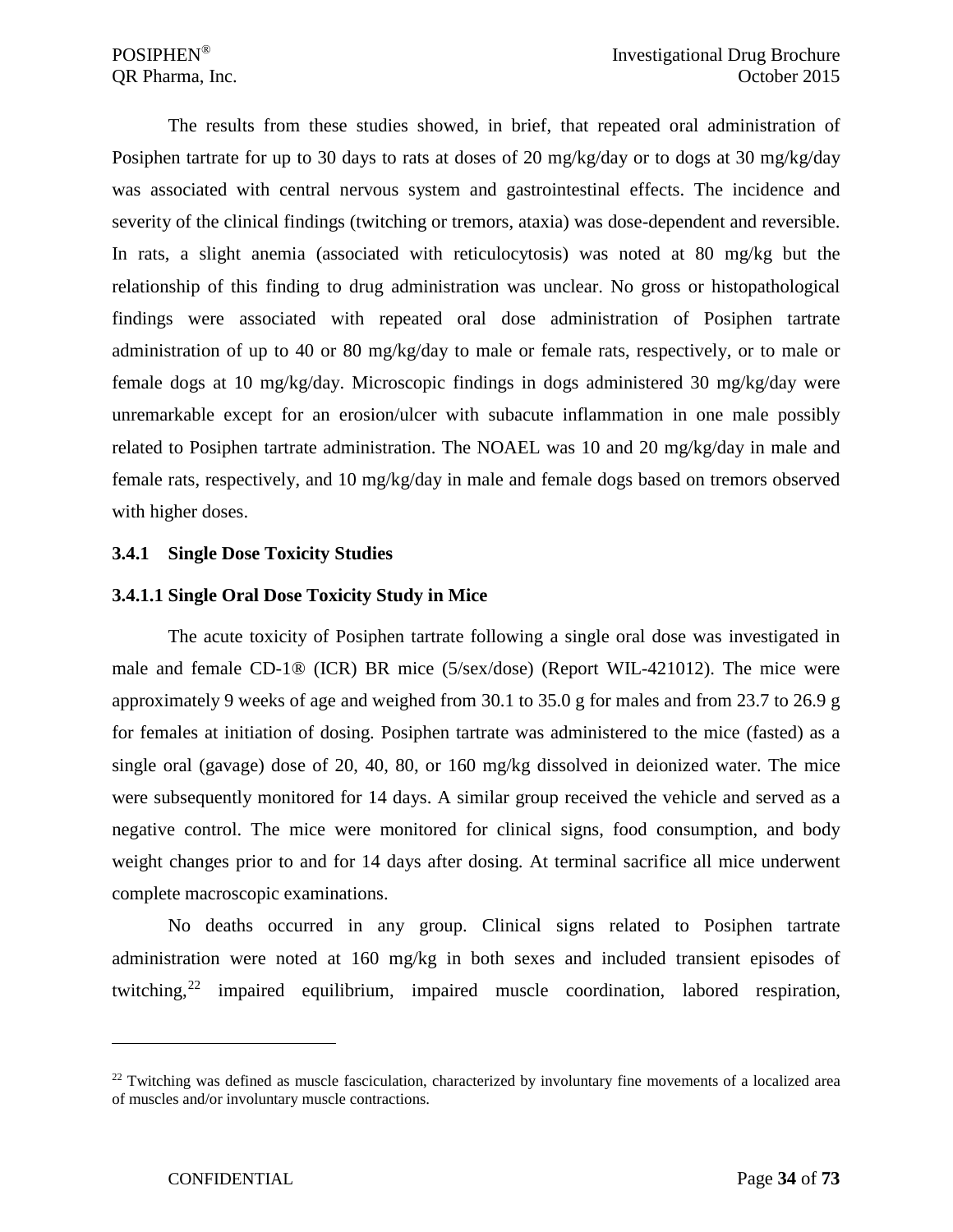The results from these studies showed, in brief, that repeated oral administration of Posiphen tartrate for up to 30 days to rats at doses of 20 mg/kg/day or to dogs at 30 mg/kg/day was associated with central nervous system and gastrointestinal effects. The incidence and severity of the clinical findings (twitching or tremors, ataxia) was dose-dependent and reversible. In rats, a slight anemia (associated with reticulocytosis) was noted at 80 mg/kg but the relationship of this finding to drug administration was unclear. No gross or histopathological findings were associated with repeated oral dose administration of Posiphen tartrate administration of up to 40 or 80 mg/kg/day to male or female rats, respectively, or to male or female dogs at 10 mg/kg/day. Microscopic findings in dogs administered 30 mg/kg/day were unremarkable except for an erosion/ulcer with subacute inflammation in one male possibly related to Posiphen tartrate administration. The NOAEL was 10 and 20 mg/kg/day in male and female rats, respectively, and 10 mg/kg/day in male and female dogs based on tremors observed with higher doses.

#### <span id="page-33-0"></span>**3.4.1 Single Dose Toxicity Studies**

### <span id="page-33-1"></span>**3.4.1.1 Single Oral Dose Toxicity Study in Mice**

The acute toxicity of Posiphen tartrate following a single oral dose was investigated in male and female CD-1® (ICR) BR mice (5/sex/dose) (Report WIL-421012). The mice were approximately 9 weeks of age and weighed from 30.1 to 35.0 g for males and from 23.7 to 26.9 g for females at initiation of dosing. Posiphen tartrate was administered to the mice (fasted) as a single oral (gavage) dose of 20, 40, 80, or 160 mg/kg dissolved in deionized water. The mice were subsequently monitored for 14 days. A similar group received the vehicle and served as a negative control. The mice were monitored for clinical signs, food consumption, and body weight changes prior to and for 14 days after dosing. At terminal sacrifice all mice underwent complete macroscopic examinations.

No deaths occurred in any group. Clinical signs related to Posiphen tartrate administration were noted at 160 mg/kg in both sexes and included transient episodes of twitching,[22](#page-33-2) impaired equilibrium, impaired muscle coordination, labored respiration,

<span id="page-33-2"></span> $^{22}$  Twitching was defined as muscle fasciculation, characterized by involuntary fine movements of a localized area of muscles and/or involuntary muscle contractions.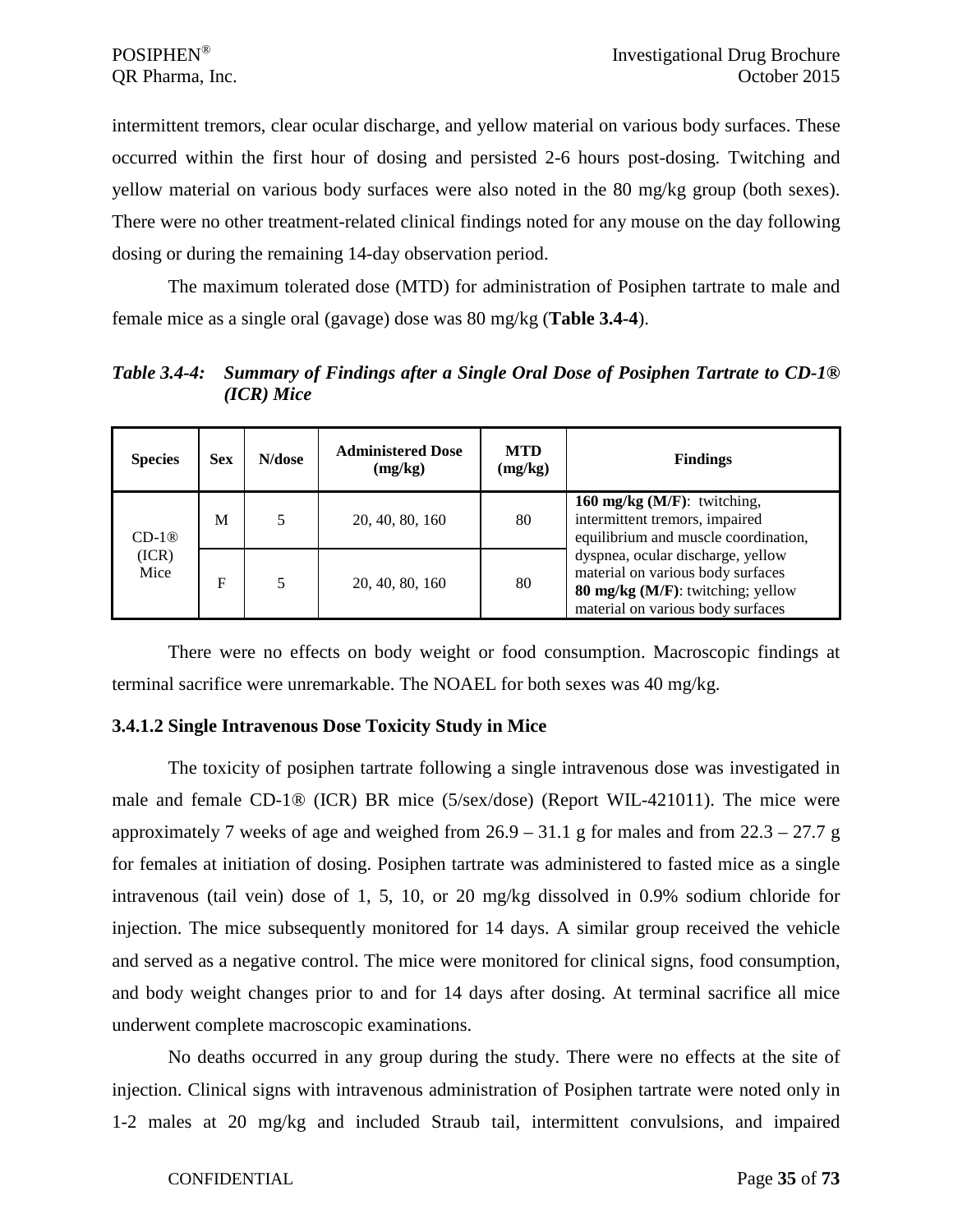intermittent tremors, clear ocular discharge, and yellow material on various body surfaces. These occurred within the first hour of dosing and persisted 2-6 hours post-dosing. Twitching and yellow material on various body surfaces were also noted in the 80 mg/kg group (both sexes). There were no other treatment-related clinical findings noted for any mouse on the day following dosing or during the remaining 14-day observation period.

The maximum tolerated dose (MTD) for administration of Posiphen tartrate to male and female mice as a single oral (gavage) dose was 80 mg/kg (**Table 3.4-4**).

*Table 3.4-4: Summary of Findings after a Single Oral Dose of Posiphen Tartrate to CD-1® (ICR) Mice*

| <b>Species</b> | <b>Sex</b> | N/dose | <b>Administered Dose</b><br>(mg/kg) | <b>MTD</b><br>(mg/kg) | <b>Findings</b>                                                                                                                                  |
|----------------|------------|--------|-------------------------------------|-----------------------|--------------------------------------------------------------------------------------------------------------------------------------------------|
| $CD-1@$        | M          |        | 20, 40, 80, 160                     | 80                    | 160 mg/kg $(M/F)$ : twitching,<br>intermittent tremors, impaired<br>equilibrium and muscle coordination,                                         |
| (ICR)<br>Mice  | F          |        | 20, 40, 80, 160                     | 80                    | dyspnea, ocular discharge, yellow<br>material on various body surfaces<br>80 mg/kg (M/F): twitching; yellow<br>material on various body surfaces |

There were no effects on body weight or food consumption. Macroscopic findings at terminal sacrifice were unremarkable. The NOAEL for both sexes was 40 mg/kg.

## <span id="page-34-0"></span>**3.4.1.2 Single Intravenous Dose Toxicity Study in Mice**

The toxicity of posiphen tartrate following a single intravenous dose was investigated in male and female CD-1® (ICR) BR mice (5/sex/dose) (Report WIL-421011). The mice were approximately 7 weeks of age and weighed from  $26.9 - 31.1$  g for males and from  $22.3 - 27.7$  g for females at initiation of dosing. Posiphen tartrate was administered to fasted mice as a single intravenous (tail vein) dose of 1, 5, 10, or 20 mg/kg dissolved in 0.9% sodium chloride for injection. The mice subsequently monitored for 14 days. A similar group received the vehicle and served as a negative control. The mice were monitored for clinical signs, food consumption, and body weight changes prior to and for 14 days after dosing. At terminal sacrifice all mice underwent complete macroscopic examinations.

No deaths occurred in any group during the study. There were no effects at the site of injection. Clinical signs with intravenous administration of Posiphen tartrate were noted only in 1-2 males at 20 mg/kg and included Straub tail, intermittent convulsions, and impaired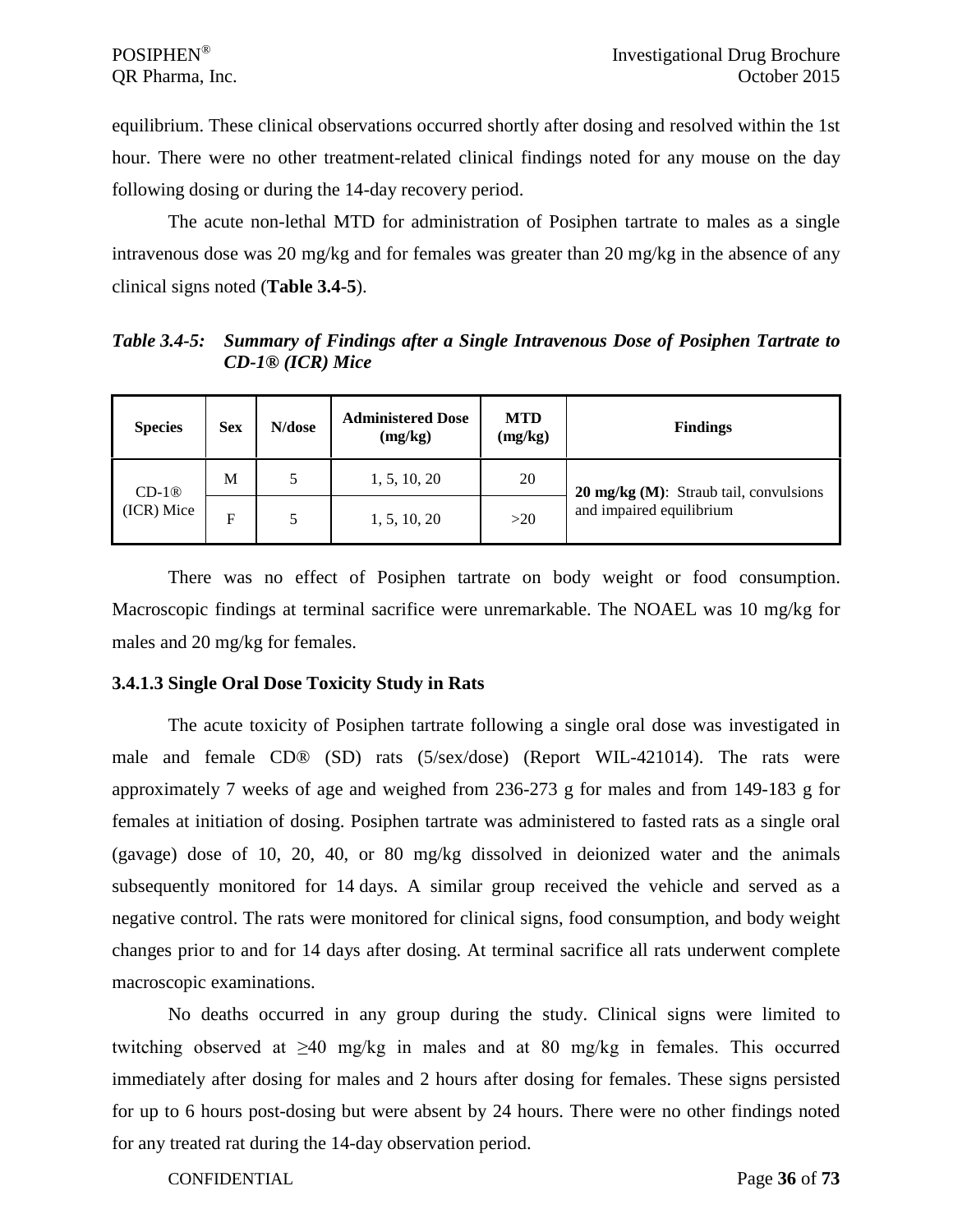equilibrium. These clinical observations occurred shortly after dosing and resolved within the 1st hour. There were no other treatment-related clinical findings noted for any mouse on the day following dosing or during the 14-day recovery period.

The acute non-lethal MTD for administration of Posiphen tartrate to males as a single intravenous dose was 20 mg/kg and for females was greater than 20 mg/kg in the absence of any clinical signs noted (**Table 3.4-5**).

*Table 3.4-5: Summary of Findings after a Single Intravenous Dose of Posiphen Tartrate to CD-1® (ICR) Mice*

| <b>Species</b> | <b>Sex</b> | N/dose | <b>Administered Dose</b><br>(mg/kg) | <b>MTD</b><br>(mg/kg) | <b>Findings</b>                                  |
|----------------|------------|--------|-------------------------------------|-----------------------|--------------------------------------------------|
| $CD-1@$        | М          |        | 1, 5, 10, 20                        | 20                    | $20 \text{ mg/kg}$ (M): Straub tail, convulsions |
| (ICR) Mice     | F          | 5      | 1, 5, 10, 20                        | >20                   | and impaired equilibrium                         |

There was no effect of Posiphen tartrate on body weight or food consumption. Macroscopic findings at terminal sacrifice were unremarkable. The NOAEL was 10 mg/kg for males and 20 mg/kg for females.

#### <span id="page-35-0"></span>**3.4.1.3 Single Oral Dose Toxicity Study in Rats**

The acute toxicity of Posiphen tartrate following a single oral dose was investigated in male and female CD® (SD) rats (5/sex/dose) (Report WIL-421014). The rats were approximately 7 weeks of age and weighed from 236-273 g for males and from 149-183 g for females at initiation of dosing. Posiphen tartrate was administered to fasted rats as a single oral (gavage) dose of 10, 20, 40, or 80 mg/kg dissolved in deionized water and the animals subsequently monitored for 14 days. A similar group received the vehicle and served as a negative control. The rats were monitored for clinical signs, food consumption, and body weight changes prior to and for 14 days after dosing. At terminal sacrifice all rats underwent complete macroscopic examinations.

No deaths occurred in any group during the study. Clinical signs were limited to twitching observed at ≥40 mg/kg in males and at 80 mg/kg in females. This occurred immediately after dosing for males and 2 hours after dosing for females. These signs persisted for up to 6 hours post-dosing but were absent by 24 hours. There were no other findings noted for any treated rat during the 14-day observation period.

CONFIDENTIAL Page **36** of **73**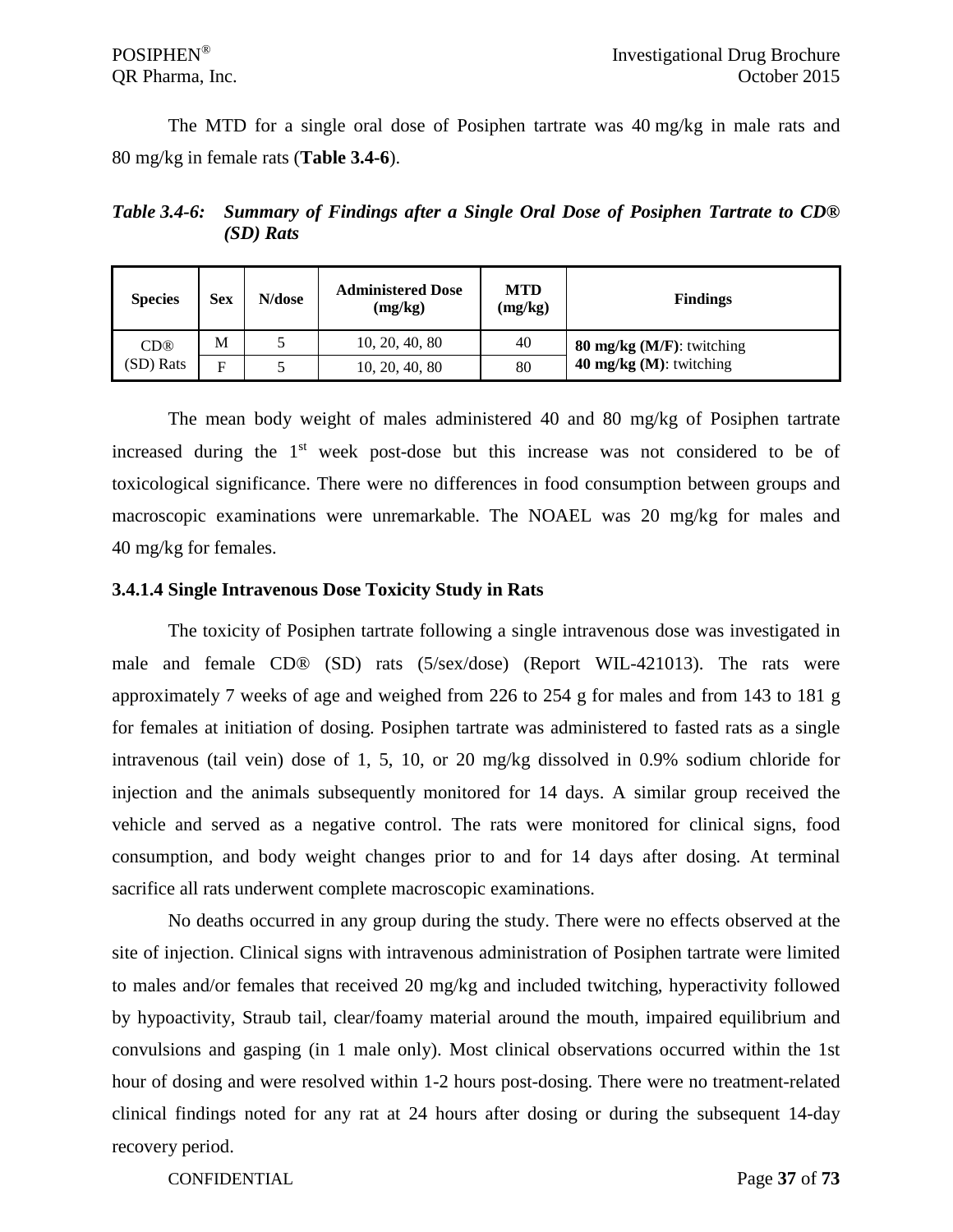The MTD for a single oral dose of Posiphen tartrate was 40 mg/kg in male rats and 80 mg/kg in female rats (**Table 3.4-6**).

*Table 3.4-6: Summary of Findings after a Single Oral Dose of Posiphen Tartrate to CD® (SD) Rats*

| <b>Species</b>  | <b>Sex</b> | N/dose | <b>Administered Dose</b><br>(mg/kg) | <b>MTD</b><br>(mg/kg) | <b>Findings</b>              |
|-----------------|------------|--------|-------------------------------------|-----------------------|------------------------------|
| CD <sup>®</sup> | M          |        | 10, 20, 40, 80                      | 40                    | 80 mg/kg $(M/F)$ : twitching |
| (SD) Rats       | E          |        | 10, 20, 40, 80                      | 80                    | 40 $mg/kg$ (M): twitching    |

The mean body weight of males administered 40 and 80 mg/kg of Posiphen tartrate increased during the  $1<sup>st</sup>$  week post-dose but this increase was not considered to be of toxicological significance. There were no differences in food consumption between groups and macroscopic examinations were unremarkable. The NOAEL was 20 mg/kg for males and 40 mg/kg for females.

### **3.4.1.4 Single Intravenous Dose Toxicity Study in Rats**

The toxicity of Posiphen tartrate following a single intravenous dose was investigated in male and female CD® (SD) rats (5/sex/dose) (Report WIL-421013). The rats were approximately 7 weeks of age and weighed from 226 to 254 g for males and from 143 to 181 g for females at initiation of dosing. Posiphen tartrate was administered to fasted rats as a single intravenous (tail vein) dose of 1, 5, 10, or 20 mg/kg dissolved in 0.9% sodium chloride for injection and the animals subsequently monitored for 14 days. A similar group received the vehicle and served as a negative control. The rats were monitored for clinical signs, food consumption, and body weight changes prior to and for 14 days after dosing. At terminal sacrifice all rats underwent complete macroscopic examinations.

No deaths occurred in any group during the study. There were no effects observed at the site of injection. Clinical signs with intravenous administration of Posiphen tartrate were limited to males and/or females that received 20 mg/kg and included twitching, hyperactivity followed by hypoactivity, Straub tail, clear/foamy material around the mouth, impaired equilibrium and convulsions and gasping (in 1 male only). Most clinical observations occurred within the 1st hour of dosing and were resolved within 1-2 hours post-dosing. There were no treatment-related clinical findings noted for any rat at 24 hours after dosing or during the subsequent 14-day recovery period.

CONFIDENTIAL Page **37** of **73**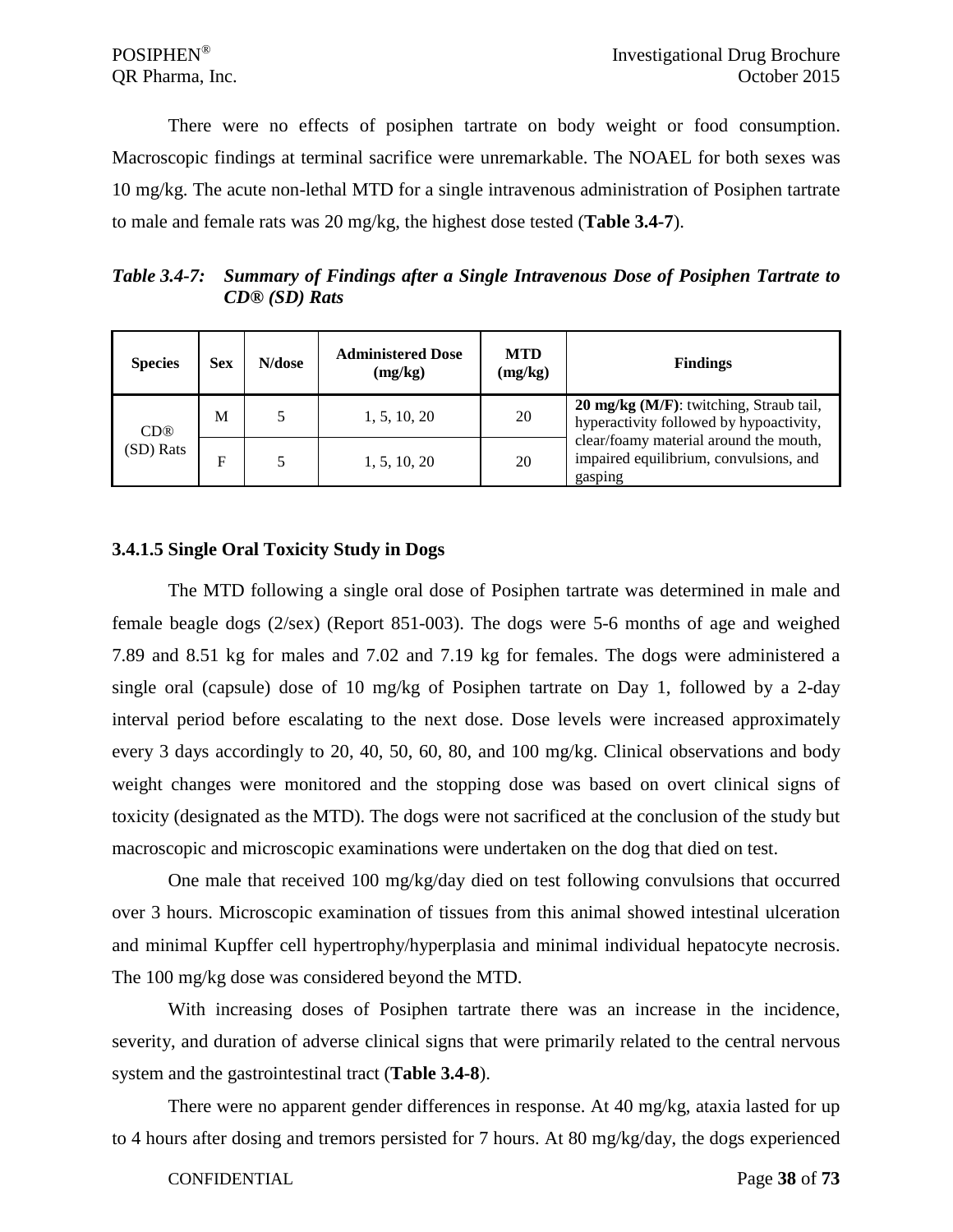There were no effects of posiphen tartrate on body weight or food consumption. Macroscopic findings at terminal sacrifice were unremarkable. The NOAEL for both sexes was 10 mg/kg. The acute non-lethal MTD for a single intravenous administration of Posiphen tartrate to male and female rats was 20 mg/kg, the highest dose tested (**Table 3.4-7**).

*Table 3.4-7: Summary of Findings after a Single Intravenous Dose of Posiphen Tartrate to CD® (SD) Rats*

| <b>Species</b>  | <b>Sex</b> | N/dose | <b>Administered Dose</b><br>(mg/kg) | <b>MTD</b><br>(mg/kg) | <b>Findings</b>                                                                             |
|-----------------|------------|--------|-------------------------------------|-----------------------|---------------------------------------------------------------------------------------------|
| CD <sup>®</sup> | M          |        | 1, 5, 10, 20                        | 20                    | 20 mg/kg (M/F): twitching, Straub tail,<br>hyperactivity followed by hypoactivity,          |
| (SD) Rats       | F          |        | 1, 5, 10, 20                        | 20                    | clear/foamy material around the mouth,<br>impaired equilibrium, convulsions, and<br>gasping |

#### **3.4.1.5 Single Oral Toxicity Study in Dogs**

The MTD following a single oral dose of Posiphen tartrate was determined in male and female beagle dogs (2/sex) (Report 851-003). The dogs were 5-6 months of age and weighed 7.89 and 8.51 kg for males and 7.02 and 7.19 kg for females. The dogs were administered a single oral (capsule) dose of 10 mg/kg of Posiphen tartrate on Day 1, followed by a 2-day interval period before escalating to the next dose. Dose levels were increased approximately every 3 days accordingly to 20, 40, 50, 60, 80, and 100 mg/kg. Clinical observations and body weight changes were monitored and the stopping dose was based on overt clinical signs of toxicity (designated as the MTD). The dogs were not sacrificed at the conclusion of the study but macroscopic and microscopic examinations were undertaken on the dog that died on test.

One male that received 100 mg/kg/day died on test following convulsions that occurred over 3 hours. Microscopic examination of tissues from this animal showed intestinal ulceration and minimal Kupffer cell hypertrophy/hyperplasia and minimal individual hepatocyte necrosis. The 100 mg/kg dose was considered beyond the MTD.

With increasing doses of Posiphen tartrate there was an increase in the incidence, severity, and duration of adverse clinical signs that were primarily related to the central nervous system and the gastrointestinal tract (**Table 3.4-8**).

There were no apparent gender differences in response. At 40 mg/kg, ataxia lasted for up to 4 hours after dosing and tremors persisted for 7 hours. At 80 mg/kg/day, the dogs experienced

CONFIDENTIAL Page **38** of **73**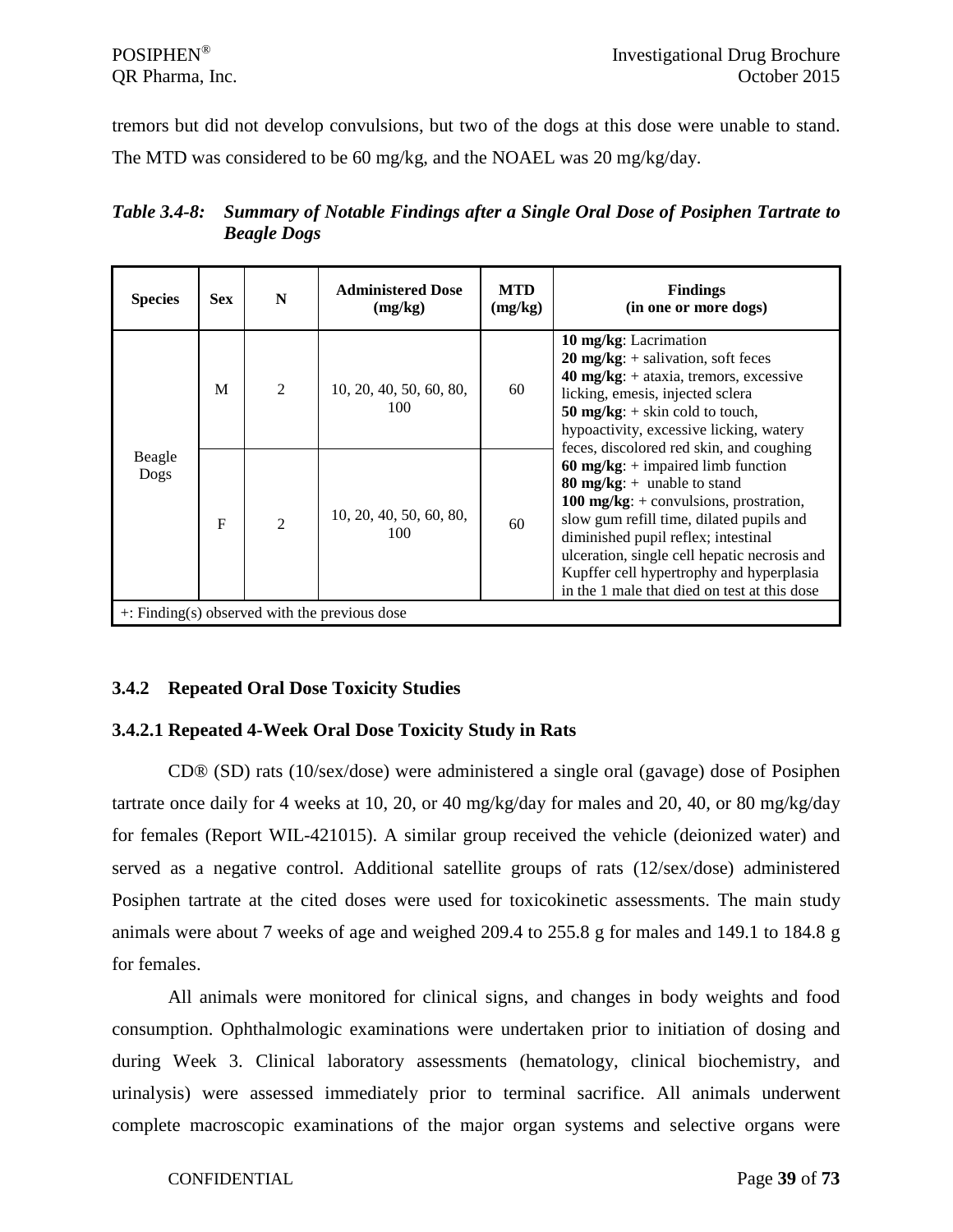tremors but did not develop convulsions, but two of the dogs at this dose were unable to stand. The MTD was considered to be 60 mg/kg, and the NOAEL was 20 mg/kg/day.

| <b>Species</b> | <b>Sex</b>   | N              | <b>Administered Dose</b><br>(mg/kg) | <b>MTD</b><br>(mg/kg) | <b>Findings</b><br>(in one or more dogs)                                                                                                                                                                                                                                                                                                         |
|----------------|--------------|----------------|-------------------------------------|-----------------------|--------------------------------------------------------------------------------------------------------------------------------------------------------------------------------------------------------------------------------------------------------------------------------------------------------------------------------------------------|
|                | M            | $\overline{2}$ | 10, 20, 40, 50, 60, 80,<br>100      | 60                    | 10 mg/kg: Lacrimation<br>$20 \text{ mg/kg}: + \text{salivation}, \text{soft faces}$<br>$40 \text{ mg/kg}: + \text{ataxia}, \text{tremors}, \text{excessive}$<br>licking, emesis, injected sclera<br>50 mg/kg: $+$ skin cold to touch,<br>hypoactivity, excessive licking, watery<br>feces, discolored red skin, and coughing                     |
| Beagle<br>Dogs | $\mathbf{F}$ | $\overline{2}$ | 10, 20, 40, 50, 60, 80,<br>100      | 60                    | 60 mg/kg: $+$ impaired limb function<br>80 mg/kg: $+$ unable to stand<br>100 mg/kg: $+$ convulsions, prostration,<br>slow gum refill time, dilated pupils and<br>diminished pupil reflex; intestinal<br>ulceration, single cell hepatic necrosis and<br>Kupffer cell hypertrophy and hyperplasia<br>in the 1 male that died on test at this dose |

*Table 3.4-8: Summary of Notable Findings after a Single Oral Dose of Posiphen Tartrate to Beagle Dogs*

# **3.4.2 Repeated Oral Dose Toxicity Studies**

# **3.4.2.1 Repeated 4-Week Oral Dose Toxicity Study in Rats**

CD® (SD) rats (10/sex/dose) were administered a single oral (gavage) dose of Posiphen tartrate once daily for 4 weeks at 10, 20, or 40 mg/kg/day for males and 20, 40, or 80 mg/kg/day for females (Report WIL-421015). A similar group received the vehicle (deionized water) and served as a negative control. Additional satellite groups of rats (12/sex/dose) administered Posiphen tartrate at the cited doses were used for toxicokinetic assessments. The main study animals were about 7 weeks of age and weighed 209.4 to 255.8 g for males and 149.1 to 184.8 g for females.

All animals were monitored for clinical signs, and changes in body weights and food consumption. Ophthalmologic examinations were undertaken prior to initiation of dosing and during Week 3. Clinical laboratory assessments (hematology, clinical biochemistry, and urinalysis) were assessed immediately prior to terminal sacrifice. All animals underwent complete macroscopic examinations of the major organ systems and selective organs were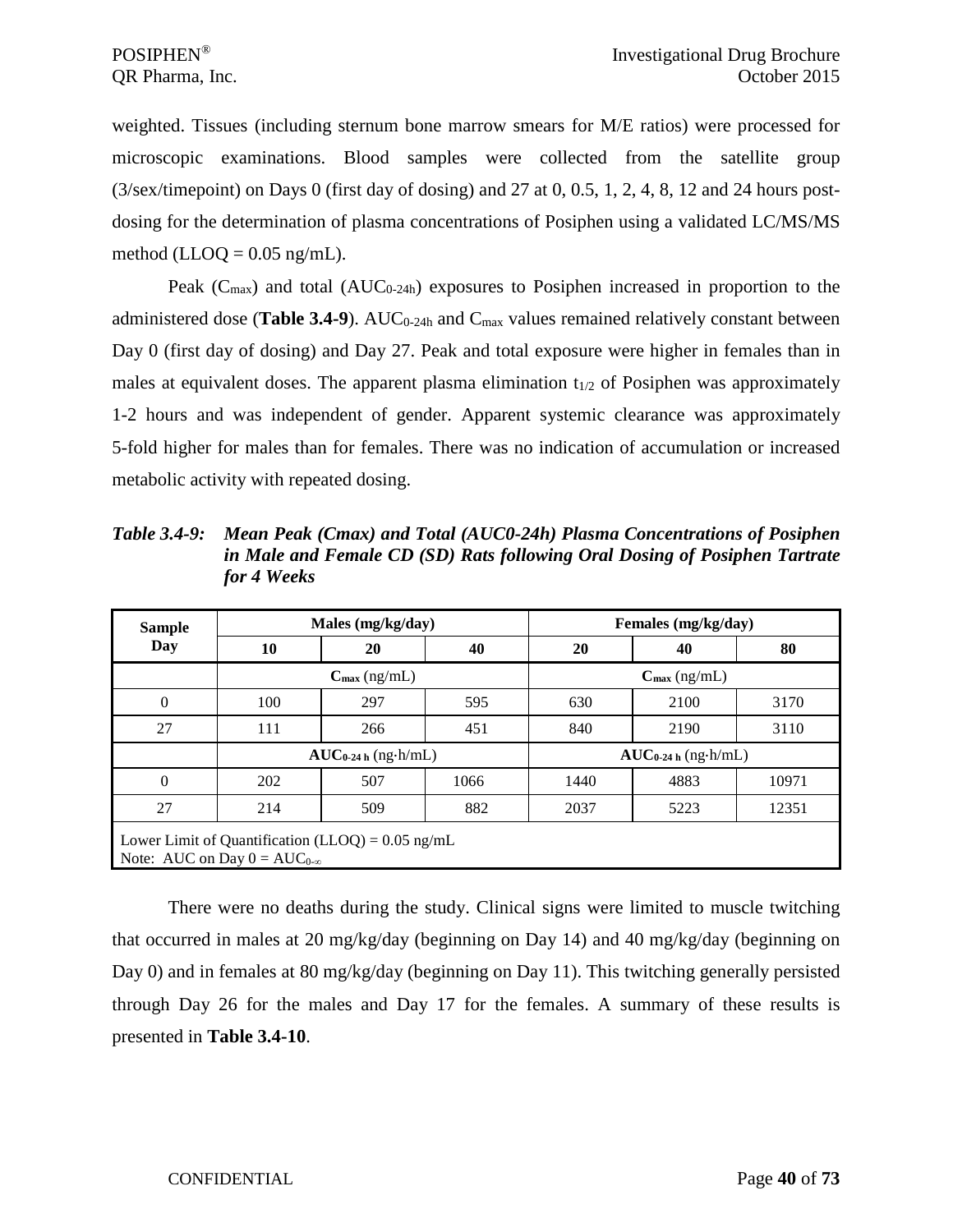weighted. Tissues (including sternum bone marrow smears for M/E ratios) were processed for microscopic examinations. Blood samples were collected from the satellite group (3/sex/timepoint) on Days 0 (first day of dosing) and 27 at 0, 0.5, 1, 2, 4, 8, 12 and 24 hours postdosing for the determination of plasma concentrations of Posiphen using a validated LC/MS/MS method (LLOQ =  $0.05$  ng/mL).

Peak ( $C_{\text{max}}$ ) and total (AUC<sub>0-24h</sub>) exposures to Posiphen increased in proportion to the administered dose (**Table 3.4-9**). AUC<sub>0-24h</sub> and C<sub>max</sub> values remained relatively constant between Day 0 (first day of dosing) and Day 27. Peak and total exposure were higher in females than in males at equivalent doses. The apparent plasma elimination  $t_{1/2}$  of Posiphen was approximately 1-2 hours and was independent of gender. Apparent systemic clearance was approximately 5-fold higher for males than for females. There was no indication of accumulation or increased metabolic activity with repeated dosing.

*Table 3.4-9: Mean Peak (Cmax) and Total (AUC0-24h) Plasma Concentrations of Posiphen in Male and Female CD (SD) Rats following Oral Dosing of Posiphen Tartrate for 4 Weeks*

| <b>Sample</b>  |                                       | Males (mg/kg/day)                                    |      |                          | Females (mg/kg/day) |       |  |  |
|----------------|---------------------------------------|------------------------------------------------------|------|--------------------------|---------------------|-------|--|--|
| Day            | 10                                    | 20                                                   | 40   | 20                       | 40                  | 80    |  |  |
|                |                                       | $C_{\text{max}}$ (ng/mL)<br>$C_{\text{max}}$ (ng/mL) |      |                          |                     |       |  |  |
| $\overline{0}$ | 100                                   | 297                                                  | 595  | 630                      | 2100                | 3170  |  |  |
| 27             | 111                                   | 266                                                  | 451  | 840                      | 2190                | 3110  |  |  |
|                |                                       | $AUC_{0-24 h}$ (ng·h/mL)                             |      | $AUC_{0-24 h}$ (ng·h/mL) |                     |       |  |  |
| $\theta$       | 202                                   | 507                                                  | 1066 | 1440                     | 4883                | 10971 |  |  |
| 27             | 214                                   | 509                                                  | 882  | 2037                     | 5223                | 12351 |  |  |
|                | Note: AUC on Day $0 = AUC_{0-\infty}$ | Lower Limit of Quantification (LLOQ) = $0.05$ ng/mL  |      |                          |                     |       |  |  |

There were no deaths during the study. Clinical signs were limited to muscle twitching that occurred in males at 20 mg/kg/day (beginning on Day 14) and 40 mg/kg/day (beginning on Day 0) and in females at 80 mg/kg/day (beginning on Day 11). This twitching generally persisted through Day 26 for the males and Day 17 for the females. A summary of these results is presented in **Table 3.4-10**.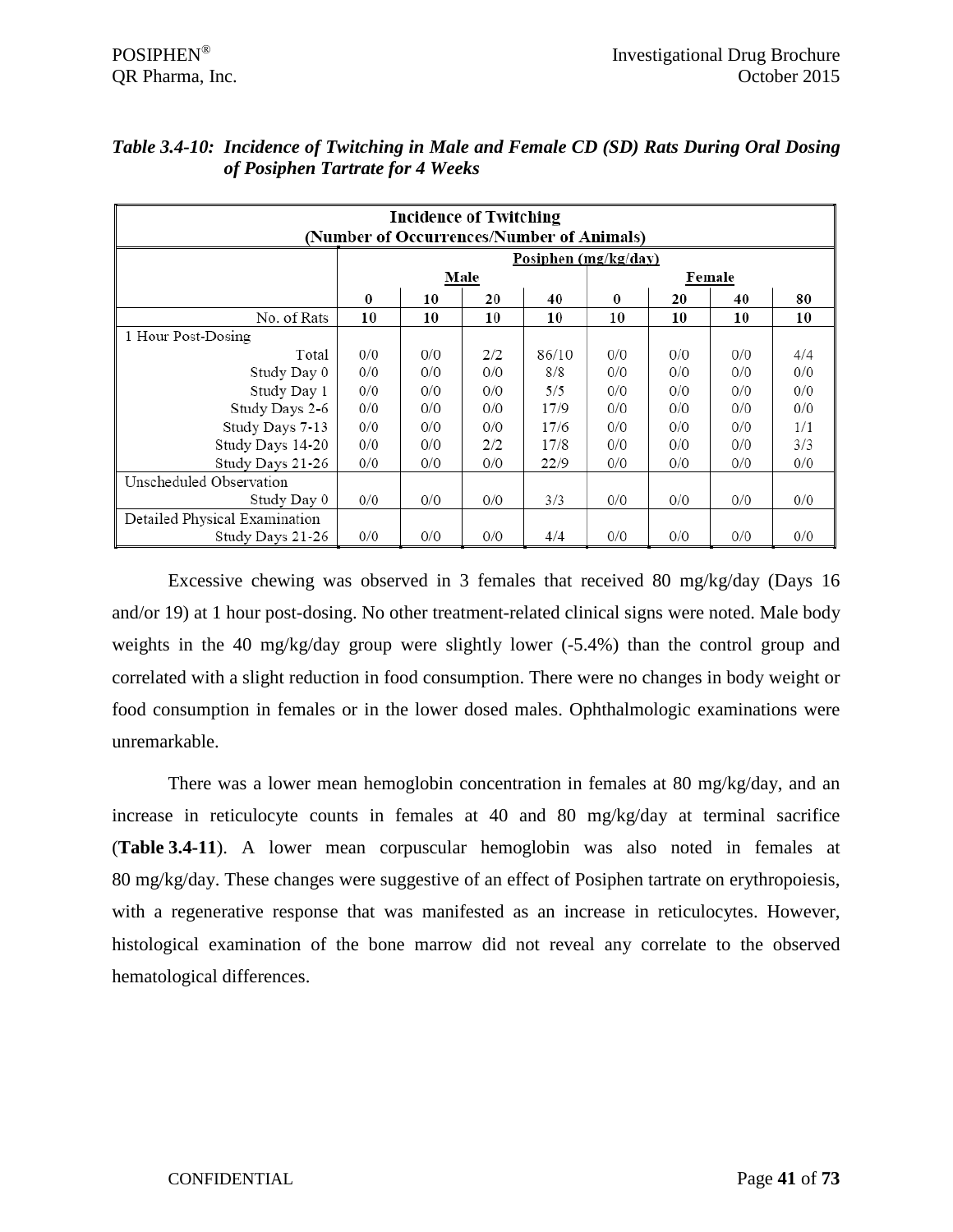|                               | <b>Incidence of Twitching</b><br>(Number of Occurrences/Number of Animals) |                      |      |       |     |     |        |     |  |  |  |
|-------------------------------|----------------------------------------------------------------------------|----------------------|------|-------|-----|-----|--------|-----|--|--|--|
|                               |                                                                            | Posiphen (mg/kg/day) |      |       |     |     |        |     |  |  |  |
|                               |                                                                            |                      | Male |       |     |     | Female |     |  |  |  |
|                               | $\bf{0}$                                                                   | 20<br>40<br>10       |      |       |     | 20  | 40     | 80  |  |  |  |
| No. of Rats                   | 10                                                                         | 10                   | 10   | 10    | 10  | 10  | 10     | 10  |  |  |  |
| 1 Hour Post-Dosing            |                                                                            |                      |      |       |     |     |        |     |  |  |  |
| Total                         | 0/0                                                                        | 0/0                  | 2/2  | 86/10 | 0/0 | 0/0 | 0/0    | 4/4 |  |  |  |
| Study Day 0                   | 0/0                                                                        | 0/0                  | 0/0  | 8/8   | 0/0 | 0/0 | 0/0    | 0/0 |  |  |  |
| Study Day 1                   | 0/0                                                                        | 0/0                  | 0/0  | 5/5   | 0/0 | 0/0 | 0/0    | 0/0 |  |  |  |
| Study Days 2-6                | 0/0                                                                        | 0/0                  | 0/0  | 17/9  | 0/0 | 0/0 | 0/0    | 0/0 |  |  |  |
| Study Days 7-13               | 0/0                                                                        | 0/0                  | 0/0  | 17/6  | 0/0 | 0/0 | 0/0    | 1/1 |  |  |  |
| Study Days 14-20              | 0/0                                                                        | 0/0                  | 2/2  | 17/8  | 0/0 | 0/0 | 0/0    | 3/3 |  |  |  |
| Study Days 21-26              | 0/0                                                                        | 0/0                  | 0/0  | 22/9  | 0/0 | 0/0 | 0/0    | 0/0 |  |  |  |
| Unscheduled Observation       |                                                                            |                      |      |       |     |     |        |     |  |  |  |
| Study Day 0                   | 0/0                                                                        | 0/0                  | 0/0  | 3/3   | 0/0 | 0/0 | 0/0    | 0/0 |  |  |  |
| Detailed Physical Examination |                                                                            |                      |      |       |     |     |        |     |  |  |  |
| Study Days 21-26              | 0/0                                                                        | 0/0                  | 0/0  | 4/4   | 0/0 | 0/0 | 0/0    | 0/0 |  |  |  |

# *Table 3.4-10: Incidence of Twitching in Male and Female CD (SD) Rats During Oral Dosing of Posiphen Tartrate for 4 Weeks*

Excessive chewing was observed in 3 females that received 80 mg/kg/day (Days 16 and/or 19) at 1 hour post-dosing. No other treatment-related clinical signs were noted. Male body weights in the 40 mg/kg/day group were slightly lower (-5.4%) than the control group and correlated with a slight reduction in food consumption. There were no changes in body weight or food consumption in females or in the lower dosed males. Ophthalmologic examinations were unremarkable.

There was a lower mean hemoglobin concentration in females at 80 mg/kg/day, and an increase in reticulocyte counts in females at 40 and 80 mg/kg/day at terminal sacrifice (**Table 3.4-11**). A lower mean corpuscular hemoglobin was also noted in females at 80 mg/kg/day. These changes were suggestive of an effect of Posiphen tartrate on erythropoiesis, with a regenerative response that was manifested as an increase in reticulocytes. However, histological examination of the bone marrow did not reveal any correlate to the observed hematological differences.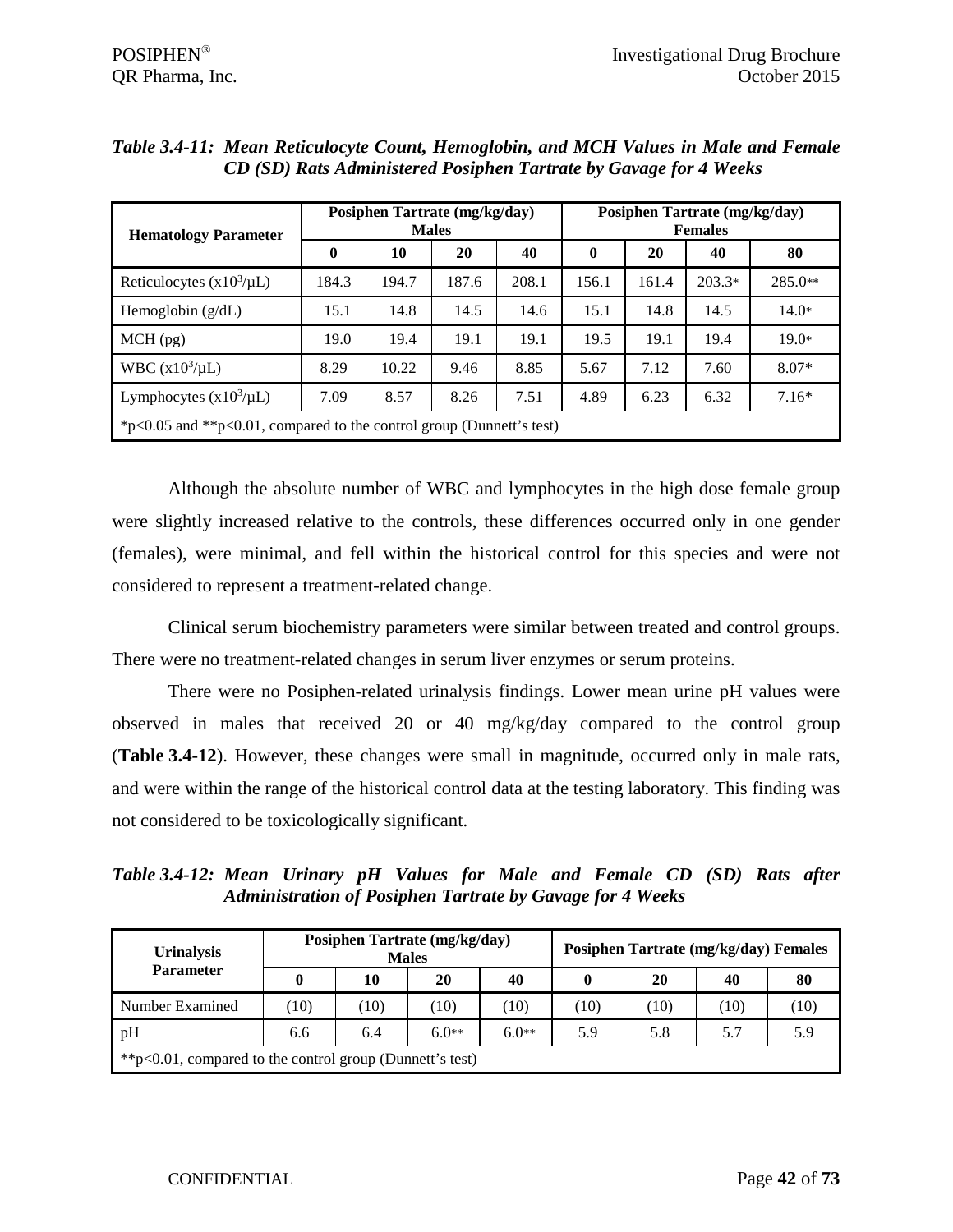| <b>Hematology Parameter</b>                                          |          | Posiphen Tartrate (mg/kg/day) | <b>Males</b> |       | Posiphen Tartrate (mg/kg/day)<br><b>Females</b> |       |          |           |  |  |
|----------------------------------------------------------------------|----------|-------------------------------|--------------|-------|-------------------------------------------------|-------|----------|-----------|--|--|
|                                                                      | $\bf{0}$ | 10                            | 20           | 40    | $\bf{0}$                                        | 20    | 40       | 80        |  |  |
| Reticulocytes $(x10^3/\mu L)$                                        | 184.3    | 194.7                         | 187.6        | 208.1 | 156.1                                           | 161.4 | $203.3*$ | $285.0**$ |  |  |
| Hemoglobin $(g/dL)$                                                  | 15.1     | 14.8                          | 14.5         | 14.6  | 15.1                                            | 14.8  | 14.5     | $14.0*$   |  |  |
| $MCH$ (pg)                                                           | 19.0     | 19.4                          | 19.1         | 19.1  | 19.5                                            | 19.1  | 19.4     | $19.0*$   |  |  |
| WBC $(x10^3/\mu L)$                                                  | 8.29     | 10.22                         | 9.46         | 8.85  | 5.67                                            | 7.12  | 7.60     | $8.07*$   |  |  |
| Lymphocytes $(x10^3/\mu L)$                                          | 7.09     | 8.57                          | 8.26         | 7.51  | 4.89                                            | 6.23  | 6.32     | $7.16*$   |  |  |
| *p<0.05 and **p<0.01, compared to the control group (Dunnett's test) |          |                               |              |       |                                                 |       |          |           |  |  |

| Table 3.4-11: Mean Reticulocyte Count, Hemoglobin, and MCH Values in Male and Female |  |  |
|--------------------------------------------------------------------------------------|--|--|
| CD (SD) Rats Administered Posiphen Tartrate by Gavage for 4 Weeks                    |  |  |

Although the absolute number of WBC and lymphocytes in the high dose female group were slightly increased relative to the controls, these differences occurred only in one gender (females), were minimal, and fell within the historical control for this species and were not considered to represent a treatment-related change.

Clinical serum biochemistry parameters were similar between treated and control groups. There were no treatment-related changes in serum liver enzymes or serum proteins.

There were no Posiphen-related urinalysis findings. Lower mean urine pH values were observed in males that received 20 or 40 mg/kg/day compared to the control group (**Table 3.4-12**). However, these changes were small in magnitude, occurred only in male rats, and were within the range of the historical control data at the testing laboratory. This finding was not considered to be toxicologically significant.

*Table 3.4-12: Mean Urinary pH Values for Male and Female CD (SD) Rats after Administration of Posiphen Tartrate by Gavage for 4 Weeks*

| <b>Urinalysis</b>                                            |     |      | Posiphen Tartrate (mg/kg/day)<br><b>Males</b> |         | Posiphen Tartrate (mg/kg/day) Females |                   |      |      |  |
|--------------------------------------------------------------|-----|------|-----------------------------------------------|---------|---------------------------------------|-------------------|------|------|--|
| <b>Parameter</b>                                             |     | 10   | 20                                            | 40      | 0                                     | 20                | 40   | 80   |  |
| Number Examined                                              | 10) | (10) | (10)                                          | (10)    | (10)                                  | $\left(10\right)$ | (10) | (10) |  |
| pH                                                           | 6.6 | 6.4  | $6.0**$                                       | $6.0**$ | 5.9                                   | 5.8               | 5.7  | 5.9  |  |
| ** $p<0.01$ , compared to the control group (Dunnett's test) |     |      |                                               |         |                                       |                   |      |      |  |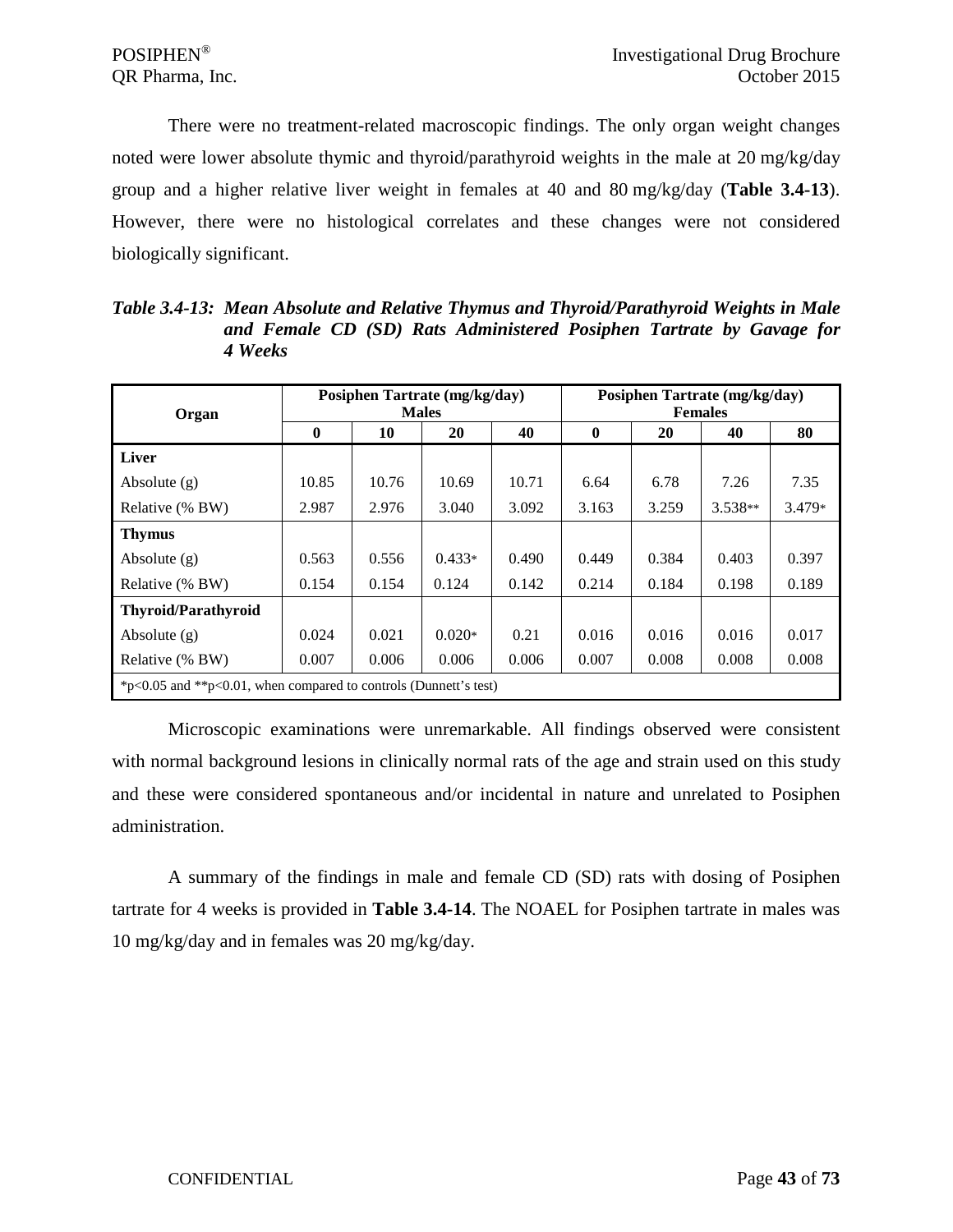There were no treatment-related macroscopic findings. The only organ weight changes noted were lower absolute thymic and thyroid/parathyroid weights in the male at 20 mg/kg/day group and a higher relative liver weight in females at 40 and 80 mg/kg/day (**Table 3.4-13**). However, there were no histological correlates and these changes were not considered biologically significant.

| Organ                                                                   |              |       | Posiphen Tartrate (mg/kg/day)<br><b>Males</b> |       | Posiphen Tartrate (mg/kg/day)<br><b>Females</b> |       |           |          |  |
|-------------------------------------------------------------------------|--------------|-------|-----------------------------------------------|-------|-------------------------------------------------|-------|-----------|----------|--|
|                                                                         | $\mathbf{0}$ | 10    | 20                                            | 40    | $\bf{0}$                                        | 20    | 40        | 80       |  |
| Liver                                                                   |              |       |                                               |       |                                                 |       |           |          |  |
| Absolute $(g)$                                                          | 10.85        | 10.76 | 10.69                                         | 10.71 | 6.64                                            | 6.78  | 7.26      | 7.35     |  |
| Relative (% BW)                                                         | 2.987        | 2.976 | 3.040                                         | 3.092 | 3.163                                           | 3.259 | $3.538**$ | $3.479*$ |  |
| <b>Thymus</b>                                                           |              |       |                                               |       |                                                 |       |           |          |  |
| Absolute $(g)$                                                          | 0.563        | 0.556 | $0.433*$                                      | 0.490 | 0.449                                           | 0.384 | 0.403     | 0.397    |  |
| Relative (% BW)                                                         | 0.154        | 0.154 | 0.124                                         | 0.142 | 0.214                                           | 0.184 | 0.198     | 0.189    |  |
| <b>Thyroid/Parathyroid</b>                                              |              |       |                                               |       |                                                 |       |           |          |  |
| Absolute $(g)$                                                          | 0.024        | 0.021 | $0.020*$                                      | 0.21  | 0.016                                           | 0.016 | 0.016     | 0.017    |  |
| Relative (% BW)                                                         | 0.007        | 0.006 | 0.006                                         | 0.006 | 0.007                                           | 0.008 | 0.008     | 0.008    |  |
| * $p<0.05$ and ** $p<0.01$ , when compared to controls (Dunnett's test) |              |       |                                               |       |                                                 |       |           |          |  |

*Table 3.4-13: Mean Absolute and Relative Thymus and Thyroid/Parathyroid Weights in Male and Female CD (SD) Rats Administered Posiphen Tartrate by Gavage for 4 Weeks*

Microscopic examinations were unremarkable. All findings observed were consistent with normal background lesions in clinically normal rats of the age and strain used on this study and these were considered spontaneous and/or incidental in nature and unrelated to Posiphen administration.

A summary of the findings in male and female CD (SD) rats with dosing of Posiphen tartrate for 4 weeks is provided in **Table 3.4-14**. The NOAEL for Posiphen tartrate in males was 10 mg/kg/day and in females was 20 mg/kg/day.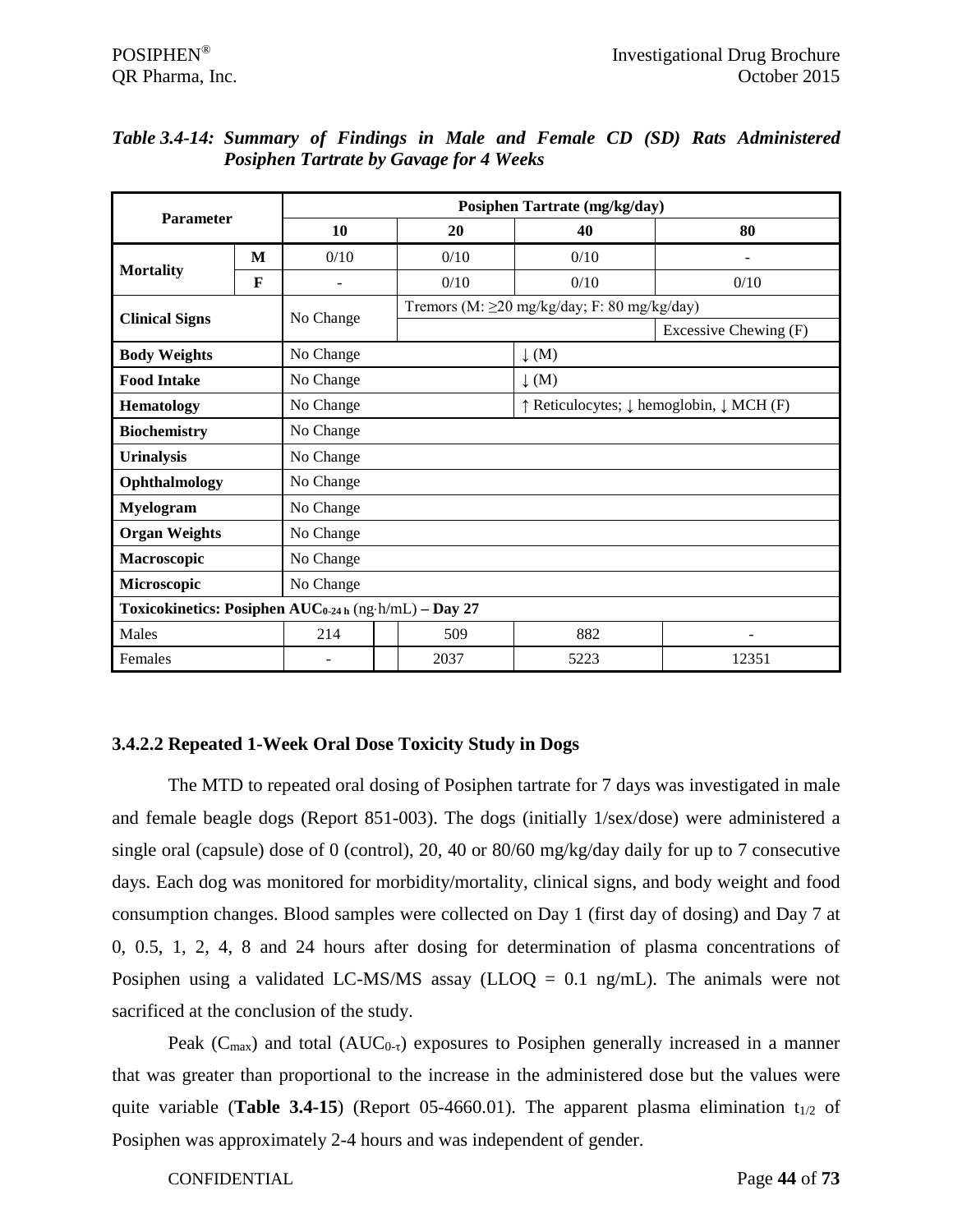| <b>Parameter</b>                                                  |   |                          |  |                                                   | Posiphen Tartrate (mg/kg/day)            |                       |  |  |  |
|-------------------------------------------------------------------|---|--------------------------|--|---------------------------------------------------|------------------------------------------|-----------------------|--|--|--|
|                                                                   |   | 10                       |  | 20                                                | 40                                       | 80                    |  |  |  |
|                                                                   | M | 0/10                     |  | 0/10                                              | 0/10                                     |                       |  |  |  |
| <b>Mortality</b>                                                  | F |                          |  | 0/10                                              | 0/10                                     | 0/10                  |  |  |  |
| <b>Clinical Signs</b>                                             |   | No Change                |  | Tremors (M: $\geq$ 20 mg/kg/day; F: 80 mg/kg/day) |                                          |                       |  |  |  |
|                                                                   |   |                          |  |                                                   |                                          | Excessive Chewing (F) |  |  |  |
| <b>Body Weights</b>                                               |   | No Change                |  |                                                   | $\downarrow$ (M)                         |                       |  |  |  |
| <b>Food Intake</b>                                                |   | No Change                |  |                                                   | $\downarrow$ (M)                         |                       |  |  |  |
| <b>Hematology</b>                                                 |   | No Change                |  |                                                   | ↑ Reticulocytes; ↓ hemoglobin, ↓ MCH (F) |                       |  |  |  |
| <b>Biochemistry</b>                                               |   | No Change                |  |                                                   |                                          |                       |  |  |  |
| <b>Urinalysis</b>                                                 |   | No Change                |  |                                                   |                                          |                       |  |  |  |
| Ophthalmology                                                     |   | No Change                |  |                                                   |                                          |                       |  |  |  |
| <b>Myelogram</b>                                                  |   | No Change                |  |                                                   |                                          |                       |  |  |  |
| <b>Organ Weights</b>                                              |   | No Change                |  |                                                   |                                          |                       |  |  |  |
| Macroscopic                                                       |   | No Change                |  |                                                   |                                          |                       |  |  |  |
| Microscopic                                                       |   | No Change                |  |                                                   |                                          |                       |  |  |  |
| Toxicokinetics: Posiphen AUC <sub>0-24 h</sub> (ng-h/mL) - Day 27 |   |                          |  |                                                   |                                          |                       |  |  |  |
| Males                                                             |   | 214                      |  | 509                                               | 882                                      |                       |  |  |  |
| Females                                                           |   | $\overline{\phantom{a}}$ |  | 2037                                              | 5223                                     | 12351                 |  |  |  |

# *Table 3.4-14: Summary of Findings in Male and Female CD (SD) Rats Administered Posiphen Tartrate by Gavage for 4 Weeks*

# **3.4.2.2 Repeated 1-Week Oral Dose Toxicity Study in Dogs**

The MTD to repeated oral dosing of Posiphen tartrate for 7 days was investigated in male and female beagle dogs (Report 851-003). The dogs (initially 1/sex/dose) were administered a single oral (capsule) dose of 0 (control), 20, 40 or 80/60 mg/kg/day daily for up to 7 consecutive days. Each dog was monitored for morbidity/mortality, clinical signs, and body weight and food consumption changes. Blood samples were collected on Day 1 (first day of dosing) and Day 7 at 0, 0.5, 1, 2, 4, 8 and 24 hours after dosing for determination of plasma concentrations of Posiphen using a validated LC-MS/MS assay (LLOQ =  $0.1$  ng/mL). The animals were not sacrificed at the conclusion of the study.

Peak ( $C_{\text{max}}$ ) and total ( $AUC_{0-\tau}$ ) exposures to Posiphen generally increased in a manner that was greater than proportional to the increase in the administered dose but the values were quite variable (**Table 3.4-15**) (Report 05-4660.01). The apparent plasma elimination  $t_{1/2}$  of Posiphen was approximately 2-4 hours and was independent of gender.

CONFIDENTIAL Page **44** of **73**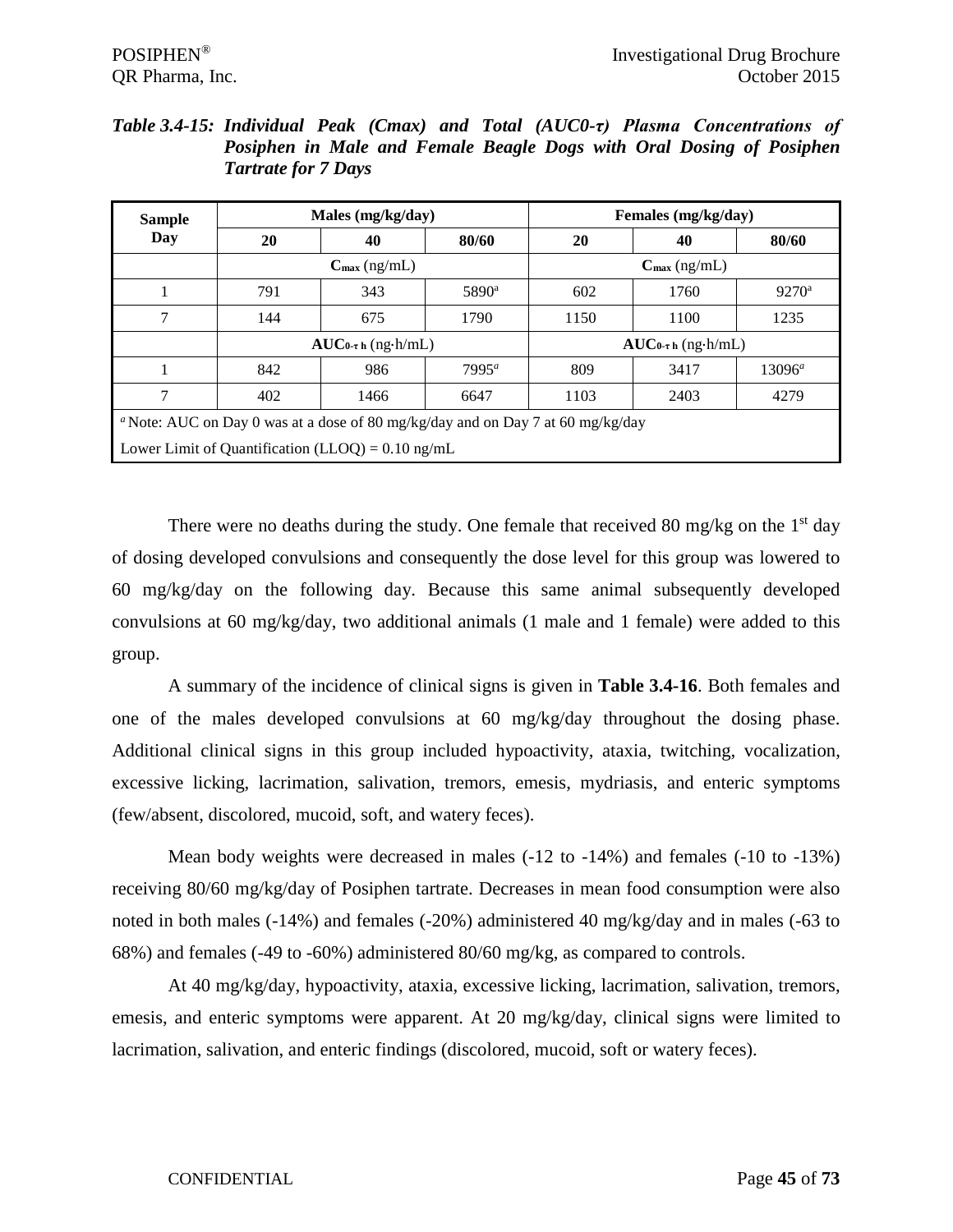| <b>Sample</b> |     | Males (mg/kg/day)               |                   |                                 | Females (mg/kg/day) |                |  |
|---------------|-----|---------------------------------|-------------------|---------------------------------|---------------------|----------------|--|
| Day           | 20  | 40                              | 80/60             | <b>20</b>                       | 40                  | 80/60          |  |
|               |     | $C_{\text{max}}$ (ng/mL)        |                   | $C_{\text{max}}$ (ng/mL)        |                     |                |  |
|               | 791 | 343                             | 5890 <sup>a</sup> | 602                             | 1760                | $9270^{\rm a}$ |  |
| 7             | 144 | 675                             | 1790              | 1150                            | 1100                | 1235           |  |
|               |     | $AUC_{0\text{-}t}$ is (ng-h/mL) |                   | $AUC_{0\text{-}t}$ is (ng-h/mL) |                     |                |  |
|               | 842 | 986                             | $7995^a$          | 809                             | 3417                | $13096^a$      |  |
| 7             | 402 | 1466                            | 6647              | 1103                            | 2403                | 4279           |  |

*Table 3.4-15: Individual Peak (Cmax) and Total (AUC0-τ) Plasma Concentrations of Posiphen in Male and Female Beagle Dogs with Oral Dosing of Posiphen Tartrate for 7 Days*

There were no deaths during the study. One female that received 80 mg/kg on the  $1<sup>st</sup>$  day of dosing developed convulsions and consequently the dose level for this group was lowered to 60 mg/kg/day on the following day. Because this same animal subsequently developed convulsions at 60 mg/kg/day, two additional animals (1 male and 1 female) were added to this group.

A summary of the incidence of clinical signs is given in **Table 3.4-16**. Both females and one of the males developed convulsions at 60 mg/kg/day throughout the dosing phase. Additional clinical signs in this group included hypoactivity, ataxia, twitching, vocalization, excessive licking, lacrimation, salivation, tremors, emesis, mydriasis, and enteric symptoms (few/absent, discolored, mucoid, soft, and watery feces).

Mean body weights were decreased in males (-12 to -14%) and females (-10 to -13%) receiving 80/60 mg/kg/day of Posiphen tartrate. Decreases in mean food consumption were also noted in both males (-14%) and females (-20%) administered 40 mg/kg/day and in males (-63 to 68%) and females (-49 to -60%) administered 80/60 mg/kg, as compared to controls.

At 40 mg/kg/day, hypoactivity, ataxia, excessive licking, lacrimation, salivation, tremors, emesis, and enteric symptoms were apparent. At 20 mg/kg/day, clinical signs were limited to lacrimation, salivation, and enteric findings (discolored, mucoid, soft or watery feces).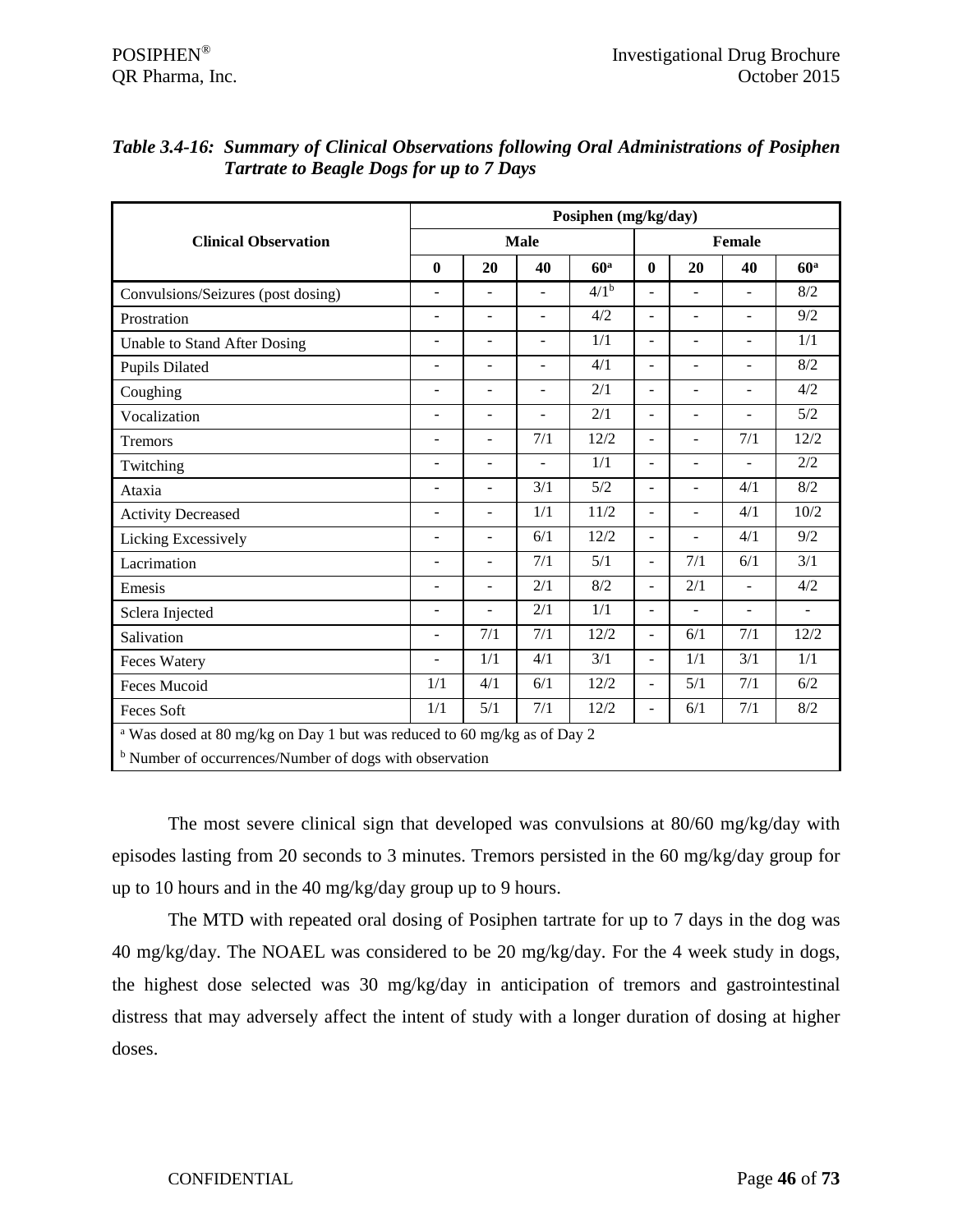|                                                                                     |                          |                          |                          | Posiphen (mg/kg/day) |                  |                          |                          |                          |
|-------------------------------------------------------------------------------------|--------------------------|--------------------------|--------------------------|----------------------|------------------|--------------------------|--------------------------|--------------------------|
| <b>Clinical Observation</b>                                                         |                          |                          | <b>Male</b>              |                      |                  |                          | Female                   |                          |
|                                                                                     | $\bf{0}$                 | 20                       | 40                       | 60 <sup>a</sup>      | $\boldsymbol{0}$ | 20                       | 40                       | 60 <sup>a</sup>          |
| Convulsions/Seizures (post dosing)                                                  | $\blacksquare$           | $\overline{\phantom{m}}$ | $\overline{\phantom{0}}$ | 4/1 <sup>b</sup>     | ÷,               | $\overline{\phantom{0}}$ | $\overline{a}$           | 8/2                      |
| Prostration                                                                         | $\blacksquare$           | $\blacksquare$           | $\blacksquare$           | 4/2                  | ÷,               | $\overline{\phantom{a}}$ | $\overline{a}$           | 9/2                      |
| Unable to Stand After Dosing                                                        | ٠                        | $\overline{\phantom{0}}$ | -                        | 1/1                  | ÷                | $\blacksquare$           | $\overline{a}$           | 1/1                      |
| <b>Pupils Dilated</b>                                                               | ٠                        | ٠                        | ÷                        | 4/1                  | ÷,               |                          | L,                       | 8/2                      |
| Coughing                                                                            | $\overline{\phantom{a}}$ | $\overline{\phantom{a}}$ | $\overline{\phantom{a}}$ | 2/1                  | $\overline{a}$   | $\blacksquare$           | -                        | 4/2                      |
| Vocalization                                                                        | $\blacksquare$           | $\overline{\phantom{a}}$ | $\blacksquare$           | 2/1                  | ÷,               | $\blacksquare$           | $\overline{\phantom{a}}$ | 5/2                      |
| Tremors                                                                             | $\blacksquare$           | $\overline{\phantom{a}}$ | 7/1                      | 12/2                 | ÷,               | $\blacksquare$           | 7/1                      | 12/2                     |
| Twitching                                                                           | ٠                        | $\blacksquare$           |                          | 1/1                  | ÷                | $\overline{a}$           |                          | 2/2                      |
| Ataxia                                                                              | $\blacksquare$           |                          | 3/1                      | 5/2                  | ÷                |                          | 4/1                      | 8/2                      |
| <b>Activity Decreased</b>                                                           | $\blacksquare$           | $\overline{\phantom{a}}$ | 1/1                      | 11/2                 | ÷,               | $\sim$                   | 4/1                      | 10/2                     |
| Licking Excessively                                                                 | $\overline{\phantom{a}}$ | $\overline{\phantom{m}}$ | 6/1                      | 12/2                 | ÷,               | $\blacksquare$           | 4/1                      | 9/2                      |
| Lacrimation                                                                         | $\blacksquare$           | $\overline{a}$           | 7/1                      | 5/1                  | ÷,               | 7/1                      | 6/1                      | 3/1                      |
| Emesis                                                                              | ٠                        | $\overline{\phantom{a}}$ | 2/1                      | 8/2                  | ÷                | 2/1                      | $\overline{a}$           | 4/2                      |
| Sclera Injected                                                                     | ٠                        |                          | 2/1                      | 1/1                  | ÷                |                          | $\overline{a}$           | $\overline{\phantom{a}}$ |
| Salivation                                                                          | $\blacksquare$           | 7/1                      | 7/1                      | 12/2                 | ÷,               | 6/1                      | 7/1                      | 12/2                     |
| <b>Feces Watery</b>                                                                 | $\blacksquare$           | 1/1                      | 4/1                      | 3/1                  | ÷,               | 1/1                      | 3/1                      | 1/1                      |
| Feces Mucoid                                                                        | 1/1                      | 4/1                      | 6/1                      | 12/2                 | ÷,               | 5/1                      | 7/1                      | 6/2                      |
| <b>Feces Soft</b>                                                                   | 1/1                      | 5/1                      | 7/1                      | 12/2                 | L.               | 6/1                      | 7/1                      | $8/2$                    |
| <sup>a</sup> Was dosed at 80 mg/kg on Day 1 but was reduced to 60 mg/kg as of Day 2 |                          |                          |                          |                      |                  |                          |                          |                          |
| <sup>b</sup> Number of occurrences/Number of dogs with observation                  |                          |                          |                          |                      |                  |                          |                          |                          |

| Table 3.4-16: Summary of Clinical Observations following Oral Administrations of Posiphen |
|-------------------------------------------------------------------------------------------|
| <b>Tartrate to Beagle Dogs for up to 7 Days</b>                                           |

The most severe clinical sign that developed was convulsions at 80/60 mg/kg/day with episodes lasting from 20 seconds to 3 minutes. Tremors persisted in the 60 mg/kg/day group for up to 10 hours and in the 40 mg/kg/day group up to 9 hours.

The MTD with repeated oral dosing of Posiphen tartrate for up to 7 days in the dog was 40 mg/kg/day. The NOAEL was considered to be 20 mg/kg/day. For the 4 week study in dogs, the highest dose selected was 30 mg/kg/day in anticipation of tremors and gastrointestinal distress that may adversely affect the intent of study with a longer duration of dosing at higher doses.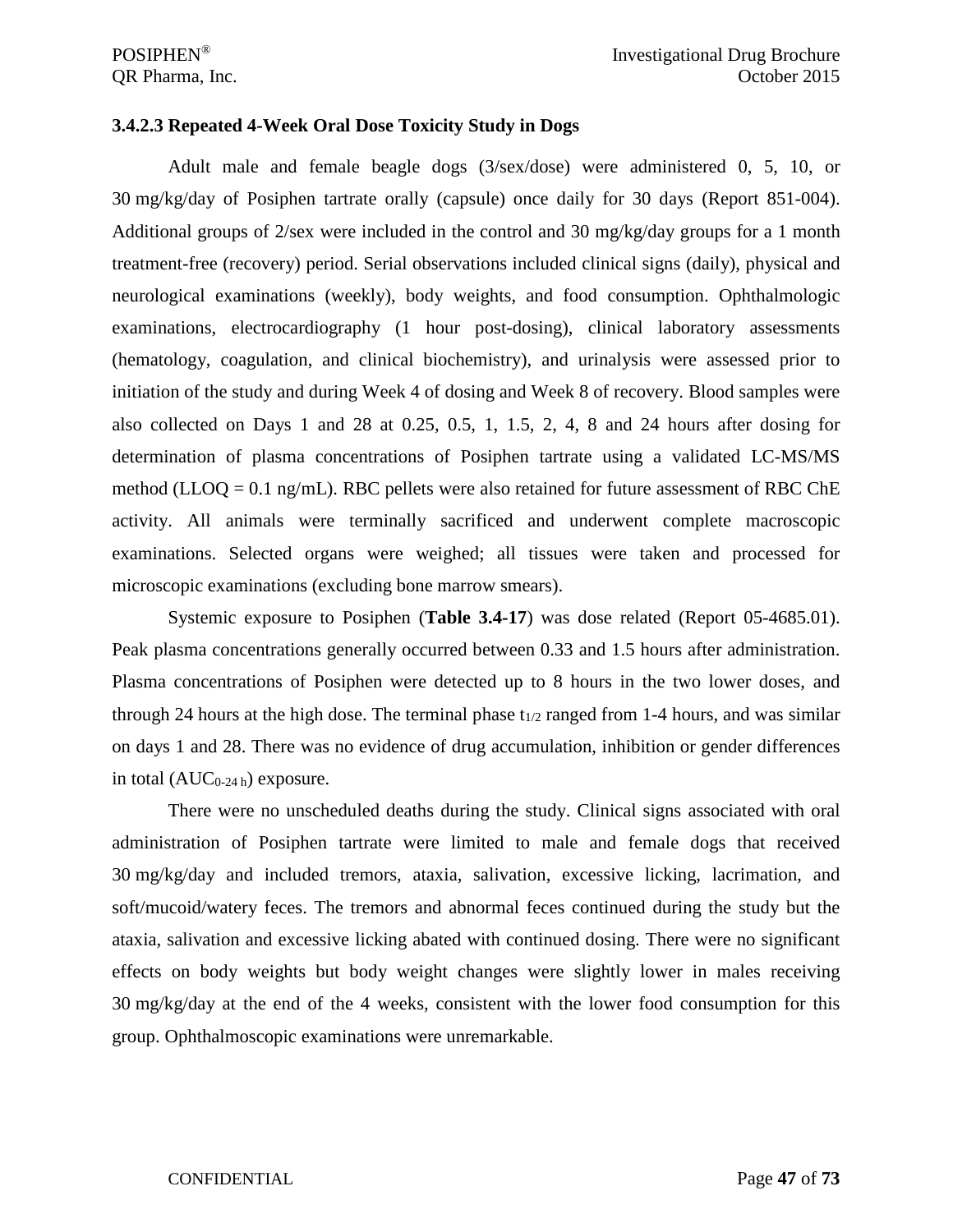### **3.4.2.3 Repeated 4-Week Oral Dose Toxicity Study in Dogs**

Adult male and female beagle dogs (3/sex/dose) were administered 0, 5, 10, or 30 mg/kg/day of Posiphen tartrate orally (capsule) once daily for 30 days (Report 851-004). Additional groups of 2/sex were included in the control and 30 mg/kg/day groups for a 1 month treatment-free (recovery) period. Serial observations included clinical signs (daily), physical and neurological examinations (weekly), body weights, and food consumption. Ophthalmologic examinations, electrocardiography (1 hour post-dosing), clinical laboratory assessments (hematology, coagulation, and clinical biochemistry), and urinalysis were assessed prior to initiation of the study and during Week 4 of dosing and Week 8 of recovery. Blood samples were also collected on Days 1 and 28 at 0.25, 0.5, 1, 1.5, 2, 4, 8 and 24 hours after dosing for determination of plasma concentrations of Posiphen tartrate using a validated LC-MS/MS method (LLOO =  $0.1$  ng/mL). RBC pellets were also retained for future assessment of RBC ChE activity. All animals were terminally sacrificed and underwent complete macroscopic examinations. Selected organs were weighed; all tissues were taken and processed for microscopic examinations (excluding bone marrow smears).

Systemic exposure to Posiphen (**Table 3.4-17**) was dose related (Report 05-4685.01). Peak plasma concentrations generally occurred between 0.33 and 1.5 hours after administration. Plasma concentrations of Posiphen were detected up to 8 hours in the two lower doses, and through 24 hours at the high dose. The terminal phase  $t_{1/2}$  ranged from 1-4 hours, and was similar on days 1 and 28. There was no evidence of drug accumulation, inhibition or gender differences in total  $(AUC_{0-24h})$  exposure.

There were no unscheduled deaths during the study. Clinical signs associated with oral administration of Posiphen tartrate were limited to male and female dogs that received 30 mg/kg/day and included tremors, ataxia, salivation, excessive licking, lacrimation, and soft/mucoid/watery feces. The tremors and abnormal feces continued during the study but the ataxia, salivation and excessive licking abated with continued dosing. There were no significant effects on body weights but body weight changes were slightly lower in males receiving 30 mg/kg/day at the end of the 4 weeks, consistent with the lower food consumption for this group. Ophthalmoscopic examinations were unremarkable.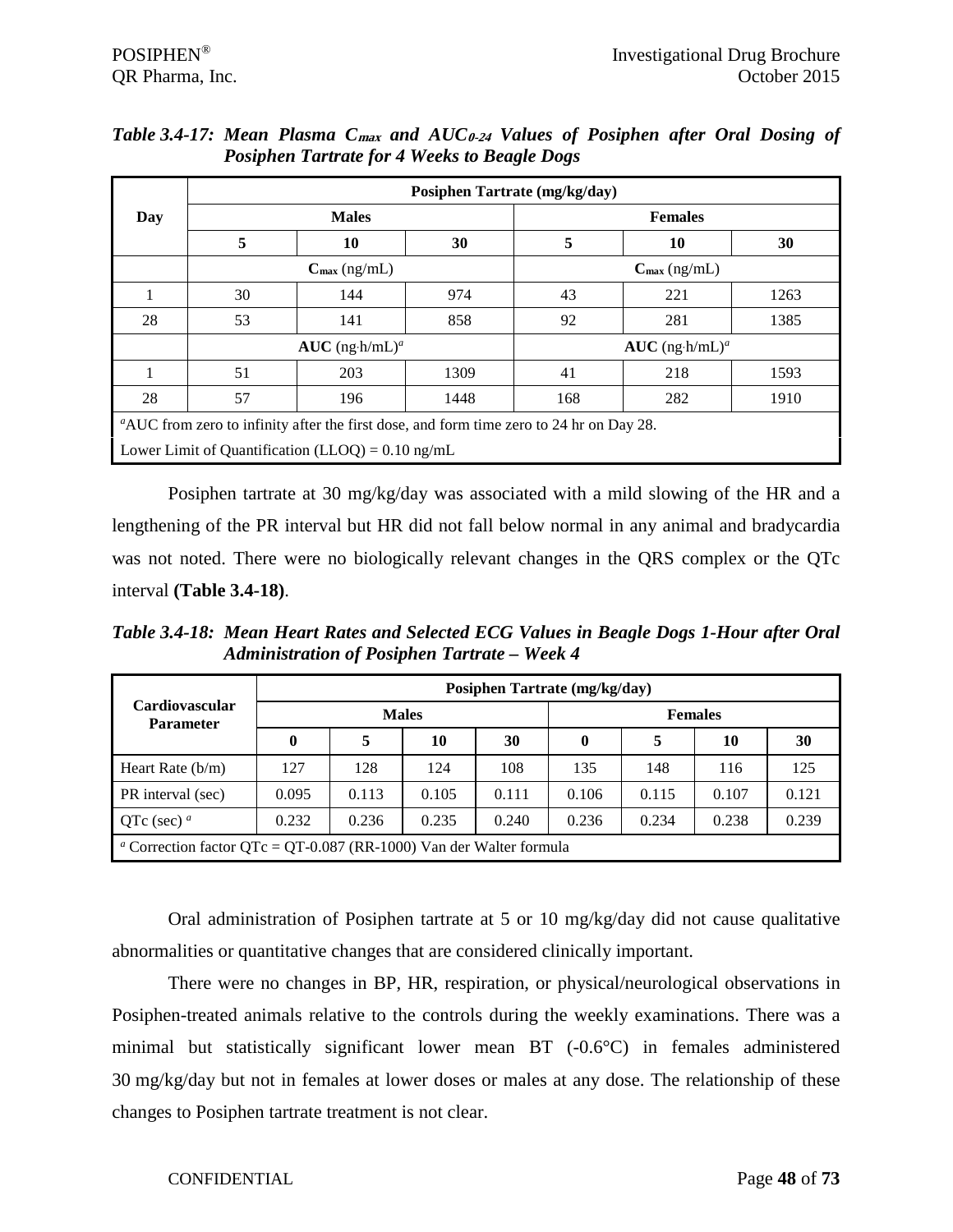|                                                                                         | Posiphen Tartrate (mg/kg/day)                               |                              |      |                              |                          |      |  |  |  |  |
|-----------------------------------------------------------------------------------------|-------------------------------------------------------------|------------------------------|------|------------------------------|--------------------------|------|--|--|--|--|
| Day                                                                                     |                                                             | <b>Males</b>                 |      | <b>Females</b>               |                          |      |  |  |  |  |
|                                                                                         | 5                                                           | 10                           | 30   | 5                            | 10                       | 30   |  |  |  |  |
|                                                                                         |                                                             | $C_{\text{max}}$ (ng/mL)     |      |                              | $C_{\text{max}}$ (ng/mL) |      |  |  |  |  |
|                                                                                         | 30                                                          | 144                          | 974  | 43                           | 221                      | 1263 |  |  |  |  |
| 28                                                                                      | 53                                                          | 141                          | 858  | 92                           | 281                      | 1385 |  |  |  |  |
|                                                                                         |                                                             | $AUC$ (ng·h/mL) <sup>a</sup> |      | $AUC$ (ng·h/mL) <sup>a</sup> |                          |      |  |  |  |  |
|                                                                                         | 51                                                          | 203                          | 1309 | 41                           | 218                      | 1593 |  |  |  |  |
| 28                                                                                      | 57                                                          | 196                          | 1448 | 168                          | 282                      | 1910 |  |  |  |  |
| "AUC from zero to infinity after the first dose, and form time zero to 24 hr on Day 28. |                                                             |                              |      |                              |                          |      |  |  |  |  |
|                                                                                         | Lower Limit of Quantification (LLOQ) = $0.10 \text{ ng/mL}$ |                              |      |                              |                          |      |  |  |  |  |

*Table 3.4-17: Mean Plasma C***max** *and AUC***0-24** *Values of Posiphen after Oral Dosing of Posiphen Tartrate for 4 Weeks to Beagle Dogs*

Posiphen tartrate at 30 mg/kg/day was associated with a mild slowing of the HR and a lengthening of the PR interval but HR did not fall below normal in any animal and bradycardia was not noted. There were no biologically relevant changes in the QRS complex or the QTc interval **(Table 3.4-18)**.

*Table 3.4-18: Mean Heart Rates and Selected ECG Values in Beagle Dogs 1-Hour after Oral Administration of Posiphen Tartrate – Week 4* 

| <b>Cardiovascular</b><br><b>Parameter</b>                                             |          | Posiphen Tartrate (mg/kg/day) |              |       |                |       |       |       |  |  |  |
|---------------------------------------------------------------------------------------|----------|-------------------------------|--------------|-------|----------------|-------|-------|-------|--|--|--|
|                                                                                       |          |                               | <b>Males</b> |       | <b>Females</b> |       |       |       |  |  |  |
|                                                                                       | $\bf{0}$ | 5                             | 10           | 30    | 0              | 5     | 10    | 30    |  |  |  |
| Heart Rate $(b/m)$                                                                    | 127      | 128                           | 124          | 108   | 135            | 148   | 116   | 125   |  |  |  |
| PR interval (sec)                                                                     | 0.095    | 0.113                         | 0.105        | 0.111 | 0.106          | 0.115 | 0.107 | 0.121 |  |  |  |
| QTc (sec) $^a$                                                                        | 0.232    | 0.236                         | 0.235        | 0.240 | 0.236          | 0.234 | 0.238 | 0.239 |  |  |  |
| <sup><i>a</i></sup> Correction factor QTc = QT-0.087 (RR-1000) Van der Walter formula |          |                               |              |       |                |       |       |       |  |  |  |

Oral administration of Posiphen tartrate at 5 or 10 mg/kg/day did not cause qualitative abnormalities or quantitative changes that are considered clinically important.

There were no changes in BP, HR, respiration, or physical/neurological observations in Posiphen-treated animals relative to the controls during the weekly examinations. There was a minimal but statistically significant lower mean BT (-0.6°C) in females administered 30 mg/kg/day but not in females at lower doses or males at any dose. The relationship of these changes to Posiphen tartrate treatment is not clear.

### CONFIDENTIAL Page **48** of **73**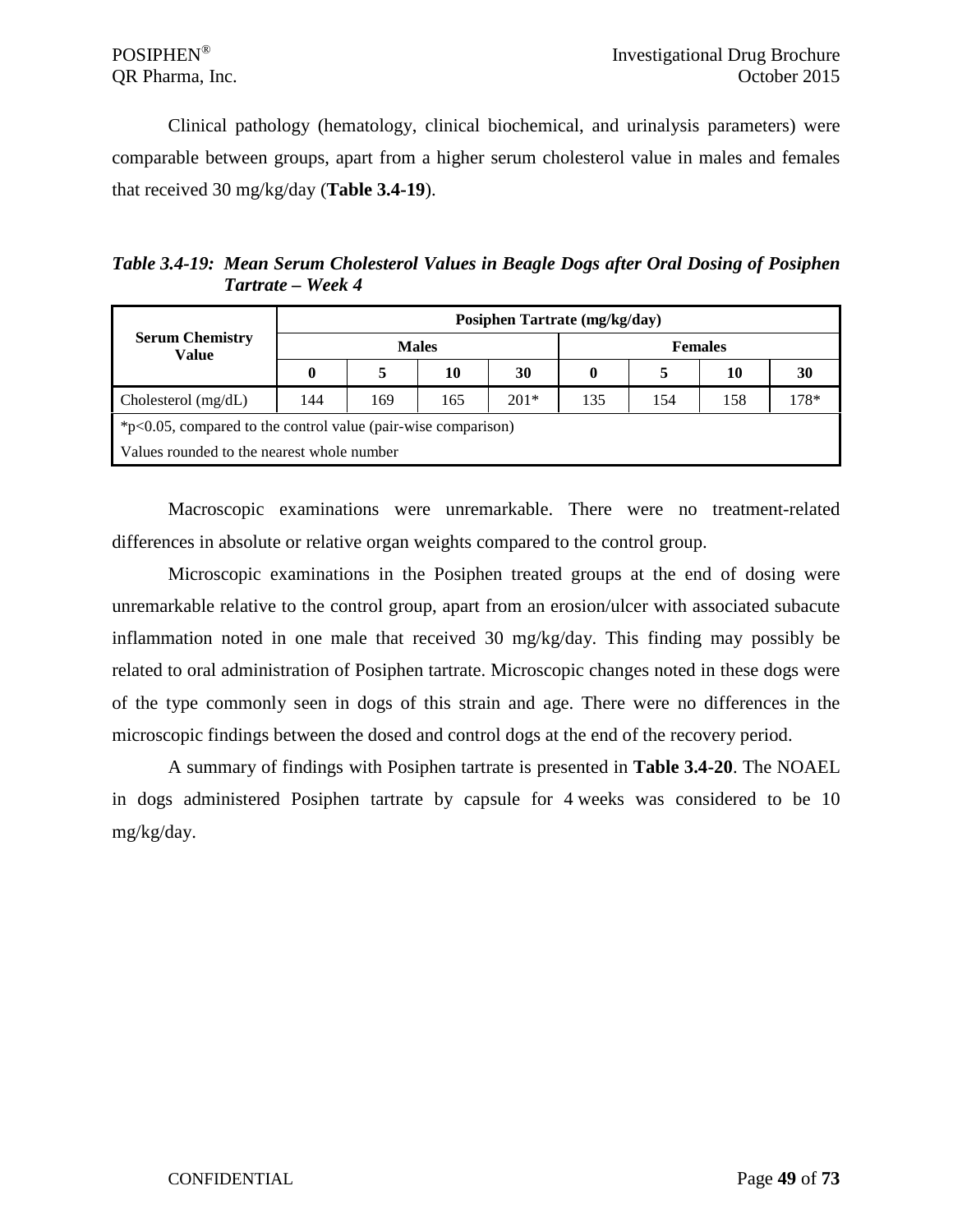Clinical pathology (hematology, clinical biochemical, and urinalysis parameters) were comparable between groups, apart from a higher serum cholesterol value in males and females that received 30 mg/kg/day (**Table 3.4-19**).

*Table 3.4-19: Mean Serum Cholesterol Values in Beagle Dogs after Oral Dosing of Posiphen Tartrate – Week 4* 

|                                                                  | Posiphen Tartrate (mg/kg/day) |              |     |        |                |     |     |      |  |  |
|------------------------------------------------------------------|-------------------------------|--------------|-----|--------|----------------|-----|-----|------|--|--|
| <b>Serum Chemistry</b><br>Value                                  |                               | <b>Males</b> |     |        | <b>Females</b> |     |     |      |  |  |
|                                                                  | $\bf{0}$                      |              | 10  | 30     | 0              |     | 10  | 30   |  |  |
| Cholesterol $(mg/dL)$                                            | 144                           | 169          | 165 | $201*$ | 135            | 154 | 158 | 178* |  |  |
| $*p<0.05$ , compared to the control value (pair-wise comparison) |                               |              |     |        |                |     |     |      |  |  |
| Values rounded to the nearest whole number                       |                               |              |     |        |                |     |     |      |  |  |

Macroscopic examinations were unremarkable. There were no treatment-related differences in absolute or relative organ weights compared to the control group.

Microscopic examinations in the Posiphen treated groups at the end of dosing were unremarkable relative to the control group, apart from an erosion/ulcer with associated subacute inflammation noted in one male that received 30 mg/kg/day. This finding may possibly be related to oral administration of Posiphen tartrate. Microscopic changes noted in these dogs were of the type commonly seen in dogs of this strain and age. There were no differences in the microscopic findings between the dosed and control dogs at the end of the recovery period.

A summary of findings with Posiphen tartrate is presented in **Table 3.4-20**. The NOAEL in dogs administered Posiphen tartrate by capsule for 4 weeks was considered to be 10 mg/kg/day.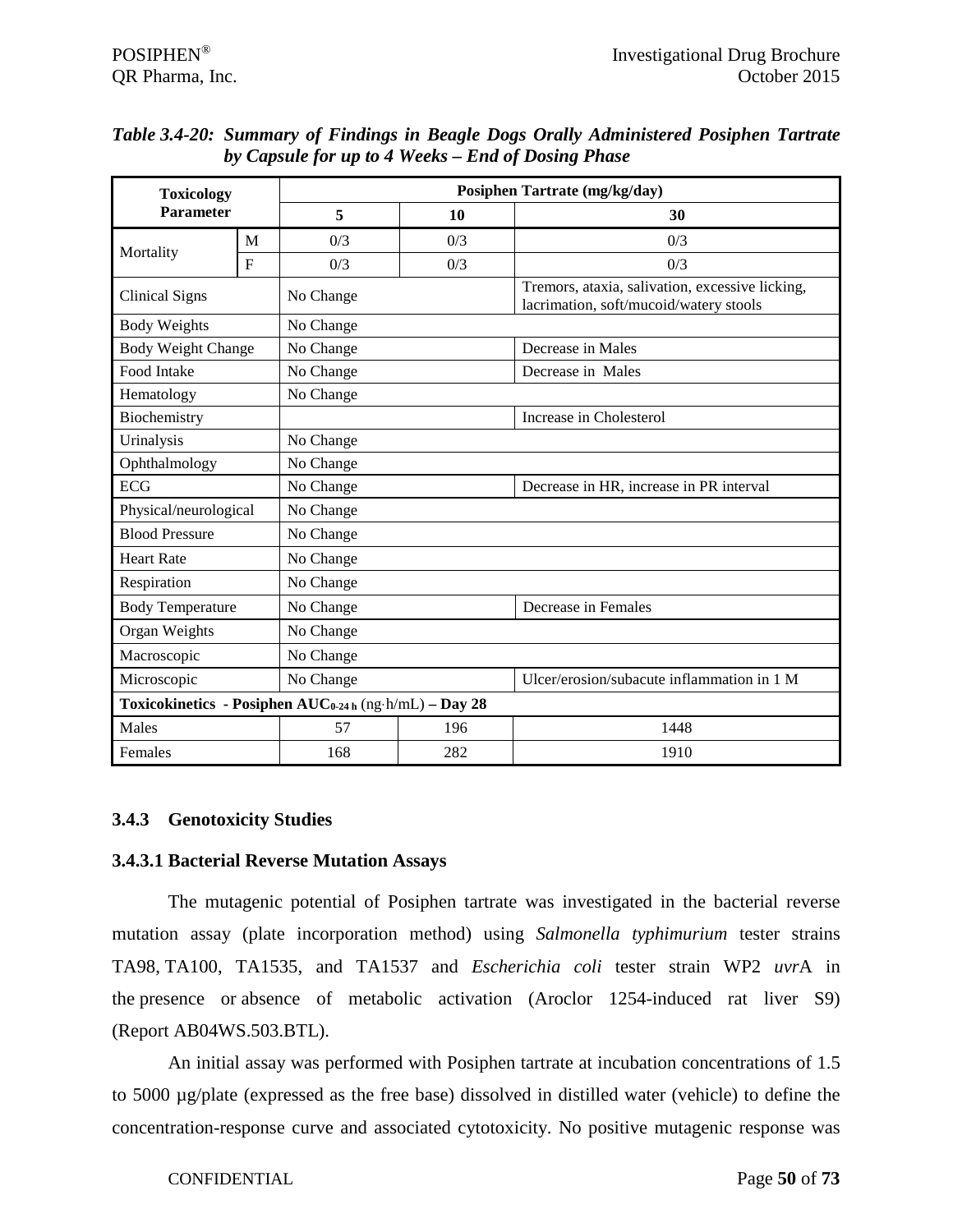| <b>Toxicology</b>         |              |                                                        |     | Posiphen Tartrate (mg/kg/day)                                                             |  |  |  |
|---------------------------|--------------|--------------------------------------------------------|-----|-------------------------------------------------------------------------------------------|--|--|--|
| <b>Parameter</b>          |              | 5                                                      | 10  | 30                                                                                        |  |  |  |
|                           | M            | 0/3                                                    | 0/3 | 0/3                                                                                       |  |  |  |
| Mortality                 | $\mathbf{F}$ | 0/3                                                    | 0/3 | 0/3                                                                                       |  |  |  |
| <b>Clinical Signs</b>     |              | No Change                                              |     | Tremors, ataxia, salivation, excessive licking,<br>lacrimation, soft/mucoid/watery stools |  |  |  |
| <b>Body Weights</b>       |              | No Change                                              |     |                                                                                           |  |  |  |
| <b>Body Weight Change</b> |              | No Change                                              |     | Decrease in Males                                                                         |  |  |  |
| Food Intake               |              | No Change                                              |     | Decrease in Males                                                                         |  |  |  |
| Hematology                |              | No Change                                              |     |                                                                                           |  |  |  |
| Biochemistry              |              |                                                        |     | Increase in Cholesterol                                                                   |  |  |  |
| Urinalysis                |              | No Change                                              |     |                                                                                           |  |  |  |
| Ophthalmology             |              | No Change                                              |     |                                                                                           |  |  |  |
| <b>ECG</b>                |              | No Change                                              |     | Decrease in HR, increase in PR interval                                                   |  |  |  |
| Physical/neurological     |              | No Change                                              |     |                                                                                           |  |  |  |
| <b>Blood Pressure</b>     |              | No Change                                              |     |                                                                                           |  |  |  |
| <b>Heart Rate</b>         |              | No Change                                              |     |                                                                                           |  |  |  |
| Respiration               |              | No Change                                              |     |                                                                                           |  |  |  |
| <b>Body Temperature</b>   |              | No Change                                              |     | Decrease in Females                                                                       |  |  |  |
| Organ Weights             |              | No Change                                              |     |                                                                                           |  |  |  |
| Macroscopic               |              | No Change                                              |     |                                                                                           |  |  |  |
| No Change<br>Microscopic  |              |                                                        |     | Ulcer/erosion/subacute inflammation in 1 M                                                |  |  |  |
|                           |              | Toxicokinetics - Posiphen AUC0-24 h (ng·h/mL) - Day 28 |     |                                                                                           |  |  |  |
| Males                     |              | 57                                                     | 196 | 1448                                                                                      |  |  |  |
| Females                   |              | 168                                                    | 282 | 1910                                                                                      |  |  |  |

*Table 3.4-20: Summary of Findings in Beagle Dogs Orally Administered Posiphen Tartrate by Capsule for up to 4 Weeks – End of Dosing Phase*

# **3.4.3 Genotoxicity Studies**

### **3.4.3.1 Bacterial Reverse Mutation Assays**

The mutagenic potential of Posiphen tartrate was investigated in the bacterial reverse mutation assay (plate incorporation method) using *Salmonella typhimurium* tester strains TA98, TA100, TA1535, and TA1537 and *Escherichia coli* tester strain WP2 *uvr*A in the presence or absence of metabolic activation (Aroclor 1254-induced rat liver S9) (Report AB04WS.503.BTL).

An initial assay was performed with Posiphen tartrate at incubation concentrations of 1.5 to 5000 µg/plate (expressed as the free base) dissolved in distilled water (vehicle) to define the concentration-response curve and associated cytotoxicity. No positive mutagenic response was

CONFIDENTIAL Page **50** of **73**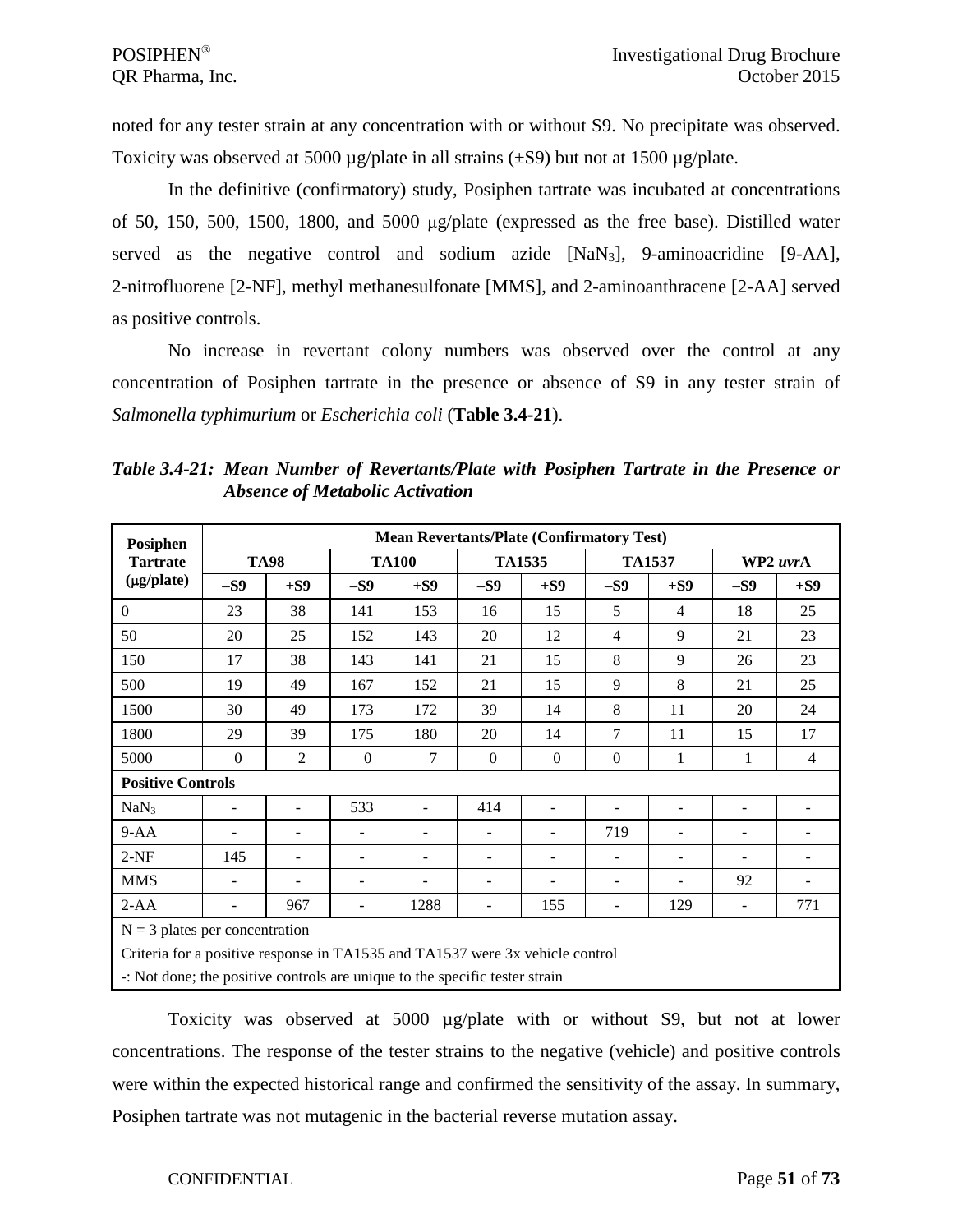noted for any tester strain at any concentration with or without S9. No precipitate was observed. Toxicity was observed at 5000  $\mu$ g/plate in all strains ( $\pm$ S9) but not at 1500  $\mu$ g/plate.

In the definitive (confirmatory) study, Posiphen tartrate was incubated at concentrations of 50, 150, 500, 1500, 1800, and 5000 µg/plate (expressed as the free base). Distilled water served as the negative control and sodium azide [NaN3], 9-aminoacridine [9-AA], 2-nitrofluorene [2-NF], methyl methanesulfonate [MMS], and 2-aminoanthracene [2-AA] served as positive controls.

No increase in revertant colony numbers was observed over the control at any concentration of Posiphen tartrate in the presence or absence of S9 in any tester strain of *Salmonella typhimurium* or *Escherichia coli* (**Table 3.4-21**).

| Posiphen                                                                      |                                  | <b>Mean Revertants/Plate (Confirmatory Test)</b> |          |                          |                          |               |                          |                          |          |                |  |  |
|-------------------------------------------------------------------------------|----------------------------------|--------------------------------------------------|----------|--------------------------|--------------------------|---------------|--------------------------|--------------------------|----------|----------------|--|--|
| <b>Tartrate</b>                                                               |                                  | <b>TA98</b>                                      |          | <b>TA100</b>             |                          | <b>TA1535</b> | <b>TA1537</b>            |                          | WP2 uvrA |                |  |  |
| (µg/plate)                                                                    | $-S9$                            | $+S9$                                            | $-S9$    | $+S9$                    | $-S9$                    | $+S9$         | $-S9$                    | $+S9$                    | $-S9$    | $+S9$          |  |  |
| $\Omega$                                                                      | 23                               | 38                                               | 141      | 153                      | 16                       | 15            | 5                        | $\overline{4}$           | 18       | 25             |  |  |
| 50                                                                            | 20                               | 25                                               | 152      | 143                      | 20                       | 12            | $\overline{4}$           | 9                        | 21       | 23             |  |  |
| 150                                                                           | 17                               | 38                                               | 143      | 141                      | 21                       | 15            | 8                        | 9                        | 26       | 23             |  |  |
| 500                                                                           | 19                               | 49                                               | 167      | 152                      | 21                       | 15            | 9                        | 8                        | 21       | 25             |  |  |
| 1500                                                                          | 30                               | 49                                               | 173      | 172                      | 39                       | 14            | 8                        | 11                       | 20       | 24             |  |  |
| 1800                                                                          | 29                               | 39                                               | 175      | 180                      | 20                       | 14            | 7                        | 11                       | 15       | 17             |  |  |
| 5000                                                                          | $\Omega$                         | $\overline{2}$                                   | $\Omega$ | 7                        | $\Omega$                 | $\Omega$      | $\Omega$                 | 1                        | 1        | $\overline{4}$ |  |  |
| <b>Positive Controls</b>                                                      |                                  |                                                  |          |                          |                          |               |                          |                          |          |                |  |  |
| NaN <sub>3</sub>                                                              | $\overline{\phantom{0}}$         |                                                  | 533      | $\overline{\phantom{a}}$ | 414                      |               |                          |                          |          |                |  |  |
| $9-AA$                                                                        |                                  |                                                  |          |                          | $\overline{\phantom{m}}$ |               | 719                      | $\overline{\phantom{m}}$ |          |                |  |  |
| $2-NF$                                                                        | 145                              |                                                  |          | $\blacksquare$           |                          |               |                          | $\blacksquare$           |          |                |  |  |
| <b>MMS</b>                                                                    | $\overline{\phantom{m}}$         |                                                  |          |                          |                          |               | $\overline{\phantom{a}}$ |                          | 92       |                |  |  |
| $2-AA$                                                                        |                                  | 967                                              |          | 1288                     |                          | 155           |                          | 129                      |          | 771            |  |  |
|                                                                               | $N = 3$ plates per concentration |                                                  |          |                          |                          |               |                          |                          |          |                |  |  |
| Criteria for a positive response in TA1535 and TA1537 were 3x vehicle control |                                  |                                                  |          |                          |                          |               |                          |                          |          |                |  |  |
| -: Not done; the positive controls are unique to the specific tester strain   |                                  |                                                  |          |                          |                          |               |                          |                          |          |                |  |  |

*Table 3.4-21: Mean Number of Revertants/Plate with Posiphen Tartrate in the Presence or Absence of Metabolic Activation*

Toxicity was observed at 5000 µg/plate with or without S9, but not at lower concentrations. The response of the tester strains to the negative (vehicle) and positive controls were within the expected historical range and confirmed the sensitivity of the assay. In summary, Posiphen tartrate was not mutagenic in the bacterial reverse mutation assay.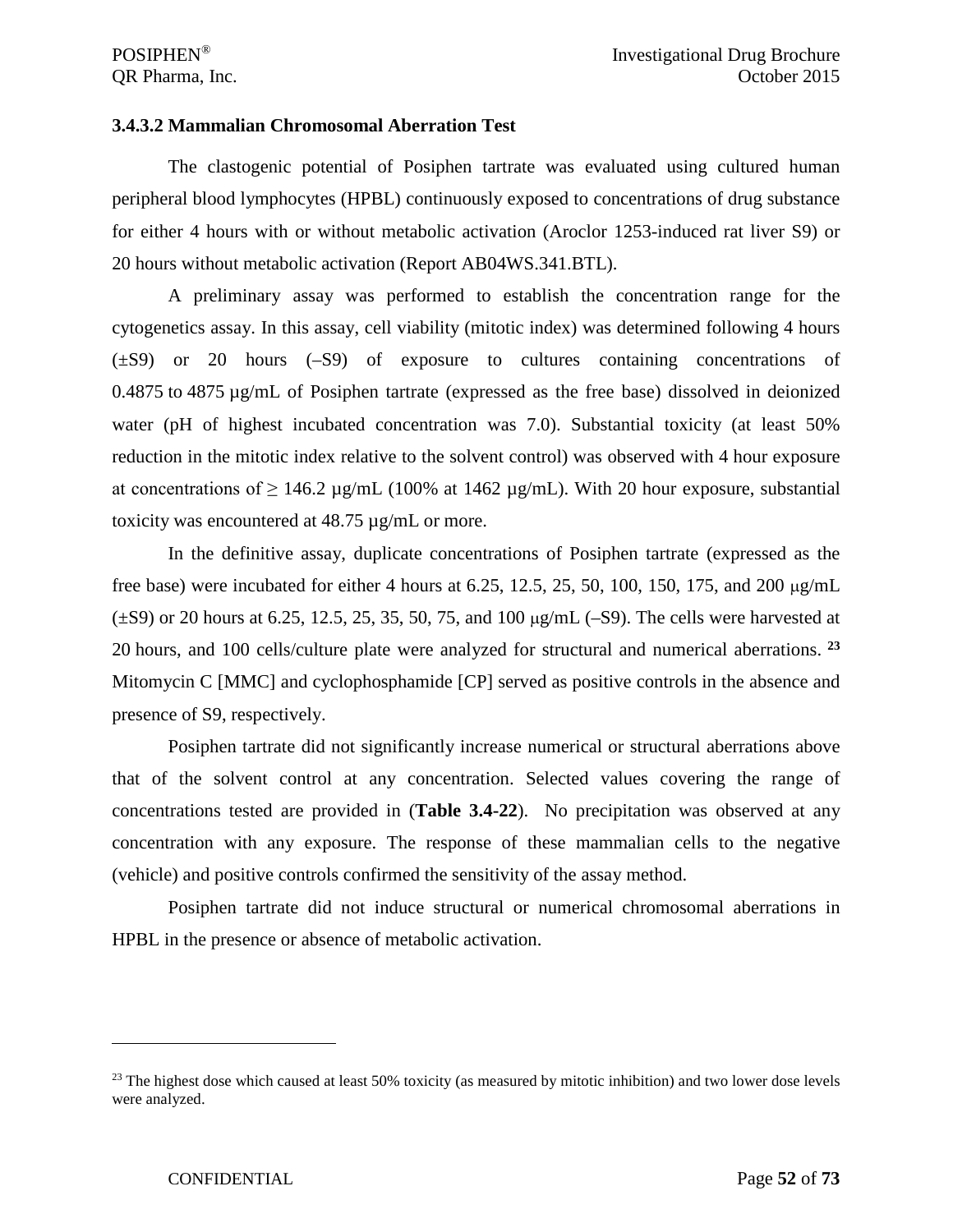### **3.4.3.2 Mammalian Chromosomal Aberration Test**

The clastogenic potential of Posiphen tartrate was evaluated using cultured human peripheral blood lymphocytes (HPBL) continuously exposed to concentrations of drug substance for either 4 hours with or without metabolic activation (Aroclor 1253-induced rat liver S9) or 20 hours without metabolic activation (Report AB04WS.341.BTL).

A preliminary assay was performed to establish the concentration range for the cytogenetics assay. In this assay, cell viability (mitotic index) was determined following 4 hours (±S9) or 20 hours (–S9) of exposure to cultures containing concentrations of 0.4875 to 4875 µg/mL of Posiphen tartrate (expressed as the free base) dissolved in deionized water (pH of highest incubated concentration was 7.0). Substantial toxicity (at least 50% reduction in the mitotic index relative to the solvent control) was observed with 4 hour exposure at concentrations of  $\geq 146.2 \mu g/mL$  (100% at 1462  $\mu g/mL$ ). With 20 hour exposure, substantial toxicity was encountered at 48.75 µg/mL or more.

In the definitive assay, duplicate concentrations of Posiphen tartrate (expressed as the free base) were incubated for either 4 hours at 6.25, 12.5, 25, 50, 100, 150, 175, and 200  $\mu$ g/mL  $(\pm S9)$  or 20 hours at 6.25, 12.5, 25, 35, 50, 75, and 100  $\mu$ g/mL (-S9). The cells were harvested at 20 hours, and 100 cells/culture plate were analyzed for structural and numerical aberrations. **[23](#page-51-0)** Mitomycin C [MMC] and cyclophosphamide [CP] served as positive controls in the absence and presence of S9, respectively.

Posiphen tartrate did not significantly increase numerical or structural aberrations above that of the solvent control at any concentration. Selected values covering the range of concentrations tested are provided in (**Table 3.4-22**). No precipitation was observed at any concentration with any exposure. The response of these mammalian cells to the negative (vehicle) and positive controls confirmed the sensitivity of the assay method.

Posiphen tartrate did not induce structural or numerical chromosomal aberrations in HPBL in the presence or absence of metabolic activation.

 $\overline{a}$ 

<span id="page-51-0"></span> $^{23}$  The highest dose which caused at least 50% toxicity (as measured by mitotic inhibition) and two lower dose levels were analyzed.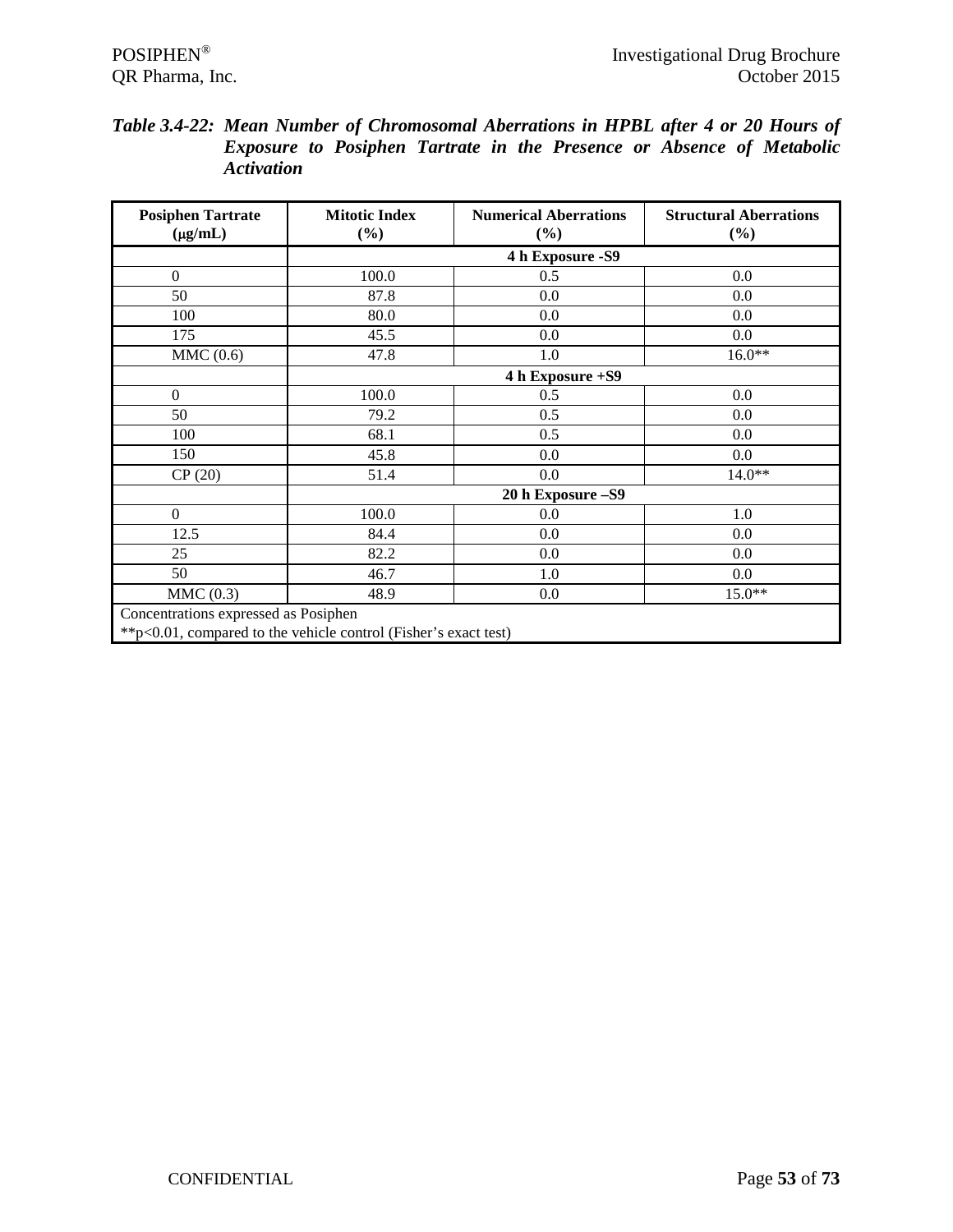| Table 3.4-22: Mean Number of Chromosomal Aberrations in HPBL after 4 or 20 Hours of |                                                                              |  |  |  |  |  |
|-------------------------------------------------------------------------------------|------------------------------------------------------------------------------|--|--|--|--|--|
|                                                                                     | <b>Exposure to Posiphen Tartrate in the Presence or Absence of Metabolic</b> |  |  |  |  |  |
|                                                                                     | <i>Activation</i>                                                            |  |  |  |  |  |

| <b>Posiphen Tartrate</b><br>$(\mu g/mL)$                                                                 | <b>Mitotic Index</b><br>$(\%)$ | <b>Numerical Aberrations</b><br>$(\%)$ | <b>Structural Aberrations</b><br>$(\%)$ |  |  |  |  |  |  |
|----------------------------------------------------------------------------------------------------------|--------------------------------|----------------------------------------|-----------------------------------------|--|--|--|--|--|--|
|                                                                                                          |                                | 4 h Exposure - S9                      |                                         |  |  |  |  |  |  |
| $\overline{0}$                                                                                           | 100.0                          | 0.5                                    | 0.0                                     |  |  |  |  |  |  |
| 50                                                                                                       | 87.8                           | 0.0                                    | 0.0                                     |  |  |  |  |  |  |
| 100                                                                                                      | 80.0                           | 0.0                                    | 0.0                                     |  |  |  |  |  |  |
| 175                                                                                                      | 45.5                           | 0.0                                    | 0.0                                     |  |  |  |  |  |  |
| MMC(0.6)                                                                                                 | 47.8                           | 1.0                                    | $16.0**$                                |  |  |  |  |  |  |
|                                                                                                          |                                | 4 h Exposure +S9                       |                                         |  |  |  |  |  |  |
| $\boldsymbol{0}$                                                                                         | 100.0                          | 0.5                                    | 0.0                                     |  |  |  |  |  |  |
| 50                                                                                                       | 79.2                           | 0.5                                    | 0.0                                     |  |  |  |  |  |  |
| 100                                                                                                      | 68.1                           | 0.5                                    | 0.0                                     |  |  |  |  |  |  |
| 150                                                                                                      | 45.8                           | 0.0                                    | 0.0                                     |  |  |  |  |  |  |
| CP(20)                                                                                                   | 51.4                           | 0.0                                    | $14.0**$                                |  |  |  |  |  |  |
|                                                                                                          |                                | 20 h Exposure - S9                     |                                         |  |  |  |  |  |  |
| $\overline{0}$                                                                                           | 100.0                          | 0.0                                    | 1.0                                     |  |  |  |  |  |  |
| 12.5                                                                                                     | 84.4                           | 0.0                                    | 0.0                                     |  |  |  |  |  |  |
| 25                                                                                                       | 82.2                           | 0.0                                    | 0.0                                     |  |  |  |  |  |  |
| 50                                                                                                       | 46.7                           | 1.0                                    | 0.0                                     |  |  |  |  |  |  |
| MMC(0.3)                                                                                                 | 48.9                           | 0.0                                    | $15.0**$                                |  |  |  |  |  |  |
| Concentrations expressed as Posiphen<br>** p<0.01, compared to the vehicle control (Fisher's exact test) |                                |                                        |                                         |  |  |  |  |  |  |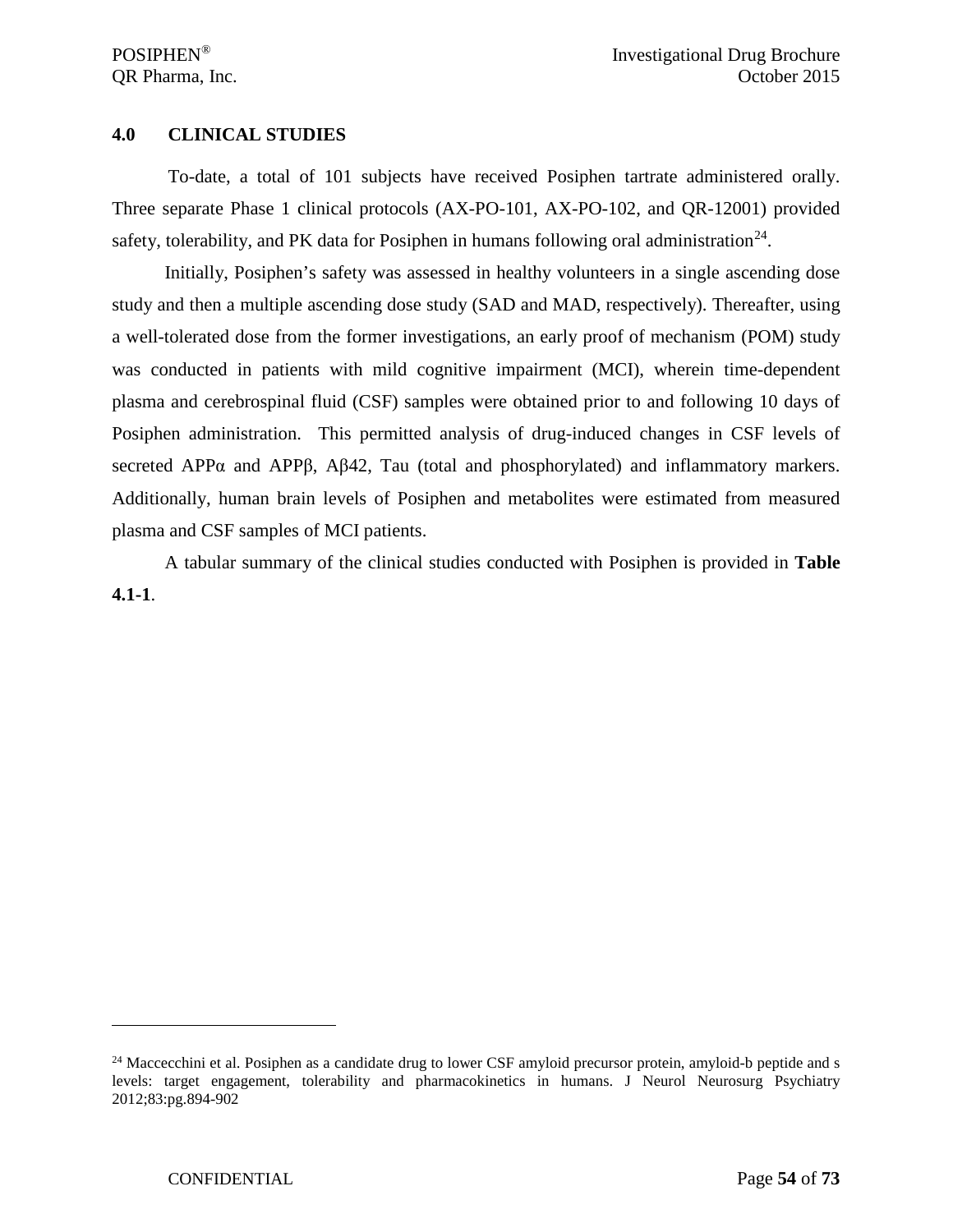### **4.0 CLINICAL STUDIES**

To-date, a total of 101 subjects have received Posiphen tartrate administered orally. Three separate Phase 1 clinical protocols (AX-PO-101, AX-PO-102, and QR-12001) provided safety, tolerability, and PK data for Posiphen in humans following oral administration<sup>[24](#page-53-0)</sup>.

Initially, Posiphen's safety was assessed in healthy volunteers in a single ascending dose study and then a multiple ascending dose study (SAD and MAD, respectively). Thereafter, using a well-tolerated dose from the former investigations, an early proof of mechanism (POM) study was conducted in patients with mild cognitive impairment (MCI), wherein time-dependent plasma and cerebrospinal fluid (CSF) samples were obtained prior to and following 10 days of Posiphen administration. This permitted analysis of drug-induced changes in CSF levels of secreted APPα and APPβ, Aβ42, Tau (total and phosphorylated) and inflammatory markers. Additionally, human brain levels of Posiphen and metabolites were estimated from measured plasma and CSF samples of MCI patients.

A tabular summary of the clinical studies conducted with Posiphen is provided in **Table 4.1-1**.

 $\overline{a}$ 

<span id="page-53-0"></span> $24$  Maccecchini et al. Posiphen as a candidate drug to lower CSF amyloid precursor protein, amyloid-b peptide and s levels: target engagement, tolerability and pharmacokinetics in humans. J Neurol Neurosurg Psychiatry 2012;83:pg.894-902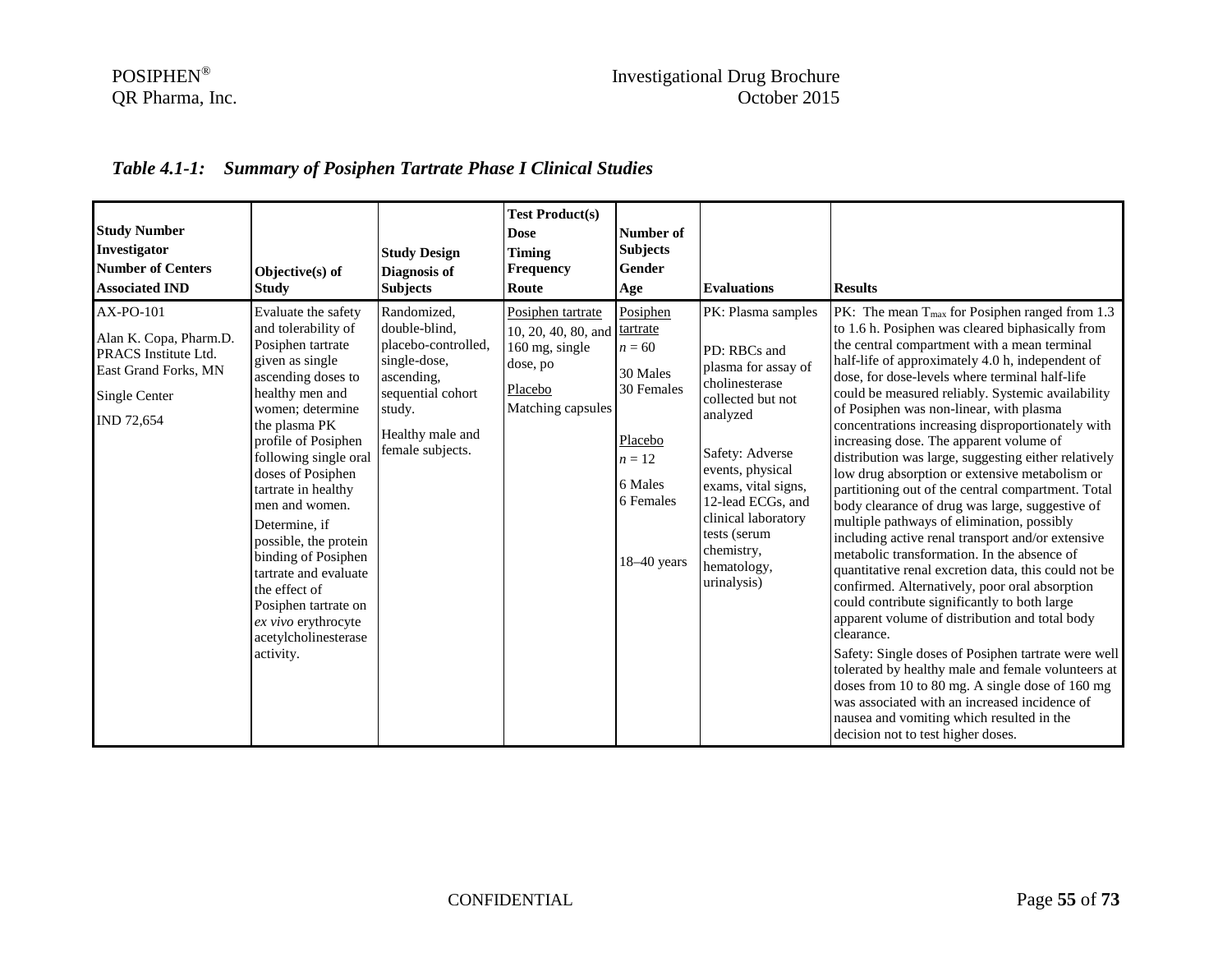# POSIPHEN<sup>®</sup><br>
QR Pharma, Inc. COR Pharma, Inc. COR Pharma, Inc.

# *Table 4.1-1: Summary of Posiphen Tartrate Phase I Clinical Studies*

| <b>Study Number</b><br>Investigator<br><b>Number of Centers</b><br><b>Associated IND</b>                                  | Objective(s) of<br><b>Study</b>                                                                                                                                                                                                                                                                                                                                                                                                                                               | <b>Study Design</b><br>Diagnosis of<br><b>Subjects</b>                                                                                                   | <b>Test Product(s)</b><br><b>Dose</b><br><b>Timing</b><br>Frequency<br>Route                           | Number of<br><b>Subjects</b><br>Gender<br>Age                                                                              | <b>Evaluations</b>                                                                                                                                                                                                                                                                 | <b>Results</b>                                                                                                                                                                                                                                                                                                                                                                                                                                                                                                                                                                                                                                                                                                                                                                                                                                                                                                                                                                                                                                                                                                                                                                                                                                                                                                                                                     |
|---------------------------------------------------------------------------------------------------------------------------|-------------------------------------------------------------------------------------------------------------------------------------------------------------------------------------------------------------------------------------------------------------------------------------------------------------------------------------------------------------------------------------------------------------------------------------------------------------------------------|----------------------------------------------------------------------------------------------------------------------------------------------------------|--------------------------------------------------------------------------------------------------------|----------------------------------------------------------------------------------------------------------------------------|------------------------------------------------------------------------------------------------------------------------------------------------------------------------------------------------------------------------------------------------------------------------------------|--------------------------------------------------------------------------------------------------------------------------------------------------------------------------------------------------------------------------------------------------------------------------------------------------------------------------------------------------------------------------------------------------------------------------------------------------------------------------------------------------------------------------------------------------------------------------------------------------------------------------------------------------------------------------------------------------------------------------------------------------------------------------------------------------------------------------------------------------------------------------------------------------------------------------------------------------------------------------------------------------------------------------------------------------------------------------------------------------------------------------------------------------------------------------------------------------------------------------------------------------------------------------------------------------------------------------------------------------------------------|
| AX-PO-101<br>Alan K. Copa, Pharm.D.<br>PRACS Institute Ltd.<br>East Grand Forks, MN<br>Single Center<br><b>IND 72,654</b> | Evaluate the safety<br>and tolerability of<br>Posiphen tartrate<br>given as single<br>ascending doses to<br>healthy men and<br>women; determine<br>the plasma PK<br>profile of Posiphen<br>following single oral<br>doses of Posiphen<br>tartrate in healthy<br>men and women.<br>Determine, if<br>possible, the protein<br>binding of Posiphen<br>tartrate and evaluate<br>the effect of<br>Posiphen tartrate on<br>ex vivo erythrocyte<br>acetylcholinesterase<br>activity. | Randomized,<br>double-blind,<br>placebo-controlled,<br>single-dose,<br>ascending,<br>sequential cohort<br>study.<br>Healthy male and<br>female subjects. | Posiphen tartrate<br>10, 20, 40, 80, and<br>160 mg, single<br>dose, po<br>Placebo<br>Matching capsules | Posiphen<br>tartrate<br>$n = 60$<br>30 Males<br>30 Females<br>Placebo<br>$n=12$<br>6 Males<br>6 Females<br>$18 - 40$ years | PK: Plasma samples<br>PD: RBCs and<br>plasma for assay of<br>cholinesterase<br>collected but not<br>analyzed<br>Safety: Adverse<br>events, physical<br>exams, vital signs,<br>12-lead ECGs, and<br>clinical laboratory<br>tests (serum<br>chemistry,<br>hematology,<br>urinalysis) | $PK:$ The mean $T_{max}$ for Posiphen ranged from 1.3<br>to 1.6 h. Posiphen was cleared biphasically from<br>the central compartment with a mean terminal<br>half-life of approximately 4.0 h, independent of<br>dose, for dose-levels where terminal half-life<br>could be measured reliably. Systemic availability<br>of Posiphen was non-linear, with plasma<br>concentrations increasing disproportionately with<br>increasing dose. The apparent volume of<br>distribution was large, suggesting either relatively<br>low drug absorption or extensive metabolism or<br>partitioning out of the central compartment. Total<br>body clearance of drug was large, suggestive of<br>multiple pathways of elimination, possibly<br>including active renal transport and/or extensive<br>metabolic transformation. In the absence of<br>quantitative renal excretion data, this could not be<br>confirmed. Alternatively, poor oral absorption<br>could contribute significantly to both large<br>apparent volume of distribution and total body<br>clearance.<br>Safety: Single doses of Posiphen tartrate were well<br>tolerated by healthy male and female volunteers at<br>doses from 10 to 80 mg. A single dose of 160 mg<br>was associated with an increased incidence of<br>nausea and vomiting which resulted in the<br>decision not to test higher doses. |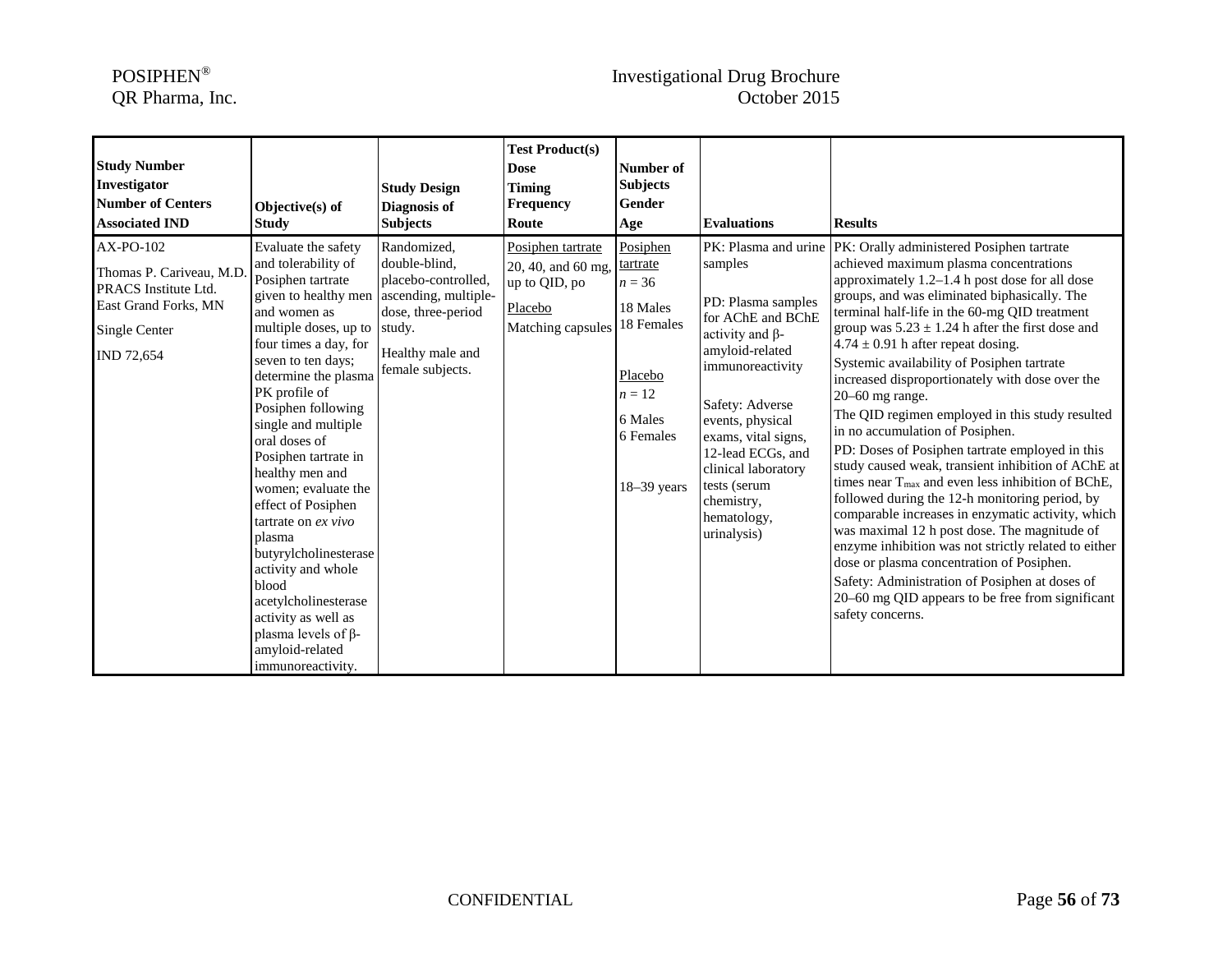# POSIPHEN<sup>®</sup><br>
QR Pharma, Inc. Corober 2015

| <b>Study Number</b><br>Investigator<br><b>Number of Centers</b><br><b>Associated IND</b>                            | Objective(s) of<br><b>Study</b>                                                                                                                                                                                                                                                                                                                                                                                                                                                                                                                                                                                            | <b>Study Design</b><br>Diagnosis of<br><b>Subjects</b>                                                            | <b>Test Product(s)</b><br><b>Dose</b><br><b>Timing</b><br><b>Frequency</b><br>Route      | Number of<br><b>Subjects</b><br>Gender<br>Age                                                                              | <b>Evaluations</b>                                                                                                                                                                                                                                                                                                | <b>Results</b>                                                                                                                                                                                                                                                                                                                                                                                                                                                                                                                                                                                                                                                                                                                                                                                                                                                                                                                                                                                                                                                                                                     |
|---------------------------------------------------------------------------------------------------------------------|----------------------------------------------------------------------------------------------------------------------------------------------------------------------------------------------------------------------------------------------------------------------------------------------------------------------------------------------------------------------------------------------------------------------------------------------------------------------------------------------------------------------------------------------------------------------------------------------------------------------------|-------------------------------------------------------------------------------------------------------------------|------------------------------------------------------------------------------------------|----------------------------------------------------------------------------------------------------------------------------|-------------------------------------------------------------------------------------------------------------------------------------------------------------------------------------------------------------------------------------------------------------------------------------------------------------------|--------------------------------------------------------------------------------------------------------------------------------------------------------------------------------------------------------------------------------------------------------------------------------------------------------------------------------------------------------------------------------------------------------------------------------------------------------------------------------------------------------------------------------------------------------------------------------------------------------------------------------------------------------------------------------------------------------------------------------------------------------------------------------------------------------------------------------------------------------------------------------------------------------------------------------------------------------------------------------------------------------------------------------------------------------------------------------------------------------------------|
| AX-PO-102<br>Thomas P. Cariveau, M.D<br>PRACS Institute Ltd.<br>East Grand Forks, MN<br>Single Center<br>IND 72,654 | Evaluate the safety<br>and tolerability of<br>Posiphen tartrate<br>given to healthy men ascending, multiple-<br>and women as<br>multiple doses, up to study.<br>four times a day, for<br>seven to ten days:<br>determine the plasma<br>PK profile of<br>Posiphen following<br>single and multiple<br>oral doses of<br>Posiphen tartrate in<br>healthy men and<br>women; evaluate the<br>effect of Posiphen<br>tartrate on $ex$ vivo<br>plasma<br>butyrylcholinesterase<br>activity and whole<br>blood<br>acetylcholinesterase<br>activity as well as<br>plasma levels of $\beta$ -<br>amyloid-related<br>immunoreactivity. | Randomized,<br>double-blind,<br>placebo-controlled,<br>dose, three-period<br>Healthy male and<br>female subjects. | Posiphen tartrate<br>20, 40, and 60 mg,<br>up to QID, po<br>Placebo<br>Matching capsules | Posiphen<br>tartrate<br>$n = 36$<br>18 Males<br>18 Females<br>Placebo<br>$n = 12$<br>6 Males<br>6 Females<br>$18-39$ years | PK: Plasma and urine<br>samples<br>PD: Plasma samples<br>for AChE and BChE<br>activity and $\beta$ -<br>amyloid-related<br>immunoreactivity<br>Safety: Adverse<br>events, physical<br>exams, vital signs,<br>12-lead ECGs, and<br>clinical laboratory<br>tests (serum<br>chemistry,<br>hematology,<br>urinalysis) | PK: Orally administered Posiphen tartrate<br>achieved maximum plasma concentrations<br>approximately 1.2–1.4 h post dose for all dose<br>groups, and was eliminated biphasically. The<br>terminal half-life in the 60-mg QID treatment<br>group was $5.23 \pm 1.24$ h after the first dose and<br>$4.74 \pm 0.91$ h after repeat dosing.<br>Systemic availability of Posiphen tartrate<br>increased disproportionately with dose over the<br>20-60 mg range.<br>The QID regimen employed in this study resulted<br>in no accumulation of Posiphen.<br>PD: Doses of Posiphen tartrate employed in this<br>study caused weak, transient inhibition of AChE at<br>times near $T_{\text{max}}$ and even less inhibition of BChE,<br>followed during the 12-h monitoring period, by<br>comparable increases in enzymatic activity, which<br>was maximal 12 h post dose. The magnitude of<br>enzyme inhibition was not strictly related to either<br>dose or plasma concentration of Posiphen.<br>Safety: Administration of Posiphen at doses of<br>20–60 mg QID appears to be free from significant<br>safety concerns. |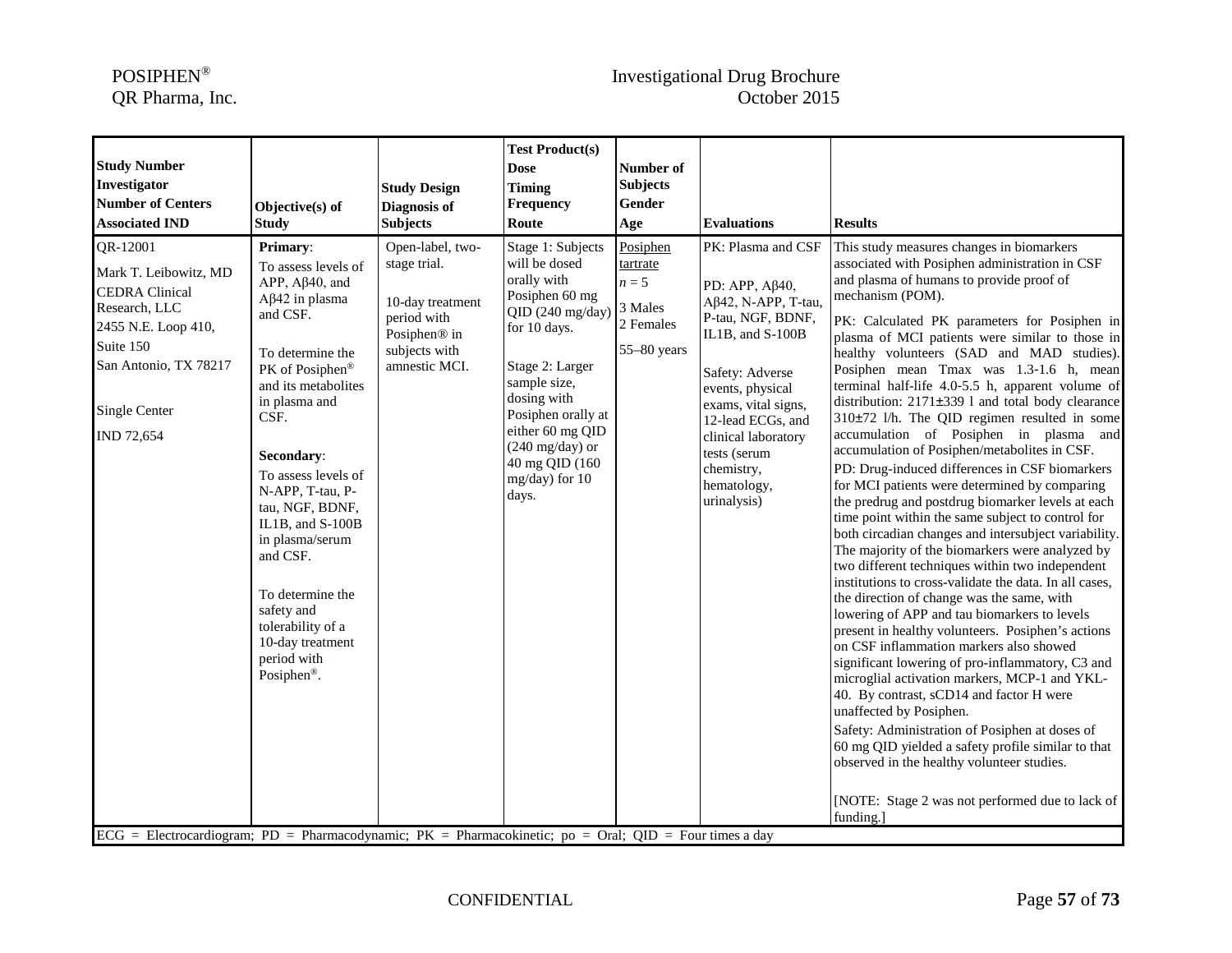# POSIPHEN<sup>®</sup><br>
QR Pharma, Inc. COR October 2015

| <b>Study Number</b><br>Investigator<br><b>Number of Centers</b><br><b>Associated IND</b>                                                                                                                                                                                            | Objective(s) of<br><b>Study</b>                                                                                                                                                                                                                                                                                                                                                                                                    | <b>Study Design</b><br>Diagnosis of<br><b>Subjects</b>                                                                            | <b>Test Product(s)</b><br><b>Dose</b><br><b>Timing</b><br>Frequency<br>Route                                                                                                                                                                                                  | Number of<br><b>Subjects</b><br><b>Gender</b><br>Age                     | <b>Evaluations</b>                                                                                                                                                                                                                                                                | <b>Results</b>                                                                                                                                                                                                                                                                                                                                                                                                                                                                                                                                                                                                                                                                                                                                                                                                                                                                                                                                                                                                                                                                                                                                                                                                                                                                                                                                                                                                                                                                                                                                                                                                                                |
|-------------------------------------------------------------------------------------------------------------------------------------------------------------------------------------------------------------------------------------------------------------------------------------|------------------------------------------------------------------------------------------------------------------------------------------------------------------------------------------------------------------------------------------------------------------------------------------------------------------------------------------------------------------------------------------------------------------------------------|-----------------------------------------------------------------------------------------------------------------------------------|-------------------------------------------------------------------------------------------------------------------------------------------------------------------------------------------------------------------------------------------------------------------------------|--------------------------------------------------------------------------|-----------------------------------------------------------------------------------------------------------------------------------------------------------------------------------------------------------------------------------------------------------------------------------|-----------------------------------------------------------------------------------------------------------------------------------------------------------------------------------------------------------------------------------------------------------------------------------------------------------------------------------------------------------------------------------------------------------------------------------------------------------------------------------------------------------------------------------------------------------------------------------------------------------------------------------------------------------------------------------------------------------------------------------------------------------------------------------------------------------------------------------------------------------------------------------------------------------------------------------------------------------------------------------------------------------------------------------------------------------------------------------------------------------------------------------------------------------------------------------------------------------------------------------------------------------------------------------------------------------------------------------------------------------------------------------------------------------------------------------------------------------------------------------------------------------------------------------------------------------------------------------------------------------------------------------------------|
| QR-12001<br>Mark T. Leibowitz, MD<br><b>CEDRA</b> Clinical<br>Research, LLC<br>2455 N.E. Loop 410,<br>Suite 150<br>San Antonio, TX 78217<br>Single Center<br>IND 72,654<br>$ECG$ = Electrocardiogram; PD = Pharmacodynamic; PK = Pharmacokinetic; po = Oral; QID = Four times a day | Primary:<br>To assess levels of<br>$APP, A\beta40, and$<br>$Aβ42$ in plasma<br>and CSF.<br>To determine the<br>PK of Posiphen®<br>and its metabolites<br>in plasma and<br>CSF.<br>Secondary:<br>To assess levels of<br>N-APP, T-tau, P-<br>tau, NGF, BDNF,<br>IL1B, and S-100B<br>in plasma/serum<br>and CSF.<br>To determine the<br>safety and<br>tolerability of a<br>10-day treatment<br>period with<br>Posiphen <sup>®</sup> . | Open-label, two-<br>stage trial.<br>10-day treatment<br>period with<br>Posiphen <sup>®</sup> in<br>subjects with<br>amnestic MCI. | Stage 1: Subjects<br>will be dosed<br>orally with<br>Posiphen 60 mg<br>QID(240 mg/day)<br>for 10 days.<br>Stage 2: Larger<br>sample size,<br>dosing with<br>Posiphen orally at<br>either 60 mg QID<br>$(240 \text{ mg/day})$ or<br>40 mg QID (160)<br>mg/day) for 10<br>days. | Posiphen<br>tartrate<br>$n=5$<br>3 Males<br>2 Females<br>$55 - 80$ years | PK: Plasma and CSF<br>PD: APP, Aβ40,<br>$A\beta$ 42, N-APP, T-tau,<br>P-tau, NGF, BDNF,<br>IL1B, and S-100B<br>Safety: Adverse<br>events, physical<br>exams, vital signs,<br>12-lead ECGs, and<br>clinical laboratory<br>tests (serum<br>chemistry,<br>hematology,<br>urinalysis) | This study measures changes in biomarkers<br>associated with Posiphen administration in CSF<br>and plasma of humans to provide proof of<br>mechanism (POM).<br>PK: Calculated PK parameters for Posiphen in<br>plasma of MCI patients were similar to those in<br>healthy volunteers (SAD and MAD studies).<br>Posiphen mean Tmax was 1.3-1.6 h, mean<br>terminal half-life 4.0-5.5 h, apparent volume of<br>distribution: 2171±339 l and total body clearance<br>310±72 l/h. The QID regimen resulted in some<br>accumulation of Posiphen in plasma and<br>accumulation of Posiphen/metabolites in CSF.<br>PD: Drug-induced differences in CSF biomarkers<br>for MCI patients were determined by comparing<br>the predrug and postdrug biomarker levels at each<br>time point within the same subject to control for<br>both circadian changes and intersubject variability.<br>The majority of the biomarkers were analyzed by<br>two different techniques within two independent<br>institutions to cross-validate the data. In all cases,<br>the direction of change was the same, with<br>lowering of APP and tau biomarkers to levels<br>present in healthy volunteers. Posiphen's actions<br>on CSF inflammation markers also showed<br>significant lowering of pro-inflammatory, C3 and<br>microglial activation markers, MCP-1 and YKL-<br>40. By contrast, sCD14 and factor H were<br>unaffected by Posiphen.<br>Safety: Administration of Posiphen at doses of<br>60 mg QID yielded a safety profile similar to that<br>observed in the healthy volunteer studies.<br>[NOTE: Stage 2 was not performed due to lack of<br>funding.] |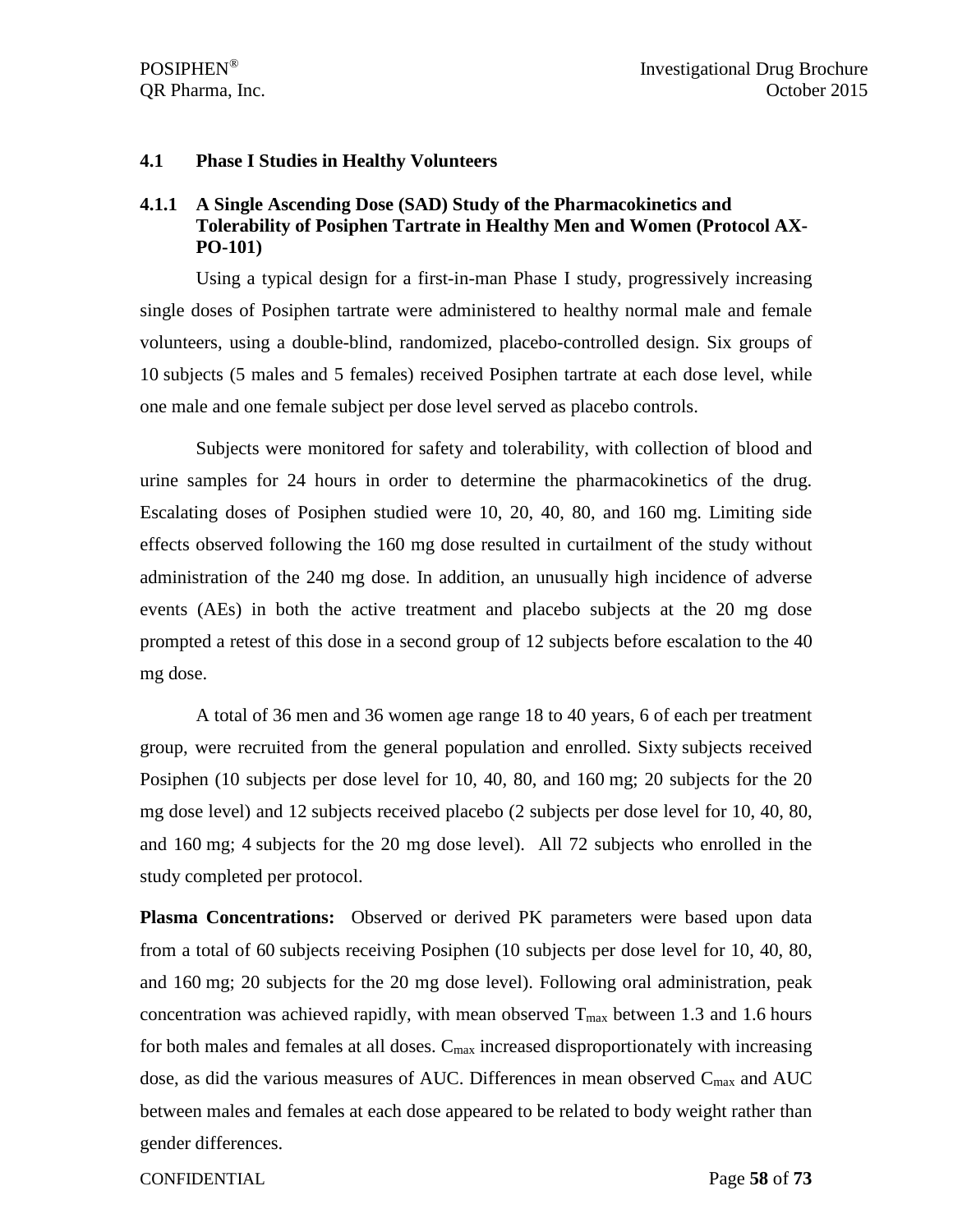#### **4.1 Phase I Studies in Healthy Volunteers**

### **4.1.1 A Single Ascending Dose (SAD) Study of the Pharmacokinetics and Tolerability of Posiphen Tartrate in Healthy Men and Women (Protocol AX-PO-101)**

Using a typical design for a first-in-man Phase I study, progressively increasing single doses of Posiphen tartrate were administered to healthy normal male and female volunteers, using a double-blind, randomized, placebo-controlled design. Six groups of 10 subjects (5 males and 5 females) received Posiphen tartrate at each dose level, while one male and one female subject per dose level served as placebo controls.

Subjects were monitored for safety and tolerability, with collection of blood and urine samples for 24 hours in order to determine the pharmacokinetics of the drug. Escalating doses of Posiphen studied were 10, 20, 40, 80, and 160 mg. Limiting side effects observed following the 160 mg dose resulted in curtailment of the study without administration of the 240 mg dose. In addition, an unusually high incidence of adverse events (AEs) in both the active treatment and placebo subjects at the 20 mg dose prompted a retest of this dose in a second group of 12 subjects before escalation to the 40 mg dose.

A total of 36 men and 36 women age range 18 to 40 years, 6 of each per treatment group, were recruited from the general population and enrolled. Sixty subjects received Posiphen (10 subjects per dose level for 10, 40, 80, and 160 mg; 20 subjects for the 20 mg dose level) and 12 subjects received placebo (2 subjects per dose level for 10, 40, 80, and 160 mg; 4 subjects for the 20 mg dose level). All 72 subjects who enrolled in the study completed per protocol.

**Plasma Concentrations:** Observed or derived PK parameters were based upon data from a total of 60 subjects receiving Posiphen (10 subjects per dose level for 10, 40, 80, and 160 mg; 20 subjects for the 20 mg dose level). Following oral administration, peak concentration was achieved rapidly, with mean observed  $T_{\text{max}}$  between 1.3 and 1.6 hours for both males and females at all doses.  $C_{\text{max}}$  increased disproportionately with increasing dose, as did the various measures of AUC. Differences in mean observed  $C_{\text{max}}$  and AUC between males and females at each dose appeared to be related to body weight rather than gender differences.

CONFIDENTIAL Page **58** of **73**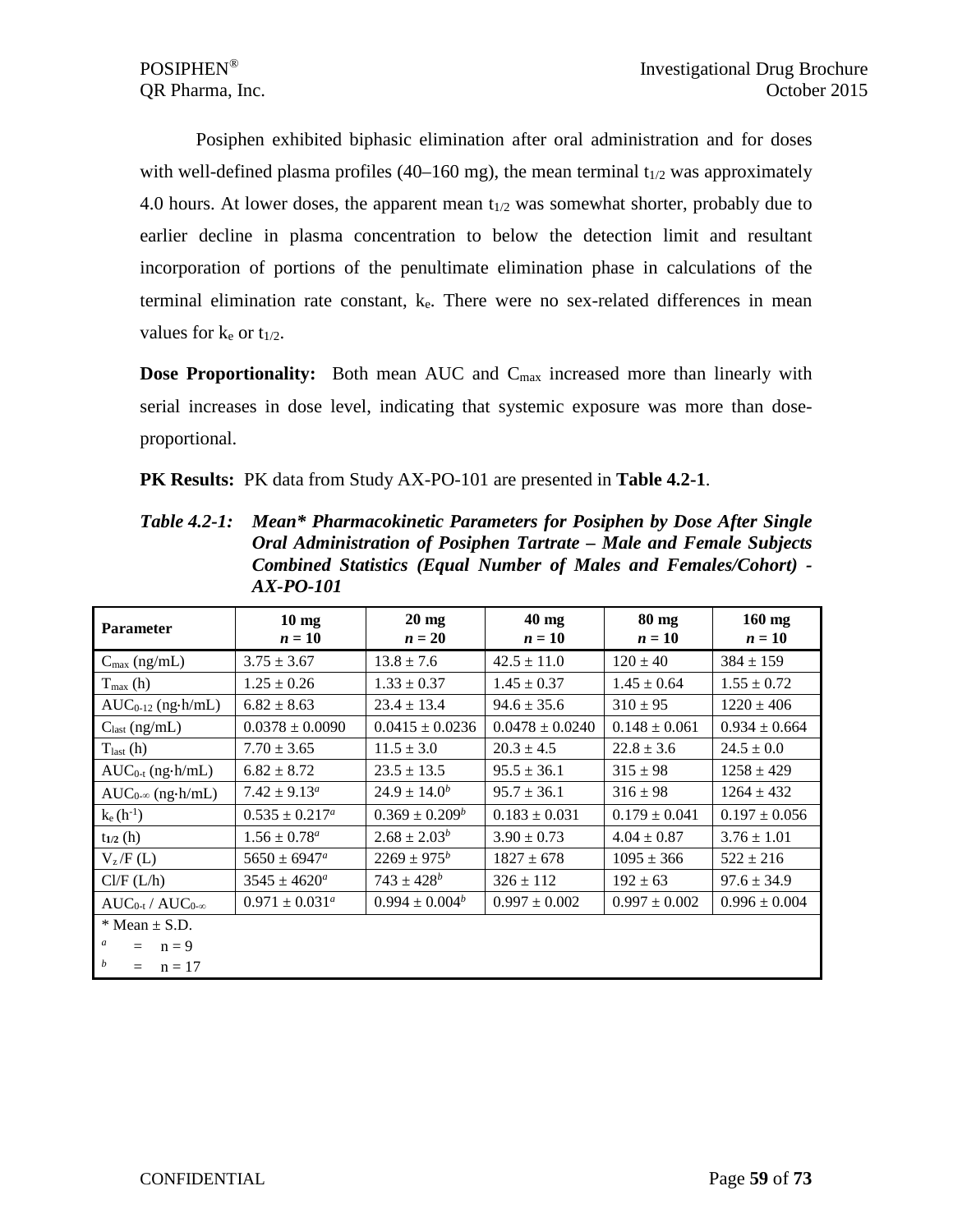Posiphen exhibited biphasic elimination after oral administration and for doses with well-defined plasma profiles (40–160 mg), the mean terminal  $t_{1/2}$  was approximately 4.0 hours. At lower doses, the apparent mean  $t_{1/2}$  was somewhat shorter, probably due to earlier decline in plasma concentration to below the detection limit and resultant incorporation of portions of the penultimate elimination phase in calculations of the terminal elimination rate constant,  $k_e$ . There were no sex-related differences in mean values for  $k_e$  or  $t_{1/2}$ .

**Dose Proportionality:** Both mean AUC and C<sub>max</sub> increased more than linearly with serial increases in dose level, indicating that systemic exposure was more than doseproportional.

**PK Results:** PK data from Study AX-PO-101 are presented in **Table 4.2-1**.

| <b>Parameter</b>           | $10 \text{ mg}$<br>$n=10$ | $20 \text{ mg}$<br>$n=20$ | $40$ mg<br>$n=10$   | 80 mg<br>$n=10$   | $160$ mg<br>$n=10$ |
|----------------------------|---------------------------|---------------------------|---------------------|-------------------|--------------------|
| $C_{\text{max}}$ (ng/mL)   | $3.75 \pm 3.67$           | $13.8 \pm 7.6$            | $42.5 \pm 11.0$     | $120 \pm 40$      | $384 \pm 159$      |
| $T_{\text{max}}$ (h)       | $1.25 \pm 0.26$           | $1.33 \pm 0.37$           | $1.45 \pm 0.37$     | $1.45 \pm 0.64$   | $1.55 \pm 0.72$    |
| $AUC_{0-12}$ (ng-h/mL)     | $6.82 \pm 8.63$           | $23.4 \pm 13.4$           | $94.6 \pm 35.6$     | $310 \pm 95$      | $1220 \pm 406$     |
| $C_{\text{last}}$ (ng/mL)  | $0.0378 \pm 0.0090$       | $0.0415 \pm 0.0236$       | $0.0478 \pm 0.0240$ | $0.148 \pm 0.061$ | $0.934 \pm 0.664$  |
| $T_{last}(h)$              | $7.70 \pm 3.65$           | $11.5 \pm 3.0$            | $20.3 \pm 4.5$      | $22.8 \pm 3.6$    | $24.5 \pm 0.0$     |
| $AUC_{0-t}$ (ng·h/mL)      | $6.82 \pm 8.72$           | $23.5 \pm 13.5$           | $95.5 \pm 36.1$     | $315 \pm 98$      | $1258 \pm 429$     |
| $AUC_{0-\infty}$ (ng.h/mL) | $7.42 \pm 9.13^{\circ}$   | $24.9 \pm 14.0^b$         | $95.7 \pm 36.1$     | $316 \pm 98$      | $1264 \pm 432$     |
| $k_e(h^{-1})$              | $0.535 \pm 0.217^a$       | $0.369 \pm 0.209^b$       | $0.183 \pm 0.031$   | $0.179 \pm 0.041$ | $0.197 \pm 0.056$  |
| $t_{1/2}$ (h)              | $1.56 \pm 0.78^a$         | $2.68 \pm 2.03^b$         | $3.90 \pm 0.73$     | $4.04 \pm 0.87$   | $3.76 \pm 1.01$    |
| $V_z/F(L)$                 | $5650 \pm 6947^{\circ}$   | $2269 \pm 975^b$          | $1827 \pm 678$      | $1095 \pm 366$    | $522 \pm 216$      |
| Cl/F (L/h)                 | $3545 \pm 4620^{\circ}$   | $743 \pm 428^b$           | $326 \pm 112$       | $192 \pm 63$      | $97.6 \pm 34.9$    |
| $AUC_{0-t}/AUC_{0-\infty}$ | $0.971 \pm 0.031^a$       | $0.994 \pm 0.004^b$       | $0.997 \pm 0.002$   | $0.997 \pm 0.002$ | $0.996 \pm 0.004$  |
| $*$ Mean $\pm$ S.D.        |                           |                           |                     |                   |                    |
| a<br>$n = 9$               |                           |                           |                     |                   |                    |
| b<br>$n = 17$<br>$=$       |                           |                           |                     |                   |                    |

*Table 4.2-1: Mean\* Pharmacokinetic Parameters for Posiphen by Dose After Single Oral Administration of Posiphen Tartrate – Male and Female Subjects Combined Statistics (Equal Number of Males and Females/Cohort) - AX-PO-101*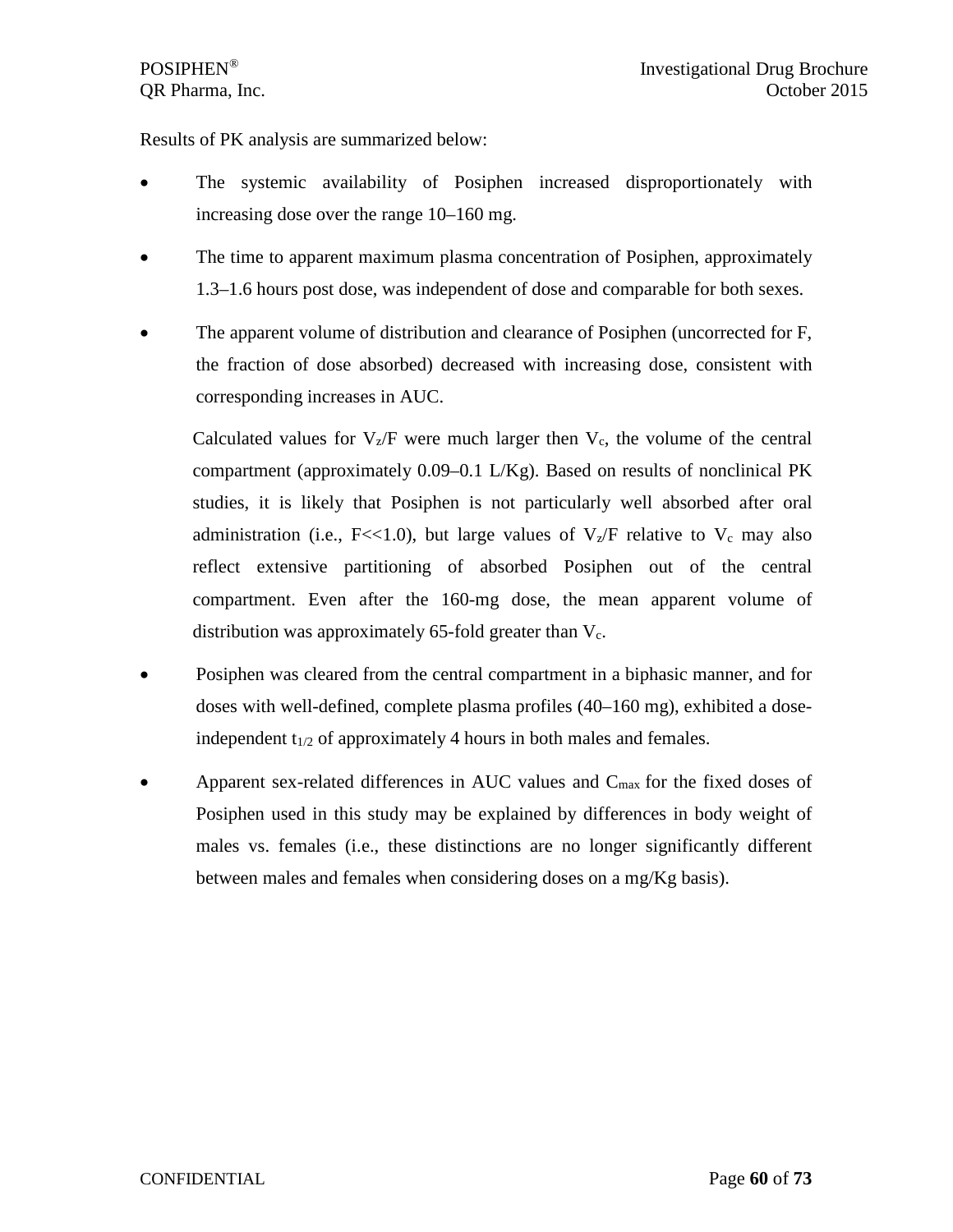Results of PK analysis are summarized below:

- The systemic availability of Posiphen increased disproportionately with increasing dose over the range 10–160 mg.
- The time to apparent maximum plasma concentration of Posiphen, approximately 1.3–1.6 hours post dose, was independent of dose and comparable for both sexes.
- The apparent volume of distribution and clearance of Posiphen (uncorrected for F, the fraction of dose absorbed) decreased with increasing dose, consistent with corresponding increases in AUC.

Calculated values for  $V_z/F$  were much larger then  $V_c$ , the volume of the central compartment (approximately 0.09–0.1 L/Kg). Based on results of nonclinical PK studies, it is likely that Posiphen is not particularly well absorbed after oral administration (i.e., F<<1.0), but large values of  $V_z/F$  relative to  $V_c$  may also reflect extensive partitioning of absorbed Posiphen out of the central compartment. Even after the 160-mg dose, the mean apparent volume of distribution was approximately 65-fold greater than  $V_c$ .

- Posiphen was cleared from the central compartment in a biphasic manner, and for doses with well-defined, complete plasma profiles (40–160 mg), exhibited a doseindependent  $t_{1/2}$  of approximately 4 hours in both males and females.
- Apparent sex-related differences in AUC values and  $C_{\text{max}}$  for the fixed doses of Posiphen used in this study may be explained by differences in body weight of males vs. females (i.e., these distinctions are no longer significantly different between males and females when considering doses on a mg/Kg basis).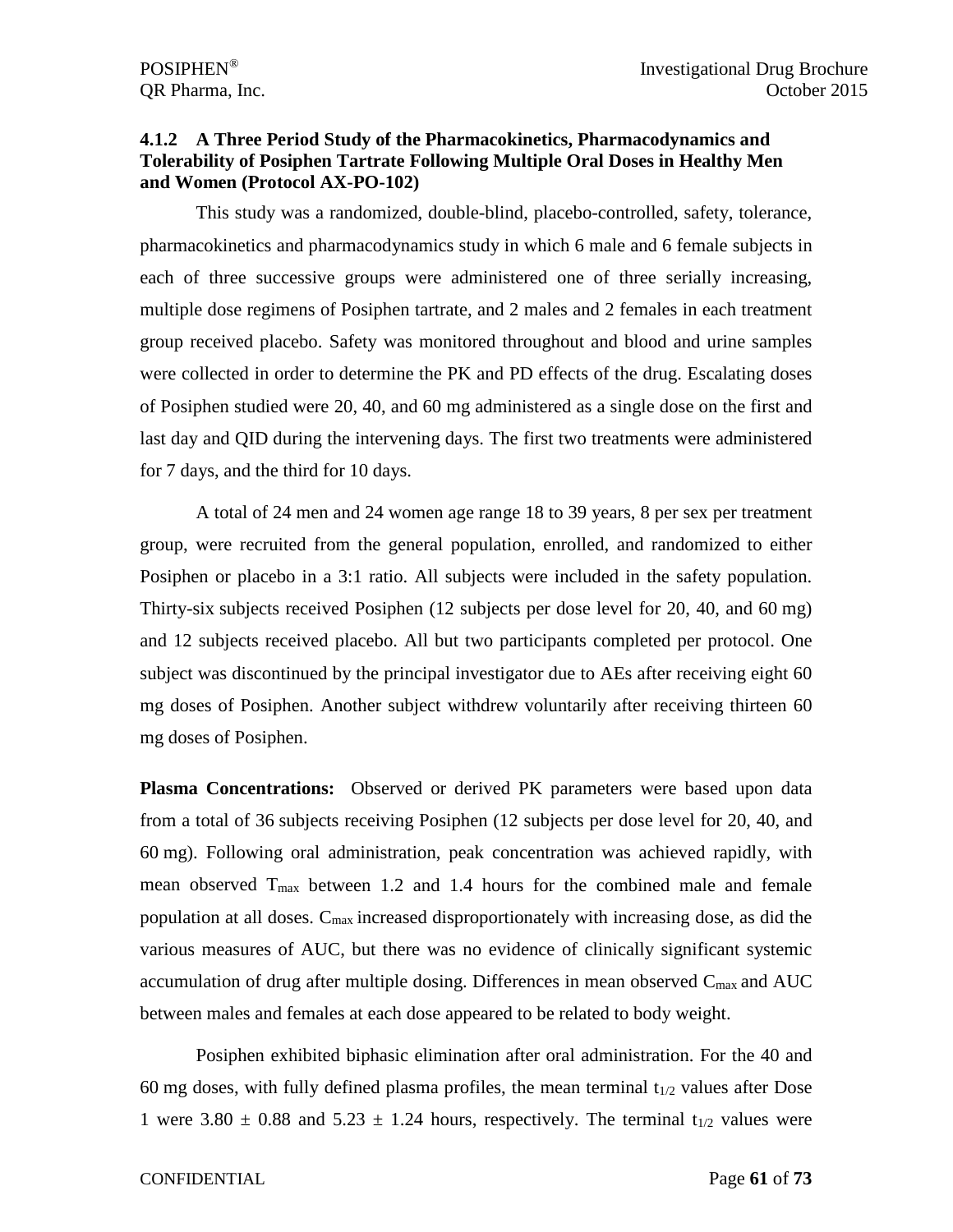### **4.1.2 A Three Period Study of the Pharmacokinetics, Pharmacodynamics and Tolerability of Posiphen Tartrate Following Multiple Oral Doses in Healthy Men and Women (Protocol AX-PO-102)**

This study was a randomized, double-blind, placebo-controlled, safety, tolerance, pharmacokinetics and pharmacodynamics study in which 6 male and 6 female subjects in each of three successive groups were administered one of three serially increasing, multiple dose regimens of Posiphen tartrate, and 2 males and 2 females in each treatment group received placebo. Safety was monitored throughout and blood and urine samples were collected in order to determine the PK and PD effects of the drug. Escalating doses of Posiphen studied were 20, 40, and 60 mg administered as a single dose on the first and last day and QID during the intervening days. The first two treatments were administered for 7 days, and the third for 10 days.

A total of 24 men and 24 women age range 18 to 39 years, 8 per sex per treatment group, were recruited from the general population, enrolled, and randomized to either Posiphen or placebo in a 3:1 ratio. All subjects were included in the safety population. Thirty-six subjects received Posiphen (12 subjects per dose level for 20, 40, and 60 mg) and 12 subjects received placebo. All but two participants completed per protocol. One subject was discontinued by the principal investigator due to AEs after receiving eight 60 mg doses of Posiphen. Another subject withdrew voluntarily after receiving thirteen 60 mg doses of Posiphen.

**Plasma Concentrations:** Observed or derived PK parameters were based upon data from a total of 36 subjects receiving Posiphen (12 subjects per dose level for 20, 40, and 60 mg). Following oral administration, peak concentration was achieved rapidly, with mean observed  $T_{\text{max}}$  between 1.2 and 1.4 hours for the combined male and female population at all doses. Cmax increased disproportionately with increasing dose, as did the various measures of AUC, but there was no evidence of clinically significant systemic accumulation of drug after multiple dosing. Differences in mean observed  $C_{\text{max}}$  and AUC between males and females at each dose appeared to be related to body weight.

Posiphen exhibited biphasic elimination after oral administration. For the 40 and 60 mg doses, with fully defined plasma profiles, the mean terminal  $t_{1/2}$  values after Dose 1 were  $3.80 \pm 0.88$  and  $5.23 \pm 1.24$  hours, respectively. The terminal t<sub>1/2</sub> values were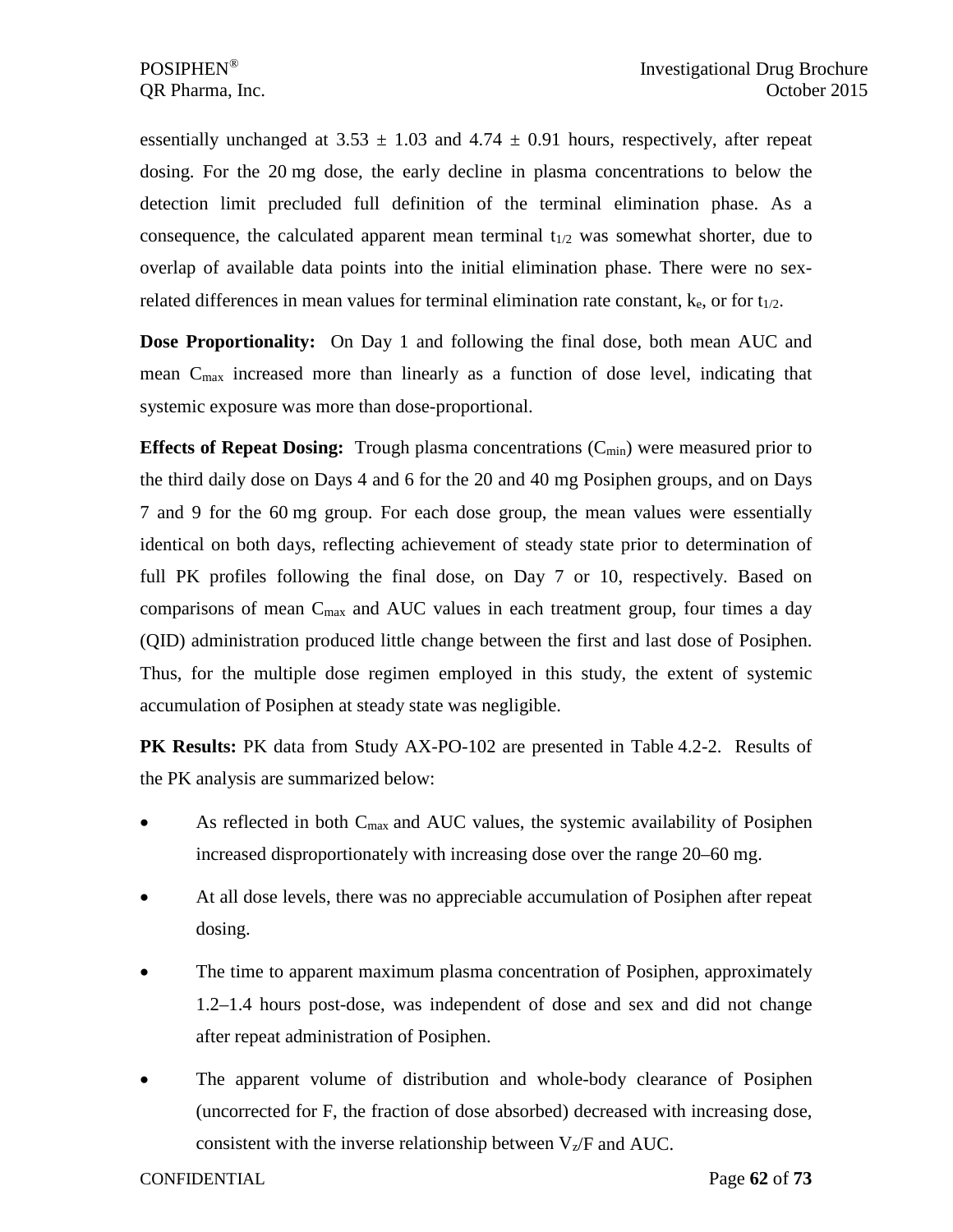essentially unchanged at  $3.53 \pm 1.03$  and  $4.74 \pm 0.91$  hours, respectively, after repeat dosing. For the 20 mg dose, the early decline in plasma concentrations to below the detection limit precluded full definition of the terminal elimination phase. As a consequence, the calculated apparent mean terminal  $t_{1/2}$  was somewhat shorter, due to overlap of available data points into the initial elimination phase. There were no sexrelated differences in mean values for terminal elimination rate constant,  $k_e$ , or for  $t_{1/2}$ .

**Dose Proportionality:** On Day 1 and following the final dose, both mean AUC and mean Cmax increased more than linearly as a function of dose level, indicating that systemic exposure was more than dose-proportional.

**Effects of Repeat Dosing:** Trough plasma concentrations (C<sub>min</sub>) were measured prior to the third daily dose on Days 4 and 6 for the 20 and 40 mg Posiphen groups, and on Days 7 and 9 for the 60 mg group. For each dose group, the mean values were essentially identical on both days, reflecting achievement of steady state prior to determination of full PK profiles following the final dose, on Day 7 or 10, respectively. Based on comparisons of mean  $C_{\text{max}}$  and AUC values in each treatment group, four times a day (QID) administration produced little change between the first and last dose of Posiphen. Thus, for the multiple dose regimen employed in this study, the extent of systemic accumulation of Posiphen at steady state was negligible.

**PK Results:** PK data from Study AX-PO-102 are presented in Table 4.2-2. Results of the PK analysis are summarized below:

- As reflected in both  $C_{\text{max}}$  and AUC values, the systemic availability of Posiphen increased disproportionately with increasing dose over the range 20–60 mg.
- At all dose levels, there was no appreciable accumulation of Posiphen after repeat dosing.
- The time to apparent maximum plasma concentration of Posiphen, approximately 1.2–1.4 hours post-dose, was independent of dose and sex and did not change after repeat administration of Posiphen.
- The apparent volume of distribution and whole-body clearance of Posiphen (uncorrected for F, the fraction of dose absorbed) decreased with increasing dose, consistent with the inverse relationship between  $V_z$ /F and AUC.

CONFIDENTIAL Page **62** of **73**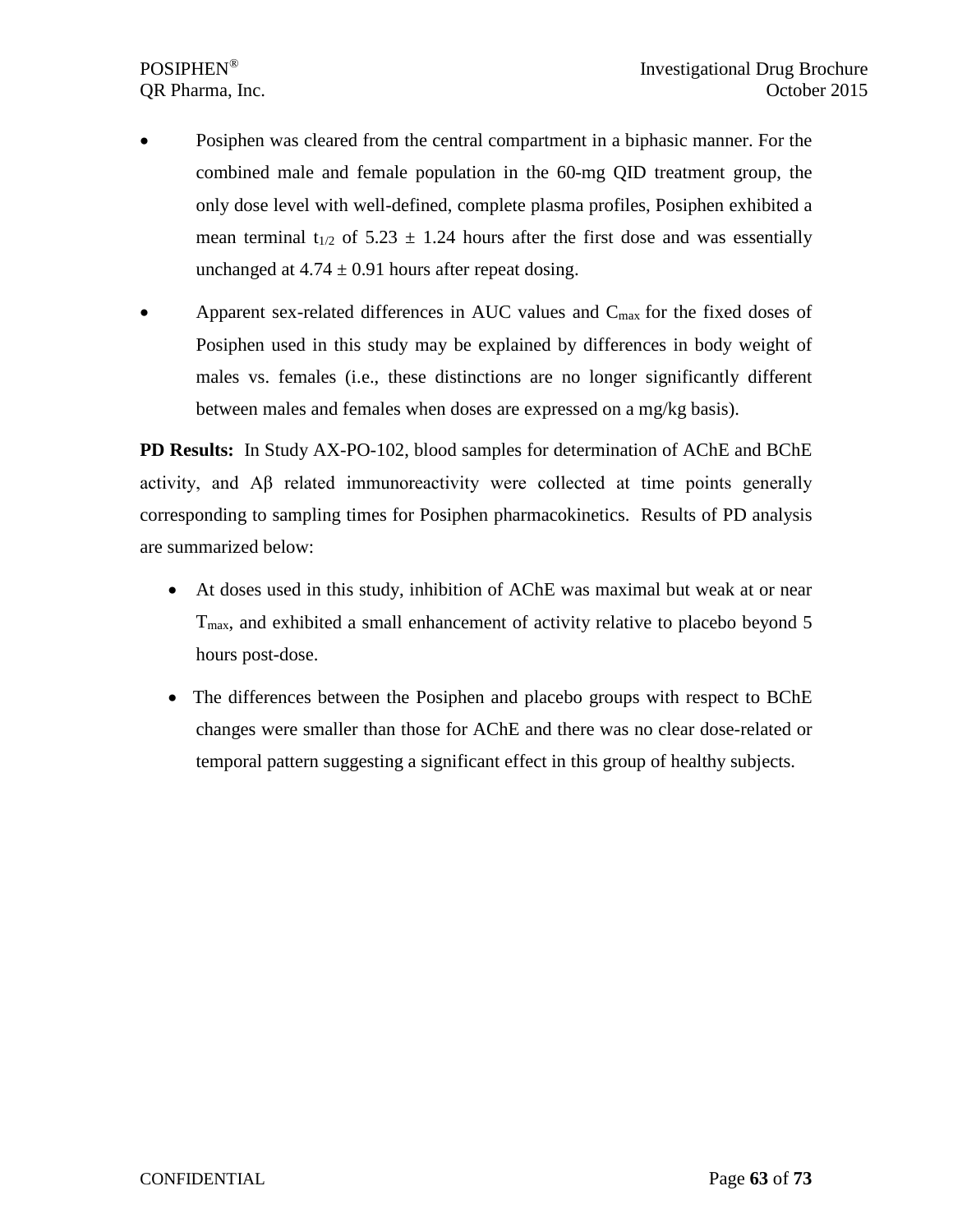- Posiphen was cleared from the central compartment in a biphasic manner. For the combined male and female population in the 60-mg QID treatment group, the only dose level with well-defined, complete plasma profiles, Posiphen exhibited a mean terminal  $t_{1/2}$  of 5.23  $\pm$  1.24 hours after the first dose and was essentially unchanged at  $4.74 \pm 0.91$  hours after repeat dosing.
- Apparent sex-related differences in AUC values and  $C_{\text{max}}$  for the fixed doses of Posiphen used in this study may be explained by differences in body weight of males vs. females (i.e., these distinctions are no longer significantly different between males and females when doses are expressed on a mg/kg basis).

**PD Results:** In Study AX-PO-102, blood samples for determination of AChE and BChE activity, and Aβ related immunoreactivity were collected at time points generally corresponding to sampling times for Posiphen pharmacokinetics. Results of PD analysis are summarized below:

- At doses used in this study, inhibition of AChE was maximal but weak at or near T<sub>max</sub>, and exhibited a small enhancement of activity relative to placebo beyond 5 hours post-dose.
- The differences between the Posiphen and placebo groups with respect to BChE changes were smaller than those for AChE and there was no clear dose-related or temporal pattern suggesting a significant effect in this group of healthy subjects.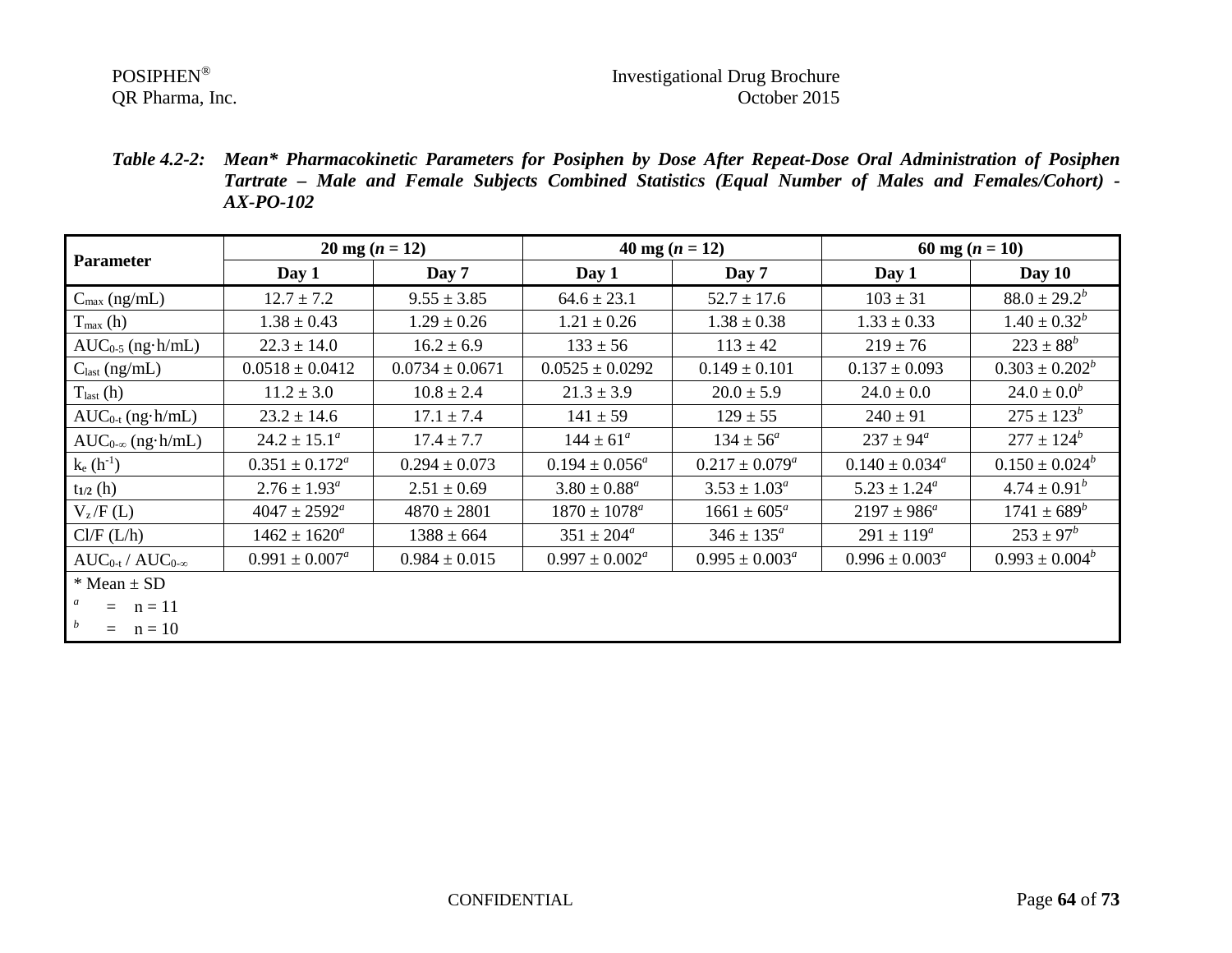# POSIPHEN<sup>®</sup><br>
OR Pharma, Inc. COR Pharma, Inc. COR Pharma, Inc.

*Table 4.2-2: Mean\* Pharmacokinetic Parameters for Posiphen by Dose After Repeat-Dose Oral Administration of Posiphen Tartrate – Male and Female Subjects Combined Statistics (Equal Number of Males and Females/Cohort) - AX-PO-102*

| <b>Parameter</b>           | $20 \text{ mg} (n = 12)$ |                     | 40 mg $(n = 12)$    |                           | 60 mg $(n = 10)$          |                     |
|----------------------------|--------------------------|---------------------|---------------------|---------------------------|---------------------------|---------------------|
|                            | Day 1                    | Day 7               | Day $1$             | Day 7                     | Day 1                     | Day $10$            |
| $C_{\text{max}}$ (ng/mL)   | $12.7 \pm 7.2$           | $9.55 \pm 3.85$     | $64.6 \pm 23.1$     | $52.7 \pm 17.6$           | $103 \pm 31$              | $88.0 \pm 29.2^b$   |
| $T_{\text{max}}$ (h)       | $1.38 \pm 0.43$          | $1.29 \pm 0.26$     | $1.21 \pm 0.26$     | $1.38 \pm 0.38$           | $1.33 \pm 0.33$           | $1.40 \pm 0.32^b$   |
| $AUC_{0.5}$ (ng $h/mL$ )   | $22.3 \pm 14.0$          | $16.2 \pm 6.9$      | $133 \pm 56$        | $113 \pm 42$              | $219 \pm 76$              | $223 \pm 88^b$      |
| $C_{\text{last}}$ (ng/mL)  | $0.0518 \pm 0.0412$      | $0.0734 \pm 0.0671$ | $0.0525 \pm 0.0292$ | $0.149 \pm 0.101$         | $0.137 \pm 0.093$         | $0.303 \pm 0.202^b$ |
| $Tlast$ (h)                | $11.2 \pm 3.0$           | $10.8 \pm 2.4$      | $21.3 \pm 3.9$      | $20.0 \pm 5.9$            | $24.0 \pm 0.0$            | $24.0 \pm 0.0^b$    |
| $AUC_{0-t}$ (ng·h/mL)      | $23.2 \pm 14.6$          | $17.1 \pm 7.4$      | $141 \pm 59$        | $129 \pm 55$              | $240 \pm 91$              | $275 \pm 123^b$     |
| $AUC_{0-\infty}$ (ng·h/mL) | $24.2 \pm 15.1^a$        | $17.4 \pm 7.7$      | $144 \pm 61^a$      | $134 \pm 56^a$            | $237 \pm 94^{\circ}$      | $277 \pm 124^b$     |
| $k_e(h^{-1})$              | $0.351 \pm 0.172^a$      | $0.294 \pm 0.073$   | $0.194 \pm 0.056^a$ | $0.217 \pm 0.079^a$       | $0.140 \pm 0.034^a$       | $0.150 \pm 0.024^b$ |
| $t_{1/2}$ (h)              | $2.76 \pm 1.93^{\circ}$  | $2.51 \pm 0.69$     | $3.80 \pm 0.88^a$   | $3.53 \pm 1.03^a$         | $5.23 \pm 1.24^a$         | $4.74 \pm 0.91^b$   |
| $V_z/F(L)$                 | $4047 \pm 2592^a$        | $4870 \pm 2801$     | $1870 \pm 1078^a$   | $1661 \pm 605^a$          | $2197 \pm 986^a$          | $1741 \pm 689^b$    |
| Cl/F (L/h)                 | $1462 \pm 1620^a$        | $1388 \pm 664$      | $351 \pm 204^a$     | $346 \pm 135^{\circ}$     | $291 \pm 119^a$           | $253 \pm 97^b$      |
| $AUC_{0-t}/AUC_{0-\infty}$ | $0.991 \pm 0.007^a$      | $0.984 \pm 0.015$   | $0.997 \pm 0.002^a$ | $0.995 \pm 0.003^{\circ}$ | $0.996 \pm 0.003^{\circ}$ | $0.993 \pm 0.004^b$ |
| $*$ Mean $\pm$ SD          |                          |                     |                     |                           |                           |                     |
| $=$ $n = 11$               |                          |                     |                     |                           |                           |                     |
| b<br>$=$ $n = 10$          |                          |                     |                     |                           |                           |                     |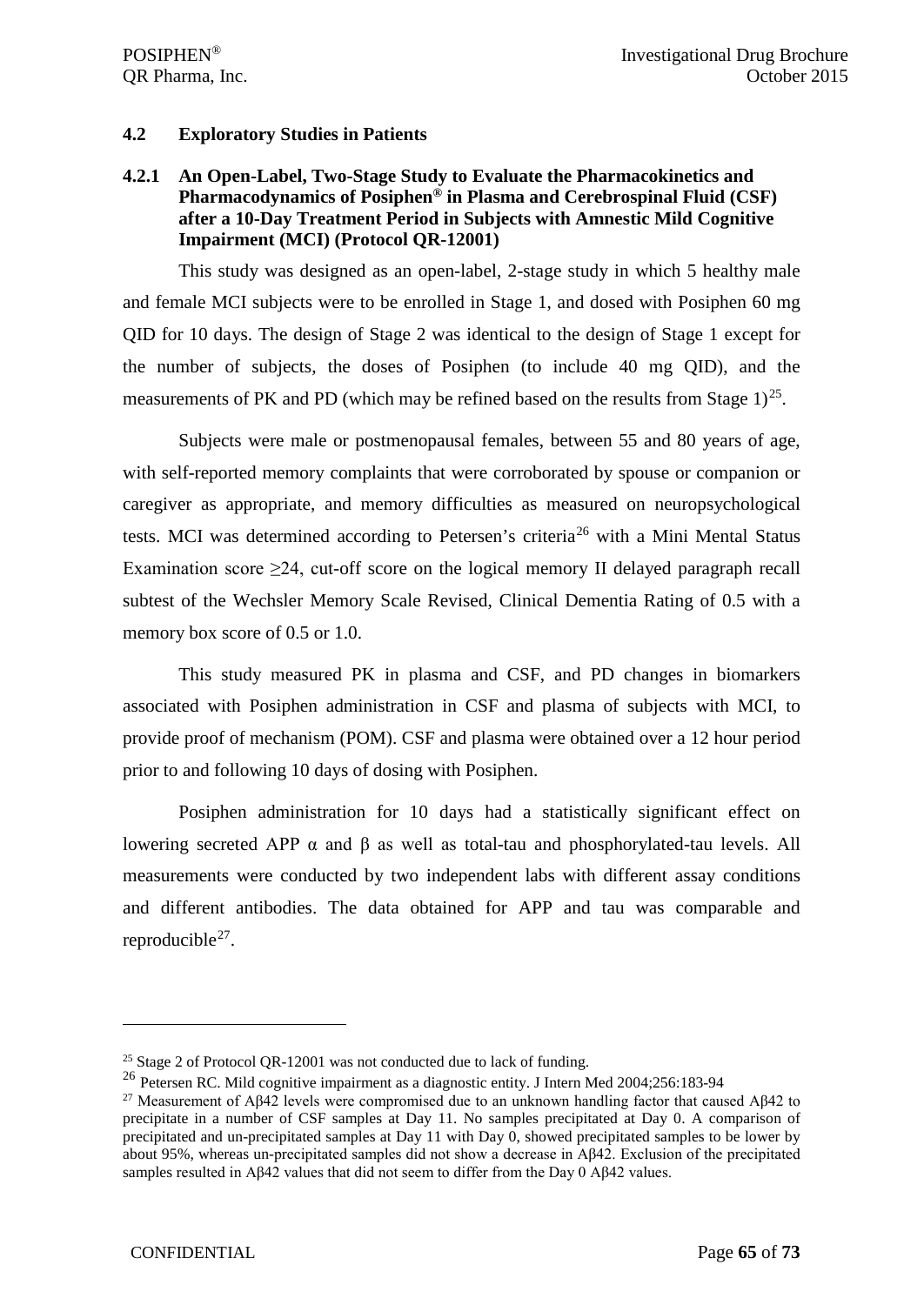### **4.2 Exploratory Studies in Patients**

# **4.2.1 An Open-Label, Two-Stage Study to Evaluate the Pharmacokinetics and Pharmacodynamics of Posiphen® in Plasma and Cerebrospinal Fluid (CSF) after a 10-Day Treatment Period in Subjects with Amnestic Mild Cognitive Impairment (MCI) (Protocol QR-12001)**

This study was designed as an open-label, 2-stage study in which 5 healthy male and female MCI subjects were to be enrolled in Stage 1, and dosed with Posiphen 60 mg QID for 10 days. The design of Stage 2 was identical to the design of Stage 1 except for the number of subjects, the doses of Posiphen (to include 40 mg QID), and the measurements of PK and PD (which may be refined based on the results from Stage  $1)^{25}$  $1)^{25}$  $1)^{25}$ .

Subjects were male or postmenopausal females, between 55 and 80 years of age, with self-reported memory complaints that were corroborated by spouse or companion or caregiver as appropriate, and memory difficulties as measured on neuropsychological tests. MCI was determined according to Petersen's criteria<sup>[26](#page-64-1)</sup> with a Mini Mental Status Examination score  $\geq 24$ , cut-off score on the logical memory II delayed paragraph recall subtest of the Wechsler Memory Scale Revised, Clinical Dementia Rating of 0.5 with a memory box score of 0.5 or 1.0.

This study measured PK in plasma and CSF, and PD changes in biomarkers associated with Posiphen administration in CSF and plasma of subjects with MCI, to provide proof of mechanism (POM). CSF and plasma were obtained over a 12 hour period prior to and following 10 days of dosing with Posiphen.

Posiphen administration for 10 days had a statistically significant effect on lowering secreted APP  $\alpha$  and β as well as total-tau and phosphorylated-tau levels. All measurements were conducted by two independent labs with different assay conditions and different antibodies. The data obtained for APP and tau was comparable and reproducible<sup>27</sup>.

 $\overline{a}$ 

<span id="page-64-0"></span><sup>&</sup>lt;sup>25</sup> Stage 2 of Protocol QR-12001 was not conducted due to lack of funding.

<span id="page-64-1"></span><sup>26</sup> Petersen RC. Mild cognitive impairment as a diagnostic entity. J Intern Med 2004;256:183-94

<span id="page-64-2"></span><sup>&</sup>lt;sup>27</sup> Measurement of Aβ42 levels were compromised due to an unknown handling factor that caused Aβ42 to precipitate in a number of CSF samples at Day 11. No samples precipitated at Day 0. A comparison of precipitated and un-precipitated samples at Day 11 with Day 0, showed precipitated samples to be lower by about 95%, whereas un-precipitated samples did not show a decrease in Aβ42. Exclusion of the precipitated samples resulted in Aβ42 values that did not seem to differ from the Day 0 Aβ42 values.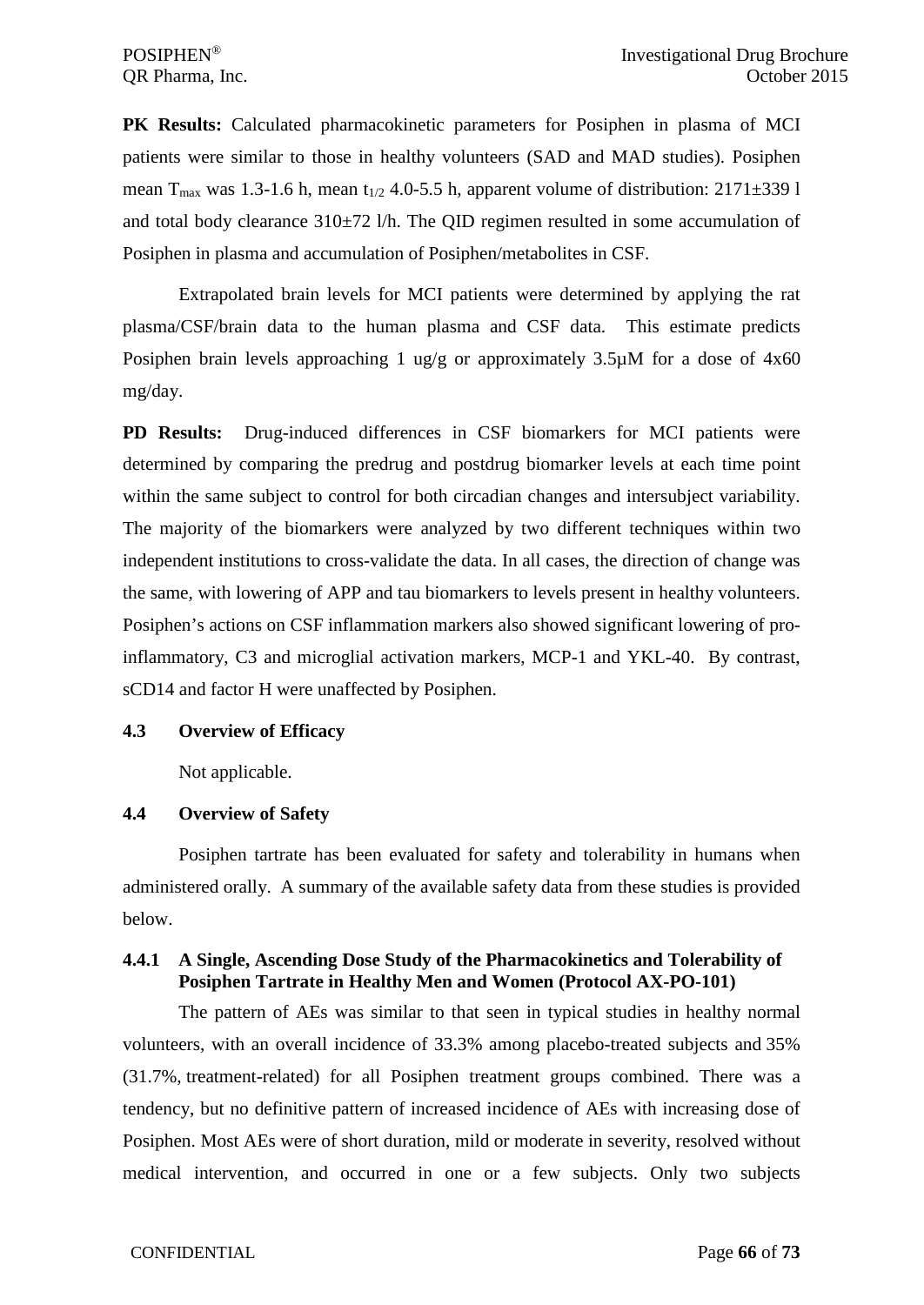**PK Results:** Calculated pharmacokinetic parameters for Posiphen in plasma of MCI patients were similar to those in healthy volunteers (SAD and MAD studies). Posiphen mean T<sub>max</sub> was 1.3-1.6 h, mean t<sub>1/2</sub> 4.0-5.5 h, apparent volume of distribution: 2171 $\pm$ 339 l and total body clearance  $310\pm72$  l/h. The QID regimen resulted in some accumulation of Posiphen in plasma and accumulation of Posiphen/metabolites in CSF.

Extrapolated brain levels for MCI patients were determined by applying the rat plasma/CSF/brain data to the human plasma and CSF data. This estimate predicts Posiphen brain levels approaching 1 ug/g or approximately  $3.5\mu$ M for a dose of  $4x60$ mg/day.

**PD Results:** Drug-induced differences in CSF biomarkers for MCI patients were determined by comparing the predrug and postdrug biomarker levels at each time point within the same subject to control for both circadian changes and intersubject variability. The majority of the biomarkers were analyzed by two different techniques within two independent institutions to cross-validate the data. In all cases, the direction of change was the same, with lowering of APP and tau biomarkers to levels present in healthy volunteers. Posiphen's actions on CSF inflammation markers also showed significant lowering of proinflammatory, C3 and microglial activation markers, MCP-1 and YKL-40. By contrast, sCD14 and factor H were unaffected by Posiphen.

### **4.3 Overview of Efficacy**

Not applicable.

### **4.4 Overview of Safety**

Posiphen tartrate has been evaluated for safety and tolerability in humans when administered orally. A summary of the available safety data from these studies is provided below.

# **4.4.1 A Single, Ascending Dose Study of the Pharmacokinetics and Tolerability of Posiphen Tartrate in Healthy Men and Women (Protocol AX-PO-101)**

The pattern of AEs was similar to that seen in typical studies in healthy normal volunteers, with an overall incidence of 33.3% among placebo-treated subjects and 35% (31.7%, treatment-related) for all Posiphen treatment groups combined. There was a tendency, but no definitive pattern of increased incidence of AEs with increasing dose of Posiphen. Most AEs were of short duration, mild or moderate in severity, resolved without medical intervention, and occurred in one or a few subjects. Only two subjects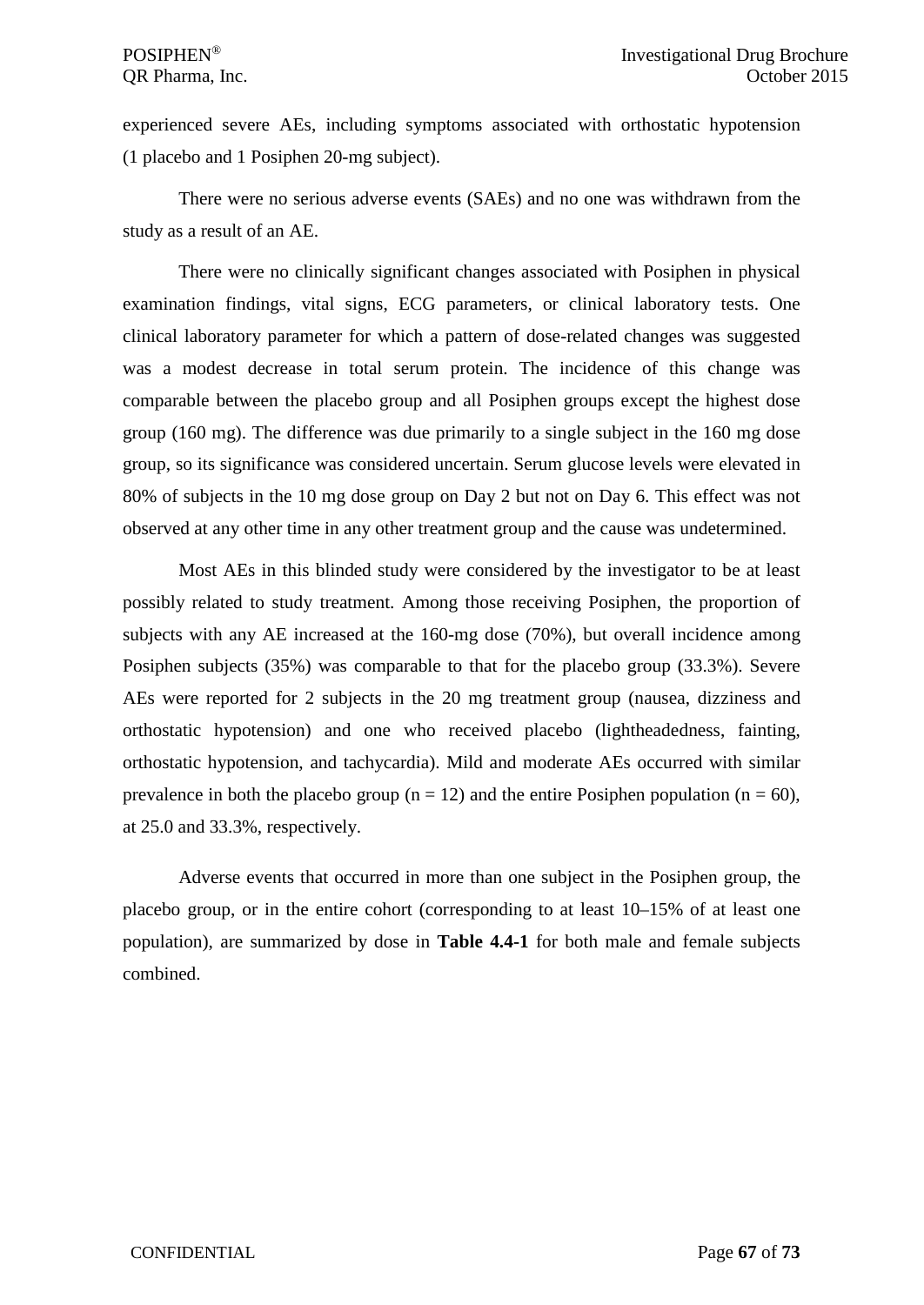experienced severe AEs, including symptoms associated with orthostatic hypotension (1 placebo and 1 Posiphen 20-mg subject).

There were no serious adverse events (SAEs) and no one was withdrawn from the study as a result of an AE.

There were no clinically significant changes associated with Posiphen in physical examination findings, vital signs, ECG parameters, or clinical laboratory tests. One clinical laboratory parameter for which a pattern of dose-related changes was suggested was a modest decrease in total serum protein. The incidence of this change was comparable between the placebo group and all Posiphen groups except the highest dose group (160 mg). The difference was due primarily to a single subject in the 160 mg dose group, so its significance was considered uncertain. Serum glucose levels were elevated in 80% of subjects in the 10 mg dose group on Day 2 but not on Day 6. This effect was not observed at any other time in any other treatment group and the cause was undetermined.

Most AEs in this blinded study were considered by the investigator to be at least possibly related to study treatment. Among those receiving Posiphen, the proportion of subjects with any AE increased at the 160-mg dose (70%), but overall incidence among Posiphen subjects (35%) was comparable to that for the placebo group (33.3%). Severe AEs were reported for 2 subjects in the 20 mg treatment group (nausea, dizziness and orthostatic hypotension) and one who received placebo (lightheadedness, fainting, orthostatic hypotension, and tachycardia). Mild and moderate AEs occurred with similar prevalence in both the placebo group ( $n = 12$ ) and the entire Posiphen population ( $n = 60$ ), at 25.0 and 33.3%, respectively.

Adverse events that occurred in more than one subject in the Posiphen group, the placebo group, or in the entire cohort (corresponding to at least 10–15% of at least one population), are summarized by dose in **Table 4.4-1** for both male and female subjects combined.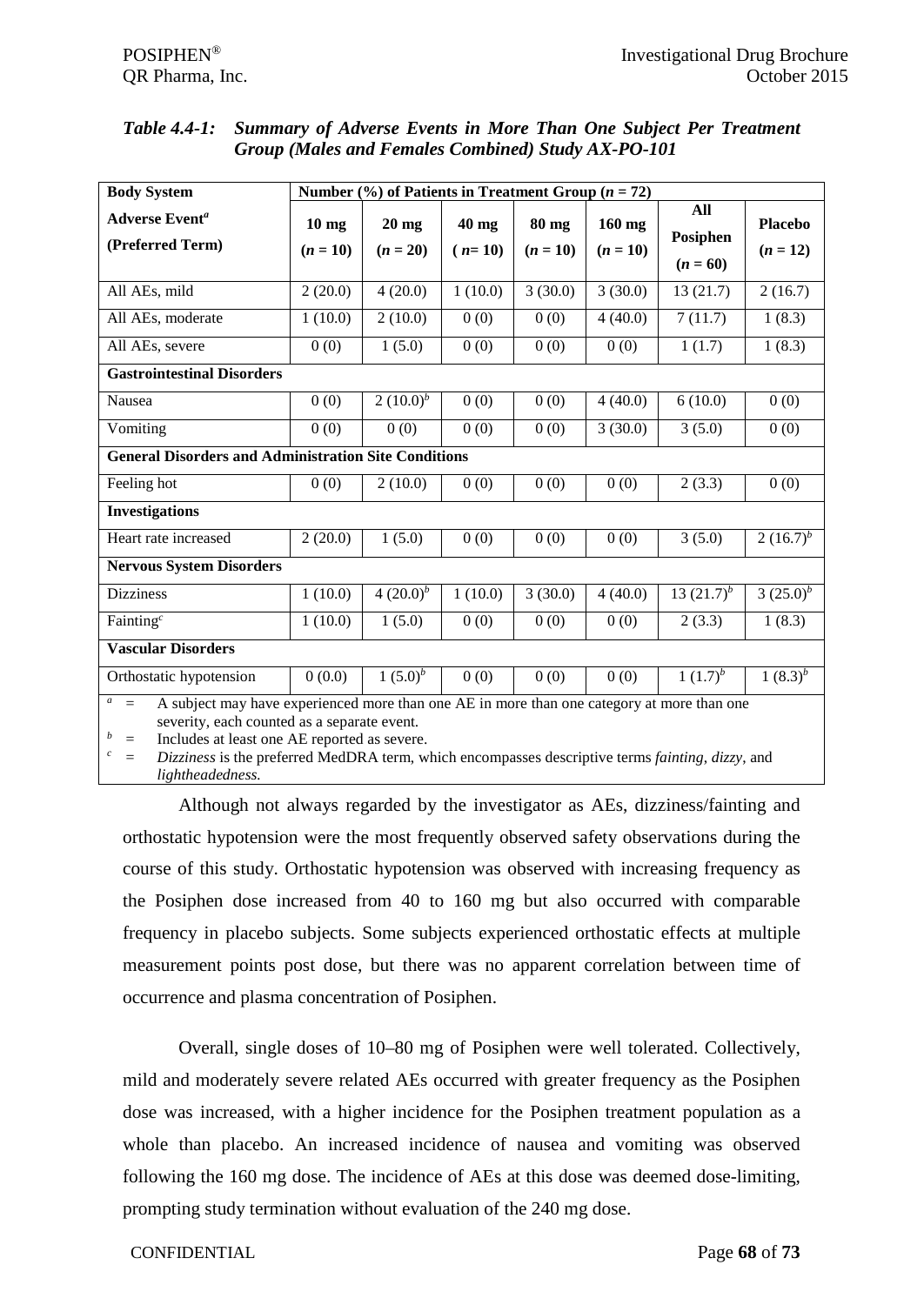| Table 4.4-1: Summary of Adverse Events in More Than One Subject Per Treatment |
|-------------------------------------------------------------------------------|
| <b>Group (Males and Females Combined) Study AX-PO-101</b>                     |

| Number $(\%)$ of Patients in Treatment Group ( $n = 72$ )<br><b>Body System</b>                                                                                                                                                                                                                                                                                        |                       |                       |                     |                     |                        |                               |                |
|------------------------------------------------------------------------------------------------------------------------------------------------------------------------------------------------------------------------------------------------------------------------------------------------------------------------------------------------------------------------|-----------------------|-----------------------|---------------------|---------------------|------------------------|-------------------------------|----------------|
| <b>Adverse Event<sup>a</sup></b>                                                                                                                                                                                                                                                                                                                                       | $10$ mg<br>$(n = 10)$ | $20$ mg<br>$(n = 20)$ | $40$ mg<br>$(n=10)$ | 80 mg<br>$(n = 10)$ | $160$ mg<br>$(n = 10)$ | All<br>Posiphen<br>$(n = 60)$ | <b>Placebo</b> |
| (Preferred Term)                                                                                                                                                                                                                                                                                                                                                       |                       |                       |                     |                     |                        |                               | $(n = 12)$     |
| All AEs, mild                                                                                                                                                                                                                                                                                                                                                          | 2(20.0)               | 4(20.0)               | 1(10.0)             | 3(30.0)             | 3(30.0)                | 13(21.7)                      | 2(16.7)        |
| All AEs, moderate                                                                                                                                                                                                                                                                                                                                                      | 1(10.0)               | 2(10.0)               | 0(0)                | 0(0)                | 4(40.0)                | 7(11.7)                       | 1(8.3)         |
| All AEs, severe                                                                                                                                                                                                                                                                                                                                                        | 0(0)                  | 1(5.0)                | 0(0)                | 0(0)                | 0(0)                   | 1(1.7)                        | 1(8.3)         |
| <b>Gastrointestinal Disorders</b>                                                                                                                                                                                                                                                                                                                                      |                       |                       |                     |                     |                        |                               |                |
| Nausea                                                                                                                                                                                                                                                                                                                                                                 | 0(0)                  | 2 $(10.0)^b$          | 0(0)                | 0(0)                | 4(40.0)                | 6(10.0)                       | 0(0)           |
| Vomiting                                                                                                                                                                                                                                                                                                                                                               | 0(0)                  | 0(0)                  | 0(0)                | 0(0)                | 3(30.0)                | 3(5.0)                        | 0(0)           |
| <b>General Disorders and Administration Site Conditions</b>                                                                                                                                                                                                                                                                                                            |                       |                       |                     |                     |                        |                               |                |
| Feeling hot                                                                                                                                                                                                                                                                                                                                                            | 0(0)                  | 2(10.0)               | 0(0)                | 0(0)                | 0(0)                   | 2(3.3)                        | 0(0)           |
| <b>Investigations</b>                                                                                                                                                                                                                                                                                                                                                  |                       |                       |                     |                     |                        |                               |                |
| Heart rate increased                                                                                                                                                                                                                                                                                                                                                   | 2(20.0)               | 1(5.0)                | 0(0)                | 0(0)                | 0(0)                   | 3(5.0)                        | $2(16.7)^{b}$  |
| <b>Nervous System Disorders</b>                                                                                                                                                                                                                                                                                                                                        |                       |                       |                     |                     |                        |                               |                |
| <b>Dizziness</b>                                                                                                                                                                                                                                                                                                                                                       | 1(10.0)               | $4(20.0)^b$           | 1(10.0)             | 3(30.0)             | 4(40.0)                | 13 $(21.7)^b$                 | 3 $(25.0)^b$   |
| Fainting <sup>c</sup>                                                                                                                                                                                                                                                                                                                                                  | 1(10.0)               | 1(5.0)                | 0(0)                | 0(0)                | 0(0)                   | 2(3.3)                        | 1(8.3)         |
| <b>Vascular Disorders</b>                                                                                                                                                                                                                                                                                                                                              |                       |                       |                     |                     |                        |                               |                |
| Orthostatic hypotension                                                                                                                                                                                                                                                                                                                                                | 0(0.0)                | $1(5.0)^b$            | 0(0)                | 0(0)                | 0(0)                   | $1(1.7)^{b}$                  | $1(8.3)^{b}$   |
| $\mathfrak a$<br>A subject may have experienced more than one AE in more than one category at more than one<br>$=$<br>severity, each counted as a separate event.<br>b<br>Includes at least one AE reported as severe.<br>$\equiv$<br>$\boldsymbol{c}$<br>Dizziness is the preferred MedDRA term, which encompasses descriptive terms fainting, dizzy, and<br>$\equiv$ |                       |                       |                     |                     |                        |                               |                |

*lightheadedness.*

Although not always regarded by the investigator as AEs, dizziness/fainting and orthostatic hypotension were the most frequently observed safety observations during the course of this study. Orthostatic hypotension was observed with increasing frequency as the Posiphen dose increased from 40 to 160 mg but also occurred with comparable frequency in placebo subjects. Some subjects experienced orthostatic effects at multiple measurement points post dose, but there was no apparent correlation between time of occurrence and plasma concentration of Posiphen.

Overall, single doses of 10–80 mg of Posiphen were well tolerated. Collectively, mild and moderately severe related AEs occurred with greater frequency as the Posiphen dose was increased, with a higher incidence for the Posiphen treatment population as a whole than placebo. An increased incidence of nausea and vomiting was observed following the 160 mg dose. The incidence of AEs at this dose was deemed dose-limiting, prompting study termination without evaluation of the 240 mg dose.

### CONFIDENTIAL Page **68** of **73**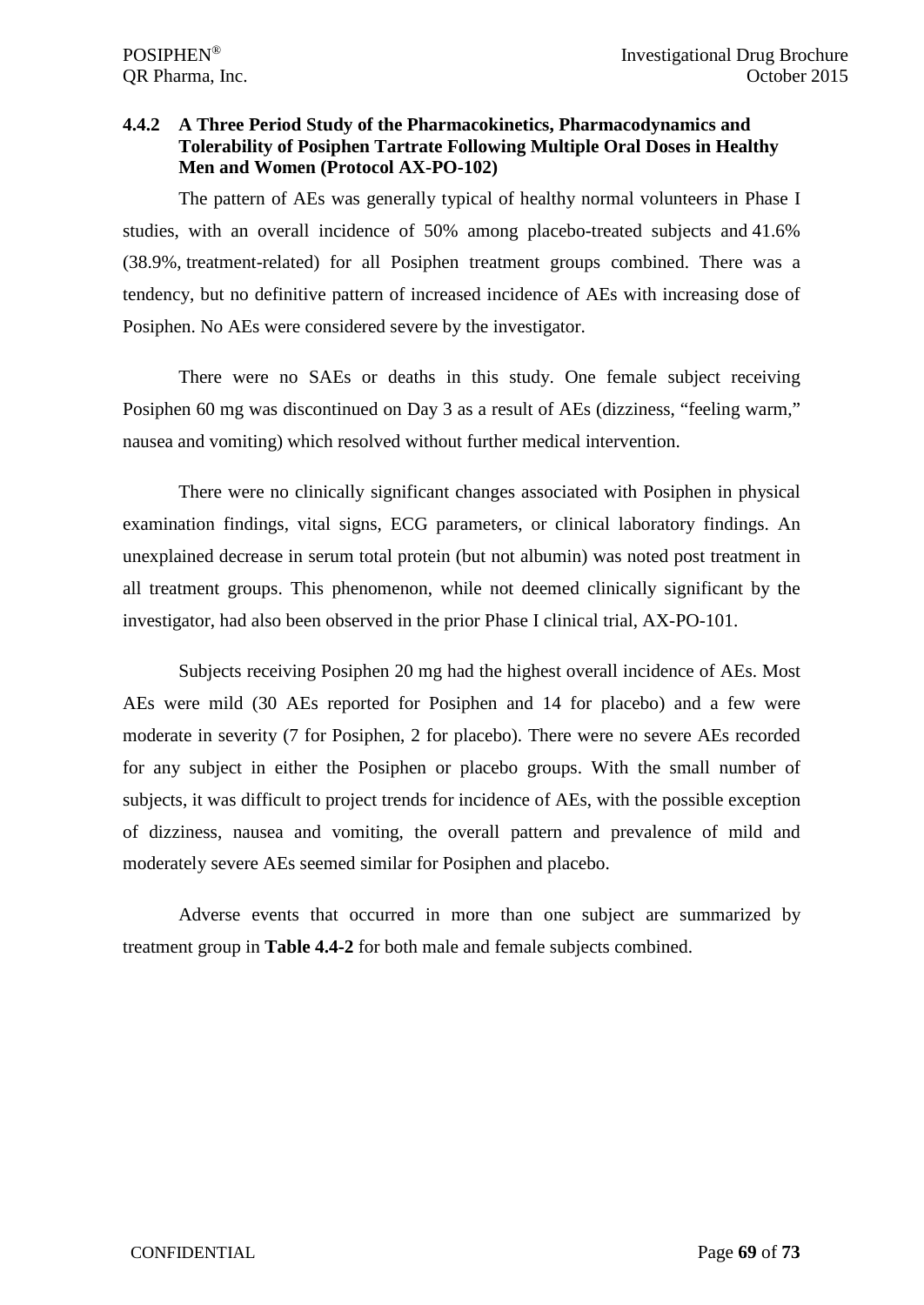# **4.4.2 A Three Period Study of the Pharmacokinetics, Pharmacodynamics and Tolerability of Posiphen Tartrate Following Multiple Oral Doses in Healthy Men and Women (Protocol AX-PO-102)**

The pattern of AEs was generally typical of healthy normal volunteers in Phase I studies, with an overall incidence of 50% among placebo-treated subjects and 41.6% (38.9%, treatment-related) for all Posiphen treatment groups combined. There was a tendency, but no definitive pattern of increased incidence of AEs with increasing dose of Posiphen. No AEs were considered severe by the investigator.

There were no SAEs or deaths in this study. One female subject receiving Posiphen 60 mg was discontinued on Day 3 as a result of AEs (dizziness, "feeling warm," nausea and vomiting) which resolved without further medical intervention.

There were no clinically significant changes associated with Posiphen in physical examination findings, vital signs, ECG parameters, or clinical laboratory findings. An unexplained decrease in serum total protein (but not albumin) was noted post treatment in all treatment groups. This phenomenon, while not deemed clinically significant by the investigator, had also been observed in the prior Phase I clinical trial, AX-PO-101.

Subjects receiving Posiphen 20 mg had the highest overall incidence of AEs. Most AEs were mild (30 AEs reported for Posiphen and 14 for placebo) and a few were moderate in severity (7 for Posiphen, 2 for placebo). There were no severe AEs recorded for any subject in either the Posiphen or placebo groups. With the small number of subjects, it was difficult to project trends for incidence of AEs, with the possible exception of dizziness, nausea and vomiting, the overall pattern and prevalence of mild and moderately severe AEs seemed similar for Posiphen and placebo.

Adverse events that occurred in more than one subject are summarized by treatment group in **Table 4.4-2** for both male and female subjects combined.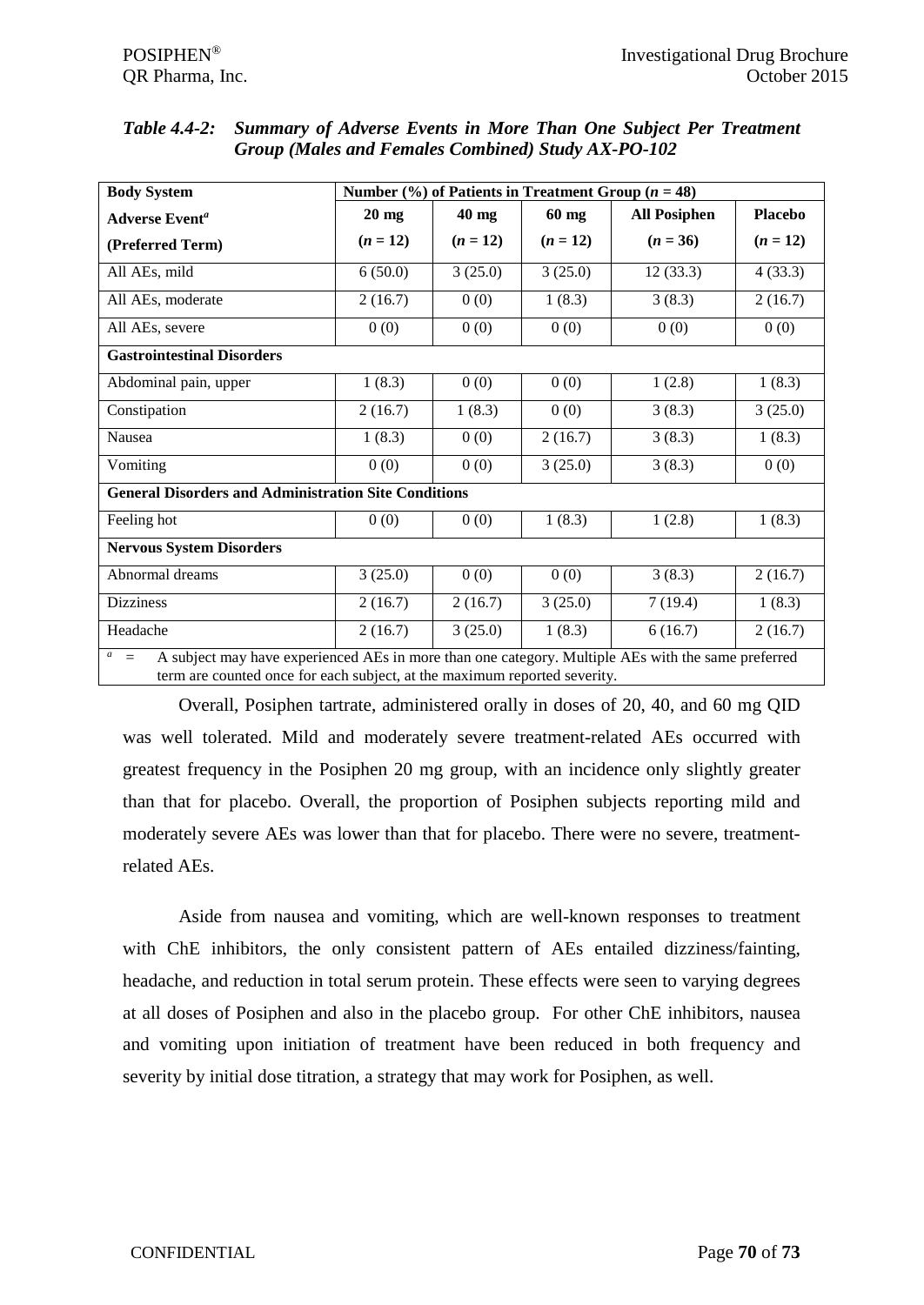| <b>Body System</b>                                                                                                                                                                             | Number $\left(\frac{9}{6}\right)$ of Patients in Treatment Group ( <i>n</i> = 48) |            |            |                     |                |  |  |
|------------------------------------------------------------------------------------------------------------------------------------------------------------------------------------------------|-----------------------------------------------------------------------------------|------------|------------|---------------------|----------------|--|--|
| <b>Adverse Event<sup>a</sup></b>                                                                                                                                                               | $20$ mg                                                                           | 40 mg      | 60 mg      | <b>All Posiphen</b> | <b>Placebo</b> |  |  |
| (Preferred Term)                                                                                                                                                                               | $(n = 12)$                                                                        | $(n = 12)$ | $(n = 12)$ | $(n = 36)$          | $(n = 12)$     |  |  |
| All AEs, mild                                                                                                                                                                                  | 6(50.0)                                                                           | 3(25.0)    | 3(25.0)    | 12(33.3)            | 4(33.3)        |  |  |
| All AEs, moderate                                                                                                                                                                              | 2(16.7)                                                                           | 0(0)       | 1(8.3)     | 3(8.3)              | 2(16.7)        |  |  |
| All AEs, severe                                                                                                                                                                                | 0(0)                                                                              | 0(0)       | 0(0)       | 0(0)                | 0(0)           |  |  |
| <b>Gastrointestinal Disorders</b>                                                                                                                                                              |                                                                                   |            |            |                     |                |  |  |
| Abdominal pain, upper                                                                                                                                                                          | 1(8.3)                                                                            | 0(0)       | 0(0)       | 1(2.8)              | 1(8.3)         |  |  |
| Constipation                                                                                                                                                                                   | 2(16.7)                                                                           | 1(8.3)     | 0(0)       | 3(8.3)              | 3(25.0)        |  |  |
| Nausea                                                                                                                                                                                         | 1(8.3)                                                                            | 0(0)       | 2(16.7)    | 3(8.3)              | 1(8.3)         |  |  |
| Vomiting                                                                                                                                                                                       | 0(0)                                                                              | 0(0)       | 3(25.0)    | 3(8.3)              | 0(0)           |  |  |
| <b>General Disorders and Administration Site Conditions</b>                                                                                                                                    |                                                                                   |            |            |                     |                |  |  |
| Feeling hot                                                                                                                                                                                    | 0(0)                                                                              | 0(0)       | 1(8.3)     | 1(2.8)              | 1(8.3)         |  |  |
| <b>Nervous System Disorders</b>                                                                                                                                                                |                                                                                   |            |            |                     |                |  |  |
| Abnormal dreams                                                                                                                                                                                | 3(25.0)                                                                           | 0(0)       | 0(0)       | 3(8.3)              | 2(16.7)        |  |  |
| <b>Dizziness</b>                                                                                                                                                                               | 2(16.7)                                                                           | 2(16.7)    | 3(25.0)    | 7(19.4)             | 1(8.3)         |  |  |
| Headache                                                                                                                                                                                       | 2(16.7)                                                                           | 3(25.0)    | 1(8.3)     | 6(16.7)             | 2(16.7)        |  |  |
| $a_{\perp}$<br>A subject may have experienced AEs in more than one category. Multiple AEs with the same preferred<br>term are counted once for each subject, at the maximum reported severity. |                                                                                   |            |            |                     |                |  |  |

*Table 4.4-2: Summary of Adverse Events in More Than One Subject Per Treatment Group (Males and Females Combined) Study AX-PO-102*

Overall, Posiphen tartrate, administered orally in doses of 20, 40, and 60 mg QID was well tolerated. Mild and moderately severe treatment-related AEs occurred with greatest frequency in the Posiphen 20 mg group, with an incidence only slightly greater than that for placebo. Overall, the proportion of Posiphen subjects reporting mild and moderately severe AEs was lower than that for placebo. There were no severe, treatmentrelated AEs.

Aside from nausea and vomiting, which are well-known responses to treatment with ChE inhibitors, the only consistent pattern of AEs entailed dizziness/fainting, headache, and reduction in total serum protein. These effects were seen to varying degrees at all doses of Posiphen and also in the placebo group. For other ChE inhibitors, nausea and vomiting upon initiation of treatment have been reduced in both frequency and severity by initial dose titration, a strategy that may work for Posiphen, as well.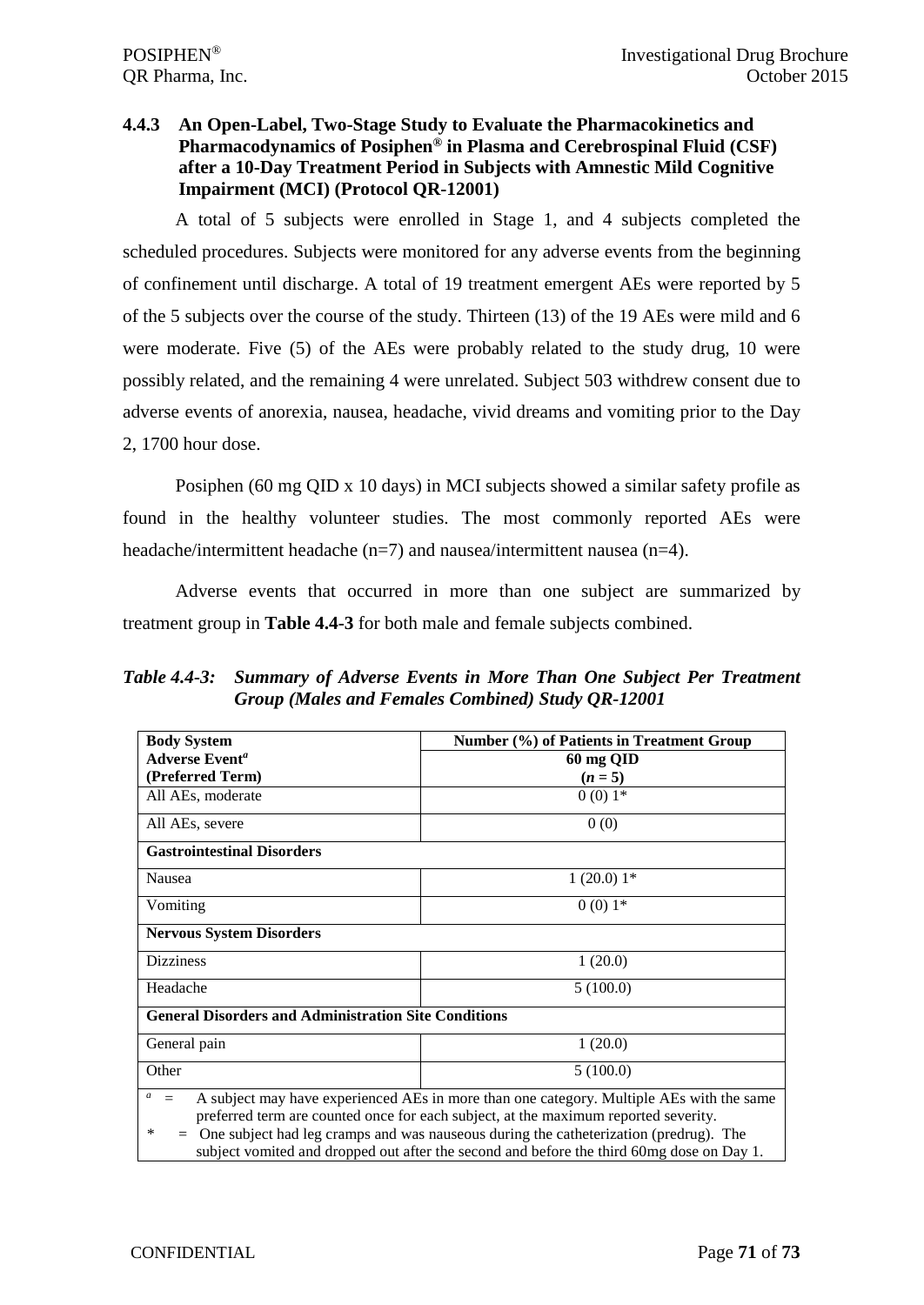# **4.4.3 An Open-Label, Two-Stage Study to Evaluate the Pharmacokinetics and Pharmacodynamics of Posiphen® in Plasma and Cerebrospinal Fluid (CSF) after a 10-Day Treatment Period in Subjects with Amnestic Mild Cognitive Impairment (MCI) (Protocol QR-12001)**

A total of 5 subjects were enrolled in Stage 1, and 4 subjects completed the scheduled procedures. Subjects were monitored for any adverse events from the beginning of confinement until discharge. A total of 19 treatment emergent AEs were reported by 5 of the 5 subjects over the course of the study. Thirteen (13) of the 19 AEs were mild and 6 were moderate. Five (5) of the AEs were probably related to the study drug, 10 were possibly related, and the remaining 4 were unrelated. Subject 503 withdrew consent due to adverse events of anorexia, nausea, headache, vivid dreams and vomiting prior to the Day 2, 1700 hour dose.

Posiphen (60 mg QID x 10 days) in MCI subjects showed a similar safety profile as found in the healthy volunteer studies. The most commonly reported AEs were headache/intermittent headache (n=7) and nausea/intermittent nausea (n=4).

Adverse events that occurred in more than one subject are summarized by treatment group in **Table 4.4-3** for both male and female subjects combined.

*Table 4.4-3: Summary of Adverse Events in More Than One Subject Per Treatment Group (Males and Females Combined) Study QR-12001*

| <b>Body System</b>                                                                                                                                                                                                                                                                                                                                                                         | Number (%) of Patients in Treatment Group |  |  |  |  |
|--------------------------------------------------------------------------------------------------------------------------------------------------------------------------------------------------------------------------------------------------------------------------------------------------------------------------------------------------------------------------------------------|-------------------------------------------|--|--|--|--|
| <b>Adverse Event<sup>a</sup></b>                                                                                                                                                                                                                                                                                                                                                           |                                           |  |  |  |  |
|                                                                                                                                                                                                                                                                                                                                                                                            | 60 mg QID                                 |  |  |  |  |
| (Preferred Term)                                                                                                                                                                                                                                                                                                                                                                           | $(n = 5)$                                 |  |  |  |  |
| All AEs, moderate                                                                                                                                                                                                                                                                                                                                                                          | $0(0)1*$                                  |  |  |  |  |
| All AEs, severe                                                                                                                                                                                                                                                                                                                                                                            | 0(0)                                      |  |  |  |  |
| <b>Gastrointestinal Disorders</b>                                                                                                                                                                                                                                                                                                                                                          |                                           |  |  |  |  |
| Nausea                                                                                                                                                                                                                                                                                                                                                                                     | $1(20.0)1*$                               |  |  |  |  |
| Vomiting                                                                                                                                                                                                                                                                                                                                                                                   | $0(0)1*$                                  |  |  |  |  |
| <b>Nervous System Disorders</b>                                                                                                                                                                                                                                                                                                                                                            |                                           |  |  |  |  |
| <b>Dizziness</b>                                                                                                                                                                                                                                                                                                                                                                           | 1(20.0)                                   |  |  |  |  |
| Headache                                                                                                                                                                                                                                                                                                                                                                                   | 5(100.0)                                  |  |  |  |  |
| <b>General Disorders and Administration Site Conditions</b>                                                                                                                                                                                                                                                                                                                                |                                           |  |  |  |  |
| General pain                                                                                                                                                                                                                                                                                                                                                                               | 1(20.0)                                   |  |  |  |  |
| Other                                                                                                                                                                                                                                                                                                                                                                                      | 5(100.0)                                  |  |  |  |  |
| a<br>A subject may have experienced AEs in more than one category. Multiple AEs with the same<br>$=$<br>preferred term are counted once for each subject, at the maximum reported severity.<br>$=$ One subject had leg cramps and was nauseous during the catheterization (predrug). The<br>∗<br>subject vomited and dropped out after the second and before the third 60mg dose on Day 1. |                                           |  |  |  |  |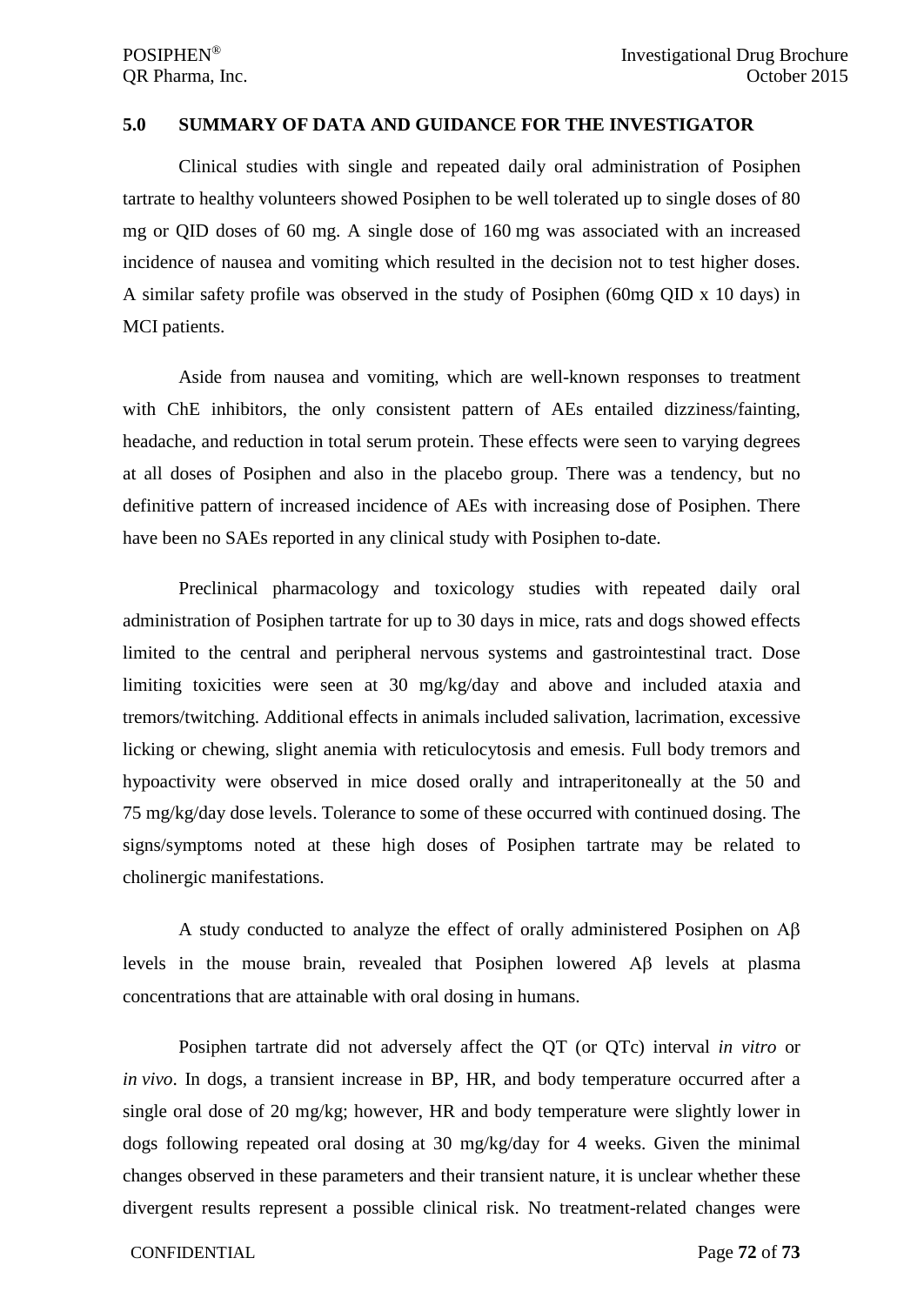#### **5.0 SUMMARY OF DATA AND GUIDANCE FOR THE INVESTIGATOR**

Clinical studies with single and repeated daily oral administration of Posiphen tartrate to healthy volunteers showed Posiphen to be well tolerated up to single doses of 80 mg or QID doses of 60 mg. A single dose of 160 mg was associated with an increased incidence of nausea and vomiting which resulted in the decision not to test higher doses. A similar safety profile was observed in the study of Posiphen (60mg QID x 10 days) in MCI patients.

Aside from nausea and vomiting, which are well-known responses to treatment with ChE inhibitors, the only consistent pattern of AEs entailed dizziness/fainting, headache, and reduction in total serum protein. These effects were seen to varying degrees at all doses of Posiphen and also in the placebo group. There was a tendency, but no definitive pattern of increased incidence of AEs with increasing dose of Posiphen. There have been no SAEs reported in any clinical study with Posiphen to-date.

Preclinical pharmacology and toxicology studies with repeated daily oral administration of Posiphen tartrate for up to 30 days in mice, rats and dogs showed effects limited to the central and peripheral nervous systems and gastrointestinal tract. Dose limiting toxicities were seen at 30 mg/kg/day and above and included ataxia and tremors/twitching. Additional effects in animals included salivation, lacrimation, excessive licking or chewing, slight anemia with reticulocytosis and emesis. Full body tremors and hypoactivity were observed in mice dosed orally and intraperitoneally at the 50 and 75 mg/kg/day dose levels. Tolerance to some of these occurred with continued dosing. The signs/symptoms noted at these high doses of Posiphen tartrate may be related to cholinergic manifestations.

A study conducted to analyze the effect of orally administered Posiphen on Αβ levels in the mouse brain, revealed that Posiphen lowered Αβ levels at plasma concentrations that are attainable with oral dosing in humans.

Posiphen tartrate did not adversely affect the QT (or QTc) interval *in vitro* or *in vivo*. In dogs, a transient increase in BP, HR, and body temperature occurred after a single oral dose of 20 mg/kg; however, HR and body temperature were slightly lower in dogs following repeated oral dosing at 30 mg/kg/day for 4 weeks. Given the minimal changes observed in these parameters and their transient nature, it is unclear whether these divergent results represent a possible clinical risk. No treatment-related changes were

#### CONFIDENTIAL Page **72** of **73**